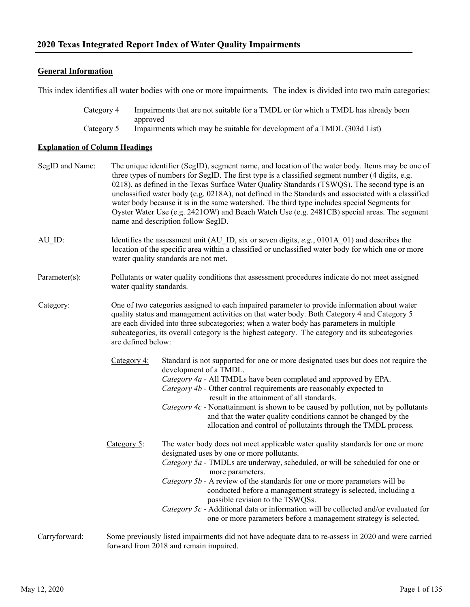## **General Information**

This index identifies all water bodies with one or more impairments. The index is divided into two main categories:

| Category 4 | Impairments that are not suitable for a TMDL or for which a TMDL has already been |
|------------|-----------------------------------------------------------------------------------|
|            | approved                                                                          |
| Category 5 | Impairments which may be suitable for development of a TMDL (303d List)           |

#### **Explanation of Column Headings**

| SegID and Name: |                          | The unique identifier (SegID), segment name, and location of the water body. Items may be one of<br>three types of numbers for SegID. The first type is a classified segment number (4 digits, e.g.<br>0218), as defined in the Texas Surface Water Quality Standards (TSWQS). The second type is an<br>unclassified water body (e.g. 0218A), not defined in the Standards and associated with a classified<br>water body because it is in the same watershed. The third type includes special Segments for<br>Oyster Water Use (e.g. 24210W) and Beach Watch Use (e.g. 2481CB) special areas. The segment<br>name and description follow SegID. |  |
|-----------------|--------------------------|--------------------------------------------------------------------------------------------------------------------------------------------------------------------------------------------------------------------------------------------------------------------------------------------------------------------------------------------------------------------------------------------------------------------------------------------------------------------------------------------------------------------------------------------------------------------------------------------------------------------------------------------------|--|
| AU ID:          |                          | Identifies the assessment unit (AU_ID, six or seven digits, e.g., $0101A_01$ ) and describes the<br>location of the specific area within a classified or unclassified water body for which one or more<br>water quality standards are not met.                                                                                                                                                                                                                                                                                                                                                                                                   |  |
| Parameter(s):   | water quality standards. | Pollutants or water quality conditions that assessment procedures indicate do not meet assigned                                                                                                                                                                                                                                                                                                                                                                                                                                                                                                                                                  |  |
| Category:       | are defined below:       | One of two categories assigned to each impaired parameter to provide information about water<br>quality status and management activities on that water body. Both Category 4 and Category 5<br>are each divided into three subcategories; when a water body has parameters in multiple<br>subcategories, its overall category is the highest category. The category and its subcategories                                                                                                                                                                                                                                                        |  |
|                 | Category 4:              | Standard is not supported for one or more designated uses but does not require the<br>development of a TMDL.<br>Category 4a - All TMDLs have been completed and approved by EPA.<br>Category 4b - Other control requirements are reasonably expected to<br>result in the attainment of all standards.<br>Category $4c$ - Nonattainment is shown to be caused by pollution, not by pollutants<br>and that the water quality conditions cannot be changed by the<br>allocation and control of pollutaints through the TMDL process.                                                                                                                |  |
|                 | Category 5:              | The water body does not meet applicable water quality standards for one or more<br>designated uses by one or more pollutants.<br>Category 5a - TMDLs are underway, scheduled, or will be scheduled for one or<br>more parameters.<br>Category 5b - A review of the standards for one or more parameters will be<br>conducted before a management strategy is selected, including a<br>possible revision to the TSWQSs.<br>Category 5c - Additional data or information will be collected and/or evaluated for<br>one or more parameters before a management strategy is selected.                                                                |  |
| Carryforward:   |                          | Some previously listed impairments did not have adequate data to re-assess in 2020 and were carried<br>forward from 2018 and remain impaired.                                                                                                                                                                                                                                                                                                                                                                                                                                                                                                    |  |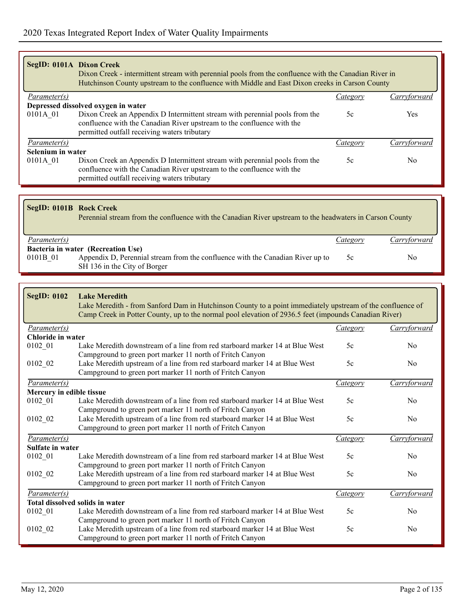|                   | SegID: 0101A Dixon Creek<br>Dixon Creek - intermittent stream with perennial pools from the confluence with the Canadian River in<br>Hutchinson County upstream to the confluence with Middle and East Dixon creeks in Carson County |          |                   |
|-------------------|--------------------------------------------------------------------------------------------------------------------------------------------------------------------------------------------------------------------------------------|----------|-------------------|
| Parameter(s)      |                                                                                                                                                                                                                                      | Category | Carryforward      |
|                   | Depressed dissolved oxygen in water                                                                                                                                                                                                  |          |                   |
| 0101A 01          | Dixon Creek an Appendix D Intermittent stream with perennial pools from the                                                                                                                                                          | 5c       | <b>Yes</b>        |
|                   | confluence with the Canadian River upstream to the confluence with the<br>permitted outfall receiving waters tributary                                                                                                               |          |                   |
| Parameter(s)      |                                                                                                                                                                                                                                      | Category | <b>Carryforwa</b> |
| Selenium in water |                                                                                                                                                                                                                                      |          |                   |
| 0101A 01          | Dixon Creek an Appendix D Intermittent stream with perennial pools from the                                                                                                                                                          | 5c       | No                |
|                   | confluence with the Canadian River upstream to the confluence with the<br>permitted outfall receiving waters tributary                                                                                                               |          |                   |

| SegID: 0101B Rock Creek | Perennial stream from the confluence with the Canadian River upstream to the headwaters in Carson County |          |              |
|-------------------------|----------------------------------------------------------------------------------------------------------|----------|--------------|
| Parameter(s)            |                                                                                                          | Category | Carryforward |
|                         | Bacteria in water (Recreation Use)                                                                       |          |              |
| 0101B 01                | Appendix D, Perennial stream from the confluence with the Canadian River up to                           | 5c       | No           |
|                         | SH 136 in the City of Borger                                                                             |          |              |

| <b>SegID: 0102</b>       | <b>Lake Meredith</b><br>Lake Meredith - from Sanford Dam in Hutchinson County to a point immediately upstream of the confluence of<br>Camp Creek in Potter County, up to the normal pool elevation of 2936.5 feet (impounds Canadian River) |                 |                |
|--------------------------|---------------------------------------------------------------------------------------------------------------------------------------------------------------------------------------------------------------------------------------------|-----------------|----------------|
| Parameter(s)             |                                                                                                                                                                                                                                             | <i>Category</i> | Carryforward   |
| Chloride in water        |                                                                                                                                                                                                                                             |                 |                |
| $0102 - 01$              | Lake Meredith downstream of a line from red starboard marker 14 at Blue West                                                                                                                                                                | 5c              | N <sub>0</sub> |
|                          | Campground to green port marker 11 north of Fritch Canyon                                                                                                                                                                                   |                 |                |
| $0102$ 02                | Lake Meredith upstream of a line from red starboard marker 14 at Blue West                                                                                                                                                                  | 5c              | N <sub>0</sub> |
|                          | Campground to green port marker 11 north of Fritch Canyon                                                                                                                                                                                   |                 |                |
| Parameter(s)             |                                                                                                                                                                                                                                             | <i>Category</i> | Carryforward   |
| Mercury in edible tissue |                                                                                                                                                                                                                                             |                 |                |
| $0102 - 01$              | Lake Meredith downstream of a line from red starboard marker 14 at Blue West                                                                                                                                                                | 5c              | N <sub>0</sub> |
|                          | Campground to green port marker 11 north of Fritch Canyon                                                                                                                                                                                   |                 |                |
| $0102\_02$               | Lake Meredith upstream of a line from red starboard marker 14 at Blue West                                                                                                                                                                  | 5c              | N <sub>0</sub> |
|                          | Campground to green port marker 11 north of Fritch Canyon                                                                                                                                                                                   |                 |                |
| Parameter(s)             |                                                                                                                                                                                                                                             | Category        | Carryforward   |
| Sulfate in water         |                                                                                                                                                                                                                                             |                 |                |
| 0102 01                  | Lake Meredith downstream of a line from red starboard marker 14 at Blue West                                                                                                                                                                | 5c              | N <sub>0</sub> |
|                          | Campground to green port marker 11 north of Fritch Canyon                                                                                                                                                                                   |                 |                |
| $0102$ 02                | Lake Meredith upstream of a line from red starboard marker 14 at Blue West                                                                                                                                                                  | 5c              | N <sub>0</sub> |
|                          | Campground to green port marker 11 north of Fritch Canyon                                                                                                                                                                                   |                 |                |
| Parameter(s)             |                                                                                                                                                                                                                                             | <i>Category</i> | Carryforward   |
|                          | <b>Total dissolved solids in water</b>                                                                                                                                                                                                      |                 |                |
| 0102 01                  | Lake Meredith downstream of a line from red starboard marker 14 at Blue West                                                                                                                                                                | 5c              | N <sub>0</sub> |
|                          | Campground to green port marker 11 north of Fritch Canyon                                                                                                                                                                                   |                 |                |
| $0102$ 02                | Lake Meredith upstream of a line from red starboard marker 14 at Blue West                                                                                                                                                                  | 5c              | N <sub>0</sub> |
|                          | Campground to green port marker 11 north of Fritch Canyon                                                                                                                                                                                   |                 |                |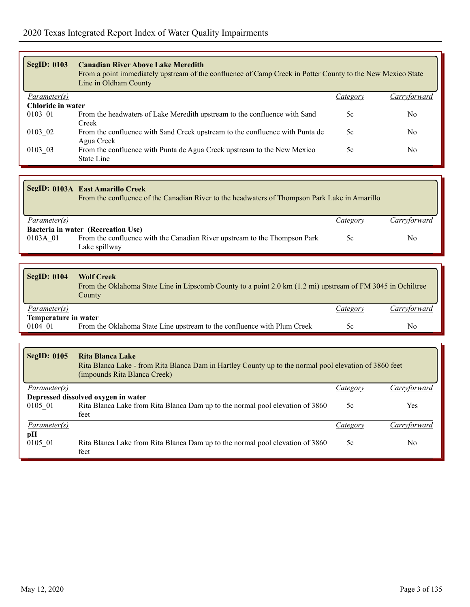| <b>SegID: 0103</b>  | <b>Canadian River Above Lake Meredith</b><br>From a point immediately upstream of the confluence of Camp Creek in Potter County to the New Mexico State<br>Line in Oldham County |          |              |
|---------------------|----------------------------------------------------------------------------------------------------------------------------------------------------------------------------------|----------|--------------|
| <i>Parameter(s)</i> |                                                                                                                                                                                  | Category | Carryforward |
| Chloride in water   |                                                                                                                                                                                  |          |              |
| 0103 01             | From the headwaters of Lake Meredith upstream to the confluence with Sand                                                                                                        | 5c       | No.          |
|                     | Creek                                                                                                                                                                            |          |              |
| 0103 02             | From the confluence with Sand Creek upstream to the confluence with Punta de                                                                                                     | 5c       | No.          |
|                     | Agua Creek                                                                                                                                                                       |          |              |
| 0103 03             | From the confluence with Punta de Agua Creek upstream to the New Mexico                                                                                                          | 5c       | No.          |
|                     | State Line                                                                                                                                                                       |          |              |

|              | SegID: 0103A East Amarillo Creek<br>From the confluence of the Canadian River to the headwaters of Thompson Park Lake in Amarillo |          |              |
|--------------|-----------------------------------------------------------------------------------------------------------------------------------|----------|--------------|
| Parameter(s) |                                                                                                                                   | Category | Carryforward |
|              | Bacteria in water (Recreation Use)                                                                                                |          |              |
| 0103A 01     | From the confluence with the Canadian River upstream to the Thompson Park                                                         | 5c       | No.          |
|              | Lake spillway                                                                                                                     |          |              |

| $\beta$ SegID: 0104  | <b>Wolf Creek</b><br>From the Oklahoma State Line in Lipscomb County to a point 2.0 km (1.2 mi) upstream of FM 3045 in Ochiltree<br>County |          |              |  |  |
|----------------------|--------------------------------------------------------------------------------------------------------------------------------------------|----------|--------------|--|--|
| <i>Parameter(s)</i>  |                                                                                                                                            | Category | Carryforward |  |  |
| Temperature in water |                                                                                                                                            |          |              |  |  |
| 0104 01              | From the Oklahoma State Line upstream to the confluence with Plum Creek                                                                    | 5c       | No           |  |  |

| <b>SegID: 0105</b> | Rita Blanca Lake<br>Rita Blanca Lake - from Rita Blanca Dam in Hartley County up to the normal pool elevation of 3860 feet<br>(impounds Rita Blanca Creek) |          |              |
|--------------------|------------------------------------------------------------------------------------------------------------------------------------------------------------|----------|--------------|
| Parameter(s)       |                                                                                                                                                            | Category | Carryforward |
|                    | Depressed dissolved oxygen in water                                                                                                                        |          |              |
| 0105 01            | Rita Blanca Lake from Rita Blanca Dam up to the normal pool elevation of 3860                                                                              | 5c       | Yes          |
|                    | feet                                                                                                                                                       |          |              |
| Parameter(s)       |                                                                                                                                                            | Category | Carrytorward |
| рH                 |                                                                                                                                                            |          |              |
| 0105 01            | Rita Blanca Lake from Rita Blanca Dam up to the normal pool elevation of 3860<br>feet                                                                      | 5c       | No           |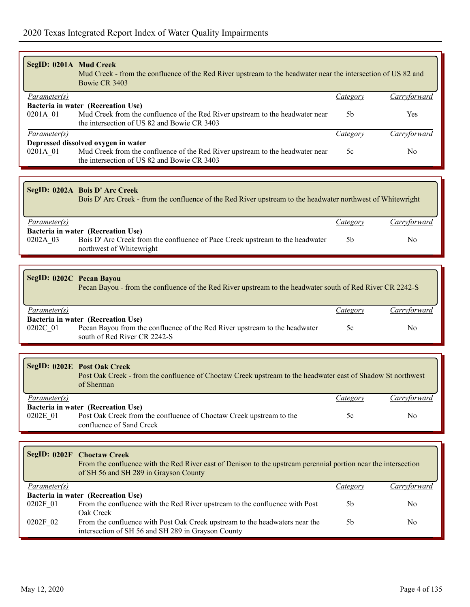| SegID: 0201A Mud Creek | Mud Creek - from the confluence of the Red River upstream to the headwater near the intersection of US 82 and<br>Bowie CR 3403                |                |                     |
|------------------------|-----------------------------------------------------------------------------------------------------------------------------------------------|----------------|---------------------|
| <i>Parameter(s)</i>    |                                                                                                                                               | Category       | <i>Carryforward</i> |
|                        | Bacteria in water (Recreation Use)                                                                                                            |                |                     |
| 0201A 01               | Mud Creek from the confluence of the Red River upstream to the headwater near<br>the intersection of US 82 and Bowie CR 3403                  | 5 <sub>b</sub> | <b>Yes</b>          |
| Parameter(s)           |                                                                                                                                               | Category       | Carryforward        |
|                        | Depressed dissolved oxygen in water                                                                                                           |                |                     |
| 0201A 01               | Mud Creek from the confluence of the Red River upstream to the headwater near<br>the intersection of US 82 and Bowie CR 3403                  | 5c             | N <sub>0</sub>      |
|                        |                                                                                                                                               |                |                     |
|                        | SegID: 0202A Bois D' Arc Creek<br>Bois D' Arc Creek - from the confluence of the Red River upstream to the headwater northwest of Whitewright |                |                     |

| <i>Parameter(s)</i> |                                                                               | Category | <u>Carryforward</u> |
|---------------------|-------------------------------------------------------------------------------|----------|---------------------|
|                     | <b>Bacteria in water (Recreation Use)</b>                                     |          |                     |
| 0202A 03            | Bois D' Arc Creek from the confluence of Pace Creek upstream to the headwater |          | No                  |
|                     | northwest of Whitewright                                                      |          |                     |

|              | SegID: 0202C Pecan Bayou<br>Pecan Bayou - from the confluence of the Red River upstream to the headwater south of Red River CR 2242-S |          |              |  |  |
|--------------|---------------------------------------------------------------------------------------------------------------------------------------|----------|--------------|--|--|
| Parameter(s) |                                                                                                                                       | Category | Carryforward |  |  |
|              | Bacteria in water (Recreation Use)                                                                                                    |          |              |  |  |
| 0202C 01     | Pecan Bayou from the confluence of the Red River upstream to the headwater                                                            | 5c       | No.          |  |  |
|              | south of Red River CR 2242-S                                                                                                          |          |              |  |  |

|                     | SegID: 0202E Post Oak Creek<br>Post Oak Creek - from the confluence of Choctaw Creek upstream to the headwater east of Shadow St northwest<br>of Sherman |          |              |
|---------------------|----------------------------------------------------------------------------------------------------------------------------------------------------------|----------|--------------|
| <i>Parameter(s)</i> |                                                                                                                                                          | Category | Carryforward |
|                     | Bacteria in water (Recreation Use)                                                                                                                       |          |              |
| 0202E 01            | Post Oak Creek from the confluence of Choctaw Creek upstream to the                                                                                      | 5c       | No           |
|                     | confluence of Sand Creek                                                                                                                                 |          |              |

|              | <b>SegID: 0202F Choctaw Creek</b><br>From the confluence with the Red River east of Denison to the upstream perennial portion near the intersection<br>of SH 56 and SH 289 in Grayson County |                |              |  |
|--------------|----------------------------------------------------------------------------------------------------------------------------------------------------------------------------------------------|----------------|--------------|--|
| Parameter(s) |                                                                                                                                                                                              | Category       | Carryforward |  |
|              | Bacteria in water (Recreation Use)                                                                                                                                                           |                |              |  |
| 0202F 01     | From the confluence with the Red River upstream to the confluence with Post                                                                                                                  | 5 <sub>b</sub> | No.          |  |
|              | Oak Creek                                                                                                                                                                                    |                |              |  |
| 0202F 02     | From the confluence with Post Oak Creek upstream to the headwaters near the                                                                                                                  | .5b            | No.          |  |
|              | intersection of SH 56 and SH 289 in Grayson County                                                                                                                                           |                |              |  |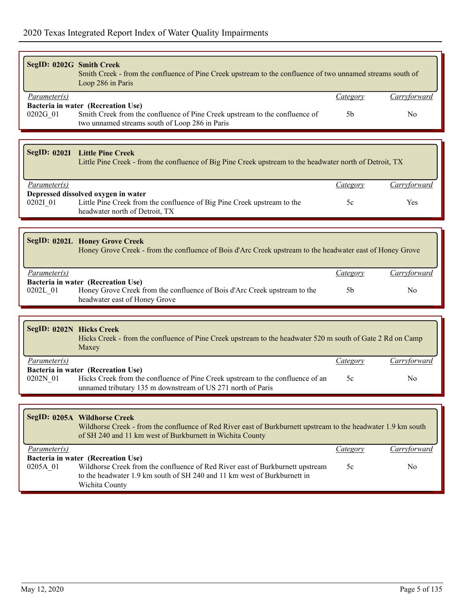|                     | SegID: 0202G Smith Creek<br>Smith Creek - from the confluence of Pine Creek upstream to the confluence of two unnamed streams south of<br>Loop 286 in Paris                                                       |                 |              |
|---------------------|-------------------------------------------------------------------------------------------------------------------------------------------------------------------------------------------------------------------|-----------------|--------------|
| Parameter(s)        |                                                                                                                                                                                                                   | <b>Category</b> | Carryforward |
| 0202G 01            | Bacteria in water (Recreation Use)<br>Smith Creek from the confluence of Pine Creek upstream to the confluence of<br>two unnamed streams south of Loop 286 in Paris                                               | 5 <sub>b</sub>  | No           |
|                     |                                                                                                                                                                                                                   |                 |              |
|                     | SegID: 0202I Little Pine Creek<br>Little Pine Creek - from the confluence of Big Pine Creek upstream to the headwater north of Detroit, TX                                                                        |                 |              |
| Parameter(s)        |                                                                                                                                                                                                                   | <b>Category</b> | Carryforward |
| 0202I_01            | Depressed dissolved oxygen in water<br>Little Pine Creek from the confluence of Big Pine Creek upstream to the<br>headwater north of Detroit, TX                                                                  | 5c              | Yes          |
|                     |                                                                                                                                                                                                                   |                 |              |
|                     |                                                                                                                                                                                                                   |                 |              |
|                     | <b>SegID: 0202L Honey Grove Creek</b><br>Honey Grove Creek - from the confluence of Bois d'Arc Creek upstream to the headwater east of Honey Grove                                                                |                 |              |
| Parameter(s)        |                                                                                                                                                                                                                   | Category        | Carryforward |
| 0202L_01            | Bacteria in water (Recreation Use)<br>Honey Grove Creek from the confluence of Bois d'Arc Creek upstream to the<br>headwater east of Honey Grove                                                                  | 5 <sub>b</sub>  | No           |
|                     |                                                                                                                                                                                                                   |                 |              |
|                     | <b>SegID: 0202N Hicks Creek</b><br>Hicks Creek - from the confluence of Pine Creek upstream to the headwater 520 m south of Gate 2 Rd on Camp<br>Maxey                                                            |                 |              |
| <i>Parameter(s)</i> |                                                                                                                                                                                                                   | <i>Category</i> | Carryforward |
| 0202N 01            | Bacteria in water (Recreation Use)<br>Hicks Creek from the confluence of Pine Creek upstream to the confluence of an                                                                                              | 5c              | No           |
|                     | unnamed tributary 135 m downstream of US 271 north of Paris                                                                                                                                                       |                 |              |
|                     |                                                                                                                                                                                                                   |                 |              |
|                     |                                                                                                                                                                                                                   |                 |              |
|                     | SegID: 0205A Wildhorse Creek<br>Wildhorse Creek - from the confluence of Red River east of Burkburnett upstream to the headwater 1.9 km south<br>of SH 240 and 11 km west of Burkburnett in Wichita County        |                 |              |
| <i>Parameter(s)</i> |                                                                                                                                                                                                                   | Category        | Carryforward |
| 0205A <sub>01</sub> | Bacteria in water (Recreation Use)<br>Wildhorse Creek from the confluence of Red River east of Burkburnett upstream<br>to the headwater 1.9 km south of SH 240 and 11 km west of Burkburnett in<br>Wichita County | 5c              | No           |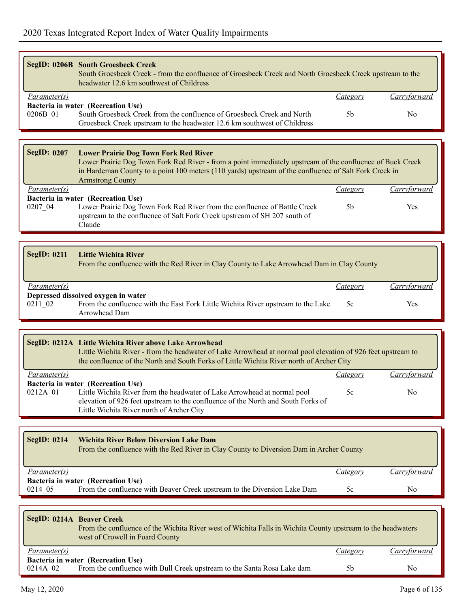|                     | <b>SegID: 0206B South Groesbeck Creek</b><br>South Groesbeck Creek - from the confluence of Groesbeck Creek and North Groesbeck Creek upstream to the<br>headwater 12.6 km southwest of Childress                                                                                             |                 |                |
|---------------------|-----------------------------------------------------------------------------------------------------------------------------------------------------------------------------------------------------------------------------------------------------------------------------------------------|-----------------|----------------|
| Parameter(s)        |                                                                                                                                                                                                                                                                                               | <b>Category</b> | Carryforward   |
| 0206B <sub>01</sub> | Bacteria in water (Recreation Use)<br>South Groesbeck Creek from the confluence of Groesbeck Creek and North<br>Groesbeck Creek upstream to the headwater 12.6 km southwest of Childress                                                                                                      | 5 <sub>b</sub>  | N <sub>0</sub> |
|                     |                                                                                                                                                                                                                                                                                               |                 |                |
| <b>SegID: 0207</b>  | <b>Lower Prairie Dog Town Fork Red River</b><br>Lower Prairie Dog Town Fork Red River - from a point immediately upstream of the confluence of Buck Creek<br>in Hardeman County to a point 100 meters (110 yards) upstream of the confluence of Salt Fork Creek in<br><b>Armstrong County</b> |                 |                |
| Parameter(s)        |                                                                                                                                                                                                                                                                                               | Category        | Carryforward   |
| 0207_04             | Bacteria in water (Recreation Use)<br>Lower Prairie Dog Town Fork Red River from the confluence of Battle Creek<br>upstream to the confluence of Salt Fork Creek upstream of SH 207 south of<br>Claude                                                                                        | 5 <sub>b</sub>  | Yes            |
|                     |                                                                                                                                                                                                                                                                                               |                 |                |
|                     |                                                                                                                                                                                                                                                                                               |                 |                |
| <b>SegID: 0211</b>  | <b>Little Wichita River</b><br>From the confluence with the Red River in Clay County to Lake Arrowhead Dam in Clay County                                                                                                                                                                     |                 |                |
| Parameter(s)        |                                                                                                                                                                                                                                                                                               | Category        | Carryforward   |
| 0211 02             | Depressed dissolved oxygen in water<br>From the confluence with the East Fork Little Wichita River upstream to the Lake<br>Arrowhead Dam                                                                                                                                                      | 5c              | Yes            |
|                     |                                                                                                                                                                                                                                                                                               |                 |                |
|                     | SegID: 0212A Little Wichita River above Lake Arrowhead<br>Little Wichita River - from the headwater of Lake Arrowhead at normal pool elevation of 926 feet upstream to<br>the confluence of the North and South Forks of Little Wichita River north of Archer City                            |                 |                |
| Parameter(s)        |                                                                                                                                                                                                                                                                                               | <i>Category</i> | Carryforward   |
|                     | Bacteria in water (Recreation Use)<br>0212A_01 Little Wichita River from the headwater of Lake Arrowhead at normal pool<br>elevation of 926 feet upstream to the confluence of the North and South Forks of<br>Little Wichita River north of Archer City                                      | 5c              | No             |
|                     |                                                                                                                                                                                                                                                                                               |                 |                |
| <b>SegID: 0214</b>  | <b>Wichita River Below Diversion Lake Dam</b><br>From the confluence with the Red River in Clay County to Diversion Dam in Archer County                                                                                                                                                      |                 |                |
| Parameter(s)        |                                                                                                                                                                                                                                                                                               | <b>Category</b> | Carryforward   |
| 0214 05             | Bacteria in water (Recreation Use)<br>From the confluence with Beaver Creek upstream to the Diversion Lake Dam                                                                                                                                                                                | 5c              | No             |
|                     |                                                                                                                                                                                                                                                                                               |                 |                |
|                     | SegID: 0214A Beaver Creek<br>From the confluence of the Wichita River west of Wichita Falls in Wichita County upstream to the headwaters<br>west of Crowell in Foard County                                                                                                                   |                 |                |
| Parameter(s)        | Bacteria in water (Recreation Use)                                                                                                                                                                                                                                                            | Category        | Carryforward   |
|                     |                                                                                                                                                                                                                                                                                               |                 |                |

0214A 02 From the confluence with Bull Creek upstream to the Santa Rosa Lake dam 5b No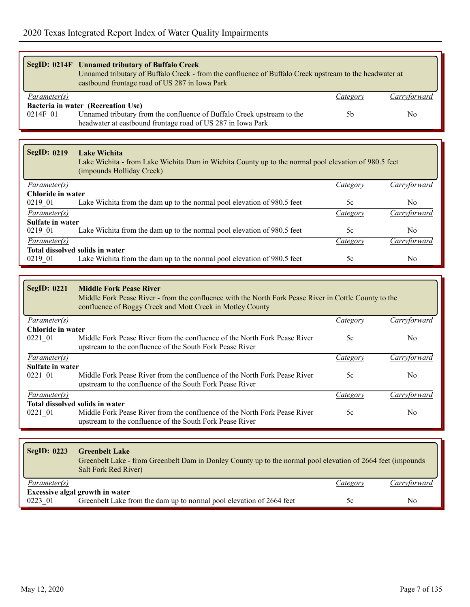|                     | <b>SegID: 0214F</b> Unnamed tributary of Buffalo Creek<br>Unnamed tributary of Buffalo Creek - from the confluence of Buffalo Creek upstream to the headwater at<br>eastbound frontage road of US 287 in Iowa Park |                |                     |
|---------------------|--------------------------------------------------------------------------------------------------------------------------------------------------------------------------------------------------------------------|----------------|---------------------|
| <i>Parameter(s)</i> |                                                                                                                                                                                                                    | Category       | <b>Carryforward</b> |
|                     | Bacteria in water (Recreation Use)                                                                                                                                                                                 |                |                     |
| 0214F 01            | Unnamed tributary from the confluence of Buffalo Creek upstream to the                                                                                                                                             | 5 <sub>b</sub> | No.                 |
|                     | headwater at eastbound frontage road of US 287 in Iowa Park                                                                                                                                                        |                |                     |

| <b>SegID: 0219</b>              | <b>Lake Wichita</b><br>Lake Wichita - from Lake Wichita Dam in Wichita County up to the normal pool elevation of 980.5 feet<br>(impounds Holliday Creek) |          |              |  |
|---------------------------------|----------------------------------------------------------------------------------------------------------------------------------------------------------|----------|--------------|--|
| Parameter(s)                    |                                                                                                                                                          | Category | Carryforward |  |
| Chloride in water               |                                                                                                                                                          |          |              |  |
| 0219 01                         | Lake Wichita from the dam up to the normal pool elevation of 980.5 feet                                                                                  | 5c       | No           |  |
| Parameter(s)                    |                                                                                                                                                          | Category | Carryforward |  |
| Sulfate in water                |                                                                                                                                                          |          |              |  |
| 0219 01                         | Lake Wichita from the dam up to the normal pool elevation of 980.5 feet                                                                                  | 5c       | No           |  |
| Parameter(s)                    |                                                                                                                                                          | Category | Carryforward |  |
| Total dissolved solids in water |                                                                                                                                                          |          |              |  |
| 0219 01                         | Lake Wichita from the dam up to the normal pool elevation of 980.5 feet                                                                                  | 5c       | No           |  |

| <b>SegID: 0221</b>  | <b>Middle Fork Pease River</b><br>Middle Fork Pease River - from the confluence with the North Fork Pease River in Cottle County to the<br>confluence of Boggy Creek and Mott Creek in Motley County |          |              |
|---------------------|------------------------------------------------------------------------------------------------------------------------------------------------------------------------------------------------------|----------|--------------|
| <i>Parameter(s)</i> |                                                                                                                                                                                                      | Category | Carryforward |
| Chloride in water   |                                                                                                                                                                                                      |          |              |
| 0221 01             | Middle Fork Pease River from the confluence of the North Fork Pease River<br>upstream to the confluence of the South Fork Pease River                                                                | 5c       | No.          |
| Parameter(s)        |                                                                                                                                                                                                      | Category | Carryforward |
| Sulfate in water    |                                                                                                                                                                                                      |          |              |
| 0221 01             | Middle Fork Pease River from the confluence of the North Fork Pease River<br>upstream to the confluence of the South Fork Pease River                                                                | 5c       | No.          |
| Parameter(s)        |                                                                                                                                                                                                      | Category | Carrytorwara |
|                     | Total dissolved solids in water                                                                                                                                                                      |          |              |
| 0221 01             | Middle Fork Pease River from the confluence of the North Fork Pease River<br>upstream to the confluence of the South Fork Pease River                                                                | 5c       | No.          |

| <b>SegID: 0223</b>                     | <b>Greenbelt Lake</b><br>Greenbelt Lake - from Greenbelt Dam in Donley County up to the normal pool elevation of 2664 feet (impounds<br>Salt Fork Red River) |                |              |  |
|----------------------------------------|--------------------------------------------------------------------------------------------------------------------------------------------------------------|----------------|--------------|--|
| <i>Parameter(s)</i>                    |                                                                                                                                                              | Category       | Carryforward |  |
| <b>Excessive algal growth in water</b> |                                                                                                                                                              |                |              |  |
| 0223 01                                | Greenbelt Lake from the dam up to normal pool elevation of 2664 feet                                                                                         | $\overline{c}$ | No.          |  |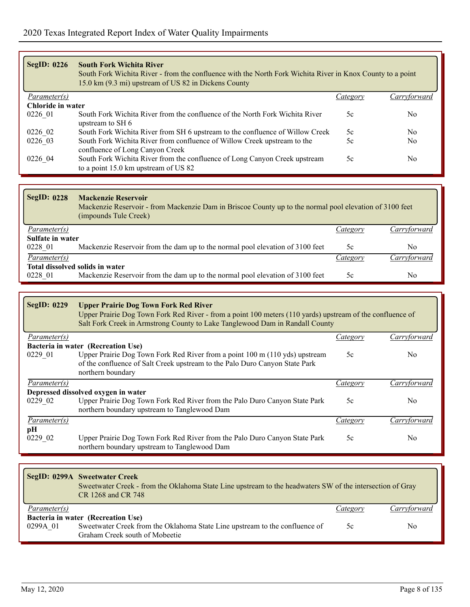| <b>SegID: 0226</b>  | <b>South Fork Wichita River</b><br>South Fork Wichita River - from the confluence with the North Fork Wichita River in Knox County to a point<br>15.0 km (9.3 mi) upstream of US 82 in Dickens County |          |                |
|---------------------|-------------------------------------------------------------------------------------------------------------------------------------------------------------------------------------------------------|----------|----------------|
| <i>Parameter(s)</i> |                                                                                                                                                                                                       | Category | Carryforward   |
| Chloride in water   |                                                                                                                                                                                                       |          |                |
| 0226 01             | South Fork Wichita River from the confluence of the North Fork Wichita River<br>upstream to SH 6                                                                                                      | 5c       | N <sub>0</sub> |
| 0226 02             | South Fork Wichita River from SH 6 upstream to the confluence of Willow Creek                                                                                                                         | 5c       | N <sub>0</sub> |
| 0226 03             | South Fork Wichita River from confluence of Willow Creek upstream to the<br>confluence of Long Canyon Creek                                                                                           | 5c       | N <sub>0</sub> |
| 0226 04             | South Fork Wichita River from the confluence of Long Canyon Creek upstream<br>to a point 15.0 km upstream of US 82                                                                                    | 5c       | No.            |

| <b>SegID: 0228</b>  | <b>Mackenzie Reservoir</b><br>Mackenzie Reservoir - from Mackenzie Dam in Briscoe County up to the normal pool elevation of 3100 feet<br>(impounds Tule Creek) |          |                |
|---------------------|----------------------------------------------------------------------------------------------------------------------------------------------------------------|----------|----------------|
| <i>Parameter(s)</i> |                                                                                                                                                                | Category | Carryforward   |
| Sulfate in water    |                                                                                                                                                                |          |                |
| 0228 01             | Mackenzie Reservoir from the dam up to the normal pool elevation of 3100 feet                                                                                  | 5c       | No             |
| Parameter(s)        |                                                                                                                                                                | Category | Carryforward   |
|                     | Total dissolved solids in water                                                                                                                                |          |                |
| 0228 01             | Mackenzie Reservoir from the dam up to the normal pool elevation of 3100 feet                                                                                  | 5c       | N <sub>0</sub> |

| <b>SegID: 0229</b>  | <b>Upper Prairie Dog Town Fork Red River</b><br>Upper Prairie Dog Town Fork Red River - from a point 100 meters (110 yards) upstream of the confluence of<br>Salt Fork Creek in Armstrong County to Lake Tanglewood Dam in Randall County |          |              |  |
|---------------------|-------------------------------------------------------------------------------------------------------------------------------------------------------------------------------------------------------------------------------------------|----------|--------------|--|
| <i>Parameter(s)</i> |                                                                                                                                                                                                                                           | Category | Carryforward |  |
|                     | Bacteria in water (Recreation Use)                                                                                                                                                                                                        |          |              |  |
| 0229 01             | Upper Prairie Dog Town Fork Red River from a point 100 m (110 yds) upstream<br>of the confluence of Salt Creek upstream to the Palo Duro Canyon State Park<br>northern boundary                                                           | 5c       | No.          |  |
| Parameter(s)        |                                                                                                                                                                                                                                           | Category | Carryforward |  |
|                     | Depressed dissolved oxygen in water                                                                                                                                                                                                       |          |              |  |
| 0229 02             | Upper Prairie Dog Town Fork Red River from the Palo Duro Canyon State Park<br>northern boundary upstream to Tanglewood Dam                                                                                                                | 5c       | No.          |  |
| Parameter(s)        |                                                                                                                                                                                                                                           | Category | Carryforward |  |
| pН                  |                                                                                                                                                                                                                                           |          |              |  |
| 0229 02             | Upper Prairie Dog Town Fork Red River from the Palo Duro Canyon State Park<br>northern boundary upstream to Tanglewood Dam                                                                                                                | 5c       | No.          |  |

|                     | <b>SegID: 0299A Sweetwater Creek</b><br>Sweetwater Creek - from the Oklahoma State Line upstream to the headwaters SW of the intersection of Gray<br>CR 1268 and CR 748 |          |                |
|---------------------|-------------------------------------------------------------------------------------------------------------------------------------------------------------------------|----------|----------------|
| <i>Parameter(s)</i> |                                                                                                                                                                         | Category | Carryforward   |
| 0299A 01            | Bacteria in water (Recreation Use)<br>Sweetwater Creek from the Oklahoma State Line upstream to the confluence of<br>Graham Creek south of Mobeetie                     | 5c       | N <sub>0</sub> |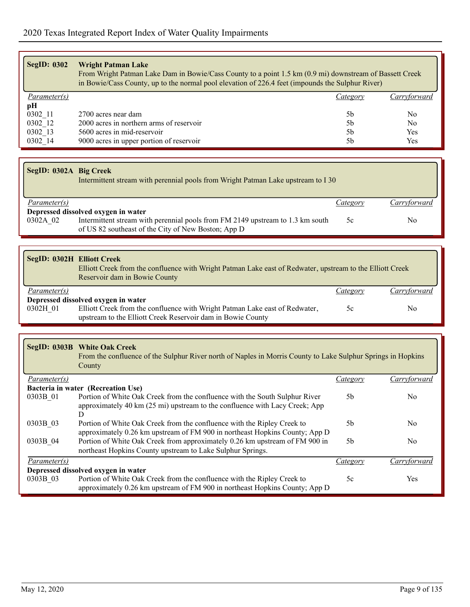| <b>SegID: 0302</b>  | <b>Wright Patman Lake</b><br>From Wright Patman Lake Dam in Bowie/Cass County to a point 1.5 km (0.9 mi) downstream of Bassett Creek<br>in Bowie/Cass County, up to the normal pool elevation of 226.4 feet (impounds the Sulphur River) |          |              |
|---------------------|------------------------------------------------------------------------------------------------------------------------------------------------------------------------------------------------------------------------------------------|----------|--------------|
| <i>Parameter(s)</i> |                                                                                                                                                                                                                                          | Category | Carryforward |
| pН                  |                                                                                                                                                                                                                                          |          |              |
| 0302 11             | 2700 acres near dam                                                                                                                                                                                                                      | 5b       | No.          |
| 0302 12             | 2000 acres in northern arms of reservoir                                                                                                                                                                                                 | 5b       | No           |
| 0302 13             | 5600 acres in mid-reservoir                                                                                                                                                                                                              | .5b      | Yes          |
| 0302 14             | 9000 acres in upper portion of reservoir                                                                                                                                                                                                 | 5b       | Yes          |

| SegID: 0302A Big Creek | Intermittent stream with perennial pools from Wright Patman Lake upstream to I 30                                                     |          |              |
|------------------------|---------------------------------------------------------------------------------------------------------------------------------------|----------|--------------|
| Parameter(s)           |                                                                                                                                       | Category | Carryforward |
|                        | Depressed dissolved oxygen in water                                                                                                   |          |              |
| 0302A 02               | Intermittent stream with perennial pools from FM 2149 upstream to 1.3 km south<br>of US 82 southeast of the City of New Boston; App D | 5c       | No           |

|                     | <b>SegID: 0302H Elliott Creek</b><br>Elliott Creek from the confluence with Wright Patman Lake east of Redwater, upstream to the Elliott Creek<br>Reservoir dam in Bowie County |          |              |
|---------------------|---------------------------------------------------------------------------------------------------------------------------------------------------------------------------------|----------|--------------|
| <i>Parameter(s)</i> |                                                                                                                                                                                 | Category | Carryforward |
|                     | Depressed dissolved oxygen in water                                                                                                                                             |          |              |
| 0302H 01            | Elliott Creek from the confluence with Wright Patman Lake east of Redwater,<br>upstream to the Elliott Creek Reservoir dam in Bowie County                                      | 5c       | No.          |

|                     | <b>SegID: 0303B White Oak Creek</b><br>From the confluence of the Sulphur River north of Naples in Morris County to Lake Sulphur Springs in Hopkins<br>County   |                |              |
|---------------------|-----------------------------------------------------------------------------------------------------------------------------------------------------------------|----------------|--------------|
| <i>Parameter(s)</i> |                                                                                                                                                                 | Category       | Carryforward |
|                     | Bacteria in water (Recreation Use)                                                                                                                              |                |              |
| 0303B 01            | Portion of White Oak Creek from the confluence with the South Sulphur River<br>approximately 40 km (25 mi) upstream to the confluence with Lacy Creek; App<br>D | 5 <sub>b</sub> | No.          |
| 0303B 03            | Portion of White Oak Creek from the confluence with the Ripley Creek to<br>approximately 0.26 km upstream of FM 900 in northeast Hopkins County; App D          | .5h            | No           |
| 0303B 04            | Portion of White Oak Creek from approximately 0.26 km upstream of FM 900 in<br>northeast Hopkins County upstream to Lake Sulphur Springs.                       | 5 <sub>b</sub> | No           |
| Parameter(s)        |                                                                                                                                                                 | Category       | Carryforward |
|                     | Depressed dissolved oxygen in water                                                                                                                             |                |              |
| 0303B 03            | Portion of White Oak Creek from the confluence with the Ripley Creek to<br>approximately 0.26 km upstream of FM 900 in northeast Hopkins County; App D          | 5c             | <b>Yes</b>   |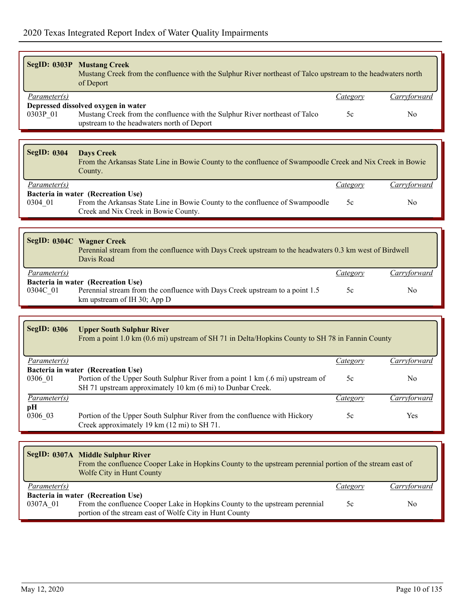portion of the stream east of Wolfe City in Hunt County

|                    | <b>SegID: 0303P Mustang Creek</b><br>Mustang Creek from the confluence with the Sulphur River northeast of Talco upstream to the headwaters north<br>of Deport                     |                 |                |
|--------------------|------------------------------------------------------------------------------------------------------------------------------------------------------------------------------------|-----------------|----------------|
| Parameter(s)       |                                                                                                                                                                                    | Category        | Carryforward   |
| 0303P_01           | Depressed dissolved oxygen in water<br>Mustang Creek from the confluence with the Sulphur River northeast of Talco<br>upstream to the headwaters north of Deport                   | 5c              | N <sub>o</sub> |
|                    |                                                                                                                                                                                    |                 |                |
| <b>SegID: 0304</b> | <b>Days Creek</b><br>From the Arkansas State Line in Bowie County to the confluence of Swampoodle Creek and Nix Creek in Bowie<br>County.                                          |                 |                |
| Parameter(s)       |                                                                                                                                                                                    | <b>Category</b> | Carryforward   |
| 0304 01            | Bacteria in water (Recreation Use)<br>From the Arkansas State Line in Bowie County to the confluence of Swampoodle<br>Creek and Nix Creek in Bowie County.                         | 5c              | N <sub>o</sub> |
|                    |                                                                                                                                                                                    |                 |                |
|                    | <b>SegID: 0304C Wagner Creek</b><br>Perennial stream from the confluence with Days Creek upstream to the headwaters 0.3 km west of Birdwell<br>Davis Road                          |                 |                |
| Parameter(s)       |                                                                                                                                                                                    | <b>Category</b> | Carryforward   |
| 0304C 01           | Bacteria in water (Recreation Use)<br>Perennial stream from the confluence with Days Creek upstream to a point 1.5<br>km upstream of IH 30; App D                                  | 5c              | No             |
|                    |                                                                                                                                                                                    |                 |                |
| <b>SegID: 0306</b> | <b>Upper South Sulphur River</b><br>From a point 1.0 km (0.6 mi) upstream of SH 71 in Delta/Hopkins County to SH 78 in Fannin County                                               |                 |                |
| Parameter(s)       |                                                                                                                                                                                    | Category        | Carryforward   |
| 0306 01            | Bacteria in water (Recreation Use)<br>Portion of the Upper South Sulphur River from a point 1 km (.6 mi) upstream of<br>SH 71 upstream approximately 10 km (6 mi) to Dunbar Creek. | 5c              | No             |
| Parameter(s)       |                                                                                                                                                                                    | Category        | Carryforward   |
| pH<br>0306_03      | Portion of the Upper South Sulphur River from the confluence with Hickory<br>Creek approximately 19 km (12 mi) to SH 71.                                                           | 5c              | Yes            |
|                    |                                                                                                                                                                                    |                 |                |
|                    | SegID: 0307A Middle Sulphur River<br>From the confluence Cooper Lake in Hopkins County to the upstream perennial portion of the stream east of<br>Wolfe City in Hunt County        |                 |                |
| Parameter(s)       |                                                                                                                                                                                    | <i>Category</i> | Carryforward   |
| 0307A 01           | Bacteria in water (Recreation Use)<br>From the confluence Cooper Lake in Hopkins County to the upstream perennial                                                                  | 5c              | No             |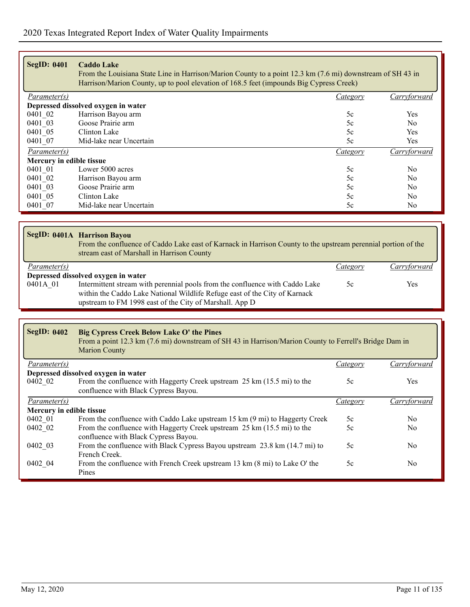| <b>SegID: 0401</b>       | <b>Caddo Lake</b>                                                                                          |                 |                     |
|--------------------------|------------------------------------------------------------------------------------------------------------|-----------------|---------------------|
|                          | From the Louisiana State Line in Harrison/Marion County to a point 12.3 km (7.6 mi) downstream of SH 43 in |                 |                     |
|                          | Harrison/Marion County, up to pool elevation of 168.5 feet (impounds Big Cypress Creek)                    |                 |                     |
| Parameter(s)             |                                                                                                            | <b>Category</b> | Carryforward        |
|                          | Depressed dissolved oxygen in water                                                                        |                 |                     |
| 0401 02                  | Harrison Bayou arm                                                                                         | 5c              | Yes                 |
| 0401 03                  | Goose Prairie arm                                                                                          | 5c              | No.                 |
| 0401 05                  | Clinton Lake                                                                                               | 5c              | Yes                 |
| 0401 07                  | Mid-lake near Uncertain                                                                                    | 5c              | Yes                 |
| <i>Parameter(s)</i>      |                                                                                                            | Category        | <u>Carryforward</u> |
| Mercury in edible tissue |                                                                                                            |                 |                     |
| 0401 01                  | Lower 5000 acres                                                                                           | 5c              | N <sub>0</sub>      |
| 0401 02                  | Harrison Bayou arm                                                                                         | 5c              | N <sub>0</sub>      |
| 0401 03                  | Goose Prairie arm                                                                                          | 5c              | No.                 |
| 0401 05                  | Clinton Lake                                                                                               | 5c              | N <sub>0</sub>      |
| 0401 07                  | Mid-lake near Uncertain                                                                                    | 5c              | No.                 |

|              | SegID: 0401A Harrison Bayou<br>From the confluence of Caddo Lake east of Karnack in Harrison County to the upstream perennial portion of the<br>stream east of Marshall in Harrison County |          |              |
|--------------|--------------------------------------------------------------------------------------------------------------------------------------------------------------------------------------------|----------|--------------|
| Parameter(s) |                                                                                                                                                                                            | Category | Carryforward |
|              | Depressed dissolved oxygen in water                                                                                                                                                        |          |              |
| 0401A 01     | Intermittent stream with perennial pools from the confluence with Caddo Lake<br>within the Caddo Lake National Wildlife Refuge east of the City of Karnack                                 | 5c       | Yes          |
|              | upstream to FM 1998 east of the City of Marshall. App D                                                                                                                                    |          |              |

| <b>SegID: 0402</b>       | <b>Big Cypress Creek Below Lake O' the Pines</b><br>From a point 12.3 km (7.6 mi) downstream of SH 43 in Harrison/Marion County to Ferrell's Bridge Dam in<br><b>Marion County</b> |                 |                |
|--------------------------|------------------------------------------------------------------------------------------------------------------------------------------------------------------------------------|-----------------|----------------|
| <i>Parameter(s)</i>      |                                                                                                                                                                                    | Category        | Carryforward   |
|                          | Depressed dissolved oxygen in water                                                                                                                                                |                 |                |
| 0402 02                  | From the confluence with Haggerty Creek upstream 25 km (15.5 mi) to the<br>confluence with Black Cypress Bayou.                                                                    | 5c              | <b>Yes</b>     |
| Parameter(s)             |                                                                                                                                                                                    | <i>Category</i> | Carryforward   |
| Mercury in edible tissue |                                                                                                                                                                                    |                 |                |
| 0402 01                  | From the confluence with Caddo Lake upstream 15 km (9 mi) to Haggerty Creek                                                                                                        | 5c              | No.            |
| 0402 02                  | From the confluence with Haggerty Creek upstream 25 km (15.5 mi) to the<br>confluence with Black Cypress Bayou.                                                                    | 5c              | No.            |
| 0402 03                  | From the confluence with Black Cypress Bayou upstream 23.8 km (14.7 mi) to<br>French Creek.                                                                                        | 5c              | N <sub>0</sub> |
| 0402 04                  | From the confluence with French Creek upstream 13 km (8 mi) to Lake O' the<br>Pines                                                                                                | 5c              | No             |

ŕ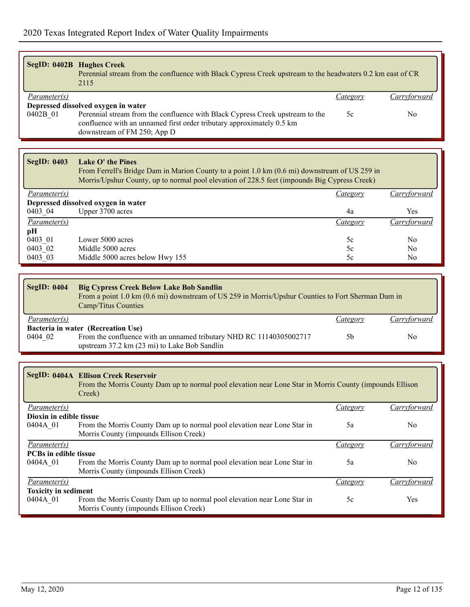|                                              | <b>SegID: 0402B Hughes Creek</b><br>Perennial stream from the confluence with Black Cypress Creek upstream to the headwaters 0.2 km east of CR<br>2115                                                                       |                 |                |
|----------------------------------------------|------------------------------------------------------------------------------------------------------------------------------------------------------------------------------------------------------------------------------|-----------------|----------------|
| <i>Parameter(s)</i>                          |                                                                                                                                                                                                                              | <b>Category</b> | Carryforward   |
| 0402B 01                                     | Depressed dissolved oxygen in water<br>Perennial stream from the confluence with Black Cypress Creek upstream to the<br>confluence with an unnamed first order tributary approximately 0.5 km<br>downstream of FM 250; App D | 5c              | N <sub>0</sub> |
|                                              |                                                                                                                                                                                                                              |                 |                |
|                                              |                                                                                                                                                                                                                              |                 |                |
| <b>SegID: 0403</b>                           | Lake O' the Pines<br>From Ferrell's Bridge Dam in Marion County to a point 1.0 km (0.6 mi) downstream of US 259 in<br>Morris/Upshur County, up to normal pool elevation of 228.5 feet (impounds Big Cypress Creek)           |                 |                |
| <i>Parameter(s)</i>                          |                                                                                                                                                                                                                              | <b>Category</b> | Carryforward   |
|                                              | Depressed dissolved oxygen in water                                                                                                                                                                                          |                 |                |
| 0403_04                                      | Upper 3700 acres                                                                                                                                                                                                             | 4a              | Yes            |
| $\overline{Parameter(s)}$                    |                                                                                                                                                                                                                              | Category        | Carryforward   |
| pН                                           |                                                                                                                                                                                                                              |                 |                |
| 0403 01                                      | Lower 5000 acres                                                                                                                                                                                                             | 5c              | N <sub>0</sub> |
| 0403 02                                      | Middle 5000 acres                                                                                                                                                                                                            | 5c              | N <sub>0</sub> |
| 0403 03                                      | Middle 5000 acres below Hwy 155                                                                                                                                                                                              | 5c              | N <sub>0</sub> |
|                                              |                                                                                                                                                                                                                              |                 |                |
|                                              |                                                                                                                                                                                                                              |                 |                |
| <b>SegID: 0404</b>                           | <b>Big Cypress Creek Below Lake Bob Sandlin</b><br>From a point 1.0 km (0.6 mi) downstream of US 259 in Morris/Upshur Counties to Fort Sherman Dam in<br>Camp/Titus Counties                                                 |                 |                |
| Parameter(s)                                 |                                                                                                                                                                                                                              | Category        | Carryforward   |
| 0404_02                                      | Bacteria in water (Recreation Use)<br>From the confluence with an unnamed tributary NHD RC 11140305002717<br>upstream 37.2 km (23 mi) to Lake Bob Sandlin                                                                    | 5 <sub>b</sub>  | No             |
|                                              |                                                                                                                                                                                                                              |                 |                |
|                                              | <b>SegID: 0404A Ellison Creek Reservoir</b>                                                                                                                                                                                  |                 |                |
|                                              | From the Morris County Dam up to normal pool elevation near Lone Star in Morris County (impounds Ellison<br>Creek)                                                                                                           |                 |                |
| Parameter(s)                                 |                                                                                                                                                                                                                              | <b>Category</b> | Carryforward   |
| Dioxin in edible tissue                      |                                                                                                                                                                                                                              |                 |                |
| 0404A 01                                     | From the Morris County Dam up to normal pool elevation near Lone Star in<br>Morris County (impounds Ellison Creek)                                                                                                           | 5a              | No             |
| Parameter(s)<br><b>PCBs</b> in edible tissue |                                                                                                                                                                                                                              | Category        | Carryforward   |

| <i>Parameter(s)</i>         |                                                                          | Category | Carryforward |
|-----------------------------|--------------------------------------------------------------------------|----------|--------------|
| <b>Toxicity in sediment</b> |                                                                          |          |              |
| 0404A 01                    | From the Morris County Dam up to normal pool elevation near Lone Star in | 5c.      | Yes          |
|                             | Morris County (impounds Ellison Creek)                                   |          |              |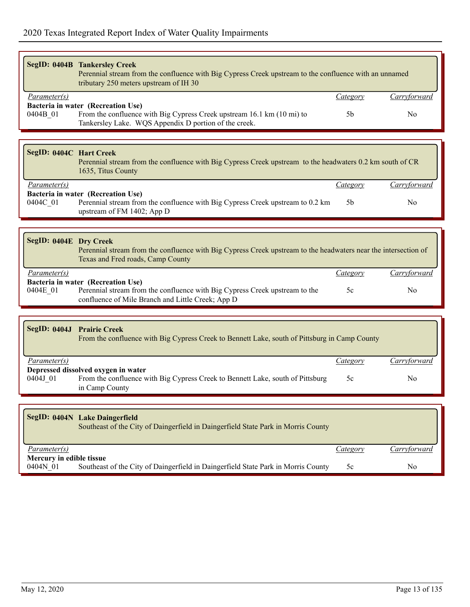|                                      | <b>SegID: 0404B Tankersley Creek</b><br>Perennial stream from the confluence with Big Cypress Creek upstream to the confluence with an unnamed<br>tributary 250 meters upstream of IH 30 |                 |                |
|--------------------------------------|------------------------------------------------------------------------------------------------------------------------------------------------------------------------------------------|-----------------|----------------|
| <i>Parameter(s)</i>                  |                                                                                                                                                                                          | <b>Category</b> | Carryforward   |
|                                      | Bacteria in water (Recreation Use)                                                                                                                                                       |                 |                |
| 0404B_01                             | From the confluence with Big Cypress Creek upstream 16.1 km (10 mi) to<br>Tankersley Lake. WQS Appendix D portion of the creek.                                                          | 5 <sub>b</sub>  | No             |
|                                      |                                                                                                                                                                                          |                 |                |
| SegID: 0404C Hart Creek              | Perennial stream from the confluence with Big Cypress Creek upstream to the headwaters 0.2 km south of CR<br>1635, Titus County                                                          |                 |                |
| Parameter(s)                         |                                                                                                                                                                                          | <b>Category</b> | Carryforward   |
| 0404C 01                             | Bacteria in water (Recreation Use)<br>Perennial stream from the confluence with Big Cypress Creek upstream to 0.2 km<br>upstream of FM 1402; App D                                       | 5 <sub>b</sub>  | No.            |
|                                      |                                                                                                                                                                                          |                 |                |
| SegID: 0404E Dry Creek               | Perennial stream from the confluence with Big Cypress Creek upstream to the headwaters near the intersection of<br>Texas and Fred roads, Camp County                                     |                 |                |
| Parameter(s)                         |                                                                                                                                                                                          | Category        | Carryforward   |
| 0404E 01                             | Bacteria in water (Recreation Use)<br>Perennial stream from the confluence with Big Cypress Creek upstream to the<br>confluence of Mile Branch and Little Creek; App D                   | 5c              | N <sub>0</sub> |
|                                      |                                                                                                                                                                                          |                 |                |
| <b>SegID: 0404J</b>                  | <b>Prairie Creek</b><br>From the confluence with Big Cypress Creek to Bennett Lake, south of Pittsburg in Camp County                                                                    |                 |                |
| Parameter(s)                         |                                                                                                                                                                                          | Category        | Carryforward   |
| 0404J 01                             | Depressed dissolved oxygen in water<br>From the confluence with Big Cypress Creek to Bennett Lake, south of Pittsburg<br>in Camp County                                                  | 5c              | No             |
|                                      |                                                                                                                                                                                          |                 |                |
|                                      | SegID: 0404N Lake Daingerfield<br>Southeast of the City of Daingerfield in Daingerfield State Park in Morris County                                                                      |                 |                |
| <i>Parameter(s)</i>                  |                                                                                                                                                                                          | <b>Category</b> | Carryforward   |
| Mercury in edible tissue<br>0404N 01 | Southeast of the City of Daingerfield in Daingerfield State Park in Morris County                                                                                                        | 5c              | No             |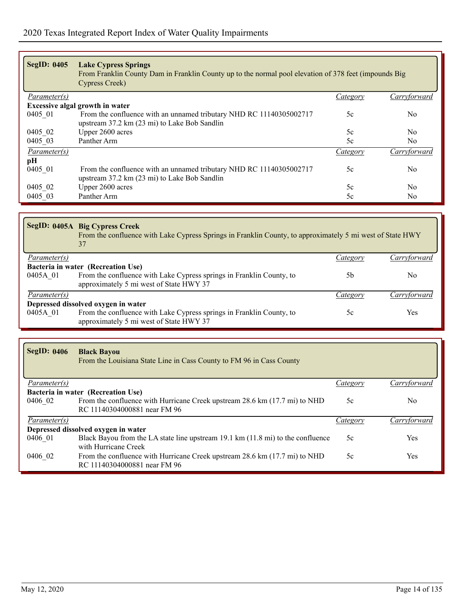| <b>SegID: 0405</b>  | <b>Lake Cypress Springs</b><br>From Franklin County Dam in Franklin County up to the normal pool elevation of 378 feet (impounds Big<br>Cypress Creek) |                 |                     |
|---------------------|--------------------------------------------------------------------------------------------------------------------------------------------------------|-----------------|---------------------|
| <i>Parameter(s)</i> |                                                                                                                                                        | Category        | <u>Carryforward</u> |
|                     | <b>Excessive algal growth in water</b>                                                                                                                 |                 |                     |
| 0405 01             | From the confluence with an unnamed tributary NHD RC 11140305002717                                                                                    | 5c              | N <sub>0</sub>      |
|                     | upstream 37.2 km (23 mi) to Lake Bob Sandlin                                                                                                           |                 |                     |
| 0405 02             | Upper 2600 acres                                                                                                                                       | 5c              | No.                 |
| 0405_03             | Panther Arm                                                                                                                                            | 5c              | No.                 |
| <i>Parameter(s)</i> |                                                                                                                                                        | <i>Category</i> | Carryforward        |
| pН                  |                                                                                                                                                        |                 |                     |
| 0405 01             | From the confluence with an unnamed tributary NHD RC 11140305002717                                                                                    | 5c              | No.                 |
|                     | upstream 37.2 km (23 mi) to Lake Bob Sandlin                                                                                                           |                 |                     |
| 0405 02             | Upper 2600 acres                                                                                                                                       | 5c              | No.                 |
| 0405 03             | Panther Arm                                                                                                                                            | 5c              | N <sub>0</sub>      |
|                     |                                                                                                                                                        |                 |                     |
|                     | SegID: 0405A Big Cypress Creek<br>From the confluence with Lake Cypress Springs in Franklin County, to approximately 5 mi west of State HWY            |                 |                     |

|                     | 37                                                                                                              |          |              |
|---------------------|-----------------------------------------------------------------------------------------------------------------|----------|--------------|
| Parameter(s)        |                                                                                                                 | Category | Carryforward |
|                     | Bacteria in water (Recreation Use)                                                                              |          |              |
| 0405A 01            | From the confluence with Lake Cypress springs in Franklin County, to<br>approximately 5 mi west of State HWY 37 | 5b       | No           |
| <i>Parameter(s)</i> |                                                                                                                 | Category | `arrvforward |
|                     | Depressed dissolved oxygen in water                                                                             |          |              |
| 0405A 01            | From the confluence with Lake Cypress springs in Franklin County, to<br>approximately 5 mi west of State HWY 37 | 5c       | Yes          |

| <b>SegID: 0406</b> | <b>Black Bayou</b><br>From the Louisiana State Line in Cass County to FM 96 in Cass County |          |              |
|--------------------|--------------------------------------------------------------------------------------------|----------|--------------|
| Parameter(s)       |                                                                                            | Category | Carryforward |
|                    | Bacteria in water (Recreation Use)                                                         |          |              |
| 0406 02            | From the confluence with Hurricane Creek upstream 28.6 km (17.7 mi) to NHD                 | 5c       | No           |
|                    | RC 11140304000881 near FM 96                                                               |          |              |
| Parameter(s)       |                                                                                            | Category | Carryforward |
|                    | Depressed dissolved oxygen in water                                                        |          |              |
| 0406 01            | Black Bayou from the LA state line upstream 19.1 km (11.8 mi) to the confluence            | 5c       | Yes          |
|                    | with Hurricane Creek                                                                       |          |              |
| 0406 02            | From the confluence with Hurricane Creek upstream 28.6 km (17.7 mi) to NHD                 | 5c       | Yes          |
|                    | RC 11140304000881 near FM 96                                                               |          |              |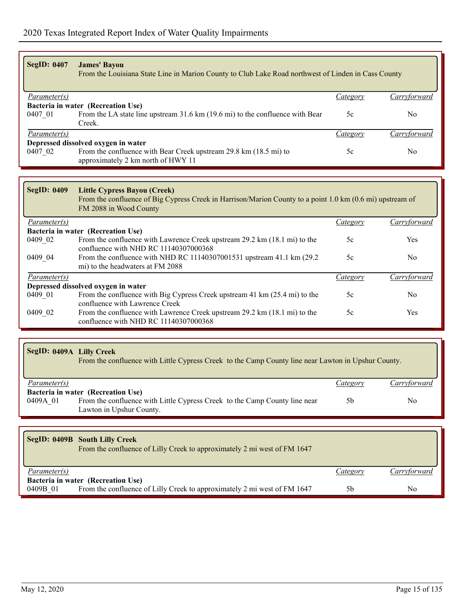| <b>SegID: 0407</b> | <b>James' Bayou</b><br>From the Louisiana State Line in Marion County to Club Lake Road northwest of Linden in Cass County |          |              |  |
|--------------------|----------------------------------------------------------------------------------------------------------------------------|----------|--------------|--|
| Parameter(s)       |                                                                                                                            | Category | Carryforward |  |
|                    | Bacteria in water (Recreation Use)                                                                                         |          |              |  |
| 0407 01            | From the LA state line upstream 31.6 km (19.6 mi) to the confluence with Bear                                              | 5c       | No.          |  |
|                    | Creek.                                                                                                                     |          |              |  |
| Parameter(s)       |                                                                                                                            | Category | Carryforward |  |
|                    | Depressed dissolved oxygen in water                                                                                        |          |              |  |
| 0407 02            | From the confluence with Bear Creek upstream 29.8 km (18.5 mi) to                                                          | 5c       | No           |  |
|                    | approximately 2 km north of HWY 11                                                                                         |          |              |  |

| <b>SegID: 0409</b>  | Little Cypress Bayou (Creek)<br>From the confluence of Big Cypress Creek in Harrison/Marion County to a point 1.0 km (0.6 mi) upstream of<br>FM 2088 in Wood County |          |                |  |
|---------------------|---------------------------------------------------------------------------------------------------------------------------------------------------------------------|----------|----------------|--|
| <i>Parameter(s)</i> |                                                                                                                                                                     | Category | Carryforward   |  |
|                     | Bacteria in water (Recreation Use)                                                                                                                                  |          |                |  |
| 0409 02             | From the confluence with Lawrence Creek upstream 29.2 km (18.1 mi) to the<br>confluence with NHD RC 11140307000368                                                  | 5c       | <b>Yes</b>     |  |
| 0409 04             | From the confluence with NHD RC 11140307001531 upstream 41.1 km (29.2)<br>mi) to the headwaters at FM 2088                                                          | 5c       | N <sub>0</sub> |  |
| Parameter(s)        |                                                                                                                                                                     | Category | Carryforward   |  |
|                     | Depressed dissolved oxygen in water                                                                                                                                 |          |                |  |
| 0409 01             | From the confluence with Big Cypress Creek upstream 41 km (25.4 mi) to the<br>confluence with Lawrence Creek                                                        | 5c       | N <sub>0</sub> |  |
| 0409 02             | From the confluence with Lawrence Creek upstream 29.2 km (18.1 mi) to the<br>confluence with NHD RC $11140307000368$                                                | 5c       | Yes            |  |

| SegID: 0409A Lilly Creek<br>From the confluence with Little Cypress Creek to the Camp County line near Lawton in Upshur County. |                                                                                                                                              |          |              |  |
|---------------------------------------------------------------------------------------------------------------------------------|----------------------------------------------------------------------------------------------------------------------------------------------|----------|--------------|--|
| Parameter(s)                                                                                                                    |                                                                                                                                              | Category | Carryforward |  |
| 0409A 01                                                                                                                        | Bacteria in water (Recreation Use)<br>From the confluence with Little Cypress Creek to the Camp County line near<br>Lawton in Upshur County. | .5b      | No           |  |

|              | SegID: 0409B South Lilly Creek<br>From the confluence of Lilly Creek to approximately 2 mi west of FM 1647 |          |              |
|--------------|------------------------------------------------------------------------------------------------------------|----------|--------------|
| Parameter(s) |                                                                                                            | Category | Carryforward |
|              | Bacteria in water (Recreation Use)                                                                         |          |              |
| 0409B 01     | From the confluence of Lilly Creek to approximately 2 mi west of FM 1647                                   | 5b       | No.          |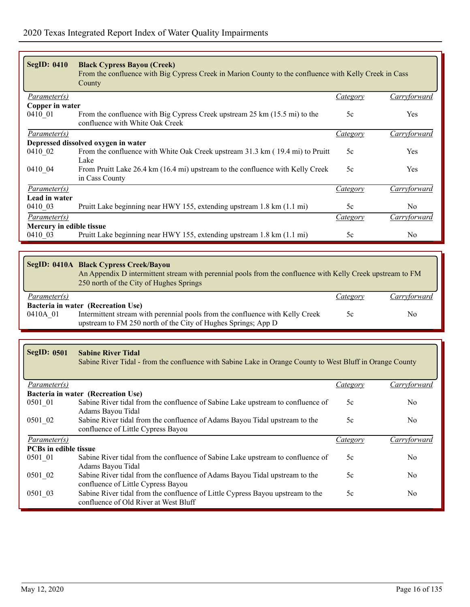| <b>SegID: 0410</b>         | <b>Black Cypress Bayou (Creek)</b><br>From the confluence with Big Cypress Creek in Marion County to the confluence with Kelly Creek in Cass<br>County                                          |                 |                |  |  |
|----------------------------|-------------------------------------------------------------------------------------------------------------------------------------------------------------------------------------------------|-----------------|----------------|--|--|
| Parameter(s)               |                                                                                                                                                                                                 | Category        | Carryforward   |  |  |
| Copper in water<br>0410 01 | From the confluence with Big Cypress Creek upstream 25 km (15.5 mi) to the<br>confluence with White Oak Creek                                                                                   | 5c              | Yes            |  |  |
| Parameter(s)               |                                                                                                                                                                                                 | Category        | Carryforward   |  |  |
|                            | Depressed dissolved oxygen in water                                                                                                                                                             |                 |                |  |  |
| 0410 02                    | From the confluence with White Oak Creek upstream 31.3 km (19.4 mi) to Pruitt<br>Lake                                                                                                           | 5c              | Yes            |  |  |
| 0410 04                    | From Pruitt Lake 26.4 km (16.4 mi) upstream to the confluence with Kelly Creek<br>in Cass County                                                                                                | 5c              | Yes            |  |  |
| Parameter(s)               |                                                                                                                                                                                                 | Category        | Carryforward   |  |  |
| Lead in water              |                                                                                                                                                                                                 |                 |                |  |  |
| 0410 03                    | Pruitt Lake beginning near HWY 155, extending upstream 1.8 km (1.1 mi)                                                                                                                          | 5c              | N <sub>0</sub> |  |  |
| $\overline{Parameter(s)}$  |                                                                                                                                                                                                 | <i>Category</i> | Carryforward   |  |  |
| Mercury in edible tissue   |                                                                                                                                                                                                 |                 |                |  |  |
| 0410 03                    | Pruitt Lake beginning near HWY 155, extending upstream 1.8 km (1.1 mi)                                                                                                                          | 5c              | N <sub>0</sub> |  |  |
|                            |                                                                                                                                                                                                 |                 |                |  |  |
|                            | SegID: 0410A Black Cypress Creek/Bayou<br>An Appendix D intermittent stream with perennial pools from the confluence with Kelly Creek upstream to FM<br>250 north of the City of Hughes Springs |                 |                |  |  |
| Parameter(s)               |                                                                                                                                                                                                 | Category        | Carryforward   |  |  |
| 0410A 01                   | Bacteria in water (Recreation Use)<br>Intermittent stream with perennial pools from the confluence with Kelly Creek<br>upstream to FM 250 north of the City of Hughes Springs; App D            | 5c              | N <sub>0</sub> |  |  |

| <b>SegID: 0501</b>           | <b>Sabine River Tidal</b><br>Sabine River Tidal - from the confluence with Sabine Lake in Orange County to West Bluff in Orange County |          |                |
|------------------------------|----------------------------------------------------------------------------------------------------------------------------------------|----------|----------------|
| Parameter(s)                 |                                                                                                                                        | Category | Carryforward   |
|                              | Bacteria in water (Recreation Use)                                                                                                     |          |                |
| 0501 01                      | Sabine River tidal from the confluence of Sabine Lake upstream to confluence of<br>Adams Bayou Tidal                                   | 5c       | N <sub>0</sub> |
| 0501 02                      | Sabine River tidal from the confluence of Adams Bayou Tidal upstream to the<br>confluence of Little Cypress Bayou                      | 5c       | N <sub>0</sub> |
| <i>Parameter(s)</i>          |                                                                                                                                        | Category | Carryforward   |
| <b>PCBs in edible tissue</b> |                                                                                                                                        |          |                |
| 0501 01                      | Sabine River tidal from the confluence of Sabine Lake upstream to confluence of<br>Adams Bayou Tidal                                   | 5c       | No.            |
| 0501 02                      | Sabine River tidal from the confluence of Adams Bayou Tidal upstream to the<br>confluence of Little Cypress Bayou                      | 5c       | No.            |
| 0501 03                      | Sabine River tidal from the confluence of Little Cypress Bayou upstream to the<br>confluence of Old River at West Bluff                | 5c       | No.            |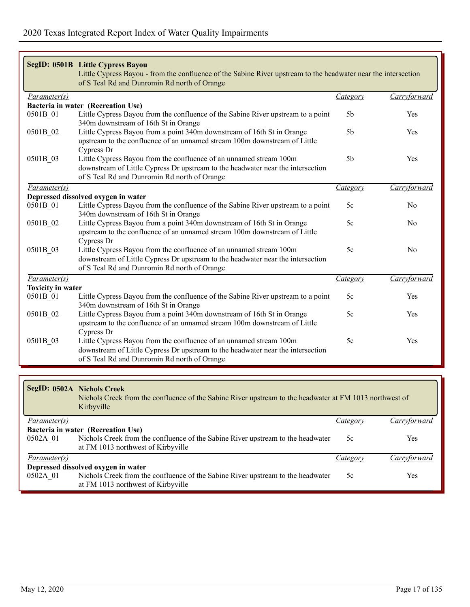|                           | SegID: 0501B Little Cypress Bayou<br>Little Cypress Bayou - from the confluence of the Sabine River upstream to the headwater near the intersection<br>of S Teal Rd and Dunromin Rd north of Orange   |                |                |
|---------------------------|-------------------------------------------------------------------------------------------------------------------------------------------------------------------------------------------------------|----------------|----------------|
| Parameter(s)              |                                                                                                                                                                                                       | Category       | Carryforward   |
|                           | Bacteria in water (Recreation Use)                                                                                                                                                                    |                |                |
| 0501B 01                  | Little Cypress Bayou from the confluence of the Sabine River upstream to a point<br>340m downstream of 16th St in Orange                                                                              | 5 <sub>b</sub> | Yes            |
| 0501B 02                  | Little Cypress Bayou from a point 340m downstream of 16th St in Orange<br>upstream to the confluence of an unnamed stream 100m downstream of Little<br>Cypress Dr                                     | 5 <sub>b</sub> | Yes            |
| 0501B 03                  | Little Cypress Bayou from the confluence of an unnamed stream 100m<br>downstream of Little Cypress Dr upstream to the headwater near the intersection<br>of S Teal Rd and Dunromin Rd north of Orange | 5 <sub>b</sub> | Yes            |
| Parameter(s)              |                                                                                                                                                                                                       | Category       | Carryforward   |
|                           | Depressed dissolved oxygen in water                                                                                                                                                                   |                |                |
| 0501B 01                  | Little Cypress Bayou from the confluence of the Sabine River upstream to a point<br>340m downstream of 16th St in Orange                                                                              | 5c             | N <sub>0</sub> |
| 0501B 02                  | Little Cypress Bayou from a point 340m downstream of 16th St in Orange<br>upstream to the confluence of an unnamed stream 100m downstream of Little<br>Cypress Dr                                     | 5c             | No             |
| 0501B 03                  | Little Cypress Bayou from the confluence of an unnamed stream 100m<br>downstream of Little Cypress Dr upstream to the headwater near the intersection<br>of S Teal Rd and Dunromin Rd north of Orange | 5c             | No             |
| $\overline{Parameter(s)}$ |                                                                                                                                                                                                       | Category       | Carryforward   |
| <b>Toxicity in water</b>  |                                                                                                                                                                                                       |                |                |
| 0501B 01                  | Little Cypress Bayou from the confluence of the Sabine River upstream to a point<br>340m downstream of 16th St in Orange                                                                              | 5c             | Yes            |
| 0501B 02                  | Little Cypress Bayou from a point 340m downstream of 16th St in Orange<br>upstream to the confluence of an unnamed stream 100m downstream of Little<br>Cypress Dr                                     | 5c             | Yes            |
| 0501B 03                  | Little Cypress Bayou from the confluence of an unnamed stream 100m<br>downstream of Little Cypress Dr upstream to the headwater near the intersection<br>of S Teal Rd and Dunromin Rd north of Orange | 5c             | Yes            |

|              | SegID: 0502A Nichols Creek<br>Nichols Creek from the confluence of the Sabine River upstream to the headwater at FM 1013 northwest of<br>Kirbyville |          |              |
|--------------|-----------------------------------------------------------------------------------------------------------------------------------------------------|----------|--------------|
| Parameter(s) |                                                                                                                                                     | Category | Carryforward |
|              | Bacteria in water (Recreation Use)                                                                                                                  |          |              |
| 0502A 01     | Nichols Creek from the confluence of the Sabine River upstream to the headwater                                                                     | 5c       | Yes          |
|              | at FM 1013 northwest of Kirbyville                                                                                                                  |          |              |
| Parameter(s) |                                                                                                                                                     | Category | Carrytorward |
|              | Depressed dissolved oxygen in water                                                                                                                 |          |              |
| 0502A 01     | Nichols Creek from the confluence of the Sabine River upstream to the headwater                                                                     | 5c       | Yes          |
|              | at FM 1013 northwest of Kirbyville                                                                                                                  |          |              |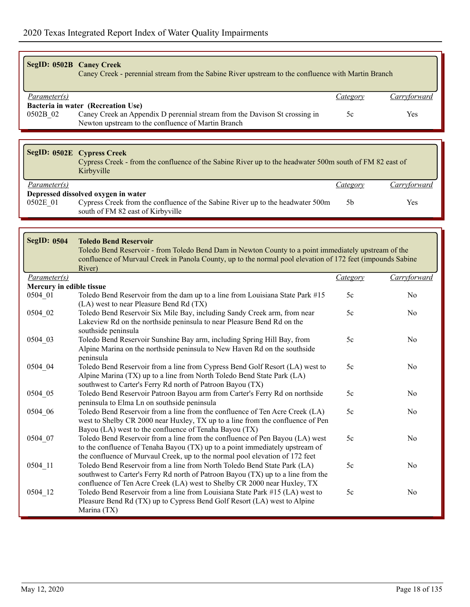| SegID: 0502B Caney Creek | Caney Creek - perennial stream from the Sabine River upstream to the confluence with Martin Branch                                                     |                 |                |
|--------------------------|--------------------------------------------------------------------------------------------------------------------------------------------------------|-----------------|----------------|
| Parameter(s)             |                                                                                                                                                        | Category        | Carryforward   |
|                          | Bacteria in water (Recreation Use)                                                                                                                     |                 |                |
| 0502B 02                 | Caney Creek an Appendix D perennial stream from the Davison St crossing in                                                                             | 5c              | Yes            |
|                          | Newton upstream to the confluence of Martin Branch                                                                                                     |                 |                |
|                          |                                                                                                                                                        |                 |                |
|                          | SegID: 0502E Cypress Creek<br>Cypress Creek - from the confluence of the Sabine River up to the headwater 500m south of FM 82 east of<br>Kirbyville    |                 |                |
| Parameter(s)             |                                                                                                                                                        | Category        | Carryforward   |
|                          | Depressed dissolved oxygen in water                                                                                                                    |                 |                |
| 0502E_01                 | Cypress Creek from the confluence of the Sabine River up to the headwater 500m<br>south of FM 82 east of Kirbyville                                    | 5 <sub>b</sub>  | Yes            |
|                          |                                                                                                                                                        |                 |                |
|                          |                                                                                                                                                        |                 |                |
|                          |                                                                                                                                                        |                 |                |
| <b>SegID: 0504</b>       | <b>Toledo Bend Reservoir</b>                                                                                                                           |                 |                |
|                          | Toledo Bend Reservoir - from Toledo Bend Dam in Newton County to a point immediately upstream of the                                                   |                 |                |
|                          | confluence of Murvaul Creek in Panola County, up to the normal pool elevation of 172 feet (impounds Sabine                                             |                 |                |
|                          | River)                                                                                                                                                 |                 |                |
| Parameter(s)             |                                                                                                                                                        | <b>Category</b> | Carryforward   |
| Mercury in edible tissue |                                                                                                                                                        |                 |                |
| 0504 01                  | Toledo Bend Reservoir from the dam up to a line from Louisiana State Park #15                                                                          | 5c              | No             |
|                          | (LA) west to near Pleasure Bend Rd (TX)                                                                                                                | 5c              | N <sub>0</sub> |
| 0504 02                  | Toledo Bend Reservoir Six Mile Bay, including Sandy Creek arm, from near                                                                               |                 |                |
|                          | Lakeview Rd on the northside peninsula to near Pleasure Bend Rd on the<br>southside peninsula                                                          |                 |                |
| 0504_03                  | Toledo Bend Reservoir Sunshine Bay arm, including Spring Hill Bay, from                                                                                | 5c              | N <sub>0</sub> |
|                          | Alpine Marina on the northside peninsula to New Haven Rd on the southside                                                                              |                 |                |
|                          | peninsula                                                                                                                                              |                 |                |
| 0504_04                  | Toledo Bend Reservoir from a line from Cypress Bend Golf Resort (LA) west to<br>Alpine Marina (TX) up to a line from North Toledo Bend State Park (LA) | 5c              | N <sub>0</sub> |

|         | southwest to Carter's Ferry Rd north of Patroon Bayou (TX)                       |    |                |
|---------|----------------------------------------------------------------------------------|----|----------------|
| 0504 05 | Toledo Bend Reservoir Patroon Bayou arm from Carter's Ferry Rd on northside      | 5c | N <sub>0</sub> |
|         | peninsula to Elma Ln on southside peninsula                                      |    |                |
| 0504 06 | Toledo Bend Reservoir from a line from the confluence of Ten Acre Creek (LA)     | 5c | N <sub>0</sub> |
|         | west to Shelby CR 2000 near Huxley, TX up to a line from the confluence of Pen   |    |                |
|         | Bayou (LA) west to the confluence of Tenaha Bayou (TX)                           |    |                |
| 0504 07 | Toledo Bend Reservoir from a line from the confluence of Pen Bayou (LA) west     | 5c | N <sub>0</sub> |
|         | to the confluence of Tenaha Bayou (TX) up to a point immediately upstream of     |    |                |
|         | the confluence of Murvaul Creek, up to the normal pool elevation of 172 feet     |    |                |
| 0504 11 | Toledo Bend Reservoir from a line from North Toledo Bend State Park (LA)         | 5c | No             |
|         | southwest to Carter's Ferry Rd north of Patroon Bayou (TX) up to a line from the |    |                |
|         | confluence of Ten Acre Creek (LA) west to Shelby CR 2000 near Huxley, TX         |    |                |
| 0504 12 | Toledo Bend Reservoir from a line from Louisiana State Park #15 (LA) west to     | 5c | No             |
|         | Pleasure Bend Rd (TX) up to Cypress Bend Golf Resort (LA) west to Alpine         |    |                |
|         | Marina (TX)                                                                      |    |                |
|         |                                                                                  |    |                |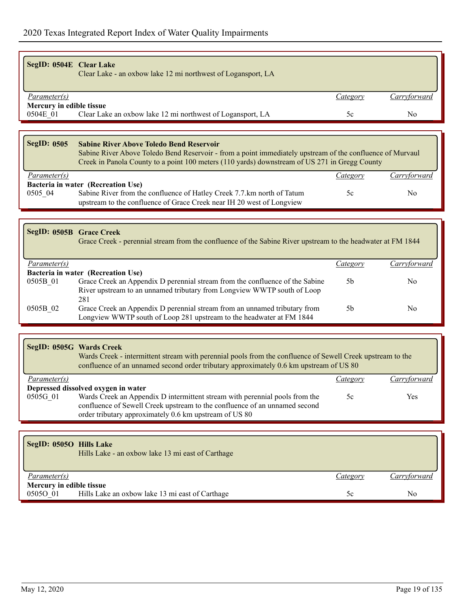| SegID: 0504E Clear Lake  | Clear Lake - an oxbow lake 12 mi northwest of Logansport, LA |          |              |
|--------------------------|--------------------------------------------------------------|----------|--------------|
| <i>Parameter(s)</i>      |                                                              | Category | Carryforward |
| Mercury in edible tissue |                                                              |          |              |
| 0504E 01                 | Clear Lake an oxbow lake 12 mi northwest of Logansport, LA   | 5c       | No           |
|                          |                                                              |          |              |

### **SegID: 0505 Sabine River Above Toledo Bend Reservoir** Sabine River Above Toledo Bend Reservoir - from a point immediately upstream of the confluence of Murvaul Creek in Panola County to a point 100 meters (110 yards) downstream of US 271 in Gregg County *Parameter(s) Category Carryforward* **Bacteria in water (Recreation Use)** 0505\_04 Sabine River from the confluence of Hatley Creek 7.7.km north of Tatum 5c No upstream to the confluence of Grace Creek near IH 20 west of Longview

#### **SegID: 0505B Grace Creek**

Grace Creek - perennial stream from the confluence of the Sabine River upstream to the headwater at FM 1844

| <i>Parameter(s)</i> |                                                                              | Category | Carryforward |
|---------------------|------------------------------------------------------------------------------|----------|--------------|
|                     | Bacteria in water (Recreation Use)                                           |          |              |
| 0505B 01            | Grace Creek an Appendix D perennial stream from the confluence of the Sabine | .5b      | No           |
|                     | River upstream to an unnamed tributary from Longview WWTP south of Loop      |          |              |
|                     | 281                                                                          |          |              |
| 0505B 02            | Grace Creek an Appendix D perennial stream from an unnamed tributary from    | .5b      | No           |
|                     | Longview WWTP south of Loop 281 upstream to the headwater at FM 1844         |          |              |

|                     | SegID: 0505G Wards Creek<br>Wards Creek - intermittent stream with perennial pools from the confluence of Sewell Creek upstream to the<br>confluence of an unnamed second order tributary approximately 0.6 km upstream of US 80 |          |              |
|---------------------|----------------------------------------------------------------------------------------------------------------------------------------------------------------------------------------------------------------------------------|----------|--------------|
| <i>Parameter(s)</i> |                                                                                                                                                                                                                                  | Category | Carryforward |
|                     | Depressed dissolved oxygen in water                                                                                                                                                                                              |          |              |
| 0505G 01            | Wards Creek an Appendix D intermittent stream with perennial pools from the                                                                                                                                                      | 5c       | Yes          |
|                     | confluence of Sewell Creek upstream to the confluence of an unnamed second                                                                                                                                                       |          |              |
|                     | order tributary approximately 0.6 km upstream of US 80                                                                                                                                                                           |          |              |

| SegID: 0505O Hills Lake  | Hills Lake - an oxbow lake 13 mi east of Carthage |          |              |
|--------------------------|---------------------------------------------------|----------|--------------|
| Parameter(s)             |                                                   | Category | Carryforward |
| Mercury in edible tissue |                                                   |          |              |
| 05050 01                 | Hills Lake an oxbow lake 13 mi east of Carthage   | 5c       | No           |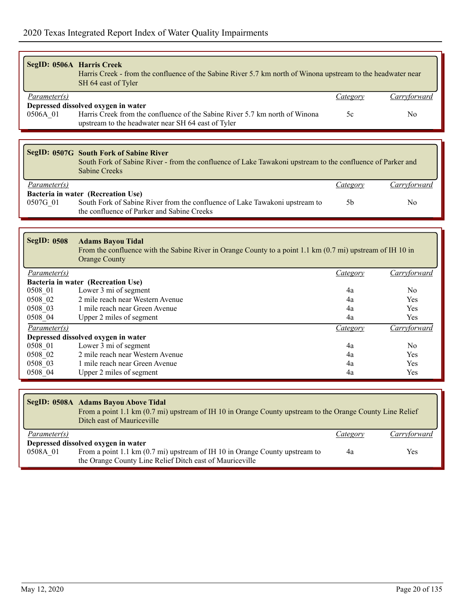| SegID: 0506A Harris Creek | Harris Creek - from the confluence of the Sabine River 5.7 km north of Winona upstream to the headwater near<br>SH 64 east of Tyler                                             |                 |                |
|---------------------------|---------------------------------------------------------------------------------------------------------------------------------------------------------------------------------|-----------------|----------------|
| Parameter(s)              |                                                                                                                                                                                 | Category        | Carryforward   |
| 0506A_01                  | Depressed dissolved oxygen in water<br>Harris Creek from the confluence of the Sabine River 5.7 km north of Winona<br>upstream to the headwater near SH 64 east of Tyler        | 5c              | N <sub>0</sub> |
|                           |                                                                                                                                                                                 |                 |                |
|                           | SegID: 0507G South Fork of Sabine River<br>South Fork of Sabine River - from the confluence of Lake Tawakoni upstream to the confluence of Parker and<br><b>Sabine Creeks</b>   |                 |                |
| Parameter(s)              |                                                                                                                                                                                 | Category        | Carryforward   |
| 0507G 01                  | Bacteria in water (Recreation Use)<br>South Fork of Sabine River from the confluence of Lake Tawakoni upstream to<br>the confluence of Parker and Sabine Creeks                 | 5 <sub>b</sub>  | No             |
|                           |                                                                                                                                                                                 |                 |                |
| <b>SegID: 0508</b>        | <b>Adams Bayou Tidal</b><br>From the confluence with the Sabine River in Orange County to a point 1.1 km (0.7 mi) upstream of IH 10 in<br><b>Orange County</b>                  |                 |                |
| Parameter(s)              |                                                                                                                                                                                 | <i>Category</i> | Carryforward   |
|                           | Bacteria in water (Recreation Use)                                                                                                                                              |                 |                |
| 0508_01                   | Lower 3 mi of segment                                                                                                                                                           | 4a              | N <sub>0</sub> |
| 0508 02                   | 2 mile reach near Western Avenue                                                                                                                                                | 4a              | Yes            |
| 0508 03<br>0508 04        | 1 mile reach near Green Avenue<br>Upper 2 miles of segment                                                                                                                      | 4a<br>4a        | Yes<br>Yes     |
| $\overline{Parameter(s)}$ |                                                                                                                                                                                 | Category        | Carryforward   |
|                           | Depressed dissolved oxygen in water                                                                                                                                             |                 |                |
|                           |                                                                                                                                                                                 |                 |                |
|                           |                                                                                                                                                                                 | 4a              | N <sub>0</sub> |
| 0508 01                   | Lower 3 mi of segment<br>2 mile reach near Western Avenue                                                                                                                       | 4a              | <b>Yes</b>     |
| 0508 02<br>0508 03        | 1 mile reach near Green Avenue                                                                                                                                                  | 4a              | Yes            |
| 0508 04                   | Upper 2 miles of segment                                                                                                                                                        | 4a              | Yes            |
|                           |                                                                                                                                                                                 |                 |                |
|                           | SegID: 0508A Adams Bayou Above Tidal<br>From a point 1.1 km (0.7 mi) upstream of IH 10 in Orange County upstream to the Orange County Line Relief<br>Ditch east of Mauriceville |                 |                |

|          | Depressed dissolved oxygen in water                                                   |    |     |  |  |
|----------|---------------------------------------------------------------------------------------|----|-----|--|--|
| 0508A 01 | From a point 1.1 km $(0.7 \text{ mi})$ upstream of IH 10 in Orange County upstream to | 4a | Yes |  |  |
|          | the Orange County Line Relief Ditch east of Mauriceville                              |    |     |  |  |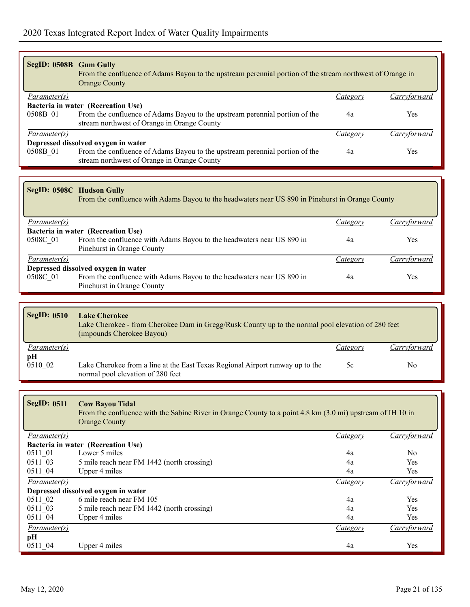| SegID: 0508B Gum Gully              | From the confluence of Adams Bayou to the upstream perennial portion of the stream northwest of Orange in<br><b>Orange County</b> |          |              |  |
|-------------------------------------|-----------------------------------------------------------------------------------------------------------------------------------|----------|--------------|--|
| <i>Parameter(s)</i>                 |                                                                                                                                   | Category | Carryforward |  |
|                                     | Bacteria in water (Recreation Use)                                                                                                |          |              |  |
| 0508B 01                            | From the confluence of Adams Bayou to the upstream perennial portion of the<br>stream northwest of Orange in Orange County        | 4a       | Yes          |  |
| Parameter(s)                        |                                                                                                                                   | Category | Carryforward |  |
| Depressed dissolved oxygen in water |                                                                                                                                   |          |              |  |
| 0508B 01                            | From the confluence of Adams Bayou to the upstream perennial portion of the<br>stream northwest of Orange in Orange County        | 4a       | <b>Yes</b>   |  |

# **SegID: 0508C Hudson Gully**

From the confluence with Adams Bayou to the headwaters near US 890 in Pinehurst in Orange County

| Parameter(s)        |                                                                       | Category | Carryforward |
|---------------------|-----------------------------------------------------------------------|----------|--------------|
|                     | Bacteria in water (Recreation Use)                                    |          |              |
| 0508C 01            | From the confluence with Adams Bayou to the headwaters near US 890 in | 4a       | Yes          |
|                     | Pinehurst in Orange County                                            |          |              |
| <i>Parameter(s)</i> |                                                                       | Category | ]arryforward |
|                     | Depressed dissolved oxygen in water                                   |          |              |
| 0508C 01            | From the confluence with Adams Bayou to the headwaters near US 890 in | 4a       | Yes          |
|                     | Pinehurst in Orange County                                            |          |              |

| SegID: $0510$       | <b>Lake Cherokee</b><br>Lake Cherokee - from Cherokee Dam in Gregg/Rusk County up to the normal pool elevation of 280 feet<br>(impounds Cherokee Bayou) |          |              |
|---------------------|---------------------------------------------------------------------------------------------------------------------------------------------------------|----------|--------------|
| <i>Parameter(s)</i> |                                                                                                                                                         | Category | Carryforward |
| рH<br>0510 02       | Lake Cherokee from a line at the East Texas Regional Airport runway up to the<br>normal pool elevation of 280 feet                                      | 5c       | No           |

| <b>SegID: 0511</b> | <b>Cow Bayou Tidal</b><br>From the confluence with the Sabine River in Orange County to a point 4.8 km (3.0 mi) upstream of IH 10 in<br><b>Orange County</b> |                 |                |  |
|--------------------|--------------------------------------------------------------------------------------------------------------------------------------------------------------|-----------------|----------------|--|
| Parameter(s)       |                                                                                                                                                              | Category        | Carryforward   |  |
|                    | Bacteria in water (Recreation Use)                                                                                                                           |                 |                |  |
| 0511 01            | Lower 5 miles                                                                                                                                                | 4a              | N <sub>0</sub> |  |
| 0511 03            | 5 mile reach near FM 1442 (north crossing)                                                                                                                   | 4a              | <b>Yes</b>     |  |
| 0511 04            | Upper 4 miles                                                                                                                                                | 4a              | Yes            |  |
| Parameter(s)       |                                                                                                                                                              | Category        | Carryforward   |  |
|                    | Depressed dissolved oxygen in water                                                                                                                          |                 |                |  |
| 0511 02            | 6 mile reach near FM 105                                                                                                                                     | 4a              | <b>Yes</b>     |  |
| 0511 03            | 5 mile reach near FM 1442 (north crossing)                                                                                                                   | 4a              | <b>Yes</b>     |  |
| 0511 04            | Upper 4 miles                                                                                                                                                | 4a              | Yes            |  |
| Parameter(s)       |                                                                                                                                                              | <i>Category</i> | Carryforward   |  |
| pН                 |                                                                                                                                                              |                 |                |  |
| 0511 04            | Upper 4 miles                                                                                                                                                | 4a              | Yes            |  |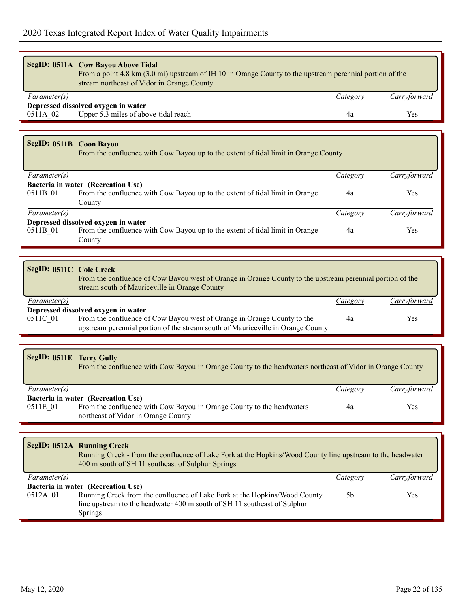|                         | SegID: 0511A Cow Bayou Above Tidal<br>From a point 4.8 km (3.0 mi) upstream of IH 10 in Orange County to the upstream perennial portion of the<br>stream northeast of Vidor in Orange County |          |              |
|-------------------------|----------------------------------------------------------------------------------------------------------------------------------------------------------------------------------------------|----------|--------------|
| <i>Parameter(s)</i>     |                                                                                                                                                                                              | Category | Carryforward |
|                         | Depressed dissolved oxygen in water                                                                                                                                                          |          |              |
| 0511A 02                | Upper 5.3 miles of above-tidal reach                                                                                                                                                         | 4a       | Yes          |
|                         |                                                                                                                                                                                              |          |              |
| SegID: 0511B Coon Bayou | From the confluence with Cow Bayou up to the extent of tidal limit in Orange County                                                                                                          |          |              |

| $\sim$              |                                                                                     |          |              |
|---------------------|-------------------------------------------------------------------------------------|----------|--------------|
|                     | From the confluence with Cow Bayou up to the extent of tidal limit in Orange County |          |              |
|                     |                                                                                     |          |              |
|                     |                                                                                     |          |              |
| <i>Parameter(s)</i> |                                                                                     | Category | Carryforward |
|                     | Bacteria in water (Recreation Use)                                                  |          |              |
| 0511B 01            | From the confluence with Cow Bayou up to the extent of tidal limit in Orange        | 4a       | <b>Yes</b>   |
|                     | County                                                                              |          |              |
| Parameter(s)        |                                                                                     | Category | Carryforward |
|                     | Depressed dissolved oxygen in water                                                 |          |              |
| 0511B 01            | From the confluence with Cow Bayou up to the extent of tidal limit in Orange        | 4a       | Yes          |
|                     | County                                                                              |          |              |

| SegID: 0511C Cole Creek | From the confluence of Cow Bayou west of Orange in Orange County to the upstream perennial portion of the<br>stream south of Mauriceville in Orange County |          |              |
|-------------------------|------------------------------------------------------------------------------------------------------------------------------------------------------------|----------|--------------|
| Parameter(s)            |                                                                                                                                                            | Category | Carryforward |
|                         | Depressed dissolved oxygen in water                                                                                                                        |          |              |
| 0511C 01                | From the confluence of Cow Bayou west of Orange in Orange County to the<br>upstream perennial portion of the stream south of Mauriceville in Orange County | 4a       | Yes          |

| SegID: 0511E Terry Gully | From the confluence with Cow Bayou in Orange County to the headwaters northeast of Vidor in Orange County    |          |              |
|--------------------------|--------------------------------------------------------------------------------------------------------------|----------|--------------|
| <i>Parameter(s)</i>      |                                                                                                              | Category | Carryforward |
|                          | Bacteria in water (Recreation Use)                                                                           |          |              |
| 0511E 01                 | From the confluence with Cow Bayou in Orange County to the headwaters<br>northeast of Vidor in Orange County | 4a       | Yes          |

| SegID: 0512A Running Creek<br>Running Creek - from the confluence of Lake Fork at the Hopkins/Wood County line upstream to the headwater<br>400 m south of SH 11 southeast of Sulphur Springs |                                                                                                                                                       |          |              |
|-----------------------------------------------------------------------------------------------------------------------------------------------------------------------------------------------|-------------------------------------------------------------------------------------------------------------------------------------------------------|----------|--------------|
| Parameter(s)                                                                                                                                                                                  |                                                                                                                                                       | Category | Carryforward |
|                                                                                                                                                                                               | Bacteria in water (Recreation Use)                                                                                                                    |          |              |
| 0512A 01                                                                                                                                                                                      | Running Creek from the confluence of Lake Fork at the Hopkins/Wood County<br>line upstream to the headwater 400 m south of SH 11 southeast of Sulphur | 5b       | Yes          |
|                                                                                                                                                                                               | Springs                                                                                                                                               |          |              |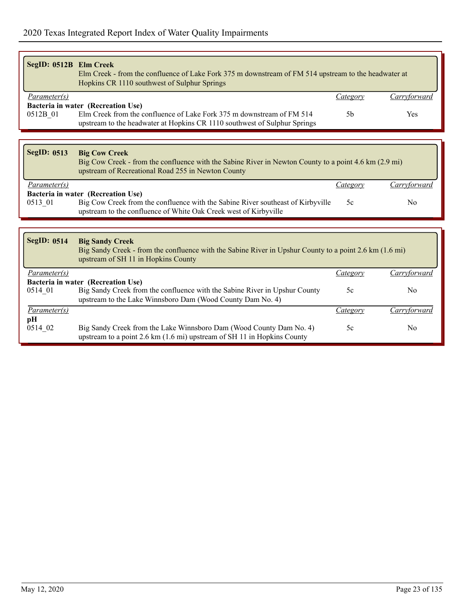|                    | SegID: 0512B Elm Creek<br>Elm Creek - from the confluence of Lake Fork 375 m downstream of FM 514 upstream to the headwater at<br>Hopkins CR 1110 southwest of Sulphur Springs      |                 |                     |  |
|--------------------|-------------------------------------------------------------------------------------------------------------------------------------------------------------------------------------|-----------------|---------------------|--|
| Parameter(s)       |                                                                                                                                                                                     | <i>Category</i> | <u>Carryforward</u> |  |
|                    | Bacteria in water (Recreation Use)                                                                                                                                                  |                 |                     |  |
| 0512B 01           | Elm Creek from the confluence of Lake Fork 375 m downstream of FM 514<br>upstream to the headwater at Hopkins CR 1110 southwest of Sulphur Springs                                  | 5 <sub>b</sub>  | Yes                 |  |
|                    |                                                                                                                                                                                     |                 |                     |  |
| SegID: 0513        | <b>Big Cow Creek</b><br>Big Cow Creek - from the confluence with the Sabine River in Newton County to a point 4.6 km (2.9 mi)<br>upstream of Recreational Road 255 in Newton County |                 |                     |  |
| Parameter(s)       |                                                                                                                                                                                     | <b>Category</b> | Carryforward        |  |
|                    | Bacteria in water (Recreation Use)                                                                                                                                                  |                 |                     |  |
| 0513 01            | Big Cow Creek from the confluence with the Sabine River southeast of Kirbyville<br>upstream to the confluence of White Oak Creek west of Kirbyville                                 | 5c              | N <sub>0</sub>      |  |
|                    |                                                                                                                                                                                     |                 |                     |  |
| <b>SegID: 0514</b> | <b>Big Sandy Creek</b><br>Big Sandy Creek - from the confluence with the Sabine River in Upshur County to a point 2.6 km (1.6 mi)<br>upstream of SH 11 in Hopkins County            |                 |                     |  |
| Parameter(s)       |                                                                                                                                                                                     | Category        | Carryforward        |  |
|                    | Bacteria in water (Recreation Use)                                                                                                                                                  |                 |                     |  |
| 0514 01            | Big Sandy Creek from the confluence with the Sabine River in Upshur County<br>upstream to the Lake Winnsboro Dam (Wood County Dam No. 4)                                            | 5c              | No                  |  |
| Parameter(s)       |                                                                                                                                                                                     | Category        | Carryforward        |  |
| pH                 |                                                                                                                                                                                     |                 |                     |  |
| 0514 02            | Big Sandy Creek from the Lake Winnsboro Dam (Wood County Dam No. 4)<br>upstream to a point 2.6 km (1.6 mi) upstream of SH 11 in Hopkins County                                      | 5c              | N <sub>0</sub>      |  |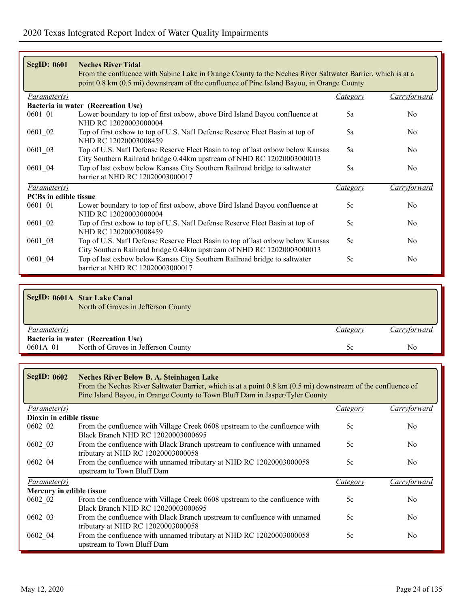| <b>SegID: 0601</b>           | <b>Neches River Tidal</b><br>From the confluence with Sabine Lake in Orange County to the Neches River Saltwater Barrier, which is at a<br>point 0.8 km (0.5 mi) downstream of the confluence of Pine Island Bayou, in Orange County |          |                |
|------------------------------|--------------------------------------------------------------------------------------------------------------------------------------------------------------------------------------------------------------------------------------|----------|----------------|
| <i>Parameter(s)</i>          |                                                                                                                                                                                                                                      | Category | Carryforward   |
|                              | Bacteria in water (Recreation Use)                                                                                                                                                                                                   |          |                |
| 0601 01                      | Lower boundary to top of first oxbow, above Bird Island Bayou confluence at<br>NHD RC 12020003000004                                                                                                                                 | 5а       | N <sub>0</sub> |
| $0601$ <sup>02</sup>         | Top of first oxbow to top of U.S. Nat'l Defense Reserve Fleet Basin at top of<br>NHD RC 12020003008459                                                                                                                               | 5a       | N <sub>0</sub> |
| 0601 03                      | Top of U.S. Nat'l Defense Reserve Fleet Basin to top of last oxbow below Kansas<br>City Southern Railroad bridge 0.44km upstream of NHD RC 12020003000013                                                                            | 5a       | N <sub>0</sub> |
| 0601 04                      | Top of last oxbow below Kansas City Southern Railroad bridge to saltwater<br>barrier at NHD RC 12020003000017                                                                                                                        | 5a       | N <sub>0</sub> |
| Parameter(s)                 |                                                                                                                                                                                                                                      | Category | Carryforward   |
| <b>PCBs in edible tissue</b> |                                                                                                                                                                                                                                      |          |                |
| 0601 01                      | Lower boundary to top of first oxbow, above Bird Island Bayou confluence at<br>NHD RC 12020003000004                                                                                                                                 | 5c       | N <sub>0</sub> |
| 0601 02                      | Top of first oxbow to top of U.S. Nat'l Defense Reserve Fleet Basin at top of<br>NHD RC 12020003008459                                                                                                                               | 5c       | N <sub>0</sub> |
| 0601 03                      | Top of U.S. Nat'l Defense Reserve Fleet Basin to top of last oxbow below Kansas<br>City Southern Railroad bridge 0.44km upstream of NHD RC 12020003000013                                                                            | 5c       | N <sub>0</sub> |
| 0601 04                      | Top of last oxbow below Kansas City Southern Railroad bridge to saltwater<br>barrier at NHD RC 12020003000017                                                                                                                        | 5c       | N <sub>0</sub> |

| SegID: 0601A Star Lake Canal<br>North of Groves in Jefferson County |          |                     |
|---------------------------------------------------------------------|----------|---------------------|
| <i>Parameter(s)</i>                                                 | Category | <u>Carryforward</u> |
| Bacteria in water (Recreation Use)                                  |          |                     |
| North of Groves in Jefferson County<br>0601A 01                     | $\infty$ | No                  |

| <b>SegID: 0602</b>       | <b>Neches River Below B. A. Steinhagen Lake</b><br>From the Neches River Saltwater Barrier, which is at a point 0.8 km (0.5 mi) downstream of the confluence of<br>Pine Island Bayou, in Orange County to Town Bluff Dam in Jasper/Tyler County |                 |                |
|--------------------------|-------------------------------------------------------------------------------------------------------------------------------------------------------------------------------------------------------------------------------------------------|-----------------|----------------|
| <i>Parameter(s)</i>      |                                                                                                                                                                                                                                                 | Category        | Carryforward   |
| Dioxin in edible tissue  |                                                                                                                                                                                                                                                 |                 |                |
| 0602 02                  | From the confluence with Village Creek 0608 upstream to the confluence with<br>Black Branch NHD RC 12020003000695                                                                                                                               | 5c              | N <sub>0</sub> |
| 0602 03                  | From the confluence with Black Branch upstream to confluence with unnamed<br>tributary at NHD RC 12020003000058                                                                                                                                 | 5c              | N <sub>0</sub> |
| 0602 04                  | From the confluence with unnamed tributary at NHD RC 12020003000058<br>upstream to Town Bluff Dam                                                                                                                                               | 5c              | N <sub>0</sub> |
| Parameter(s)             |                                                                                                                                                                                                                                                 | <i>Category</i> | Carryforward   |
| Mercury in edible tissue |                                                                                                                                                                                                                                                 |                 |                |
| 0602 02                  | From the confluence with Village Creek 0608 upstream to the confluence with<br>Black Branch NHD RC 12020003000695                                                                                                                               | 5c              | N <sub>0</sub> |
| 0602 03                  | From the confluence with Black Branch upstream to confluence with unnamed<br>tributary at NHD RC 12020003000058                                                                                                                                 | 5c              | N <sub>0</sub> |
| 0602 04                  | From the confluence with unnamed tributary at NHD RC 12020003000058<br>upstream to Town Bluff Dam                                                                                                                                               | 5c              | N <sub>0</sub> |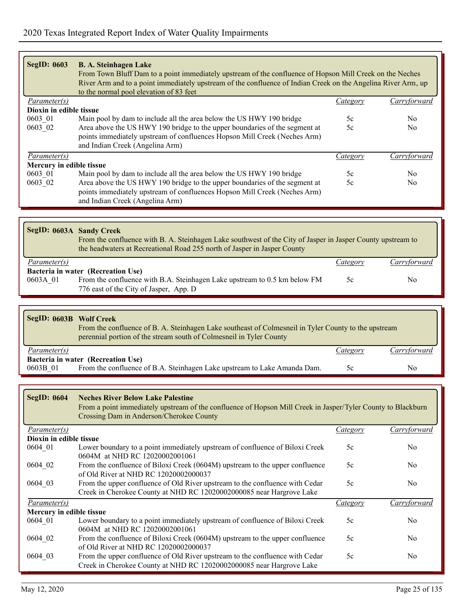| <b>SegID: 0603</b>       | <b>B. A. Steinhagen Lake</b><br>From Town Bluff Dam to a point immediately upstream of the confluence of Hopson Mill Creek on the Neches                                                                            |          |                |
|--------------------------|---------------------------------------------------------------------------------------------------------------------------------------------------------------------------------------------------------------------|----------|----------------|
|                          | River Arm and to a point immediately upstream of the confluence of Indian Creek on the Angelina River Arm, up<br>to the normal pool elevation of 83 feet                                                            |          |                |
| Parameter(s)             |                                                                                                                                                                                                                     | Category | Carryforward   |
| Dioxin in edible tissue  |                                                                                                                                                                                                                     |          |                |
| 0603 01                  | Main pool by dam to include all the area below the US HWY 190 bridge                                                                                                                                                | 5c       | N <sub>0</sub> |
| 0603_02                  | Area above the US HWY 190 bridge to the upper boundaries of the segment at<br>points immediately upstream of confluences Hopson Mill Creek (Neches Arm)<br>and Indian Creek (Angelina Arm)                          | 5c       | No             |
| Parameter(s)             |                                                                                                                                                                                                                     | Category | Carryforward   |
| Mercury in edible tissue |                                                                                                                                                                                                                     |          |                |
| 0603_01                  | Main pool by dam to include all the area below the US HWY 190 bridge                                                                                                                                                | 5c       | N <sub>0</sub> |
| 0603_02                  | Area above the US HWY 190 bridge to the upper boundaries of the segment at<br>points immediately upstream of confluences Hopson Mill Creek (Neches Arm)<br>and Indian Creek (Angelina Arm)                          | 5c       | No             |
|                          |                                                                                                                                                                                                                     |          |                |
|                          | SegID: 0603A Sandy Creek<br>From the confluence with B. A. Steinhagen Lake southwest of the City of Jasper in Jasper County upstream to<br>the headwaters at Recreational Road 255 north of Jasper in Jasper County |          |                |
| Parameter(s)             |                                                                                                                                                                                                                     | Category | Carryforward   |
|                          | Bacteria in water (Recreation Use)                                                                                                                                                                                  |          |                |
| 0603A_01                 | From the confluence with B.A. Steinhagen Lake upstream to 0.5 km below FM<br>776 east of the City of Jasper, App. D                                                                                                 | 5c       | No             |
|                          |                                                                                                                                                                                                                     |          |                |
| SegID: 0603B Wolf Creek  | From the confluence of B. A. Steinhagen Lake southeast of Colmesneil in Tyler County to the upstream<br>perennial portion of the stream south of Colmesneil in Tyler County                                         |          |                |
| Parameter(s)             |                                                                                                                                                                                                                     | Category | Carryforward   |
| 0603B 01                 | Bacteria in water (Recreation Use)<br>From the confluence of B.A. Steinhagen Lake upstream to Lake Amanda Dam.                                                                                                      | 5c       | N <sub>0</sub> |
|                          |                                                                                                                                                                                                                     |          |                |
| <b>SegID: 0604</b>       | <b>Neches River Below Lake Palestine</b><br>From a point immediately upstream of the confluence of Hopson Mill Creek in Jasper/Tyler County to Blackburn                                                            |          |                |

|                          | Crossing Dam in Anderson/Cherokee County                                                                                                             |                 |                |
|--------------------------|------------------------------------------------------------------------------------------------------------------------------------------------------|-----------------|----------------|
| Parameter(s)             |                                                                                                                                                      | <i>Category</i> | Carryforward   |
| Dioxin in edible tissue  |                                                                                                                                                      |                 |                |
| 0604 01                  | Lower boundary to a point immediately upstream of confluence of Biloxi Creek<br>0604M at NHD RC 12020002001061                                       | 5c              | N <sub>0</sub> |
| 0604 02                  | From the confluence of Biloxi Creek (0604M) upstream to the upper confluence<br>of Old River at NHD RC 12020002000037                                | 5c              | N <sub>0</sub> |
| 0604 03                  | From the upper confluence of Old River upstream to the confluence with Cedar<br>Creek in Cherokee County at NHD RC 12020002000085 near Hargrove Lake | 5c              | N <sub>0</sub> |
|                          |                                                                                                                                                      |                 |                |
| <i>Parameter(s)</i>      |                                                                                                                                                      | Category        | Carryforward   |
| Mercury in edible tissue |                                                                                                                                                      |                 |                |
| 0604 01                  | Lower boundary to a point immediately upstream of confluence of Biloxi Creek<br>0604M at NHD RC 12020002001061                                       | 5c              | N <sub>0</sub> |
| 0604 02                  | From the confluence of Biloxi Creek (0604M) upstream to the upper confluence<br>of Old River at NHD RC 12020002000037                                | 5c              | N <sub>0</sub> |
| 0604 03                  | From the upper confluence of Old River upstream to the confluence with Cedar<br>Creek in Cherokee County at NHD RC 12020002000085 near Hargrove Lake | 5c              | N <sub>0</sub> |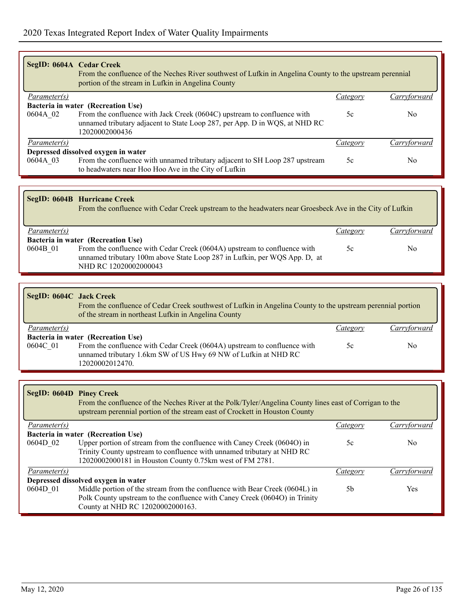| SegID: 0604A Cedar Creek | From the confluence of the Neches River southwest of Lufkin in Angelina County to the upstream perennial<br>portion of the stream in Lufkin in Angelina County          |          |              |  |  |
|--------------------------|-------------------------------------------------------------------------------------------------------------------------------------------------------------------------|----------|--------------|--|--|
| Parameter(s)             |                                                                                                                                                                         | Category | Carryforward |  |  |
|                          | Bacteria in water (Recreation Use)                                                                                                                                      |          |              |  |  |
| 0604A 02                 | From the confluence with Jack Creek (0604C) upstream to confluence with<br>unnamed tributary adjacent to State Loop 287, per App. D in WQS, at NHD RC<br>12020002000436 | 5c       | No.          |  |  |
| <i>Parameter(s)</i>      |                                                                                                                                                                         | Category | Carrytorwar  |  |  |
|                          | Depressed dissolved oxygen in water                                                                                                                                     |          |              |  |  |
| 0604A 03                 | From the confluence with unnamed tributary adjacent to SH Loop 287 upstream<br>to headwaters near Hoo Hoo Ave in the City of Lufkin                                     | 5c       | No.          |  |  |

|                     | <b>SegID: 0604B Hurricane Creek</b><br>From the confluence with Cedar Creek upstream to the headwaters near Groesbeck Ave in the City of Lufkin                                |          |              |
|---------------------|--------------------------------------------------------------------------------------------------------------------------------------------------------------------------------|----------|--------------|
| <i>Parameter(s)</i> |                                                                                                                                                                                | Category | Carryforward |
|                     | Bacteria in water (Recreation Use)                                                                                                                                             |          |              |
| 0604B 01            | From the confluence with Cedar Creek (0604A) upstream to confluence with<br>unnamed tributary 100m above State Loop 287 in Lufkin, per WQS App. D, at<br>NHD RC 12020002000043 | 5c       | No.          |

| SegID: 0604C Jack Creek<br>From the confluence of Cedar Creek southwest of Lufkin in Angelina County to the upstream perennial portion<br>of the stream in northeast Lufkin in Angelina County |                                                                                                                                                               |          |              |  |
|------------------------------------------------------------------------------------------------------------------------------------------------------------------------------------------------|---------------------------------------------------------------------------------------------------------------------------------------------------------------|----------|--------------|--|
| <i>Parameter(s)</i>                                                                                                                                                                            |                                                                                                                                                               | Category | Carryforward |  |
|                                                                                                                                                                                                | Bacteria in water (Recreation Use)                                                                                                                            |          |              |  |
| 0604C 01                                                                                                                                                                                       | From the confluence with Cedar Creek (0604A) upstream to confluence with<br>unnamed tributary 1.6km SW of US Hwy 69 NW of Lufkin at NHD RC<br>12020002012470. | 5c       | No           |  |

| SegID: 0604D Piney Creek | From the confluence of the Neches River at the Polk/Tyler/Angelina County lines east of Corrigan to the<br>upstream perennial portion of the stream east of Crockett in Houston County |          |              |
|--------------------------|----------------------------------------------------------------------------------------------------------------------------------------------------------------------------------------|----------|--------------|
| Parameter(s)             |                                                                                                                                                                                        | Category | Carryforward |
|                          | Bacteria in water (Recreation Use)                                                                                                                                                     |          |              |
| 0604D 02                 | Upper portion of stream from the confluence with Caney Creek (0604O) in                                                                                                                | 5c       | No.          |
|                          | Trinity County upstream to confluence with unnamed tributary at NHD RC<br>12020002000181 in Houston County 0.75km west of FM 2781.                                                     |          |              |
| Parameter(s)             |                                                                                                                                                                                        | Category | Carryforward |
|                          | Depressed dissolved oxygen in water                                                                                                                                                    |          |              |
| 0604D 01                 | Middle portion of the stream from the confluence with Bear Creek (0604L) in                                                                                                            | .5b      | <b>Yes</b>   |
|                          | Polk County upstream to the confluence with Caney Creek (0604O) in Trinity                                                                                                             |          |              |
|                          | County at NHD RC 12020002000163.                                                                                                                                                       |          |              |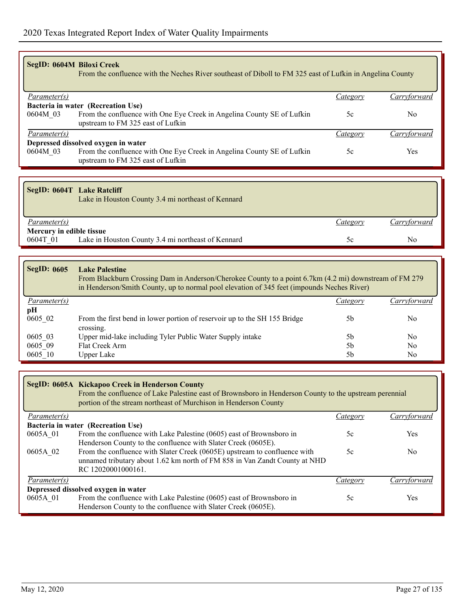| SegID: 0604M Biloxi Creek<br>From the confluence with the Neches River southeast of Diboll to FM 325 east of Lufkin in Angelina County |                                                                                                             |                 |                |  |  |  |
|----------------------------------------------------------------------------------------------------------------------------------------|-------------------------------------------------------------------------------------------------------------|-----------------|----------------|--|--|--|
| <i>Parameter(s)</i>                                                                                                                    |                                                                                                             | <b>Category</b> | Carryforward   |  |  |  |
|                                                                                                                                        | Bacteria in water (Recreation Use)                                                                          |                 |                |  |  |  |
| 0604M 03                                                                                                                               | From the confluence with One Eye Creek in Angelina County SE of Lufkin<br>upstream to FM 325 east of Lufkin | 5c              | N <sub>0</sub> |  |  |  |
| <i>Parameter(s)</i>                                                                                                                    |                                                                                                             | Category        | Carrytorward   |  |  |  |
|                                                                                                                                        | Depressed dissolved oxygen in water                                                                         |                 |                |  |  |  |
| 0604M 03                                                                                                                               | From the confluence with One Eye Creek in Angelina County SE of Lufkin<br>upstream to FM 325 east of Lufkin | 5c              | Yes            |  |  |  |

| SegID: 0604T Lake Ratcliff           | Lake in Houston County 3.4 mi northeast of Kennard |          |              |
|--------------------------------------|----------------------------------------------------|----------|--------------|
| <i>Parameter(s)</i>                  |                                                    | Category | Carryforward |
| Mercury in edible tissue<br>0604T 01 | Lake in Houston County 3.4 mi northeast of Kennard | 5c       | No           |
|                                      |                                                    |          |              |

| <b>SegID: 0605</b> | <b>Lake Palestine</b><br>From Blackburn Crossing Dam in Anderson/Cherokee County to a point 6.7km (4.2 mi) downstream of FM 279<br>in Henderson/Smith County, up to normal pool elevation of 345 feet (impounds Neches River) |          |                |  |
|--------------------|-------------------------------------------------------------------------------------------------------------------------------------------------------------------------------------------------------------------------------|----------|----------------|--|
| Parameter(s)       |                                                                                                                                                                                                                               | Category | Carryforward   |  |
| pН                 |                                                                                                                                                                                                                               |          |                |  |
| 0605 02            | From the first bend in lower portion of reservoir up to the SH 155 Bridge<br>crossing.                                                                                                                                        | 5b       | No             |  |
| 0605 03            | Upper mid-lake including Tyler Public Water Supply intake                                                                                                                                                                     | .5b      | No             |  |
| 0605 09            | Flat Creek Arm                                                                                                                                                                                                                | 5b       | N <sub>0</sub> |  |
| 0605 10            | Upper Lake                                                                                                                                                                                                                    | 5b       | No             |  |

|                     | SegID: 0605A Kickapoo Creek in Henderson County<br>From the confluence of Lake Palestine east of Brownsboro in Henderson County to the upstream perennial<br>portion of the stream northeast of Murchison in Henderson County |          |              |  |  |
|---------------------|-------------------------------------------------------------------------------------------------------------------------------------------------------------------------------------------------------------------------------|----------|--------------|--|--|
| Parameter(s)        |                                                                                                                                                                                                                               | Category | Carryforward |  |  |
|                     | Bacteria in water (Recreation Use)                                                                                                                                                                                            |          |              |  |  |
| 0605A 01            | From the confluence with Lake Palestine (0605) east of Brownsboro in                                                                                                                                                          | 5c       | <b>Yes</b>   |  |  |
|                     | Henderson County to the confluence with Slater Creek (0605E).                                                                                                                                                                 |          |              |  |  |
| 0605A 02            | From the confluence with Slater Creek (0605E) upstream to confluence with<br>unnamed tributary about 1.62 km north of FM 858 in Van Zandt County at NHD<br>RC 12020001000161.                                                 | 5c       | No.          |  |  |
| <i>Parameter(s)</i> |                                                                                                                                                                                                                               | Category | Carrytorward |  |  |
|                     | Depressed dissolved oxygen in water                                                                                                                                                                                           |          |              |  |  |
| 0605A 01            | From the confluence with Lake Palestine (0605) east of Brownsboro in<br>Henderson County to the confluence with Slater Creek (0605E).                                                                                         | 5c       | <b>Yes</b>   |  |  |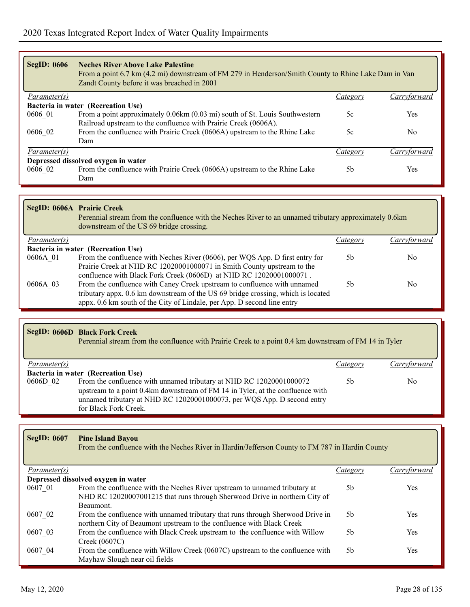| <b>SegID: 0606</b>  | <b>Neches River Above Lake Palestine</b><br>From a point 6.7 km (4.2 mi) downstream of FM 279 in Henderson/Smith County to Rhine Lake Dam in Van<br>Zandt County before it was breached in 2001 |          |              |  |
|---------------------|-------------------------------------------------------------------------------------------------------------------------------------------------------------------------------------------------|----------|--------------|--|
| Parameter(s)        |                                                                                                                                                                                                 | Category | Carryforward |  |
|                     | Bacteria in water (Recreation Use)                                                                                                                                                              |          |              |  |
| 0606 01             | From a point approximately 0.06km (0.03 mi) south of St. Louis Southwestern                                                                                                                     | 5c       | <b>Yes</b>   |  |
|                     | Railroad upstream to the confluence with Prairie Creek (0606A).                                                                                                                                 |          |              |  |
| 0606 02             | From the confluence with Prairie Creek (0606A) upstream to the Rhine Lake                                                                                                                       | 5c       | No.          |  |
|                     | Dam                                                                                                                                                                                             |          |              |  |
| <i>Parameter(s)</i> |                                                                                                                                                                                                 | Category | Carryforward |  |
|                     | Depressed dissolved oxygen in water                                                                                                                                                             |          |              |  |
| 0606 02             | From the confluence with Prairie Creek (0606A) upstream to the Rhine Lake                                                                                                                       | 5b       | Yes          |  |
|                     | Dam                                                                                                                                                                                             |          |              |  |

|              | SegID: 0606A Prairie Creek<br>Perennial stream from the confluence with the Neches River to an unnamed tributary approximately 0.6km<br>downstream of the US 69 bridge crossing. |                |     |
|--------------|----------------------------------------------------------------------------------------------------------------------------------------------------------------------------------|----------------|-----|
| Parameter(s) |                                                                                                                                                                                  | Category       |     |
|              | Bacteria in water (Recreation Use)                                                                                                                                               |                |     |
| 0606A 01     | From the confluence with Neches River (0606), per WQS App. D first entry for                                                                                                     | 5 <sub>b</sub> | No. |
|              | Prairie Creek at NHD RC 12020001000071 in Smith County upstream to the                                                                                                           |                |     |
|              | confluence with Black Fork Creek (0606D) at NHD RC 12020001000071.                                                                                                               |                |     |
| 0606A 03     | From the confluence with Caney Creek upstream to confluence with unnamed                                                                                                         | 5 <sub>b</sub> | No  |
|              | tributary appx. 0.6 km downstream of the US 69 bridge crossing, which is located                                                                                                 |                |     |
|              | appx. 0.6 km south of the City of Lindale, per App. D second line entry                                                                                                          |                |     |

## **SegID: 0606D Black Fork Creek**

Perennial stream from the confluence with Prairie Creek to a point 0.4 km downstream of FM 14 in Tyler

| Parameter(s)                       |                                                                                                                                                                                                                                                           | Category | Carryforward |
|------------------------------------|-----------------------------------------------------------------------------------------------------------------------------------------------------------------------------------------------------------------------------------------------------------|----------|--------------|
| Bacteria in water (Recreation Use) |                                                                                                                                                                                                                                                           |          |              |
| 0606D 02                           | From the confluence with unnamed tributary at NHD RC 12020001000072<br>upstream to a point 0.4km downstream of FM 14 in Tyler, at the confluence with<br>unnamed tributary at NHD RC 12020001000073, per WQS App. D second entry<br>for Black Fork Creek. | .5b      | No           |

| <b>SegID: 0607</b>  | <b>Pine Island Bayou</b><br>From the confluence with the Neches River in Hardin/Jefferson County to FM 787 in Hardin County                                           |          |              |
|---------------------|-----------------------------------------------------------------------------------------------------------------------------------------------------------------------|----------|--------------|
| <i>Parameter(s)</i> |                                                                                                                                                                       | Category | Carryforward |
|                     | Depressed dissolved oxygen in water                                                                                                                                   |          |              |
| 0607 01             | From the confluence with the Neches River upstream to unnamed tributary at<br>NHD RC 12020007001215 that runs through Sherwood Drive in northern City of<br>Beaumont. | 5b       | Yes          |
| 0607 02             | From the confluence with unnamed tributary that runs through Sherwood Drive in<br>northern City of Beaumont upstream to the confluence with Black Creek               | .5b      | Yes          |
| 0607 03             | From the confluence with Black Creek upstream to the confluence with Willow<br>Creek $(0607C)$                                                                        | 5b       | Yes          |
| 0607 04             | From the confluence with Willow Creek (0607C) upstream to the confluence with<br>Mayhaw Slough near oil fields                                                        | .5b      | Yes          |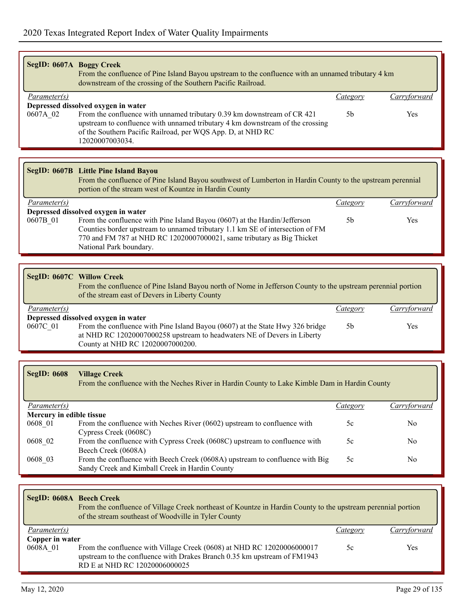|              | SegID: 0607A Boggy Creek<br>From the confluence of Pine Island Bayou upstream to the confluence with an unnamed tributary 4 km<br>downstream of the crossing of the Southern Pacific Railroad.                                             |          |              |  |
|--------------|--------------------------------------------------------------------------------------------------------------------------------------------------------------------------------------------------------------------------------------------|----------|--------------|--|
| Parameter(s) |                                                                                                                                                                                                                                            | Category | Carryforward |  |
|              | Depressed dissolved oxygen in water                                                                                                                                                                                                        |          |              |  |
| 0607A 02     | From the confluence with unnamed tributary 0.39 km downstream of CR 421<br>upstream to confluence with unnamed tributary 4 km downstream of the crossing<br>of the Southern Pacific Railroad, per WQS App. D, at NHD RC<br>12020007003034. | 5b       | Yes          |  |
|              |                                                                                                                                                                                                                                            |          |              |  |
|              | SegID: 0607B Little Pine Island Bayou<br>From the confluence of Pine Island Bayou southwest of Lumberton in Hardin County to the upstream perennial<br>portion of the stream west of Kountze in Hardin County                              |          |              |  |
| Parameter(s) | Denressed dissolved oxygen in water                                                                                                                                                                                                        | Category | Carryforwara |  |

|          | Depressed dissolved oxygen in water                                           |     |      |
|----------|-------------------------------------------------------------------------------|-----|------|
| 0607B 01 | From the confluence with Pine Island Bayou $(0607)$ at the Hardin/Jefferson   | .5b | Yes. |
|          | Counties border upstream to unnamed tributary 1.1 km SE of intersection of FM |     |      |
|          | 770 and FM 787 at NHD RC 12020007000021, same tributary as Big Thicket        |     |      |
|          | National Park boundary.                                                       |     |      |

|                     | SegID: 0607C Willow Creek<br>From the confluence of Pine Island Bayou north of Nome in Jefferson County to the upstream perennial portion<br>of the stream east of Devers in Liberty County |          |              |
|---------------------|---------------------------------------------------------------------------------------------------------------------------------------------------------------------------------------------|----------|--------------|
| <i>Parameter(s)</i> |                                                                                                                                                                                             | Category | Carryforward |
|                     | Depressed dissolved oxygen in water                                                                                                                                                         |          |              |
| 0607C 01            | From the confluence with Pine Island Bayou (0607) at the State Hwy 326 bridge                                                                                                               | 5b       | Yes          |
|                     | at NHD RC 12020007000258 upstream to headwaters NE of Devers in Liberty                                                                                                                     |          |              |
|                     | County at NHD RC 12020007000200.                                                                                                                                                            |          |              |

| <b>SegID: 0608</b>       | <b>Village Creek</b><br>From the confluence with the Neches River in Hardin County to Lake Kimble Dam in Hardin County         |          |              |  |
|--------------------------|--------------------------------------------------------------------------------------------------------------------------------|----------|--------------|--|
| Parameter(s)             |                                                                                                                                | Category | Carryforward |  |
| Mercury in edible tissue |                                                                                                                                |          |              |  |
| 0608 01                  | From the confluence with Neches River $(0602)$ upstream to confluence with<br>Cypress Creek (0608C)                            | 5c       | No           |  |
| 0608 02                  | From the confluence with Cypress Creek (0608C) upstream to confluence with<br>Beech Creek (0608A)                              | 5c       | No           |  |
| 0608 03                  | From the confluence with Beech Creek (0608A) upstream to confluence with Big<br>Sandy Creek and Kimball Creek in Hardin County | 5c       | No           |  |

| SegID: 0608A Beech Creek<br>From the confluence of Village Creek northeast of Kountze in Hardin County to the upstream perennial portion<br>of the stream southeast of Woodville in Tyler County |                                                                                                                                                                                     |          |              |
|--------------------------------------------------------------------------------------------------------------------------------------------------------------------------------------------------|-------------------------------------------------------------------------------------------------------------------------------------------------------------------------------------|----------|--------------|
| <i>Parameter(s)</i>                                                                                                                                                                              |                                                                                                                                                                                     | Category | Carryforward |
| Copper in water                                                                                                                                                                                  |                                                                                                                                                                                     |          |              |
| 0608A 01                                                                                                                                                                                         | From the confluence with Village Creek (0608) at NHD RC 12020006000017<br>upstream to the confluence with Drakes Branch 0.35 km upstream of FM1943<br>RD E at NHD RC 12020006000025 | 5c       | Yes          |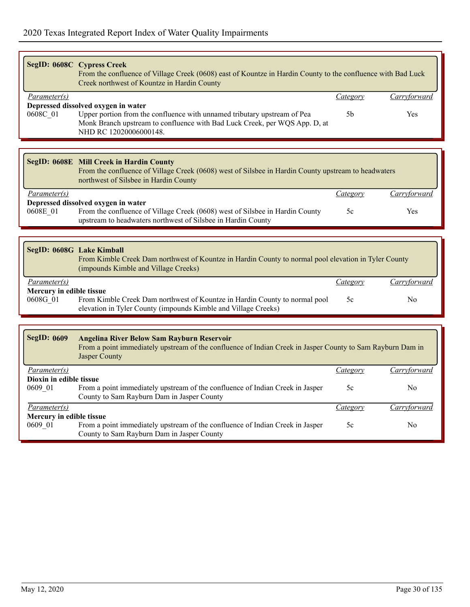|                                      | SegID: 0608C Cypress Creek<br>From the confluence of Village Creek (0608) east of Kountze in Hardin County to the confluence with Bad Luck<br>Creek northwest of Kountze in Hardin County                               |                |                |
|--------------------------------------|-------------------------------------------------------------------------------------------------------------------------------------------------------------------------------------------------------------------------|----------------|----------------|
| Parameter(s)                         |                                                                                                                                                                                                                         | Category       | Carryforward   |
| 0608C 01                             | Depressed dissolved oxygen in water<br>Upper portion from the confluence with unnamed tributary upstream of Pea<br>Monk Branch upstream to confluence with Bad Luck Creek, per WQS App. D, at<br>NHD RC 12020006000148. | 5 <sub>b</sub> | Yes            |
|                                      |                                                                                                                                                                                                                         |                |                |
|                                      | <b>SegID: 0608E Mill Creek in Hardin County</b><br>From the confluence of Village Creek (0608) west of Silsbee in Hardin County upstream to headwaters<br>northwest of Silsbee in Hardin County                         |                |                |
| Parameter(s)                         |                                                                                                                                                                                                                         | Category       | Carryforward   |
|                                      | Depressed dissolved oxygen in water                                                                                                                                                                                     |                |                |
| 0608E 01                             | From the confluence of Village Creek (0608) west of Silsbee in Hardin County<br>upstream to headwaters northwest of Silsbee in Hardin County                                                                            | 5c             | Yes            |
|                                      |                                                                                                                                                                                                                         |                |                |
|                                      | SegID: 0608G Lake Kimball<br>From Kimble Creek Dam northwest of Kountze in Hardin County to normal pool elevation in Tyler County<br>(impounds Kimble and Village Creeks)                                               |                |                |
| Parameter(s)                         |                                                                                                                                                                                                                         | Category       | Carryforward   |
| Mercury in edible tissue<br>0608G_01 | From Kimble Creek Dam northwest of Kountze in Hardin County to normal pool<br>elevation in Tyler County (impounds Kimble and Village Creeks)                                                                            | 5c             | N <sub>0</sub> |
|                                      |                                                                                                                                                                                                                         |                |                |
| <b>SegID: 0609</b>                   | <b>Angelina River Below Sam Rayburn Reservoir</b><br>From a point immediately upstream of the confluence of Indian Creek in Jasper County to Sam Rayburn Dam in<br>Jasper County                                        |                |                |
| Parameter(s)                         |                                                                                                                                                                                                                         | Category       | Carryforward   |
| Dioxin in edible tissue<br>0609_01   | From a point immediately upstream of the confluence of Indian Creek in Jasper<br>County to Sam Rayburn Dam in Jasper County                                                                                             | 5c             | N <sub>0</sub> |
| Parameter(s)                         |                                                                                                                                                                                                                         | Category       | Carryforward   |
| Mercury in edible tissue<br>0609_01  | From a point immediately upstream of the confluence of Indian Creek in Jasper<br>County to Sam Rayburn Dam in Jasper County                                                                                             | 5c             | No             |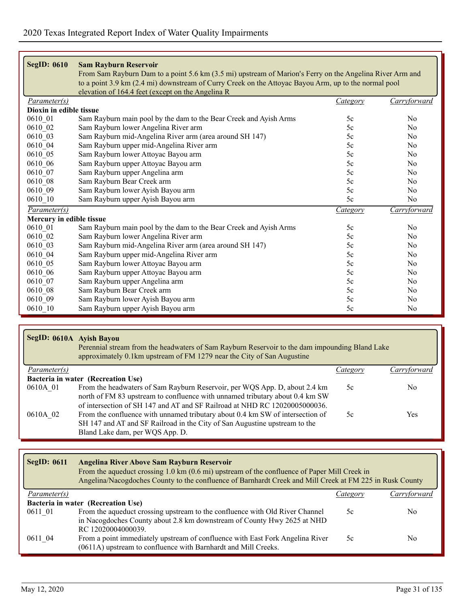| <b>SegID: 0610</b>        | <b>Sam Rayburn Reservoir</b><br>From Sam Rayburn Dam to a point 5.6 km (3.5 mi) upstream of Marion's Ferry on the Angelina River Arm and<br>to a point 3.9 km (2.4 mi) downstream of Curry Creek on the Attoyac Bayou Arm, up to the normal pool<br>elevation of 164.4 feet (except on the Angelina R |          |                |
|---------------------------|-------------------------------------------------------------------------------------------------------------------------------------------------------------------------------------------------------------------------------------------------------------------------------------------------------|----------|----------------|
| Parameter(s)              |                                                                                                                                                                                                                                                                                                       | Category | Carryforward   |
| Dioxin in edible tissue   |                                                                                                                                                                                                                                                                                                       |          |                |
| 0610 01                   | Sam Rayburn main pool by the dam to the Bear Creek and Ayish Arms                                                                                                                                                                                                                                     | 5c       | N <sub>0</sub> |
| 0610 02                   | Sam Rayburn lower Angelina River arm                                                                                                                                                                                                                                                                  | 5c       | N <sub>0</sub> |
| 0610 03                   | Sam Rayburn mid-Angelina River arm (area around SH 147)                                                                                                                                                                                                                                               | 5c       | N <sub>0</sub> |
| 0610_04                   | Sam Rayburn upper mid-Angelina River arm                                                                                                                                                                                                                                                              | 5c       | N <sub>0</sub> |
| 0610 05                   | Sam Rayburn lower Attoyac Bayou arm                                                                                                                                                                                                                                                                   | 5c       | No             |
| 0610 06                   | Sam Rayburn upper Attoyac Bayou arm                                                                                                                                                                                                                                                                   | 5c       | N <sub>0</sub> |
| 0610 07                   | Sam Rayburn upper Angelina arm                                                                                                                                                                                                                                                                        | 5c       | N <sub>0</sub> |
| 0610 08                   | Sam Rayburn Bear Creek arm                                                                                                                                                                                                                                                                            | 5c       | N <sub>0</sub> |
| 0610 09                   | Sam Rayburn lower Ayish Bayou arm                                                                                                                                                                                                                                                                     | 5c       | No             |
| $0610 - 10$               | Sam Rayburn upper Ayish Bayou arm                                                                                                                                                                                                                                                                     | 5c       | N <sub>o</sub> |
| $\overline{Parameter(s)}$ |                                                                                                                                                                                                                                                                                                       | Category | Carryforward   |
| Mercury in edible tissue  |                                                                                                                                                                                                                                                                                                       |          |                |
| 0610 01                   | Sam Rayburn main pool by the dam to the Bear Creek and Ayish Arms                                                                                                                                                                                                                                     | 5c       | No             |
| 0610 02                   | Sam Rayburn lower Angelina River arm                                                                                                                                                                                                                                                                  | 5c       | N <sub>0</sub> |
| 0610 03                   | Sam Rayburn mid-Angelina River arm (area around SH 147)                                                                                                                                                                                                                                               | 5c       | N <sub>0</sub> |
| 0610 04                   | Sam Rayburn upper mid-Angelina River arm                                                                                                                                                                                                                                                              | 5c       | N <sub>0</sub> |
| 0610 05                   | Sam Rayburn lower Attoyac Bayou arm                                                                                                                                                                                                                                                                   | 5c       | N <sub>0</sub> |
| 0610 06                   | Sam Rayburn upper Attoyac Bayou arm                                                                                                                                                                                                                                                                   | 5c       | No             |
| 0610 07                   | Sam Rayburn upper Angelina arm                                                                                                                                                                                                                                                                        | 5c       | N <sub>0</sub> |
| 0610 08                   | Sam Rayburn Bear Creek arm                                                                                                                                                                                                                                                                            | 5c       | N <sub>0</sub> |
| 0610 09                   | Sam Rayburn lower Ayish Bayou arm                                                                                                                                                                                                                                                                     | 5c       | N <sub>0</sub> |
| $0610 - 10$               | Sam Rayburn upper Ayish Bayou arm                                                                                                                                                                                                                                                                     | 5c       | N <sub>0</sub> |

|                     | SegID: 0610A Ayish Bayou<br>Perennial stream from the headwaters of Sam Rayburn Reservoir to the dam impounding Bland Lake<br>approximately 0.1km upstream of FM 1279 near the City of San Augustine |          |              |
|---------------------|------------------------------------------------------------------------------------------------------------------------------------------------------------------------------------------------------|----------|--------------|
| <i>Parameter(s)</i> |                                                                                                                                                                                                      | Category | Carryforward |
|                     | Bacteria in water (Recreation Use)                                                                                                                                                                   |          |              |
| 0610A 01            | From the headwaters of Sam Rayburn Reservoir, per WQS App. D, about 2.4 km                                                                                                                           | 5c       | No.          |
|                     | north of FM 83 upstream to confluence with unnamed tributary about 0.4 km SW                                                                                                                         |          |              |
|                     | of intersection of SH 147 and AT and SF Railroad at NHD RC 12020005000036.                                                                                                                           |          |              |
| 0610A 02            | From the confluence with unnamed tributary about 0.4 km SW of intersection of                                                                                                                        | 5c       | <b>Yes</b>   |
|                     | SH 147 and AT and SF Railroad in the City of San Augustine upstream to the                                                                                                                           |          |              |
|                     | Bland Lake dam, per WQS App. D.                                                                                                                                                                      |          |              |

| <b>SegID: 0611</b> | Angelina River Above Sam Rayburn Reservoir<br>From the aqueduct crossing 1.0 km (0.6 mi) upstream of the confluence of Paper Mill Creek in<br>Angelina/Nacogdoches County to the confluence of Barnhardt Creek and Mill Creek at FM 225 in Rusk County |          |              |
|--------------------|--------------------------------------------------------------------------------------------------------------------------------------------------------------------------------------------------------------------------------------------------------|----------|--------------|
| Parameter(s)       |                                                                                                                                                                                                                                                        | Category | Carryforward |
|                    | Bacteria in water (Recreation Use)                                                                                                                                                                                                                     |          |              |
| 0611 01            | From the aqueduct crossing upstream to the confluence with Old River Channel                                                                                                                                                                           | 5c       | No.          |
|                    | in Nacogdoches County about 2.8 km downstream of County Hwy 2625 at NHD<br>RC 12020004000039.                                                                                                                                                          |          |              |
| 0611 04            | From a point immediately upstream of confluence with East Fork Angelina River<br>(0611A) upstream to confluence with Barnhardt and Mill Creeks.                                                                                                        | 5c       | No.          |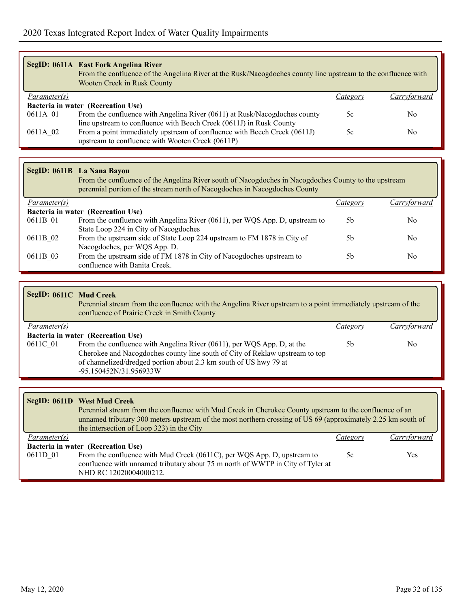|                     | SegID: 0611A East Fork Angelina River<br>From the confluence of the Angelina River at the Rusk/Nacogdoches county line upstream to the confluence with<br>Wooten Creek in Rusk County |          |              |
|---------------------|---------------------------------------------------------------------------------------------------------------------------------------------------------------------------------------|----------|--------------|
| <i>Parameter(s)</i> |                                                                                                                                                                                       | Category | Carryforward |
|                     | Bacteria in water (Recreation Use)                                                                                                                                                    |          |              |
| 0611A 01            | From the confluence with Angelina River (0611) at Rusk/Nacogdoches county                                                                                                             | 5c       | No.          |
|                     | line upstream to confluence with Beech Creek (0611J) in Rusk County                                                                                                                   |          |              |
| 0611A 02            | From a point immediately upstream of confluence with Beech Creek (0611J)                                                                                                              | 5c       | No           |
|                     | upstream to confluence with Wooten Creek (0611P)                                                                                                                                      |          |              |

# **SegID: 0611B La Nana Bayou**

| From the confluence of the Angelina River south of Nacogdoches in Nacogdoches County to the upstream<br>perennial portion of the stream north of Nacogdoches in Nacogdoches County |                                                                             |          |              |  |
|------------------------------------------------------------------------------------------------------------------------------------------------------------------------------------|-----------------------------------------------------------------------------|----------|--------------|--|
| <i>Parameter(s)</i>                                                                                                                                                                |                                                                             | Category | Carryforward |  |
|                                                                                                                                                                                    | Bacteria in water (Recreation Use)                                          |          |              |  |
| 0611B 01                                                                                                                                                                           | From the confluence with Angelina River (0611), per WQS App. D, upstream to | 5b       | No           |  |
|                                                                                                                                                                                    | State Loop 224 in City of Nacogdoches                                       |          |              |  |
| 0611B 02                                                                                                                                                                           | From the upstream side of State Loop 224 upstream to FM 1878 in City of     | .5b      | No           |  |
|                                                                                                                                                                                    | Nacogdoches, per WQS App. D.                                                |          |              |  |
| 0611B 03                                                                                                                                                                           | From the upstream side of FM 1878 in City of Nacogdoches upstream to        | .5b      | No           |  |
|                                                                                                                                                                                    | confluence with Banita Creek.                                               |          |              |  |

| SegID: 0611C Mud Creek<br>Perennial stream from the confluence with the Angelina River upstream to a point immediately upstream of the<br>confluence of Prairie Creek in Smith County |                                                                                                                                                                                                                                                       |          |              |  |
|---------------------------------------------------------------------------------------------------------------------------------------------------------------------------------------|-------------------------------------------------------------------------------------------------------------------------------------------------------------------------------------------------------------------------------------------------------|----------|--------------|--|
| <i>Parameter(s)</i>                                                                                                                                                                   |                                                                                                                                                                                                                                                       | Category | Carryforward |  |
|                                                                                                                                                                                       | Bacteria in water (Recreation Use)                                                                                                                                                                                                                    |          |              |  |
| 0611C 01                                                                                                                                                                              | From the confluence with Angelina River (0611), per WQS App. D, at the<br>Cherokee and Nacogdoches county line south of City of Reklaw upstream to top<br>of channelized/dredged portion about 2.3 km south of US hwy 79 at<br>-95.150452N/31.956933W | .5b      | No           |  |

| SegID: 0611D West Mud Creek<br>Perennial stream from the confluence with Mud Creek in Cherokee County upstream to the confluence of an<br>unnamed tributary 300 meters upstream of the most northern crossing of US 69 (approximately 2.25 km south of<br>the intersection of Loop 323) in the City |                                                                                |          |                     |  |
|-----------------------------------------------------------------------------------------------------------------------------------------------------------------------------------------------------------------------------------------------------------------------------------------------------|--------------------------------------------------------------------------------|----------|---------------------|--|
| Parameter(s)                                                                                                                                                                                                                                                                                        |                                                                                | Category | <i>Carryforward</i> |  |
|                                                                                                                                                                                                                                                                                                     | Bacteria in water (Recreation Use)                                             |          |                     |  |
| 0611D 01                                                                                                                                                                                                                                                                                            | From the confluence with Mud Creek (0611C), per WQS App. D, upstream to        | 5c       | Yes                 |  |
|                                                                                                                                                                                                                                                                                                     | confluence with unnamed tributary about 75 m north of WWTP in City of Tyler at |          |                     |  |
|                                                                                                                                                                                                                                                                                                     | NHD RC 12020004000212.                                                         |          |                     |  |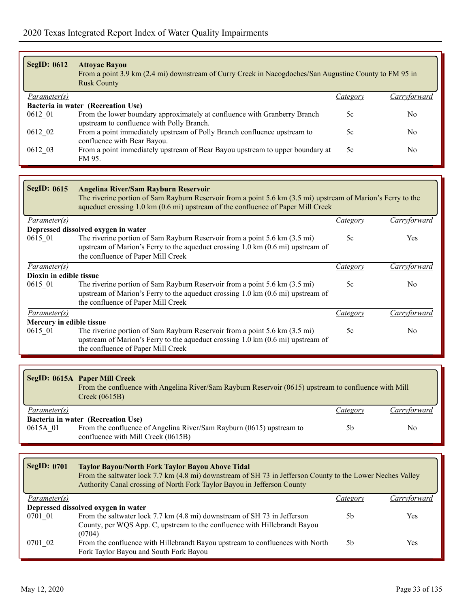| <b>SegID: 0612</b>  | <b>Attoyac Bayou</b><br>From a point 3.9 km (2.4 mi) downstream of Curry Creek in Nacogdoches/San Augustine County to FM 95 in<br><b>Rusk County</b> |          |              |
|---------------------|------------------------------------------------------------------------------------------------------------------------------------------------------|----------|--------------|
| <i>Parameter(s)</i> |                                                                                                                                                      | Category | Carryforward |
|                     | Bacteria in water (Recreation Use)                                                                                                                   |          |              |
| 0612 01             | From the lower boundary approximately at confluence with Granberry Branch<br>upstream to confluence with Polly Branch.                               | 5c       | No           |
| 0612 02             | From a point immediately upstream of Polly Branch confluence upstream to<br>confluence with Bear Bayou.                                              | 5c       | No           |
| 0612 03             | From a point immediately upstream of Bear Bayou upstream to upper boundary at<br>FM 95.                                                              | 5c       | No           |

| <b>SegID: 0615</b>       | Angelina River/Sam Rayburn Reservoir<br>The riverine portion of Sam Rayburn Reservoir from a point 5.6 km (3.5 mi) upstream of Marion's Ferry to the<br>aqueduct crossing 1.0 km (0.6 mi) upstream of the confluence of Paper Mill Creek |          |                |  |
|--------------------------|------------------------------------------------------------------------------------------------------------------------------------------------------------------------------------------------------------------------------------------|----------|----------------|--|
| Parameter(s)             |                                                                                                                                                                                                                                          | Category | Carryforward   |  |
|                          | Depressed dissolved oxygen in water                                                                                                                                                                                                      |          |                |  |
| 0615 01                  | The riverine portion of Sam Rayburn Reservoir from a point 5.6 km (3.5 mi)<br>upstream of Marion's Ferry to the aqueduct crossing 1.0 km (0.6 mi) upstream of<br>the confluence of Paper Mill Creek                                      | 5c       | Yes            |  |
| <i>Parameter(s)</i>      |                                                                                                                                                                                                                                          | Category | Carryforward   |  |
| Dioxin in edible tissue  |                                                                                                                                                                                                                                          |          |                |  |
| 0615 01                  | The riverine portion of Sam Rayburn Reservoir from a point 5.6 km (3.5 mi)<br>upstream of Marion's Ferry to the aqueduct crossing 1.0 km (0.6 mi) upstream of<br>the confluence of Paper Mill Creek                                      | 5c       | N <sub>0</sub> |  |
| Parameter(s)             |                                                                                                                                                                                                                                          | Category | Carryforward   |  |
| Mercury in edible tissue |                                                                                                                                                                                                                                          |          |                |  |
| 0615 01                  | The riverine portion of Sam Rayburn Reservoir from a point 5.6 km (3.5 mi)<br>upstream of Marion's Ferry to the aqueduct crossing 1.0 km (0.6 mi) upstream of<br>the confluence of Paper Mill Creek                                      | 5c       | N <sub>0</sub> |  |

|                                    | SegID: 0615A Paper Mill Creek<br>From the confluence with Angelina River/Sam Rayburn Reservoir (0615) upstream to confluence with Mill<br>Creek (0615B) |          |              |  |
|------------------------------------|---------------------------------------------------------------------------------------------------------------------------------------------------------|----------|--------------|--|
| Parameter(s)                       |                                                                                                                                                         | Category | Carryforward |  |
| Bacteria in water (Recreation Use) |                                                                                                                                                         |          |              |  |
| 0615A 01                           | From the confluence of Angelina River/Sam Rayburn (0615) upstream to<br>confluence with Mill Creek (0615B)                                              | 5b       | No.          |  |

| <b>SegID: 0701</b>  | Taylor Bayou/North Fork Taylor Bayou Above Tidal<br>From the saltwater lock 7.7 km (4.8 mi) downstream of SH 73 in Jefferson County to the Lower Neches Valley<br>Authority Canal crossing of North Fork Taylor Bayou in Jefferson County |          |              |
|---------------------|-------------------------------------------------------------------------------------------------------------------------------------------------------------------------------------------------------------------------------------------|----------|--------------|
| <i>Parameter(s)</i> |                                                                                                                                                                                                                                           | Category | Carryforward |
|                     | Depressed dissolved oxygen in water                                                                                                                                                                                                       |          |              |
| 0701 01             | From the saltwater lock 7.7 km (4.8 mi) downstream of SH 73 in Jefferson                                                                                                                                                                  | .5b      | Yes          |
|                     | County, per WQS App. C, upstream to the confluence with Hillebrandt Bayou<br>(0704)                                                                                                                                                       |          |              |
| 0701 02             | From the confluence with Hillebrandt Bayou upstream to confluences with North                                                                                                                                                             | .5b      | <b>Yes</b>   |
|                     | Fork Taylor Bayou and South Fork Bayou                                                                                                                                                                                                    |          |              |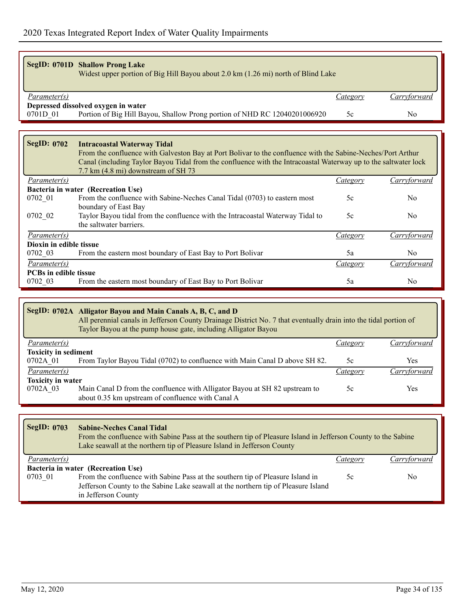|                     | <b>SegID: 0701D Shallow Prong Lake</b><br>Widest upper portion of Big Hill Bayou about 2.0 km (1.26 mi) north of Blind Lake |          |              |
|---------------------|-----------------------------------------------------------------------------------------------------------------------------|----------|--------------|
| <i>Parameter(s)</i> |                                                                                                                             | Category | Carryforward |
|                     | Depressed dissolved oxygen in water                                                                                         |          |              |
| 0701D 01            | Portion of Big Hill Bayou, Shallow Prong portion of NHD RC 12040201006920                                                   | 5c       | No           |

### **SegID: 0702 Intracoastal Waterway Tidal** From the confluence with Galveston Bay at Port Bolivar to the confluence with the Sabine-Neches/Port Arthur Canal (including Taylor Bayou Tidal from the confluence with the Intracoastal Waterway up to the saltwater lock 7.7 km (4.8 mi) downstream of SH 73 *Parameter(s) Category Carryforward* **Bacteria in water (Recreation Use)** 0702\_01 From the confluence with Sabine-Neches Canal Tidal (0703) to eastern most 5c No boundary of East Bay 0702\_02 Taylor Bayou tidal from the confluence with the Intracoastal Waterway Tidal to 5c No the saltwater barriers. *Parameter(s) Category Carryforward* **Dioxin in edible tissue** 0702\_03 From the eastern most boundary of East Bay to Port Bolivar 5a 5a No *Parameter(s) Category Carryforward* **PCBs in edible tissue** 0702\_03 From the eastern most boundary of East Bay to Port Bolivar 5a 5a

| SegID: 0702A Alligator Bayou and Main Canals A, B, C, and D<br>All perennial canals in Jefferson County Drainage District No. 7 that eventually drain into the tidal portion of<br>Taylor Bayou at the pump house gate, including Alligator Bayou |                                                                                                                                 |          |              |  |  |
|---------------------------------------------------------------------------------------------------------------------------------------------------------------------------------------------------------------------------------------------------|---------------------------------------------------------------------------------------------------------------------------------|----------|--------------|--|--|
| <i>Parameter(s)</i>                                                                                                                                                                                                                               |                                                                                                                                 | Category | Carryforward |  |  |
| <b>Toxicity in sediment</b>                                                                                                                                                                                                                       |                                                                                                                                 |          |              |  |  |
| 0702A 01                                                                                                                                                                                                                                          | From Taylor Bayou Tidal (0702) to confluence with Main Canal D above SH 82.                                                     | 5c       | Yes          |  |  |
| Parameter(s)                                                                                                                                                                                                                                      |                                                                                                                                 | Category | Carrytorward |  |  |
| <b>Toxicity in water</b>                                                                                                                                                                                                                          |                                                                                                                                 |          |              |  |  |
| 0702A 03                                                                                                                                                                                                                                          | Main Canal D from the confluence with Alligator Bayou at SH 82 upstream to<br>about 0.35 km upstream of confluence with Canal A | 5c       | Yes          |  |  |

| <b>SegID: 0703</b>                 | <b>Sabine-Neches Canal Tidal</b><br>From the confluence with Sabine Pass at the southern tip of Pleasure Island in Jefferson County to the Sabine<br>Lake seawall at the northern tip of Pleasure Island in Jefferson County |          |              |  |
|------------------------------------|------------------------------------------------------------------------------------------------------------------------------------------------------------------------------------------------------------------------------|----------|--------------|--|
| <i>Parameter(s)</i>                |                                                                                                                                                                                                                              | Category | Carryforward |  |
| Bacteria in water (Recreation Use) |                                                                                                                                                                                                                              |          |              |  |
| 0703 01                            | From the confluence with Sabine Pass at the southern tip of Pleasure Island in                                                                                                                                               | 5c       | No.          |  |
|                                    | Jefferson County to the Sabine Lake seawall at the northern tip of Pleasure Island                                                                                                                                           |          |              |  |
|                                    | in Jefferson County                                                                                                                                                                                                          |          |              |  |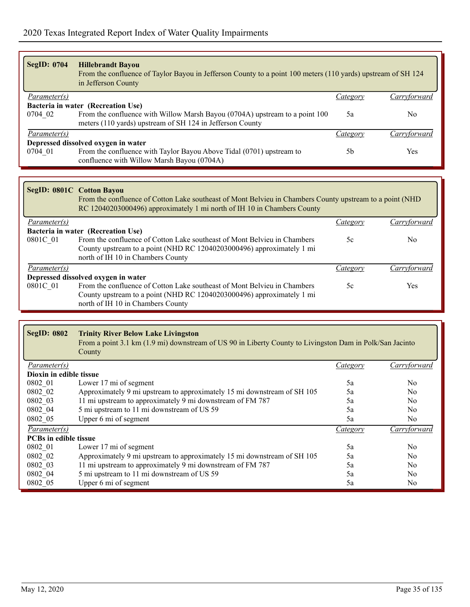| <b>SegID: 0704</b>                  | <b>Hillebrandt Bayou</b><br>From the confluence of Taylor Bayou in Jefferson County to a point 100 meters (110 yards) upstream of SH 124<br>in Jefferson County |          |              |  |
|-------------------------------------|-----------------------------------------------------------------------------------------------------------------------------------------------------------------|----------|--------------|--|
| <i>Parameter(s)</i>                 |                                                                                                                                                                 | Category | Carryforward |  |
|                                     | Bacteria in water (Recreation Use)                                                                                                                              |          |              |  |
| 0704 02                             | From the confluence with Willow Marsh Bayou (0704A) upstream to a point 100<br>meters (110 yards) upstream of SH 124 in Jefferson County                        | 5a       | No           |  |
| Parameter(s)                        |                                                                                                                                                                 | Category | Carryforward |  |
| Depressed dissolved oxygen in water |                                                                                                                                                                 |          |              |  |
| 0704 01                             | From the confluence with Taylor Bayou Above Tidal (0701) upstream to<br>confluence with Willow Marsh Bayou (0704A)                                              | .5b      | <b>Yes</b>   |  |

| SegID: 0801C Cotton Bayou<br>From the confluence of Cotton Lake southeast of Mont Belvieu in Chambers County upstream to a point (NHD)<br>RC 12040203000496) approximately 1 mi north of IH 10 in Chambers County |                                                                                                                                                                                        |          |              |  |  |
|-------------------------------------------------------------------------------------------------------------------------------------------------------------------------------------------------------------------|----------------------------------------------------------------------------------------------------------------------------------------------------------------------------------------|----------|--------------|--|--|
| <i>Parameter(s)</i>                                                                                                                                                                                               |                                                                                                                                                                                        | Category | Carryforward |  |  |
|                                                                                                                                                                                                                   | Bacteria in water (Recreation Use)                                                                                                                                                     |          |              |  |  |
| 0801C 01                                                                                                                                                                                                          | From the confluence of Cotton Lake southeast of Mont Belvieu in Chambers<br>County upstream to a point (NHD RC 12040203000496) approximately 1 mi<br>north of IH 10 in Chambers County | 5c       | No.          |  |  |
| <i>Parameter(s)</i>                                                                                                                                                                                               |                                                                                                                                                                                        | Category | Carrytorwa   |  |  |
|                                                                                                                                                                                                                   | Depressed dissolved oxygen in water                                                                                                                                                    |          |              |  |  |
| 0801C 01                                                                                                                                                                                                          | From the confluence of Cotton Lake southeast of Mont Belvieu in Chambers<br>County upstream to a point (NHD RC 12040203000496) approximately 1 mi<br>north of IH 10 in Chambers County | 5c       | Yes          |  |  |

| <b>SegID: 0802</b>           | <b>Trinity River Below Lake Livingston</b><br>From a point 3.1 km (1.9 mi) downstream of US 90 in Liberty County to Livingston Dam in Polk/San Jacinto<br>County |                 |                |  |
|------------------------------|------------------------------------------------------------------------------------------------------------------------------------------------------------------|-----------------|----------------|--|
| <i>Parameter(s)</i>          |                                                                                                                                                                  | Category        | Carryforward   |  |
| Dioxin in edible tissue      |                                                                                                                                                                  |                 |                |  |
| 0802 01                      | Lower 17 mi of segment                                                                                                                                           | 5a              | N <sub>0</sub> |  |
| 0802 02                      | Approximately 9 mi upstream to approximately 15 mi downstream of SH 105                                                                                          | 5a              | N <sub>0</sub> |  |
| 0802 03                      | 11 mi upstream to approximately 9 mi downstream of FM 787                                                                                                        | 5a              | N <sub>0</sub> |  |
| 0802 04                      | 5 mi upstream to 11 mi downstream of US 59                                                                                                                       | 5a              | N <sub>0</sub> |  |
| 0802 05                      | Upper 6 mi of segment                                                                                                                                            | 5a              | No             |  |
| <i>Parameter(s)</i>          |                                                                                                                                                                  | <i>Category</i> | Carryforward   |  |
| <b>PCBs</b> in edible tissue |                                                                                                                                                                  |                 |                |  |
| 0802 01                      | Lower 17 mi of segment                                                                                                                                           | 5a              | No.            |  |
| 0802 02                      | Approximately 9 mi upstream to approximately 15 mi downstream of SH 105                                                                                          | 5a              | N <sub>0</sub> |  |
| 0802 03                      | 11 mi upstream to approximately 9 mi downstream of FM 787                                                                                                        | 5a              | N <sub>0</sub> |  |
| 0802 04                      | 5 mi upstream to 11 mi downstream of US 59                                                                                                                       | 5a              | N <sub>0</sub> |  |
| 0802 05                      | Upper 6 mi of segment                                                                                                                                            | 5a              | N <sub>0</sub> |  |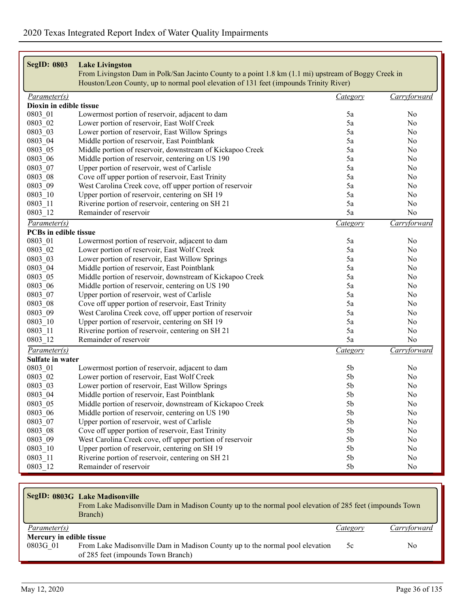| <b>SegID: 0803</b>               | <b>Lake Livingston</b><br>From Livingston Dam in Polk/San Jacinto County to a point 1.8 km (1.1 mi) upstream of Boggy Creek in<br>Houston/Leon County, up to normal pool elevation of 131 feet (impounds Trinity River) |                 |              |
|----------------------------------|-------------------------------------------------------------------------------------------------------------------------------------------------------------------------------------------------------------------------|-----------------|--------------|
| Parameter(s)                     |                                                                                                                                                                                                                         | <i>Category</i> | Carryforward |
| Dioxin in edible tissue          |                                                                                                                                                                                                                         |                 |              |
| 0803 01                          | Lowermost portion of reservoir, adjacent to dam                                                                                                                                                                         | 5a              | No           |
| 0803 02                          | Lower portion of reservoir, East Wolf Creek                                                                                                                                                                             | 5a              | No           |
| 0803 03                          | Lower portion of reservoir, East Willow Springs                                                                                                                                                                         | 5a              | No           |
| 0803 04                          | Middle portion of reservoir, East Pointblank                                                                                                                                                                            | 5a              | No           |
| 0803 05                          | Middle portion of reservoir, downstream of Kickapoo Creek                                                                                                                                                               | 5a              | No           |
| 0803 06                          | Middle portion of reservoir, centering on US 190                                                                                                                                                                        | 5a              | No           |
| 0803 07                          | Upper portion of reservoir, west of Carlisle                                                                                                                                                                            | 5a              | No           |
| 0803 08                          | Cove off upper portion of reservoir, East Trinity                                                                                                                                                                       | 5a              | No           |
| 0803_09                          | West Carolina Creek cove, off upper portion of reservoir                                                                                                                                                                | 5a              | No           |
| 0803 10<br>0803 11               | Upper portion of reservoir, centering on SH 19                                                                                                                                                                          | 5a              | No           |
|                                  | Riverine portion of reservoir, centering on SH 21<br>Remainder of reservoir                                                                                                                                             | 5a<br>5a        | No           |
| 0803_12                          |                                                                                                                                                                                                                         |                 | No           |
| Parameter(s)                     |                                                                                                                                                                                                                         | <b>Category</b> | Carryforward |
| PCBs in edible tissue<br>0803_01 | Lowermost portion of reservoir, adjacent to dam                                                                                                                                                                         | 5a              | No           |
| 0803 02                          | Lower portion of reservoir, East Wolf Creek                                                                                                                                                                             | 5a              | No           |
| 0803 03                          | Lower portion of reservoir, East Willow Springs                                                                                                                                                                         | 5a              | No           |
| 0803 04                          | Middle portion of reservoir, East Pointblank                                                                                                                                                                            | 5a              | No           |
| 0803 05                          | Middle portion of reservoir, downstream of Kickapoo Creek                                                                                                                                                               | 5a              | No           |
| 0803_06                          | Middle portion of reservoir, centering on US 190                                                                                                                                                                        | 5a              | No           |
| 0803_07                          | Upper portion of reservoir, west of Carlisle                                                                                                                                                                            | 5a              | No           |
| 0803 08                          | Cove off upper portion of reservoir, East Trinity                                                                                                                                                                       | 5a              | No           |
| 0803_09                          | West Carolina Creek cove, off upper portion of reservoir                                                                                                                                                                | 5a              | No           |
| $0803 - 10$                      | Upper portion of reservoir, centering on SH 19                                                                                                                                                                          | 5a              | No           |
| $0803 - 11$                      | Riverine portion of reservoir, centering on SH 21                                                                                                                                                                       | 5a              | No           |
| 0803_12                          | Remainder of reservoir                                                                                                                                                                                                  | 5a              | No           |
| Parameter(s)                     |                                                                                                                                                                                                                         | <i>Category</i> | Carryforward |
| Sulfate in water                 |                                                                                                                                                                                                                         |                 |              |
| 0803 01                          | Lowermost portion of reservoir, adjacent to dam                                                                                                                                                                         | 5 <sub>b</sub>  | No           |
| 0803 02                          | Lower portion of reservoir, East Wolf Creek                                                                                                                                                                             | 5 <sub>b</sub>  | No           |
| 0803 03                          | Lower portion of reservoir, East Willow Springs                                                                                                                                                                         | 5 <sub>b</sub>  | No           |
| 0803 04                          | Middle portion of reservoir, East Pointblank                                                                                                                                                                            | 5 <sub>b</sub>  | No           |
| 0803 05                          | Middle portion of reservoir, downstream of Kickapoo Creek                                                                                                                                                               | 5 <sub>b</sub>  | No           |
| 0803 06                          | Middle portion of reservoir, centering on US 190                                                                                                                                                                        | 5 <sub>b</sub>  | No           |
| 0803 07                          | Upper portion of reservoir, west of Carlisle                                                                                                                                                                            | 5 <sub>b</sub>  | No           |
| 0803_08                          | Cove off upper portion of reservoir, East Trinity                                                                                                                                                                       | 5 <sub>b</sub>  | No           |
| 0803 09                          | West Carolina Creek cove, off upper portion of reservoir                                                                                                                                                                | 5 <sub>b</sub>  | No           |
| 0803 10                          | Upper portion of reservoir, centering on SH 19                                                                                                                                                                          | 5 <sub>b</sub>  | No           |
| 0803 11                          | Riverine portion of reservoir, centering on SH 21                                                                                                                                                                       | 5 <sub>b</sub>  | No           |
| 0803 12                          | Remainder of reservoir                                                                                                                                                                                                  | 5b              | No           |

## **SegID: 0803G Lake Madisonville**

From Lake Madisonville Dam in Madison County up to the normal pool elevation of 285 feet (impounds Town Branch) *Parameter(s) Category Carryforward*

| $I$ <i>u<sub>l</sub></i> u <sub>l</sub> u <sub>l</sub> $I$ |                                                                              | $C^{\mu\nu\kappa\sigma}$ | $\frac{C_{u}U_{v}U_{v}U_{v}}{V}$ |
|------------------------------------------------------------|------------------------------------------------------------------------------|--------------------------|----------------------------------|
| Mercury in edible tissue                                   |                                                                              |                          |                                  |
| 0803G 01                                                   | From Lake Madisonville Dam in Madison County up to the normal pool elevation |                          | No                               |
|                                                            | of 285 feet (impounds Town Branch)                                           |                          |                                  |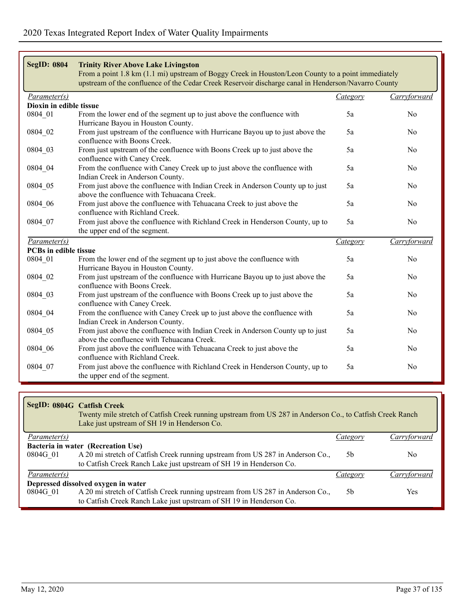| <b>SegID: 0804</b>           | <b>Trinity River Above Lake Livingston</b>                                                                                   |          |                |
|------------------------------|------------------------------------------------------------------------------------------------------------------------------|----------|----------------|
|                              | From a point 1.8 km (1.1 mi) upstream of Boggy Creek in Houston/Leon County to a point immediately                           |          |                |
|                              | upstream of the confluence of the Cedar Creek Reservoir discharge canal in Henderson/Navarro County                          |          |                |
| Parameter(s)                 |                                                                                                                              | Category | Carryforward   |
| Dioxin in edible tissue      |                                                                                                                              |          |                |
| 0804 01                      | From the lower end of the segment up to just above the confluence with<br>Hurricane Bayou in Houston County.                 | 5a       | No             |
| 0804 02                      | From just upstream of the confluence with Hurricane Bayou up to just above the<br>confluence with Boons Creek.               | 5a       | N <sub>0</sub> |
| 0804_03                      | From just upstream of the confluence with Boons Creek up to just above the<br>confluence with Caney Creek.                   | 5a       | No             |
| 0804 04                      | From the confluence with Caney Creek up to just above the confluence with<br>Indian Creek in Anderson County.                | 5a       | No             |
| 0804_05                      | From just above the confluence with Indian Creek in Anderson County up to just<br>above the confluence with Tehuacana Creek. | 5a       | N <sub>0</sub> |
| 0804 06                      | From just above the confluence with Tehuacana Creek to just above the<br>confluence with Richland Creek.                     | 5a       | No             |
| 0804_07                      | From just above the confluence with Richland Creek in Henderson County, up to<br>the upper end of the segment.               | 5a       | No             |
| Parameter(s)                 |                                                                                                                              | Category | Carryforward   |
| <b>PCBs</b> in edible tissue |                                                                                                                              |          |                |
| 0804 01                      | From the lower end of the segment up to just above the confluence with<br>Hurricane Bayou in Houston County.                 | 5a       | No             |
| 0804 02                      | From just upstream of the confluence with Hurricane Bayou up to just above the<br>confluence with Boons Creek.               | 5a       | No             |
| 0804 03                      | From just upstream of the confluence with Boons Creek up to just above the<br>confluence with Caney Creek.                   | 5a       | No             |
| 0804_04                      | From the confluence with Caney Creek up to just above the confluence with<br>Indian Creek in Anderson County.                | 5a       | No             |
| 0804 05                      | From just above the confluence with Indian Creek in Anderson County up to just<br>above the confluence with Tehuacana Creek. | 5a       | N <sub>0</sub> |
| 0804 06                      | From just above the confluence with Tehuacana Creek to just above the<br>confluence with Richland Creek.                     | 5a       | N <sub>0</sub> |
| 0804_07                      | From just above the confluence with Richland Creek in Henderson County, up to<br>the upper end of the segment.               | 5a       | No             |

|                     | SegID: 0804G Catfish Creek<br>Twenty mile stretch of Catfish Creek running upstream from US 287 in Anderson Co., to Catfish Creek Ranch<br>Lake just upstream of SH 19 in Henderson Co. |                |              |
|---------------------|-----------------------------------------------------------------------------------------------------------------------------------------------------------------------------------------|----------------|--------------|
| <i>Parameter(s)</i> |                                                                                                                                                                                         | Category       | Carryforward |
|                     | Bacteria in water (Recreation Use)                                                                                                                                                      |                |              |
| 0804G 01            | A 20 mi stretch of Catfish Creek running upstream from US 287 in Anderson Co.,                                                                                                          | .5b            | No           |
|                     | to Catfish Creek Ranch Lake just upstream of SH 19 in Henderson Co.                                                                                                                     |                |              |
| <i>Parameter(s)</i> |                                                                                                                                                                                         | Category       | Carryforward |
|                     | Depressed dissolved oxygen in water                                                                                                                                                     |                |              |
| 0804G 01            | A 20 mi stretch of Catfish Creek running upstream from US 287 in Anderson Co.,                                                                                                          | 5 <sub>b</sub> | <b>Yes</b>   |
|                     | to Catfish Creek Ranch Lake just upstream of SH 19 in Henderson Co.                                                                                                                     |                |              |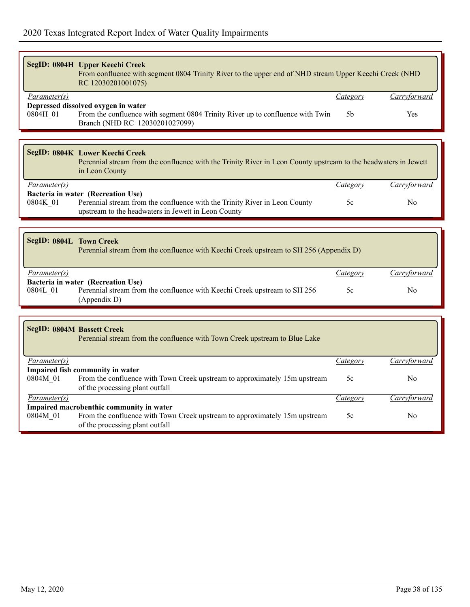|                           | SegID: 0804H Upper Keechi Creek<br>From confluence with segment 0804 Trinity River to the upper end of NHD stream Upper Keechi Creek (NHD<br>RC 12030201001075)         |                 |                |
|---------------------------|-------------------------------------------------------------------------------------------------------------------------------------------------------------------------|-----------------|----------------|
| Parameter(s)              |                                                                                                                                                                         | Category        | Carryforward   |
| 0804H 01                  | Depressed dissolved oxygen in water<br>From the confluence with segment 0804 Trinity River up to confluence with Twin<br>Branch (NHD RC 12030201027099)                 | 5 <sub>b</sub>  | Yes            |
|                           |                                                                                                                                                                         |                 |                |
|                           | SegID: 0804K Lower Keechi Creek<br>Perennial stream from the confluence with the Trinity River in Leon County upstream to the headwaters in Jewett<br>in Leon County    |                 |                |
| Parameter(s)              |                                                                                                                                                                         | <b>Category</b> | Carryforward   |
| 0804K 01                  | Bacteria in water (Recreation Use)<br>Perennial stream from the confluence with the Trinity River in Leon County<br>upstream to the headwaters in Jewett in Leon County | 5c              | No             |
|                           |                                                                                                                                                                         |                 |                |
| SegID: 0804L Town Creek   | Perennial stream from the confluence with Keechi Creek upstream to SH 256 (Appendix D)                                                                                  |                 |                |
| Parameter(s)              |                                                                                                                                                                         | Category        | Carryforward   |
| 0804L_01                  | Bacteria in water (Recreation Use)<br>Perennial stream from the confluence with Keechi Creek upstream to SH 256<br>(Appendix D)                                         | 5c              | N <sub>0</sub> |
|                           |                                                                                                                                                                         |                 |                |
|                           | <b>SegID: 0804M Bassett Creek</b><br>Perennial stream from the confluence with Town Creek upstream to Blue Lake                                                         |                 |                |
| Parameter(s)              |                                                                                                                                                                         | Category        | Carryforward   |
|                           | Impaired fish community in water                                                                                                                                        |                 |                |
| 0804M 01                  | From the confluence with Town Creek upstream to approximately 15m upstream<br>of the processing plant outfall                                                           | 5c              | N <sub>0</sub> |
| $\overline{Parameter(s)}$ |                                                                                                                                                                         | Category        | Carryforward   |
| 0804M_01                  | Impaired macrobenthic community in water<br>From the confluence with Town Creek upstream to approximately 15m upstream<br>of the processing plant outfall               | 5c              | N <sub>0</sub> |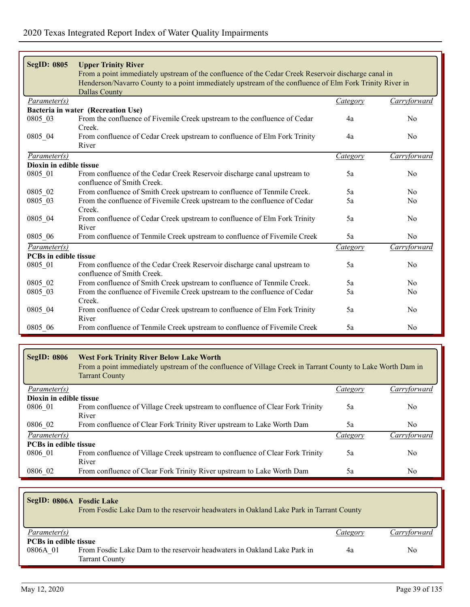| <b>SegID: 0805</b>           | <b>Upper Trinity River</b>                                                                              |                 |                |
|------------------------------|---------------------------------------------------------------------------------------------------------|-----------------|----------------|
|                              | From a point immediately upstream of the confluence of the Cedar Creek Reservoir discharge canal in     |                 |                |
|                              | Henderson/Navarro County to a point immediately upstream of the confluence of Elm Fork Trinity River in |                 |                |
|                              | <b>Dallas County</b>                                                                                    |                 |                |
| Parameter(s)                 |                                                                                                         | <b>Category</b> | Carryforward   |
|                              | Bacteria in water (Recreation Use)                                                                      |                 |                |
| 0805_03                      | From the confluence of Fivemile Creek upstream to the confluence of Cedar                               | 4a              | N <sub>0</sub> |
|                              | Creek.                                                                                                  |                 |                |
| 0805 04                      | From confluence of Cedar Creek upstream to confluence of Elm Fork Trinity                               | 4a              | No             |
|                              | River                                                                                                   |                 |                |
| Parameter(s)                 |                                                                                                         | <b>Category</b> | Carryforward   |
| Dioxin in edible tissue      |                                                                                                         |                 |                |
| 0805 01                      | From confluence of the Cedar Creek Reservoir discharge canal upstream to                                | 5a              | N <sub>0</sub> |
|                              | confluence of Smith Creek.                                                                              |                 |                |
| 0805 02                      | From confluence of Smith Creek upstream to confluence of Tenmile Creek.                                 | 5a              | No             |
| 0805 03                      | From the confluence of Fivemile Creek upstream to the confluence of Cedar                               | 5a              | N <sub>0</sub> |
|                              | Creek.                                                                                                  |                 |                |
| 0805 04                      | From confluence of Cedar Creek upstream to confluence of Elm Fork Trinity                               | 5a              | No             |
|                              | River                                                                                                   |                 |                |
| 0805_06                      | From confluence of Tenmile Creek upstream to confluence of Fivemile Creek                               | 5a              | No             |
| $\overline{Parameter(s)}$    |                                                                                                         | Category        | Carryforward   |
| <b>PCBs</b> in edible tissue |                                                                                                         |                 |                |
| 0805 01                      | From confluence of the Cedar Creek Reservoir discharge canal upstream to                                | 5a              | No             |
|                              | confluence of Smith Creek.                                                                              |                 |                |
| 0805 02                      | From confluence of Smith Creek upstream to confluence of Tenmile Creek.                                 | 5a              | No             |
| 0805 03                      | From the confluence of Fivemile Creek upstream to the confluence of Cedar                               | 5a              | No             |
|                              | Creek.                                                                                                  |                 |                |
| 0805 04                      | From confluence of Cedar Creek upstream to confluence of Elm Fork Trinity                               | 5a              | No             |
|                              | River                                                                                                   |                 |                |
| 0805_06                      | From confluence of Tenmile Creek upstream to confluence of Fivemile Creek                               | 5a              | N <sub>0</sub> |

| <b>SegID: 0806</b>           | <b>West Fork Trinity River Below Lake Worth</b><br>From a point immediately upstream of the confluence of Village Creek in Tarrant County to Lake Worth Dam in<br><b>Tarrant County</b> |                 |                |
|------------------------------|-----------------------------------------------------------------------------------------------------------------------------------------------------------------------------------------|-----------------|----------------|
| <i>Parameter(s)</i>          |                                                                                                                                                                                         | <i>Category</i> | Carryforward   |
| Dioxin in edible tissue      |                                                                                                                                                                                         |                 |                |
| 0806 01                      | From confluence of Village Creek upstream to confluence of Clear Fork Trinity                                                                                                           | 5a              | No             |
|                              | River                                                                                                                                                                                   |                 |                |
| 0806 02                      | From confluence of Clear Fork Trinity River upstream to Lake Worth Dam                                                                                                                  | 5a              | N <sub>0</sub> |
| Parameter(s)                 |                                                                                                                                                                                         | Category        | Carryforward   |
| <b>PCBs in edible tissue</b> |                                                                                                                                                                                         |                 |                |
| 0806 01                      | From confluence of Village Creek upstream to confluence of Clear Fork Trinity                                                                                                           | 5a              | No             |
|                              | River                                                                                                                                                                                   |                 |                |
| 0806 02                      | From confluence of Clear Fork Trinity River upstream to Lake Worth Dam                                                                                                                  | 5a              | No             |

| SegID: 0806A Fosdic Lake                 | From Fosdic Lake Dam to the reservoir headwaters in Oakland Lake Park in Tarrant County           |          |                |
|------------------------------------------|---------------------------------------------------------------------------------------------------|----------|----------------|
| <i>Parameter(s)</i>                      |                                                                                                   | Category | Carryforward   |
| <b>PCBs</b> in edible tissue<br>0806A 01 | From Fosdic Lake Dam to the reservoir headwaters in Oakland Lake Park in<br><b>Tarrant County</b> | 4a       | N <sub>0</sub> |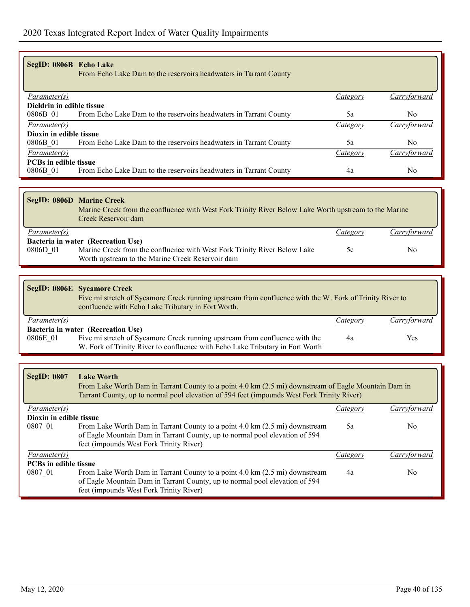| SegID: 0806B Echo Lake       | From Echo Lake Dam to the reservoirs headwaters in Tarrant County |          |                |
|------------------------------|-------------------------------------------------------------------|----------|----------------|
| <i>Parameter(s)</i>          |                                                                   | Category | Carryforward   |
| Dieldrin in edible tissue    |                                                                   |          |                |
| 0806B 01                     | From Echo Lake Dam to the reservoirs headwaters in Tarrant County | 5a       | N <sub>0</sub> |
| <i>Parameter(s)</i>          |                                                                   | Category | Carryforward   |
| Dioxin in edible tissue      |                                                                   |          |                |
| 0806B 01                     | From Echo Lake Dam to the reservoirs headwaters in Tarrant County | 5a       | No.            |
| Parameter(s)                 |                                                                   | Category | Carryforward   |
| <b>PCBs in edible tissue</b> |                                                                   |          |                |
| 0806B 01                     | From Echo Lake Dam to the reservoirs headwaters in Tarrant County | 4a       | No.            |

|              | <b>SegID: 0806D Marine Creek</b><br>Marine Creek from the confluence with West Fork Trinity River Below Lake Worth upstream to the Marine<br>Creek Reservoir dam   |          |              |
|--------------|--------------------------------------------------------------------------------------------------------------------------------------------------------------------|----------|--------------|
| Parameter(s) |                                                                                                                                                                    | Category | Carryforward |
| 0806D 01     | Bacteria in water (Recreation Use)<br>Marine Creek from the confluence with West Fork Trinity River Below Lake<br>Worth upstream to the Marine Creek Reservoir dam | 5c       | No           |

|              | <b>SegID: 0806E</b> Sycamore Creek<br>Five mi stretch of Sycamore Creek running upstream from confluence with the W. Fork of Trinity River to<br>confluence with Echo Lake Tributary in Fort Worth. |          |              |
|--------------|-----------------------------------------------------------------------------------------------------------------------------------------------------------------------------------------------------|----------|--------------|
| Parameter(s) |                                                                                                                                                                                                     | Category | Carryforward |
|              | Bacteria in water (Recreation Use)                                                                                                                                                                  |          |              |
| 0806E 01     | Five mi stretch of Sycamore Creek running upstream from confluence with the<br>W. Fork of Trinity River to confluence with Echo Lake Tributary in Fort Worth                                        | 4a       | Yes.         |

| <b>SegID: 0807</b>           | <b>Lake Worth</b><br>From Lake Worth Dam in Tarrant County to a point 4.0 km (2.5 mi) downstream of Eagle Mountain Dam in<br>Tarrant County, up to normal pool elevation of 594 feet (impounds West Fork Trinity River) |          |                |  |
|------------------------------|-------------------------------------------------------------------------------------------------------------------------------------------------------------------------------------------------------------------------|----------|----------------|--|
| <i>Parameter(s)</i>          |                                                                                                                                                                                                                         | Category | Carryforward   |  |
| Dioxin in edible tissue      |                                                                                                                                                                                                                         |          |                |  |
| 0807 01                      | From Lake Worth Dam in Tarrant County to a point 4.0 km (2.5 mi) downstream                                                                                                                                             | 5a       | N <sub>0</sub> |  |
|                              | of Eagle Mountain Dam in Tarrant County, up to normal pool elevation of 594                                                                                                                                             |          |                |  |
|                              | feet (impounds West Fork Trinity River)                                                                                                                                                                                 |          |                |  |
| Parameter(s)                 |                                                                                                                                                                                                                         | Category | Carryforward   |  |
| <b>PCBs in edible tissue</b> |                                                                                                                                                                                                                         |          |                |  |
| 0807 01                      | From Lake Worth Dam in Tarrant County to a point 4.0 km (2.5 mi) downstream                                                                                                                                             | 4a       | N <sub>0</sub> |  |
|                              | of Eagle Mountain Dam in Tarrant County, up to normal pool elevation of 594                                                                                                                                             |          |                |  |
|                              | feet (impounds West Fork Trinity River)                                                                                                                                                                                 |          |                |  |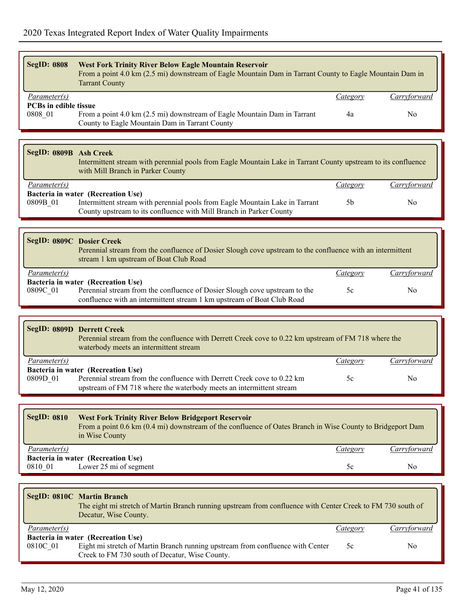| <b>SegID: 0808</b><br><b>West Fork Trinity River Below Eagle Mountain Reservoir</b><br>From a point 4.0 km (2.5 mi) downstream of Eagle Mountain Dam in Tarrant County to Eagle Mountain Dam in<br><b>Tarrant County</b><br>Carryforward<br>Parameter(s)<br><b>Category</b><br><b>PCBs</b> in edible tissue<br>0808_01<br>From a point 4.0 km (2.5 mi) downstream of Eagle Mountain Dam in Tarrant<br>No<br>4a<br>County to Eagle Mountain Dam in Tarrant County<br>SegID: 0809B Ash Creek<br>Intermittent stream with perennial pools from Eagle Mountain Lake in Tarrant County upstream to its confluence<br>with Mill Branch in Parker County<br>Carryforward<br>Parameter(s)<br><b>Category</b><br>Bacteria in water (Recreation Use)<br>0809B_01<br>Intermittent stream with perennial pools from Eagle Mountain Lake in Tarrant<br>5 <sub>b</sub><br>N <sub>o</sub><br>County upstream to its confluence with Mill Branch in Parker County<br><b>SegID: 0809C Dosier Creek</b><br>Perennial stream from the confluence of Dosier Slough cove upstream to the confluence with an intermittent<br>stream 1 km upstream of Boat Club Road<br>Parameter(s)<br>Carryforward<br>Category<br>Bacteria in water (Recreation Use)<br>0809C_01<br>Perennial stream from the confluence of Dosier Slough cove upstream to the<br>5c<br>N <sub>0</sub><br>confluence with an intermittent stream 1 km upstream of Boat Club Road<br><b>SegID: 0809D Derrett Creek</b><br>Perennial stream from the confluence with Derrett Creek cove to 0.22 km upstream of FM 718 where the<br>waterbody meets an intermittent stream<br>Carryforward<br>Parameter(s)<br>Category<br>Bacteria in water (Recreation Use)<br>Perennial stream from the confluence with Derrett Creek cove to 0.22 km<br>0809D 01<br>5c<br>No.<br>upstream of FM 718 where the waterbody meets an intermittent stream<br><b>SegID: 0810</b><br><b>West Fork Trinity River Below Bridgeport Reservoir</b><br>From a point 0.6 km (0.4 mi) downstream of the confluence of Oates Branch in Wise County to Bridgeport Dam<br>in Wise County<br>Carryforward<br>Parameter(s)<br><i>Category</i><br>Bacteria in water (Recreation Use)<br>Lower 25 mi of segment<br>0810 01<br>5c<br>N <sub>0</sub><br>SegID: 0810C Martin Branch<br>The eight mi stretch of Martin Branch running upstream from confluence with Center Creek to FM 730 south of<br>Decatur, Wise County.<br>Parameter(s)<br>Carryforward<br>Category<br>Bacteria in water (Recreation Use)<br>Eight mi stretch of Martin Branch running upstream from confluence with Center<br>0810C 01<br>5c<br>N <sub>0</sub><br>Creek to FM 730 south of Decatur, Wise County. |  |  |
|------------------------------------------------------------------------------------------------------------------------------------------------------------------------------------------------------------------------------------------------------------------------------------------------------------------------------------------------------------------------------------------------------------------------------------------------------------------------------------------------------------------------------------------------------------------------------------------------------------------------------------------------------------------------------------------------------------------------------------------------------------------------------------------------------------------------------------------------------------------------------------------------------------------------------------------------------------------------------------------------------------------------------------------------------------------------------------------------------------------------------------------------------------------------------------------------------------------------------------------------------------------------------------------------------------------------------------------------------------------------------------------------------------------------------------------------------------------------------------------------------------------------------------------------------------------------------------------------------------------------------------------------------------------------------------------------------------------------------------------------------------------------------------------------------------------------------------------------------------------------------------------------------------------------------------------------------------------------------------------------------------------------------------------------------------------------------------------------------------------------------------------------------------------------------------------------------------------------------------------------------------------------------------------------------------------------------------------------------------------------------------------------------------------------------------------------------------------------------------------------------------------------------------------------------------------------------------------------------------------------------------------------------------------------------------------|--|--|
|                                                                                                                                                                                                                                                                                                                                                                                                                                                                                                                                                                                                                                                                                                                                                                                                                                                                                                                                                                                                                                                                                                                                                                                                                                                                                                                                                                                                                                                                                                                                                                                                                                                                                                                                                                                                                                                                                                                                                                                                                                                                                                                                                                                                                                                                                                                                                                                                                                                                                                                                                                                                                                                                                          |  |  |
|                                                                                                                                                                                                                                                                                                                                                                                                                                                                                                                                                                                                                                                                                                                                                                                                                                                                                                                                                                                                                                                                                                                                                                                                                                                                                                                                                                                                                                                                                                                                                                                                                                                                                                                                                                                                                                                                                                                                                                                                                                                                                                                                                                                                                                                                                                                                                                                                                                                                                                                                                                                                                                                                                          |  |  |
|                                                                                                                                                                                                                                                                                                                                                                                                                                                                                                                                                                                                                                                                                                                                                                                                                                                                                                                                                                                                                                                                                                                                                                                                                                                                                                                                                                                                                                                                                                                                                                                                                                                                                                                                                                                                                                                                                                                                                                                                                                                                                                                                                                                                                                                                                                                                                                                                                                                                                                                                                                                                                                                                                          |  |  |
|                                                                                                                                                                                                                                                                                                                                                                                                                                                                                                                                                                                                                                                                                                                                                                                                                                                                                                                                                                                                                                                                                                                                                                                                                                                                                                                                                                                                                                                                                                                                                                                                                                                                                                                                                                                                                                                                                                                                                                                                                                                                                                                                                                                                                                                                                                                                                                                                                                                                                                                                                                                                                                                                                          |  |  |
|                                                                                                                                                                                                                                                                                                                                                                                                                                                                                                                                                                                                                                                                                                                                                                                                                                                                                                                                                                                                                                                                                                                                                                                                                                                                                                                                                                                                                                                                                                                                                                                                                                                                                                                                                                                                                                                                                                                                                                                                                                                                                                                                                                                                                                                                                                                                                                                                                                                                                                                                                                                                                                                                                          |  |  |
|                                                                                                                                                                                                                                                                                                                                                                                                                                                                                                                                                                                                                                                                                                                                                                                                                                                                                                                                                                                                                                                                                                                                                                                                                                                                                                                                                                                                                                                                                                                                                                                                                                                                                                                                                                                                                                                                                                                                                                                                                                                                                                                                                                                                                                                                                                                                                                                                                                                                                                                                                                                                                                                                                          |  |  |
|                                                                                                                                                                                                                                                                                                                                                                                                                                                                                                                                                                                                                                                                                                                                                                                                                                                                                                                                                                                                                                                                                                                                                                                                                                                                                                                                                                                                                                                                                                                                                                                                                                                                                                                                                                                                                                                                                                                                                                                                                                                                                                                                                                                                                                                                                                                                                                                                                                                                                                                                                                                                                                                                                          |  |  |
|                                                                                                                                                                                                                                                                                                                                                                                                                                                                                                                                                                                                                                                                                                                                                                                                                                                                                                                                                                                                                                                                                                                                                                                                                                                                                                                                                                                                                                                                                                                                                                                                                                                                                                                                                                                                                                                                                                                                                                                                                                                                                                                                                                                                                                                                                                                                                                                                                                                                                                                                                                                                                                                                                          |  |  |
|                                                                                                                                                                                                                                                                                                                                                                                                                                                                                                                                                                                                                                                                                                                                                                                                                                                                                                                                                                                                                                                                                                                                                                                                                                                                                                                                                                                                                                                                                                                                                                                                                                                                                                                                                                                                                                                                                                                                                                                                                                                                                                                                                                                                                                                                                                                                                                                                                                                                                                                                                                                                                                                                                          |  |  |
|                                                                                                                                                                                                                                                                                                                                                                                                                                                                                                                                                                                                                                                                                                                                                                                                                                                                                                                                                                                                                                                                                                                                                                                                                                                                                                                                                                                                                                                                                                                                                                                                                                                                                                                                                                                                                                                                                                                                                                                                                                                                                                                                                                                                                                                                                                                                                                                                                                                                                                                                                                                                                                                                                          |  |  |
|                                                                                                                                                                                                                                                                                                                                                                                                                                                                                                                                                                                                                                                                                                                                                                                                                                                                                                                                                                                                                                                                                                                                                                                                                                                                                                                                                                                                                                                                                                                                                                                                                                                                                                                                                                                                                                                                                                                                                                                                                                                                                                                                                                                                                                                                                                                                                                                                                                                                                                                                                                                                                                                                                          |  |  |
|                                                                                                                                                                                                                                                                                                                                                                                                                                                                                                                                                                                                                                                                                                                                                                                                                                                                                                                                                                                                                                                                                                                                                                                                                                                                                                                                                                                                                                                                                                                                                                                                                                                                                                                                                                                                                                                                                                                                                                                                                                                                                                                                                                                                                                                                                                                                                                                                                                                                                                                                                                                                                                                                                          |  |  |
|                                                                                                                                                                                                                                                                                                                                                                                                                                                                                                                                                                                                                                                                                                                                                                                                                                                                                                                                                                                                                                                                                                                                                                                                                                                                                                                                                                                                                                                                                                                                                                                                                                                                                                                                                                                                                                                                                                                                                                                                                                                                                                                                                                                                                                                                                                                                                                                                                                                                                                                                                                                                                                                                                          |  |  |
|                                                                                                                                                                                                                                                                                                                                                                                                                                                                                                                                                                                                                                                                                                                                                                                                                                                                                                                                                                                                                                                                                                                                                                                                                                                                                                                                                                                                                                                                                                                                                                                                                                                                                                                                                                                                                                                                                                                                                                                                                                                                                                                                                                                                                                                                                                                                                                                                                                                                                                                                                                                                                                                                                          |  |  |
|                                                                                                                                                                                                                                                                                                                                                                                                                                                                                                                                                                                                                                                                                                                                                                                                                                                                                                                                                                                                                                                                                                                                                                                                                                                                                                                                                                                                                                                                                                                                                                                                                                                                                                                                                                                                                                                                                                                                                                                                                                                                                                                                                                                                                                                                                                                                                                                                                                                                                                                                                                                                                                                                                          |  |  |
|                                                                                                                                                                                                                                                                                                                                                                                                                                                                                                                                                                                                                                                                                                                                                                                                                                                                                                                                                                                                                                                                                                                                                                                                                                                                                                                                                                                                                                                                                                                                                                                                                                                                                                                                                                                                                                                                                                                                                                                                                                                                                                                                                                                                                                                                                                                                                                                                                                                                                                                                                                                                                                                                                          |  |  |
|                                                                                                                                                                                                                                                                                                                                                                                                                                                                                                                                                                                                                                                                                                                                                                                                                                                                                                                                                                                                                                                                                                                                                                                                                                                                                                                                                                                                                                                                                                                                                                                                                                                                                                                                                                                                                                                                                                                                                                                                                                                                                                                                                                                                                                                                                                                                                                                                                                                                                                                                                                                                                                                                                          |  |  |
|                                                                                                                                                                                                                                                                                                                                                                                                                                                                                                                                                                                                                                                                                                                                                                                                                                                                                                                                                                                                                                                                                                                                                                                                                                                                                                                                                                                                                                                                                                                                                                                                                                                                                                                                                                                                                                                                                                                                                                                                                                                                                                                                                                                                                                                                                                                                                                                                                                                                                                                                                                                                                                                                                          |  |  |
|                                                                                                                                                                                                                                                                                                                                                                                                                                                                                                                                                                                                                                                                                                                                                                                                                                                                                                                                                                                                                                                                                                                                                                                                                                                                                                                                                                                                                                                                                                                                                                                                                                                                                                                                                                                                                                                                                                                                                                                                                                                                                                                                                                                                                                                                                                                                                                                                                                                                                                                                                                                                                                                                                          |  |  |
|                                                                                                                                                                                                                                                                                                                                                                                                                                                                                                                                                                                                                                                                                                                                                                                                                                                                                                                                                                                                                                                                                                                                                                                                                                                                                                                                                                                                                                                                                                                                                                                                                                                                                                                                                                                                                                                                                                                                                                                                                                                                                                                                                                                                                                                                                                                                                                                                                                                                                                                                                                                                                                                                                          |  |  |
|                                                                                                                                                                                                                                                                                                                                                                                                                                                                                                                                                                                                                                                                                                                                                                                                                                                                                                                                                                                                                                                                                                                                                                                                                                                                                                                                                                                                                                                                                                                                                                                                                                                                                                                                                                                                                                                                                                                                                                                                                                                                                                                                                                                                                                                                                                                                                                                                                                                                                                                                                                                                                                                                                          |  |  |
|                                                                                                                                                                                                                                                                                                                                                                                                                                                                                                                                                                                                                                                                                                                                                                                                                                                                                                                                                                                                                                                                                                                                                                                                                                                                                                                                                                                                                                                                                                                                                                                                                                                                                                                                                                                                                                                                                                                                                                                                                                                                                                                                                                                                                                                                                                                                                                                                                                                                                                                                                                                                                                                                                          |  |  |
|                                                                                                                                                                                                                                                                                                                                                                                                                                                                                                                                                                                                                                                                                                                                                                                                                                                                                                                                                                                                                                                                                                                                                                                                                                                                                                                                                                                                                                                                                                                                                                                                                                                                                                                                                                                                                                                                                                                                                                                                                                                                                                                                                                                                                                                                                                                                                                                                                                                                                                                                                                                                                                                                                          |  |  |
|                                                                                                                                                                                                                                                                                                                                                                                                                                                                                                                                                                                                                                                                                                                                                                                                                                                                                                                                                                                                                                                                                                                                                                                                                                                                                                                                                                                                                                                                                                                                                                                                                                                                                                                                                                                                                                                                                                                                                                                                                                                                                                                                                                                                                                                                                                                                                                                                                                                                                                                                                                                                                                                                                          |  |  |
|                                                                                                                                                                                                                                                                                                                                                                                                                                                                                                                                                                                                                                                                                                                                                                                                                                                                                                                                                                                                                                                                                                                                                                                                                                                                                                                                                                                                                                                                                                                                                                                                                                                                                                                                                                                                                                                                                                                                                                                                                                                                                                                                                                                                                                                                                                                                                                                                                                                                                                                                                                                                                                                                                          |  |  |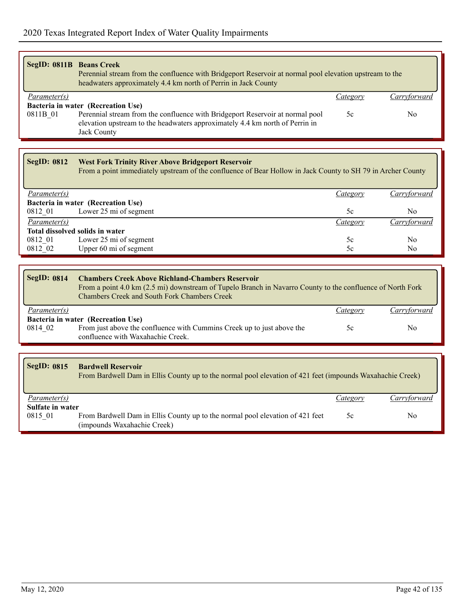| SegID: 0811B Beans Creek<br>Parameter(s)<br>0811B 01 | Perennial stream from the confluence with Bridgeport Reservoir at normal pool elevation upstream to the<br>headwaters approximately 4.4 km north of Perrin in Jack County<br>Bacteria in water (Recreation Use)<br>Perennial stream from the confluence with Bridgeport Reservoir at normal pool<br>elevation upstream to the headwaters approximately 4.4 km north of Perrin in | Category<br>5c | Carryforward<br>No |
|------------------------------------------------------|----------------------------------------------------------------------------------------------------------------------------------------------------------------------------------------------------------------------------------------------------------------------------------------------------------------------------------------------------------------------------------|----------------|--------------------|
|                                                      | Jack County                                                                                                                                                                                                                                                                                                                                                                      |                |                    |
|                                                      |                                                                                                                                                                                                                                                                                                                                                                                  |                |                    |
| <b>SegID: 0812</b>                                   | <b>West Fork Trinity River Above Bridgeport Reservoir</b><br>From a point immediately upstream of the confluence of Bear Hollow in Jack County to SH 79 in Archer County                                                                                                                                                                                                         |                |                    |
| Parameter(s)                                         |                                                                                                                                                                                                                                                                                                                                                                                  | Category       | Carryforward       |
| 0812_01                                              | Bacteria in water (Recreation Use)<br>Lower 25 mi of segment                                                                                                                                                                                                                                                                                                                     | 5c             | No                 |
| $\overline{Parameter(s)}$                            |                                                                                                                                                                                                                                                                                                                                                                                  | Category       | Carryforward       |
|                                                      | Total dissolved solids in water                                                                                                                                                                                                                                                                                                                                                  |                |                    |
| 0812_01                                              | Lower 25 mi of segment                                                                                                                                                                                                                                                                                                                                                           | 5c             | No                 |
| 0812_02                                              | Upper 60 mi of segment                                                                                                                                                                                                                                                                                                                                                           | 5c             | No                 |
|                                                      |                                                                                                                                                                                                                                                                                                                                                                                  |                |                    |
| <b>SegID: 0814</b>                                   | <b>Chambers Creek Above Richland-Chambers Reservoir</b><br>From a point 4.0 km (2.5 mi) downstream of Tupelo Branch in Navarro County to the confluence of North Fork<br><b>Chambers Creek and South Fork Chambers Creek</b>                                                                                                                                                     |                |                    |
| Parameter(s)                                         |                                                                                                                                                                                                                                                                                                                                                                                  | Category       | Carryforward       |
| 0814_02                                              | Bacteria in water (Recreation Use)<br>From just above the confluence with Cummins Creek up to just above the<br>confluence with Waxahachie Creek.                                                                                                                                                                                                                                | 5c             | No                 |
|                                                      |                                                                                                                                                                                                                                                                                                                                                                                  |                |                    |
| <b>SegID: 0815</b>                                   | <b>Bardwell Reservoir</b><br>From Bardwell Dam in Ellis County up to the normal pool elevation of 421 feet (impounds Waxahachie Creek)                                                                                                                                                                                                                                           |                |                    |
| Parameter(s)                                         |                                                                                                                                                                                                                                                                                                                                                                                  | Category       | Carryforward       |
| Sulfate in water<br>0815_01                          | From Bardwell Dam in Ellis County up to the normal pool elevation of 421 feet<br>(impounds Waxahachie Creek)                                                                                                                                                                                                                                                                     | 5c             | No                 |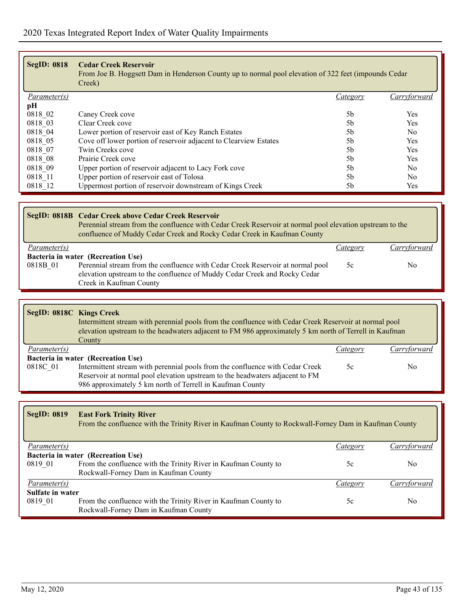| <b>SegID: 0818</b>  | <b>Cedar Creek Reservoir</b><br>From Joe B. Hoggsett Dam in Henderson County up to normal pool elevation of 322 feet (impounds Cedar<br>Creek) |          |                |
|---------------------|------------------------------------------------------------------------------------------------------------------------------------------------|----------|----------------|
| <i>Parameter(s)</i> |                                                                                                                                                | Category | Carryforward   |
| pН                  |                                                                                                                                                |          |                |
| 0818 02             | Caney Creek cove                                                                                                                               | 5b       | Yes            |
| 0818 03             | Clear Creek cove                                                                                                                               | 5b       | <b>Yes</b>     |
| 0818 04             | Lower portion of reservoir east of Key Ranch Estates                                                                                           | 5b       | N <sub>0</sub> |
| 0818 05             | Cove off lower portion of reservoir adjacent to Clearview Estates                                                                              | 5b       | <b>Yes</b>     |
| 0818 07             | Twin Creeks cove                                                                                                                               | 5b       | <b>Yes</b>     |
| 0818 08             | Prairie Creek cove                                                                                                                             | 5b       | <b>Yes</b>     |
| 0818 09             | Upper portion of reservoir adjacent to Lacy Fork cove                                                                                          | 5b       | N <sub>0</sub> |
| 0818 11             | Upper portion of reservoir east of Tolosa                                                                                                      | 5b       | N <sub>0</sub> |
| 0818 12             | Uppermost portion of reservoir downstream of Kings Creek                                                                                       | 5b       | Yes            |

|                     | SegID: 0818B Cedar Creek above Cedar Creek Reservoir<br>Perennial stream from the confluence with Cedar Creek Reservoir at normal pool elevation upstream to the<br>confluence of Muddy Cedar Creek and Rocky Cedar Creek in Kaufman County |          |              |
|---------------------|---------------------------------------------------------------------------------------------------------------------------------------------------------------------------------------------------------------------------------------------|----------|--------------|
| <i>Parameter(s)</i> |                                                                                                                                                                                                                                             | Category | Carryforward |
|                     | Bacteria in water (Recreation Use)                                                                                                                                                                                                          |          |              |
| 0818B 01            | Perennial stream from the confluence with Cedar Creek Reservoir at normal pool<br>elevation upstream to the confluence of Muddy Cedar Creek and Rocky Cedar<br>Creek in Kaufman County                                                      | 5c       | No.          |

| SegID: 0818C Kings Creek | Intermittent stream with perennial pools from the confluence with Cedar Creek Reservoir at normal pool<br>elevation upstream to the headwaters adjacent to FM 986 approximately 5 km north of Terrell in Kaufman<br>County |          |              |
|--------------------------|----------------------------------------------------------------------------------------------------------------------------------------------------------------------------------------------------------------------------|----------|--------------|
| <i>Parameter(s)</i>      |                                                                                                                                                                                                                            | Category | Carryforward |
|                          | Bacteria in water (Recreation Use)                                                                                                                                                                                         |          |              |
| 0818C 01                 | Intermittent stream with perennial pools from the confluence with Cedar Creek<br>Reservoir at normal pool elevation upstream to the headwaters adjacent to FM<br>986 approximately 5 km north of Terrell in Kaufman County | 5c       | No.          |

| <b>SegID: 0819</b>  | <b>East Fork Trinity River</b><br>From the confluence with the Trinity River in Kaufman County to Rockwall-Forney Dam in Kaufman County |          |              |  |
|---------------------|-----------------------------------------------------------------------------------------------------------------------------------------|----------|--------------|--|
| <i>Parameter(s)</i> |                                                                                                                                         | Category | Carryforward |  |
|                     | Bacteria in water (Recreation Use)                                                                                                      |          |              |  |
| 0819 01             | From the confluence with the Trinity River in Kaufman County to                                                                         | 5c       | No.          |  |
|                     | Rockwall-Forney Dam in Kaufman County                                                                                                   |          |              |  |
| Parameter(s)        |                                                                                                                                         | Category | Carryforward |  |
| Sulfate in water    |                                                                                                                                         |          |              |  |
| 0819 01             | From the confluence with the Trinity River in Kaufman County to                                                                         | 5c       | No           |  |
|                     | Rockwall-Forney Dam in Kaufman County                                                                                                   |          |              |  |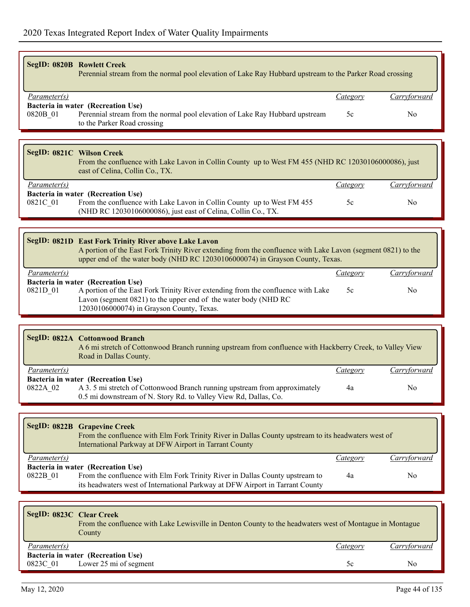|                     | <b>SegID: 0820B Rowlett Creek</b><br>Perennial stream from the normal pool elevation of Lake Ray Hubbard upstream to the Parker Road crossing                                                                                                          |                 |                |
|---------------------|--------------------------------------------------------------------------------------------------------------------------------------------------------------------------------------------------------------------------------------------------------|-----------------|----------------|
| Parameter(s)        |                                                                                                                                                                                                                                                        | <b>Category</b> | Carryforward   |
| 0820B 01            | Bacteria in water (Recreation Use)<br>Perennial stream from the normal pool elevation of Lake Ray Hubbard upstream<br>to the Parker Road crossing                                                                                                      | 5c              | N <sub>o</sub> |
|                     |                                                                                                                                                                                                                                                        |                 |                |
|                     | <b>SegID: 0821C Wilson Creek</b><br>From the confluence with Lake Lavon in Collin County up to West FM 455 (NHD RC 12030106000086), just<br>east of Celina, Collin Co., TX.                                                                            |                 |                |
| Parameter(s)        |                                                                                                                                                                                                                                                        | <i>Category</i> | Carryforward   |
| 0821C_01            | Bacteria in water (Recreation Use)<br>From the confluence with Lake Lavon in Collin County up to West FM 455<br>(NHD RC 12030106000086), just east of Celina, Collin Co., TX.                                                                          | 5c              | No             |
|                     |                                                                                                                                                                                                                                                        |                 |                |
|                     | SegID: 0821D East Fork Trinity River above Lake Lavon<br>A portion of the East Fork Trinity River extending from the confluence with Lake Lavon (segment 0821) to the<br>upper end of the water body (NHD RC 12030106000074) in Grayson County, Texas. |                 |                |
| Parameter(s)        |                                                                                                                                                                                                                                                        | <b>Category</b> | Carryforward   |
| 0821D <sub>01</sub> | Bacteria in water (Recreation Use)<br>A portion of the East Fork Trinity River extending from the confluence with Lake<br>Lavon (segment 0821) to the upper end of the water body (NHD RC<br>12030106000074) in Grayson County, Texas.                 | 5c              | N <sub>o</sub> |
|                     |                                                                                                                                                                                                                                                        |                 |                |
|                     | <b>SegID: 0822A Cottonwood Branch</b><br>A 6 mi stretch of Cottonwood Branch running upstream from confluence with Hackberry Creek, to Valley View<br>Road in Dallas County.                                                                           |                 |                |
| Parameter(s)        |                                                                                                                                                                                                                                                        | Category        | Carryforward   |
| 0822A 02            | Bacteria in water (Recreation Use)<br>A 3. 5 mi stretch of Cottonwood Branch running upstream from approximately<br>0.5 mi downstream of N. Story Rd. to Valley View Rd, Dallas, Co.                                                                   | 4a              | No.            |
|                     |                                                                                                                                                                                                                                                        |                 |                |
|                     | <b>SegID: 0822B Grapevine Creek</b><br>From the confluence with Elm Fork Trinity River in Dallas County upstream to its headwaters west of<br>International Parkway at DFW Airport in Tarrant County                                                   |                 |                |
| Parameter(s)        |                                                                                                                                                                                                                                                        | Category        | Carryforward   |
| 0822B_01            | Bacteria in water (Recreation Use)<br>From the confluence with Elm Fork Trinity River in Dallas County upstream to<br>its headwaters west of International Parkway at DFW Airport in Tarrant County                                                    | 4a              | No             |
|                     |                                                                                                                                                                                                                                                        |                 |                |
|                     |                                                                                                                                                                                                                                                        |                 |                |

| SegID: 0823C Clear Creek                                                                                 |          |              |
|----------------------------------------------------------------------------------------------------------|----------|--------------|
| From the confluence with Lake Lewisville in Denton County to the headwaters west of Montague in Montague |          |              |
| County                                                                                                   |          |              |
| <i>Parameter(s)</i>                                                                                      | Category | Carryforward |
| Bacteria in water (Recreation Use)                                                                       |          |              |
| 0823C 01 Lower 25 mi of segment                                                                          | $\infty$ | No           |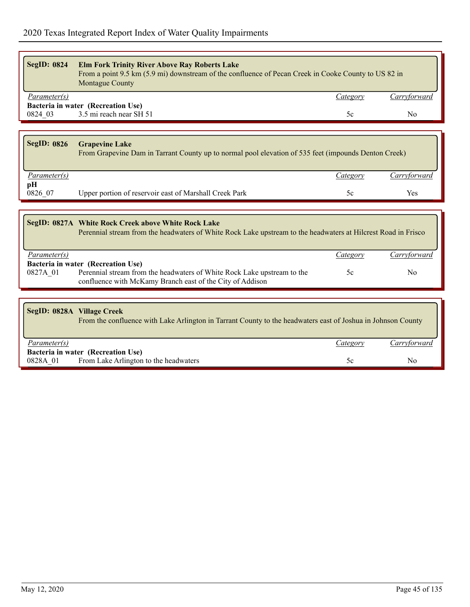| <b>SegID: 0824</b> | <b>Elm Fork Trinity River Above Ray Roberts Lake</b><br>From a point 9.5 km (5.9 mi) downstream of the confluence of Pecan Creek in Cooke County to US 82 in<br>Montague County |                 |                |
|--------------------|---------------------------------------------------------------------------------------------------------------------------------------------------------------------------------|-----------------|----------------|
| Parameter(s)       |                                                                                                                                                                                 | <i>Category</i> | Carryforward   |
|                    | Bacteria in water (Recreation Use)                                                                                                                                              |                 |                |
| 0824 03            | 3.5 mi reach near SH 51                                                                                                                                                         | 5c              | N <sub>0</sub> |
|                    |                                                                                                                                                                                 |                 |                |
| <b>SegID: 0826</b> | <b>Grapevine Lake</b><br>From Grapevine Dam in Tarrant County up to normal pool elevation of 535 feet (impounds Denton Creek)                                                   |                 |                |
| Parameter(s)       |                                                                                                                                                                                 | Category        | Carryforward   |
| pН<br>0826 07      | Upper portion of reservoir east of Marshall Creek Park                                                                                                                          | 5c              | Yes            |
|                    |                                                                                                                                                                                 |                 |                |
|                    | SegID: 0827A White Rock Creek above White Rock Lake<br>Perennial stream from the headwaters of White Rock Lake upstream to the headwaters at Hilcrest Road in Frisco            |                 |                |
| Parameter(s)       |                                                                                                                                                                                 | Category        | Carryforward   |
|                    | Bacteria in water (Recreation Use)                                                                                                                                              |                 |                |
| 0827A 01           | Perennial stream from the headwaters of White Rock Lake upstream to the<br>confluence with McKamy Branch east of the City of Addison                                            | 5c              | N <sub>0</sub> |
|                    |                                                                                                                                                                                 |                 |                |
|                    |                                                                                                                                                                                 |                 |                |
|                    | SegID: 0828A Village Creek<br>From the confluence with Lake Arlington in Tarrant County to the headwaters east of Joshua in Johnson County                                      |                 |                |
| Parameter(s)       |                                                                                                                                                                                 | Category        | Carryforward   |
| 0828A 01           | Bacteria in water (Recreation Use)<br>From Lake Arlington to the headwaters                                                                                                     | 5c              | N <sub>0</sub> |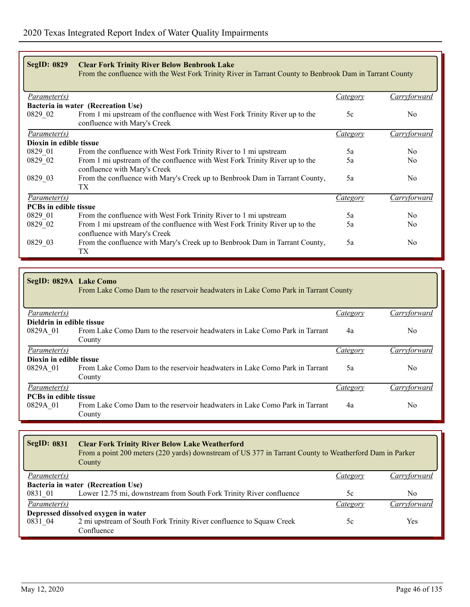| <b>SegID: 0829</b>           | <b>Clear Fork Trinity River Below Benbrook Lake</b><br>From the confluence with the West Fork Trinity River in Tarrant County to Benbrook Dam in Tarrant County |                 |                     |
|------------------------------|-----------------------------------------------------------------------------------------------------------------------------------------------------------------|-----------------|---------------------|
| Parameter(s)                 |                                                                                                                                                                 | <i>Category</i> | <u>Carryforward</u> |
|                              | Bacteria in water (Recreation Use)                                                                                                                              |                 |                     |
| 0829 02                      | From 1 mi upstream of the confluence with West Fork Trinity River up to the<br>confluence with Mary's Creek                                                     | 5c              | N <sub>0</sub>      |
| <i>Parameter(s)</i>          |                                                                                                                                                                 | <i>Category</i> | Carryforward        |
| Dioxin in edible tissue      |                                                                                                                                                                 |                 |                     |
| 0829 01                      | From the confluence with West Fork Trinity River to 1 mi upstream                                                                                               | 5a              | N <sub>0</sub>      |
| 0829 02                      | From 1 mi upstream of the confluence with West Fork Trinity River up to the<br>confluence with Mary's Creek                                                     | 5a              | No                  |
| 0829 03                      | From the confluence with Mary's Creek up to Benbrook Dam in Tarrant County,<br>TX.                                                                              | 5a              | N <sub>0</sub>      |
| Parameter(s)                 |                                                                                                                                                                 | <i>Category</i> | Carryforward        |
| <b>PCBs in edible tissue</b> |                                                                                                                                                                 |                 |                     |
| 0829 01                      | From the confluence with West Fork Trinity River to 1 mi upstream                                                                                               | 5a              | N <sub>0</sub>      |
| 0829 02                      | From 1 mi upstream of the confluence with West Fork Trinity River up to the<br>confluence with Mary's Creek                                                     | 5a              | No                  |
| 0829 03                      | From the confluence with Mary's Creek up to Benbrook Dam in Tarrant County,<br>TX                                                                               | 5a              | No                  |

| SegID: 0829A Lake Como                | From Lake Como Dam to the reservoir headwaters in Lake Como Park in Tarrant County    |          |              |
|---------------------------------------|---------------------------------------------------------------------------------------|----------|--------------|
| <i>Parameter(s)</i>                   |                                                                                       | Category | Carryforward |
| Dieldrin in edible tissue<br>0829A 01 | From Lake Como Dam to the reservoir headwaters in Lake Como Park in Tarrant           | 4a       | No.          |
|                                       | County                                                                                |          |              |
| <i>Parameter(s)</i>                   |                                                                                       | Category | Carryforward |
| Dioxin in edible tissue               |                                                                                       |          |              |
| 0829A 01                              | From Lake Como Dam to the reservoir headwaters in Lake Como Park in Tarrant           | 5a       | No           |
|                                       | County                                                                                |          |              |
| Parameter(s)                          |                                                                                       | Category | Carryforwara |
| <b>PCBs in edible tissue</b>          |                                                                                       |          |              |
| 0829A 01                              | From Lake Como Dam to the reservoir headwaters in Lake Como Park in Tarrant<br>County | 4a       | No           |

| <b>SegID: 0831</b>                  | <b>Clear Fork Trinity River Below Lake Weatherford</b><br>From a point 200 meters (220 yards) downstream of US 377 in Tarrant County to Weatherford Dam in Parker<br>County |          |              |  |
|-------------------------------------|-----------------------------------------------------------------------------------------------------------------------------------------------------------------------------|----------|--------------|--|
| <i>Parameter(s)</i>                 |                                                                                                                                                                             | Category | Carryforward |  |
|                                     | Bacteria in water (Recreation Use)                                                                                                                                          |          |              |  |
| 0831 01                             | Lower 12.75 mi, downstream from South Fork Trinity River confluence                                                                                                         | 5c       | No           |  |
| <i>Parameter(s)</i>                 |                                                                                                                                                                             | Category | Carryforward |  |
| Depressed dissolved oxygen in water |                                                                                                                                                                             |          |              |  |
| 0831 04                             | 2 mi upstream of South Fork Trinity River confluence to Squaw Creek                                                                                                         | 5c       | Yes          |  |
|                                     | Confluence                                                                                                                                                                  |          |              |  |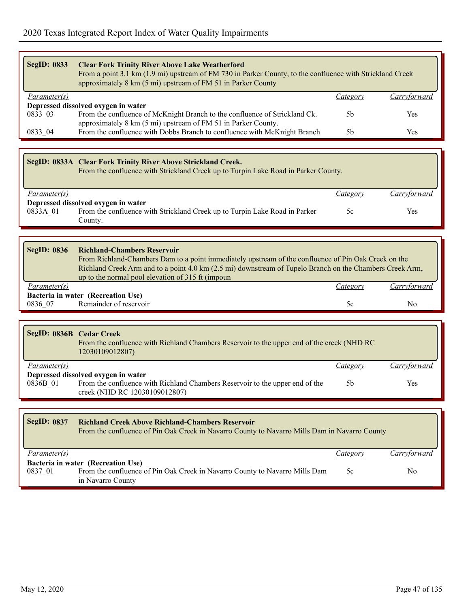| <b>SegID: 0833</b>       | <b>Clear Fork Trinity River Above Lake Weatherford</b><br>From a point 3.1 km (1.9 mi) upstream of FM 730 in Parker County, to the confluence with Strickland Creek<br>approximately 8 km (5 mi) upstream of FM 51 in Parker County                                                                         |                 |              |  |
|--------------------------|-------------------------------------------------------------------------------------------------------------------------------------------------------------------------------------------------------------------------------------------------------------------------------------------------------------|-----------------|--------------|--|
| Parameter(s)             |                                                                                                                                                                                                                                                                                                             | <b>Category</b> | Carryforward |  |
| 0833 03                  | Depressed dissolved oxygen in water<br>From the confluence of McKnight Branch to the confluence of Strickland Ck.<br>approximately 8 km (5 mi) upstream of FM 51 in Parker County.                                                                                                                          | 5b              | Yes          |  |
| 0833_04                  | From the confluence with Dobbs Branch to confluence with McKnight Branch                                                                                                                                                                                                                                    | 5b              | Yes          |  |
|                          |                                                                                                                                                                                                                                                                                                             |                 |              |  |
|                          | SegID: 0833A Clear Fork Trinity River Above Strickland Creek.<br>From the confluence with Strickland Creek up to Turpin Lake Road in Parker County.                                                                                                                                                         |                 |              |  |
| Parameter(s)             |                                                                                                                                                                                                                                                                                                             | <i>Category</i> | Carryforward |  |
| 0833A 01                 | Depressed dissolved oxygen in water<br>From the confluence with Strickland Creek up to Turpin Lake Road in Parker<br>County.                                                                                                                                                                                | 5c              | Yes          |  |
|                          |                                                                                                                                                                                                                                                                                                             |                 |              |  |
| <b>SegID: 0836</b>       | <b>Richland-Chambers Reservoir</b><br>From Richland-Chambers Dam to a point immediately upstream of the confluence of Pin Oak Creek on the<br>Richland Creek Arm and to a point 4.0 km (2.5 mi) downstream of Tupelo Branch on the Chambers Creek Arm,<br>up to the normal pool elevation of 315 ft (impoun |                 |              |  |
| Parameter(s)             |                                                                                                                                                                                                                                                                                                             | Category        | Carryforward |  |
| 0836 07                  | Bacteria in water (Recreation Use)<br>Remainder of reservoir                                                                                                                                                                                                                                                | 5c              | No           |  |
|                          |                                                                                                                                                                                                                                                                                                             |                 |              |  |
| SegID: 0836B Cedar Creek | From the confluence with Richland Chambers Reservoir to the upper end of the creek (NHD RC)<br>12030109012807)                                                                                                                                                                                              |                 |              |  |
| Parameter(s)             |                                                                                                                                                                                                                                                                                                             | Category        | Carryforward |  |
| 0836B 01                 | Depressed dissolved oxygen in water<br>From the confluence with Richland Chambers Reservoir to the upper end of the                                                                                                                                                                                         | 5b              | Yes          |  |

| <b>SegID: 0837</b>  | <b>Richland Creek Above Richland-Chambers Reservoir</b><br>From the confluence of Pin Oak Creek in Navarro County to Navarro Mills Dam in Navarro County |          |              |  |
|---------------------|----------------------------------------------------------------------------------------------------------------------------------------------------------|----------|--------------|--|
| <i>Parameter(s)</i> |                                                                                                                                                          | Category | Carryforward |  |
|                     | Bacteria in water (Recreation Use)                                                                                                                       |          |              |  |
| 0837 01             | From the confluence of Pin Oak Creek in Navarro County to Navarro Mills Dam                                                                              | 5c       | No           |  |
|                     | in Navarro County                                                                                                                                        |          |              |  |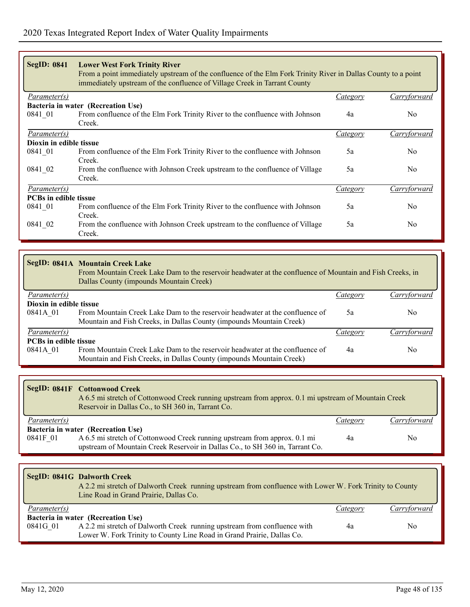| <b>SegID: 0841</b>           | <b>Lower West Fork Trinity River</b><br>From a point immediately upstream of the confluence of the Elm Fork Trinity River in Dallas County to a point<br>immediately upstream of the confluence of Village Creek in Tarrant County |                 |                     |  |
|------------------------------|------------------------------------------------------------------------------------------------------------------------------------------------------------------------------------------------------------------------------------|-----------------|---------------------|--|
| Parameter(s)                 |                                                                                                                                                                                                                                    | Category        | <u>Carryforward</u> |  |
|                              |                                                                                                                                                                                                                                    |                 |                     |  |
| 0841 01                      | Bacteria in water (Recreation Use)<br>From confluence of the Elm Fork Trinity River to the confluence with Johnson<br>Creek.                                                                                                       | 4a              | No.                 |  |
| Parameter(s)                 |                                                                                                                                                                                                                                    | Category        | Carryforward        |  |
| Dioxin in edible tissue      |                                                                                                                                                                                                                                    |                 |                     |  |
| 0841 01                      | From confluence of the Elm Fork Trinity River to the confluence with Johnson<br>Creek.                                                                                                                                             | 5a              | No.                 |  |
| 0841 02                      | From the confluence with Johnson Creek upstream to the confluence of Village<br>Creek.                                                                                                                                             | 5a              | No.                 |  |
| Parameter(s)                 |                                                                                                                                                                                                                                    | <i>Category</i> | Carryforward        |  |
| <b>PCBs in edible tissue</b> |                                                                                                                                                                                                                                    |                 |                     |  |
| 0841 01                      | From confluence of the Elm Fork Trinity River to the confluence with Johnson<br>Creek.                                                                                                                                             | 5a              | No.                 |  |
| 0841 02                      | From the confluence with Johnson Creek upstream to the confluence of Village<br>Creek.                                                                                                                                             | 5a              | No.                 |  |

|                              | SegID: 0841A Mountain Creek Lake<br>From Mountain Creek Lake Dam to the reservoir headwater at the confluence of Mountain and Fish Creeks, in<br>Dallas County (impounds Mountain Creek) |          |              |  |
|------------------------------|------------------------------------------------------------------------------------------------------------------------------------------------------------------------------------------|----------|--------------|--|
| <i>Parameter(s)</i>          |                                                                                                                                                                                          | Category | Carryforward |  |
| Dioxin in edible tissue      |                                                                                                                                                                                          |          |              |  |
| 0841A 01                     | From Mountain Creek Lake Dam to the reservoir headwater at the confluence of<br>Mountain and Fish Creeks, in Dallas County (impounds Mountain Creek)                                     | 5a       | No           |  |
| <i>Parameter(s)</i>          |                                                                                                                                                                                          | Category | Carrytorward |  |
| <b>PCBs in edible tissue</b> |                                                                                                                                                                                          |          |              |  |
| 0841A 01                     | From Mountain Creek Lake Dam to the reservoir headwater at the confluence of<br>Mountain and Fish Creeks, in Dallas County (impounds Mountain Creek)                                     | 4a       | No           |  |

|                     | SegID: 0841F Cottonwood Creek<br>A 6.5 mi stretch of Cottonwood Creek running upstream from approx. 0.1 mi upstream of Mountain Creek<br>Reservoir in Dallas Co., to SH 360 in, Tarrant Co. |          |              |
|---------------------|---------------------------------------------------------------------------------------------------------------------------------------------------------------------------------------------|----------|--------------|
| <i>Parameter(s)</i> |                                                                                                                                                                                             | Category | Carryforward |
|                     | Bacteria in water (Recreation Use)                                                                                                                                                          |          |              |
| 0841F 01            | A 6.5 mi stretch of Cottonwood Creek running upstream from approx. 0.1 mi<br>upstream of Mountain Creek Reservoir in Dallas Co., to SH 360 in, Tarrant Co.                                  | 4a       | No.          |

|                     | SegID: 0841G Dalworth Creek<br>A 2.2 mi stretch of Dalworth Creek running upstream from confluence with Lower W. Fork Trinity to County<br>Line Road in Grand Prairie, Dallas Co. |          |                |  |  |
|---------------------|-----------------------------------------------------------------------------------------------------------------------------------------------------------------------------------|----------|----------------|--|--|
| <i>Parameter(s)</i> |                                                                                                                                                                                   | Category | Carryforward   |  |  |
|                     | Bacteria in water (Recreation Use)                                                                                                                                                |          |                |  |  |
| 0841G 01            | A 2.2 mi stretch of Dalworth Creek running upstream from confluence with<br>Lower W. Fork Trinity to County Line Road in Grand Prairie, Dallas Co.                                | 4a       | N <sub>0</sub> |  |  |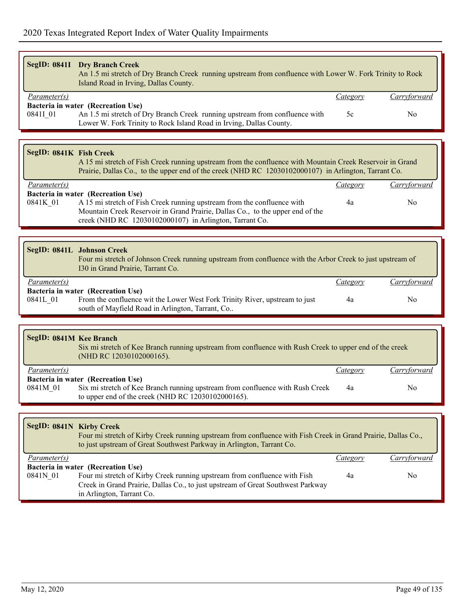|                          | <b>SegID: 0841I Dry Branch Creek</b><br>An 1.5 mi stretch of Dry Branch Creek running upstream from confluence with Lower W. Fork Trinity to Rock<br>Island Road in Irving, Dallas County.                                                                 |                 |                |
|--------------------------|------------------------------------------------------------------------------------------------------------------------------------------------------------------------------------------------------------------------------------------------------------|-----------------|----------------|
| Parameter(s)             |                                                                                                                                                                                                                                                            | <b>Category</b> | Carryforward   |
| 08411_01                 | Bacteria in water (Recreation Use)<br>An 1.5 mi stretch of Dry Branch Creek running upstream from confluence with<br>Lower W. Fork Trinity to Rock Island Road in Irving, Dallas County.                                                                   | 5c              | No             |
|                          |                                                                                                                                                                                                                                                            |                 |                |
| SegID: 0841K Fish Creek  | A 15 mi stretch of Fish Creek running upstream from the confluence with Mountain Creek Reservoir in Grand<br>Prairie, Dallas Co., to the upper end of the creek (NHD RC 12030102000107) in Arlington, Tarrant Co.                                          |                 |                |
| Parameter(s)             |                                                                                                                                                                                                                                                            | <b>Category</b> | Carryforward   |
| 0841K_01                 | Bacteria in water (Recreation Use)<br>A 15 mi stretch of Fish Creek running upstream from the confluence with<br>Mountain Creek Reservoir in Grand Prairie, Dallas Co., to the upper end of the<br>creek (NHD RC 12030102000107) in Arlington, Tarrant Co. | 4a              | N <sub>0</sub> |
|                          |                                                                                                                                                                                                                                                            |                 |                |
|                          | SegID: 0841L Johnson Creek<br>Four mi stretch of Johnson Creek running upstream from confluence with the Arbor Creek to just upstream of<br>130 in Grand Prairie, Tarrant Co.                                                                              |                 |                |
| Parameter(s)             |                                                                                                                                                                                                                                                            | <b>Category</b> | Carryforward   |
| 0841L_01                 | Bacteria in water (Recreation Use)<br>From the confluence wit the Lower West Fork Trinity River, upstream to just<br>south of Mayfield Road in Arlington, Tarrant, Co                                                                                      | 4a              | N <sub>0</sub> |
|                          |                                                                                                                                                                                                                                                            |                 |                |
| SegID: 0841M Kee Branch  | Six mi stretch of Kee Branch running upstream from confluence with Rush Creek to upper end of the creek<br>(NHD RC 12030102000165).                                                                                                                        |                 |                |
| Parameter(s)             |                                                                                                                                                                                                                                                            | Category        | Carryforward   |
| 0841M 01                 | Bacteria in water (Recreation Use)<br>Six mi stretch of Kee Branch running upstream from confluence with Rush Creek<br>to upper end of the creek (NHD RC 12030102000165).                                                                                  | 4a              | N <sub>0</sub> |
|                          |                                                                                                                                                                                                                                                            |                 |                |
| SegID: 0841N Kirby Creek | Four mi stretch of Kirby Creek running upstream from confluence with Fish Creek in Grand Prairie, Dallas Co.,<br>to just upstream of Great Southwest Parkway in Arlington, Tarrant Co.                                                                     |                 |                |
| Parameter(s)             |                                                                                                                                                                                                                                                            | <i>Category</i> | Carryforward   |
| 0841N 01                 | Bacteria in water (Recreation Use)<br>Four mi stretch of Kirby Creek running upstream from confluence with Fish<br>Creek in Grand Prairie, Dallas Co., to just upstream of Great Southwest Parkway<br>in Arlington, Tarrant Co.                            | 4a              | No             |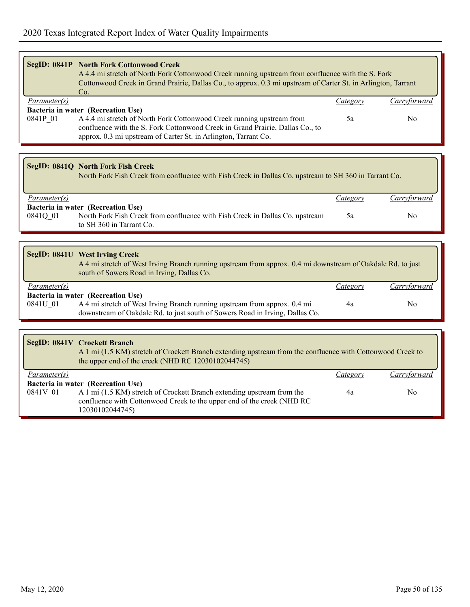| <b>SegID: 0841P North Fork Cottonwood Creek</b><br>A 4.4 mi stretch of North Fork Cottonwood Creek running upstream from confluence with the S. Fork<br>Cottonwood Creek in Grand Prairie, Dallas Co., to approx. 0.3 mi upstream of Carter St. in Arlington, Tarrant<br>Co. |                                                                                                                                                                                                                           |                 |                |  |
|------------------------------------------------------------------------------------------------------------------------------------------------------------------------------------------------------------------------------------------------------------------------------|---------------------------------------------------------------------------------------------------------------------------------------------------------------------------------------------------------------------------|-----------------|----------------|--|
| Parameter(s)                                                                                                                                                                                                                                                                 | Bacteria in water (Recreation Use)                                                                                                                                                                                        | <i>Category</i> | Carryforward   |  |
| 0841P 01                                                                                                                                                                                                                                                                     | A 4.4 mi stretch of North Fork Cottonwood Creek running upstream from<br>confluence with the S. Fork Cottonwood Creek in Grand Prairie, Dallas Co., to<br>approx. 0.3 mi upstream of Carter St. in Arlington, Tarrant Co. | 5a              | N <sub>0</sub> |  |
|                                                                                                                                                                                                                                                                              |                                                                                                                                                                                                                           |                 |                |  |
|                                                                                                                                                                                                                                                                              | SegID: 0841Q North Fork Fish Creek<br>North Fork Fish Creek from confluence with Fish Creek in Dallas Co. upstream to SH 360 in Tarrant Co.                                                                               |                 |                |  |
| Parameter(s)                                                                                                                                                                                                                                                                 |                                                                                                                                                                                                                           | Category        | Carryforward   |  |
|                                                                                                                                                                                                                                                                              | Bacteria in water (Recreation Use)                                                                                                                                                                                        |                 |                |  |
| 0841Q 01                                                                                                                                                                                                                                                                     | North Fork Fish Creek from confluence with Fish Creek in Dallas Co. upstream<br>to SH 360 in Tarrant Co.                                                                                                                  | 5a              | N <sub>0</sub> |  |
|                                                                                                                                                                                                                                                                              |                                                                                                                                                                                                                           |                 |                |  |
|                                                                                                                                                                                                                                                                              | <b>SegID: 0841U West Irving Creek</b><br>A 4 mi stretch of West Irving Branch running upstream from approx. 0.4 mi downstream of Oakdale Rd. to just<br>south of Sowers Road in Irving, Dallas Co.                        |                 |                |  |
| Parameter(s)                                                                                                                                                                                                                                                                 |                                                                                                                                                                                                                           | Category        | Carryforward   |  |
| 0841U_01                                                                                                                                                                                                                                                                     | Bacteria in water (Recreation Use)<br>A 4 mi stretch of West Irving Branch running upstream from approx. 0.4 mi<br>downstream of Oakdale Rd. to just south of Sowers Road in Irving, Dallas Co.                           | 4a              | N <sub>0</sub> |  |
|                                                                                                                                                                                                                                                                              |                                                                                                                                                                                                                           |                 |                |  |
|                                                                                                                                                                                                                                                                              | SegID: 0841V Crockett Branch<br>A 1 mi (1.5 KM) stretch of Crockett Branch extending upstream from the confluence with Cottonwood Creek to<br>the upper end of the creek (NHD RC 12030102044745)                          |                 |                |  |
| Parameter(s)                                                                                                                                                                                                                                                                 |                                                                                                                                                                                                                           | Category        | Carryforward   |  |
| 0841V_01                                                                                                                                                                                                                                                                     | Bacteria in water (Recreation Use)<br>A 1 mi (1.5 KM) stretch of Crockett Branch extending upstream from the<br>confluence with Cottonwood Creek to the upper end of the creek (NHD RC<br>12030102044745)                 | 4a              | N <sub>0</sub> |  |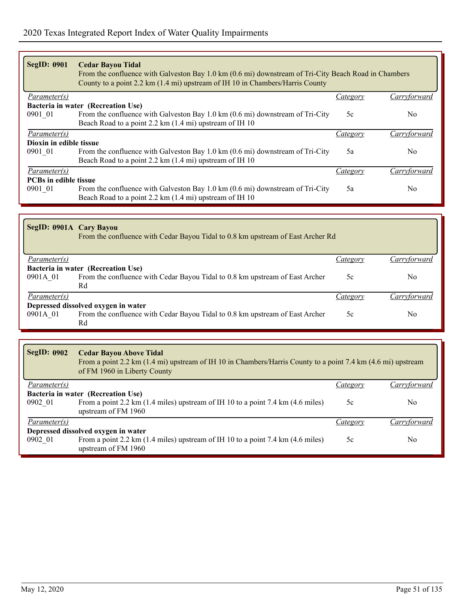| <b>SegID: 0901</b>           | <b>Cedar Bayou Tidal</b><br>From the confluence with Galveston Bay 1.0 km (0.6 mi) downstream of Tri-City Beach Road in Chambers<br>County to a point 2.2 km (1.4 mi) upstream of IH 10 in Chambers/Harris County |          |                |
|------------------------------|-------------------------------------------------------------------------------------------------------------------------------------------------------------------------------------------------------------------|----------|----------------|
| <i>Parameter(s)</i>          |                                                                                                                                                                                                                   | Category | Carryforward   |
|                              | Bacteria in water (Recreation Use)                                                                                                                                                                                |          |                |
| 0901 01                      | From the confluence with Galveston Bay 1.0 km (0.6 mi) downstream of Tri-City                                                                                                                                     | 5c       | No.            |
|                              | Beach Road to a point 2.2 km (1.4 mi) upstream of IH 10                                                                                                                                                           |          |                |
| Parameter(s)                 |                                                                                                                                                                                                                   | Category | Carryforward   |
| Dioxin in edible tissue      |                                                                                                                                                                                                                   |          |                |
| 0901 01                      | From the confluence with Galveston Bay 1.0 km (0.6 mi) downstream of Tri-City                                                                                                                                     | 5a       | N <sub>0</sub> |
|                              | Beach Road to a point 2.2 km (1.4 mi) upstream of IH 10                                                                                                                                                           |          |                |
| Parameter(s)                 |                                                                                                                                                                                                                   | Category | Carryforward   |
| <b>PCBs in edible tissue</b> |                                                                                                                                                                                                                   |          |                |
| 0901 01                      | From the confluence with Galveston Bay 1.0 km (0.6 mi) downstream of Tri-City                                                                                                                                     | 5a       | N <sub>0</sub> |
|                              | Beach Road to a point 2.2 km (1.4 mi) upstream of IH 10                                                                                                                                                           |          |                |

| SegID: 0901A Cary Bayou<br>From the confluence with Cedar Bayou Tidal to 0.8 km upstream of East Archer Rd |                                                                              |          |                |  |
|------------------------------------------------------------------------------------------------------------|------------------------------------------------------------------------------|----------|----------------|--|
| <i>Parameter(s)</i>                                                                                        |                                                                              | Category | Carryforward   |  |
|                                                                                                            | Bacteria in water (Recreation Use)                                           |          |                |  |
| 0901A 01                                                                                                   | From the confluence with Cedar Bayou Tidal to 0.8 km upstream of East Archer | 5c       | N <sub>0</sub> |  |
|                                                                                                            | Rd                                                                           |          |                |  |
| Parameter(s)                                                                                               |                                                                              | Category | Carryforward   |  |
| Depressed dissolved oxygen in water                                                                        |                                                                              |          |                |  |
| 0901A 01                                                                                                   | From the confluence with Cedar Bayou Tidal to 0.8 km upstream of East Archer | 5c       | No             |  |
|                                                                                                            | Rd                                                                           |          |                |  |

| <b>SegID: 0902</b>                  | <b>Cedar Bayou Above Tidal</b><br>From a point 2.2 km (1.4 mi) upstream of IH 10 in Chambers/Harris County to a point 7.4 km (4.6 mi) upstream<br>of FM 1960 in Liberty County |          |                |  |
|-------------------------------------|--------------------------------------------------------------------------------------------------------------------------------------------------------------------------------|----------|----------------|--|
| Parameter(s)                        |                                                                                                                                                                                | Category | Carryforward   |  |
|                                     | Bacteria in water (Recreation Use)                                                                                                                                             |          |                |  |
| 0902 01                             | From a point 2.2 km (1.4 miles) upstream of IH 10 to a point 7.4 km (4.6 miles)<br>upstream of FM 1960                                                                         | 5c       | N <sub>0</sub> |  |
| <i>Parameter(s)</i>                 |                                                                                                                                                                                | Category | Carrytorward   |  |
| Depressed dissolved oxygen in water |                                                                                                                                                                                |          |                |  |
| 0902 01                             | From a point 2.2 km (1.4 miles) upstream of IH 10 to a point 7.4 km (4.6 miles)<br>upstream of FM 1960                                                                         | 5c       | No.            |  |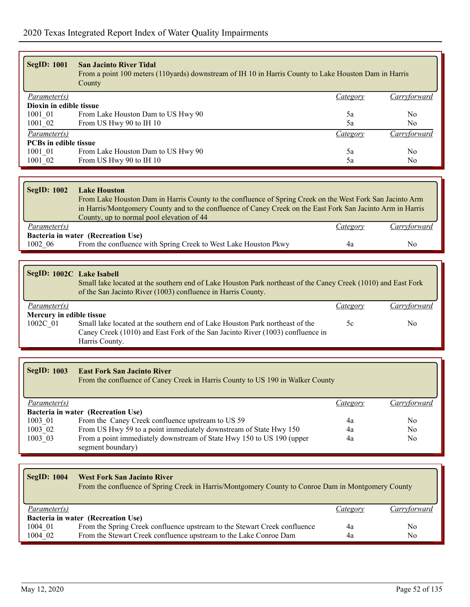| <b>SegID: 1001</b>           | <b>San Jacinto River Tidal</b><br>From a point 100 meters (110yards) downstream of IH 10 in Harris County to Lake Houston Dam in Harris<br>County |          |              |  |
|------------------------------|---------------------------------------------------------------------------------------------------------------------------------------------------|----------|--------------|--|
| Parameter(s)                 |                                                                                                                                                   | Category | Carryforward |  |
| Dioxin in edible tissue      |                                                                                                                                                   |          |              |  |
| 1001 01                      | From Lake Houston Dam to US Hwy 90                                                                                                                | 5a       | No           |  |
| 1001 02                      | From US Hwy 90 to IH 10                                                                                                                           | 5a       | No.          |  |
| Parameter(s)                 |                                                                                                                                                   | Category | Carryforward |  |
| <b>PCBs in edible tissue</b> |                                                                                                                                                   |          |              |  |
| 1001 01                      | From Lake Houston Dam to US Hwy 90                                                                                                                | 5a       | No.          |  |
| 1001 02                      | From US Hwy 90 to IH 10                                                                                                                           | 5a       | No           |  |
|                              |                                                                                                                                                   |          |              |  |
|                              |                                                                                                                                                   |          |              |  |

| $\beta$ SegID: 1002                | <b>Lake Houston</b>                                                                                         |          |              |  |  |
|------------------------------------|-------------------------------------------------------------------------------------------------------------|----------|--------------|--|--|
|                                    | From Lake Houston Dam in Harris County to the confluence of Spring Creek on the West Fork San Jacinto Arm   |          |              |  |  |
|                                    | in Harris/Montgomery County and to the confluence of Caney Creek on the East Fork San Jacinto Arm in Harris |          |              |  |  |
|                                    | County, up to normal pool elevation of 44                                                                   |          |              |  |  |
| Parameter(s)                       |                                                                                                             | Category | Carryforward |  |  |
| Bacteria in water (Recreation Use) |                                                                                                             |          |              |  |  |
| 1002 06                            | From the confluence with Spring Creek to West Lake Houston Pkwy                                             | 4a       | No           |  |  |

| SegID: 1002C Lake Isabell | Small lake located at the southern end of Lake Houston Park northeast of the Caney Creek (1010) and East Fork<br>of the San Jacinto River (1003) confluence in Harris County. |          |              |
|---------------------------|-------------------------------------------------------------------------------------------------------------------------------------------------------------------------------|----------|--------------|
| <i>Parameter(s)</i>       |                                                                                                                                                                               | Category | Carryforward |
| Mercury in edible tissue  |                                                                                                                                                                               |          |              |
| 1002C 01                  | Small lake located at the southern end of Lake Houston Park northeast of the                                                                                                  | 5c       | No.          |
|                           | Caney Creek (1010) and East Fork of the San Jacinto River (1003) confluence in                                                                                                |          |              |
|                           | Harris County.                                                                                                                                                                |          |              |

| <b>SegID: 1003</b>  | <b>East Fork San Jacinto River</b><br>From the confluence of Caney Creek in Harris County to US 190 in Walker County |          |              |
|---------------------|----------------------------------------------------------------------------------------------------------------------|----------|--------------|
| <i>Parameter(s)</i> |                                                                                                                      | Category | Carryforward |
|                     | Bacteria in water (Recreation Use)                                                                                   |          |              |
| 1003 01             | From the Caney Creek confluence upstream to US 59                                                                    | 4a       | No           |
| 1003 02             | From US Hwy 59 to a point immediately downstream of State Hwy 150                                                    | 4a       | No.          |
| 1003 03             | From a point immediately downstream of State Hwy 150 to US 190 (upper<br>segment boundary)                           | 4a       | No.          |

| <b>SegID: 1004</b><br><b>West Fork San Jacinto River</b><br>From the confluence of Spring Creek in Harris/Montgomery County to Conroe Dam in Montgomery County |                                                                           |          |              |  |
|----------------------------------------------------------------------------------------------------------------------------------------------------------------|---------------------------------------------------------------------------|----------|--------------|--|
| <i>Parameter(s)</i>                                                                                                                                            |                                                                           | Category | Carryforward |  |
|                                                                                                                                                                | Bacteria in water (Recreation Use)                                        |          |              |  |
| 1004 01                                                                                                                                                        | From the Spring Creek confluence upstream to the Stewart Creek confluence | 4a       | No           |  |
| 1004 02                                                                                                                                                        | From the Stewart Creek confluence upstream to the Lake Conroe Dam         | 4a       | No.          |  |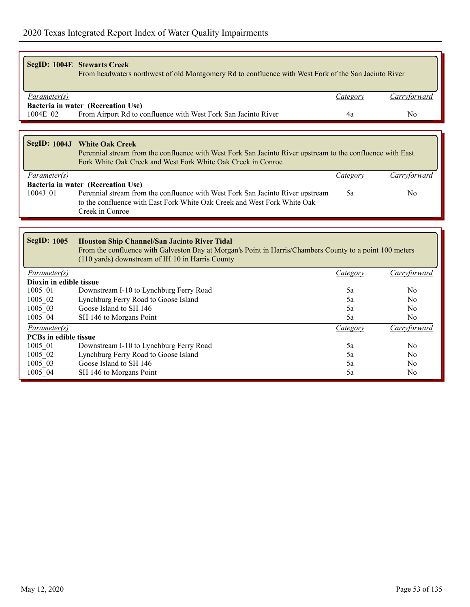| <b>SegID: 1004E Stewarts Creek</b><br>From headwaters northwest of old Montgomery Rd to confluence with West Fork of the San Jacinto River |                                                                                                                                                                                                              |                 |                |  |
|--------------------------------------------------------------------------------------------------------------------------------------------|--------------------------------------------------------------------------------------------------------------------------------------------------------------------------------------------------------------|-----------------|----------------|--|
| Parameter(s)                                                                                                                               |                                                                                                                                                                                                              | <i>Category</i> | Carryforward   |  |
|                                                                                                                                            | Bacteria in water (Recreation Use)                                                                                                                                                                           |                 |                |  |
| 1004E 02                                                                                                                                   | From Airport Rd to confluence with West Fork San Jacinto River                                                                                                                                               | 4a              | N <sub>o</sub> |  |
|                                                                                                                                            |                                                                                                                                                                                                              |                 |                |  |
|                                                                                                                                            |                                                                                                                                                                                                              |                 |                |  |
|                                                                                                                                            | SegID: 1004J White Oak Creek<br>Perennial stream from the confluence with West Fork San Jacinto River upstream to the confluence with East<br>Fork White Oak Creek and West Fork White Oak Creek in Conroe   |                 |                |  |
| Parameter(s)                                                                                                                               |                                                                                                                                                                                                              | Category        | Carryforward   |  |
|                                                                                                                                            | Bacteria in water (Recreation Use)                                                                                                                                                                           |                 |                |  |
| 1004J 01                                                                                                                                   | Perennial stream from the confluence with West Fork San Jacinto River upstream<br>to the confluence with East Fork White Oak Creek and West Fork White Oak<br>Creek in Conroe                                | 5a              | N <sub>0</sub> |  |
|                                                                                                                                            |                                                                                                                                                                                                              |                 |                |  |
| <b>SegID: 1005</b>                                                                                                                         | Houston Ship Channel/San Jacinto River Tidal<br>From the confluence with Galveston Bay at Morgan's Point in Harris/Chambers County to a point 100 meters<br>(110 yards) downstream of IH 10 in Harris County |                 |                |  |
| Parameter(s)                                                                                                                               |                                                                                                                                                                                                              | Category        | Carryforward   |  |
| Dioxin in edible tissue                                                                                                                    |                                                                                                                                                                                                              |                 |                |  |
| 1005 01                                                                                                                                    | Downstream I-10 to Lynchburg Ferry Road                                                                                                                                                                      | 5a              | N <sub>0</sub> |  |
| 1005 02                                                                                                                                    | Lynchburg Ferry Road to Goose Island                                                                                                                                                                         | 5a              | N <sub>o</sub> |  |
| 1005 03                                                                                                                                    | Goose Island to SH 146                                                                                                                                                                                       | 5a              | N <sub>o</sub> |  |
| 1005_04                                                                                                                                    | SH 146 to Morgans Point                                                                                                                                                                                      | 5a              | No             |  |
| $\overline{Parameter(s)}$                                                                                                                  |                                                                                                                                                                                                              | Category        | Carryforward   |  |
| <b>PCBs in edible tissue</b>                                                                                                               |                                                                                                                                                                                                              |                 |                |  |
|                                                                                                                                            |                                                                                                                                                                                                              |                 |                |  |
| 1005 01                                                                                                                                    | Downstream I-10 to Lynchburg Ferry Road                                                                                                                                                                      | 5a              | N <sub>0</sub> |  |

1005 Goose Island to SH 146 5a No SH 146 to Morgans Point 5a No

1005\_02 Lynchburg Ferry Road to Goose Island 5a No<br>
1005\_03 Goose Island to SH 146<br>
1005\_04 SH 146 to Morgans Point 5a No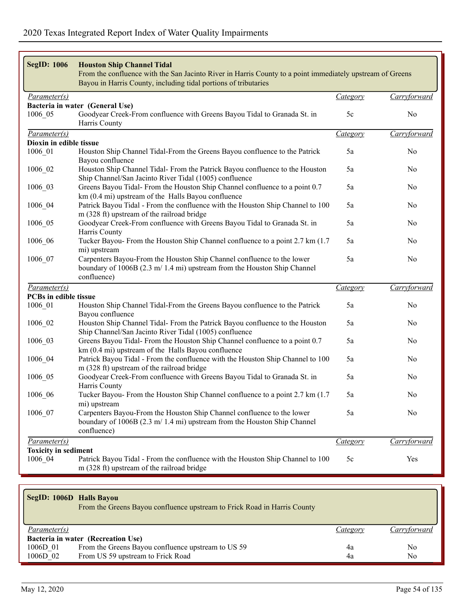| <b>SegID: 1006</b>                     | <b>Houston Ship Channel Tidal</b><br>From the confluence with the San Jacinto River in Harris County to a point immediately upstream of Greens<br>Bayou in Harris County, including tidal portions of tributaries |          |                     |
|----------------------------------------|-------------------------------------------------------------------------------------------------------------------------------------------------------------------------------------------------------------------|----------|---------------------|
| Parameter(s)                           |                                                                                                                                                                                                                   | Category | <b>Carryforward</b> |
| 1006 05                                | Bacteria in water (General Use)<br>Goodyear Creek-From confluence with Greens Bayou Tidal to Granada St. in<br>Harris County                                                                                      | 5c       | No                  |
| $\overline{Parameter(s)}$              |                                                                                                                                                                                                                   | Category | Carryforward        |
| Dioxin in edible tissue                |                                                                                                                                                                                                                   |          |                     |
| 1006_01                                | Houston Ship Channel Tidal-From the Greens Bayou confluence to the Patrick<br>Bayou confluence                                                                                                                    | 5a       | No                  |
| 1006_02                                | Houston Ship Channel Tidal- From the Patrick Bayou confluence to the Houston<br>Ship Channel/San Jacinto River Tidal (1005) confluence                                                                            | 5a       | No                  |
| 1006_03                                | Greens Bayou Tidal- From the Houston Ship Channel confluence to a point 0.7<br>km (0.4 mi) upstream of the Halls Bayou confluence                                                                                 | 5a       | No                  |
| 1006_04                                | Patrick Bayou Tidal - From the confluence with the Houston Ship Channel to 100<br>m (328 ft) upstream of the railroad bridge                                                                                      | 5a       | No                  |
| 1006_05                                | Goodyear Creek-From confluence with Greens Bayou Tidal to Granada St. in<br>Harris County                                                                                                                         | 5a       | No                  |
| 1006_06                                | Tucker Bayou- From the Houston Ship Channel confluence to a point 2.7 km (1.7)<br>mi) upstream                                                                                                                    | 5a       | No                  |
| 1006_07                                | Carpenters Bayou-From the Houston Ship Channel confluence to the lower<br>boundary of 1006B (2.3 m/ 1.4 mi) upstream from the Houston Ship Channel<br>confluence)                                                 | 5a       | No                  |
| Parameter(s)                           |                                                                                                                                                                                                                   | Category | <b>Carryforward</b> |
| PCBs in edible tissue                  |                                                                                                                                                                                                                   |          |                     |
| 1006_01                                | Houston Ship Channel Tidal-From the Greens Bayou confluence to the Patrick<br>Bayou confluence                                                                                                                    | 5a       | No                  |
| 1006_02                                | Houston Ship Channel Tidal- From the Patrick Bayou confluence to the Houston<br>Ship Channel/San Jacinto River Tidal (1005) confluence                                                                            | 5a       | No                  |
| 1006_03                                | Greens Bayou Tidal- From the Houston Ship Channel confluence to a point 0.7<br>km (0.4 mi) upstream of the Halls Bayou confluence                                                                                 | 5a       | No                  |
| 1006_04                                | Patrick Bayou Tidal - From the confluence with the Houston Ship Channel to 100<br>m (328 ft) upstream of the railroad bridge                                                                                      | 5a       | No                  |
| 1006_05                                | Goodyear Creek-From confluence with Greens Bayou Tidal to Granada St. in<br>Harris County                                                                                                                         | 5a       | No                  |
| 1006_06                                | Tucker Bayou- From the Houston Ship Channel confluence to a point 2.7 km (1.7)<br>mi) upstream                                                                                                                    | 5a       | No                  |
| 1006 07                                | Carpenters Bayou-From the Houston Ship Channel confluence to the lower<br>boundary of 1006B (2.3 m/ 1.4 mi) upstream from the Houston Ship Channel<br>confluence)                                                 | 5a       | No                  |
| Parameter(s)                           |                                                                                                                                                                                                                   | Category | Carryforward        |
| <b>Toxicity in sediment</b><br>1006 04 | Patrick Bayou Tidal - From the confluence with the Houston Ship Channel to 100<br>m (328 ft) upstream of the railroad bridge                                                                                      | 5c       | Yes                 |

| SegID: 1006D Halls Bayou | From the Greens Bayou confluence upstream to Frick Road in Harris County |          |              |
|--------------------------|--------------------------------------------------------------------------|----------|--------------|
| <i>Parameter(s)</i>      |                                                                          | Category | Carryforward |
|                          | Bacteria in water (Recreation Use)                                       |          |              |
| 1006D 01                 | From the Greens Bayou confluence upstream to US 59                       | 4a       | No           |
| 1006D 02                 | From US 59 upstream to Frick Road                                        | 4a       | No           |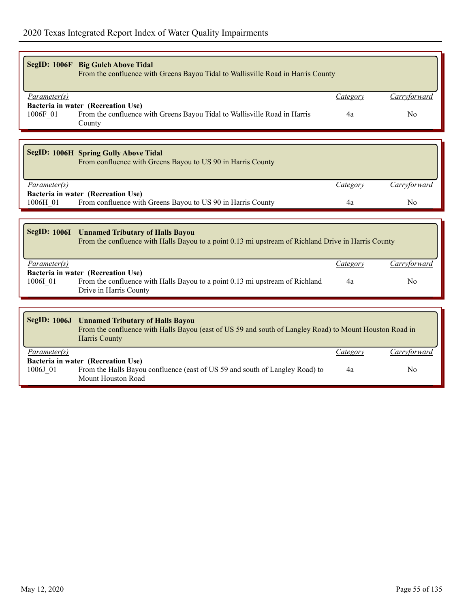|                          | SegID: 1006F Big Gulch Above Tidal<br>From the confluence with Greens Bayou Tidal to Wallisville Road in Harris County                                              |                       |                                |
|--------------------------|---------------------------------------------------------------------------------------------------------------------------------------------------------------------|-----------------------|--------------------------------|
| Parameter(s)<br>1006F 01 | Bacteria in water (Recreation Use)<br>From the confluence with Greens Bayou Tidal to Wallisville Road in Harris<br>County                                           | <i>Category</i><br>4a | Carryforward<br>No             |
|                          | <b>SegID: 1006H Spring Gully Above Tidal</b><br>From confluence with Greens Bayou to US 90 in Harris County                                                         |                       |                                |
| Parameter(s)<br>1006H 01 | Bacteria in water (Recreation Use)<br>From confluence with Greens Bayou to US 90 in Harris County                                                                   | Category<br>4a        | Carryforward<br>N <sub>0</sub> |
|                          |                                                                                                                                                                     |                       |                                |
| <b>SegID: 1006I</b>      | <b>Unnamed Tributary of Halls Bayou</b><br>From the confluence with Halls Bayou to a point 0.13 mi upstream of Richland Drive in Harris County                      |                       |                                |
| Parameter(s)             |                                                                                                                                                                     | Category              | Carryforward                   |
| 1006I 01                 | Bacteria in water (Recreation Use)<br>From the confluence with Halls Bayou to a point 0.13 mi upstream of Richland<br>Drive in Harris County                        | 4a                    | No                             |
|                          |                                                                                                                                                                     |                       |                                |
| <b>SegID: 1006J</b>      | <b>Unnamed Tributary of Halls Bayou</b><br>From the confluence with Halls Bayou (east of US 59 and south of Langley Road) to Mount Houston Road in<br>Harris County |                       |                                |
| Parameter(s)             |                                                                                                                                                                     | Category              | Carryforward                   |
| 1006J 01                 | Bacteria in water (Recreation Use)<br>From the Halls Bayou confluence (east of US 59 and south of Langley Road) to<br>Mount Houston Road                            | 4a                    | No                             |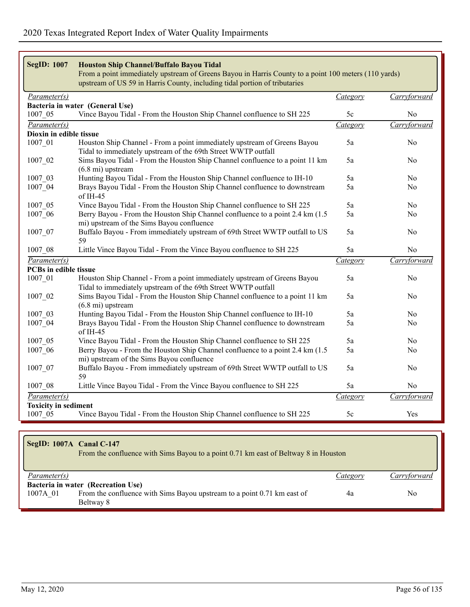| <b>SegID: 1007</b>           | Houston Ship Channel/Buffalo Bayou Tidal<br>From a point immediately upstream of Greens Bayou in Harris County to a point 100 meters (110 yards) |          |                |  |
|------------------------------|--------------------------------------------------------------------------------------------------------------------------------------------------|----------|----------------|--|
|                              | upstream of US 59 in Harris County, including tidal portion of tributaries                                                                       |          |                |  |
| Parameter(s)                 |                                                                                                                                                  | Category | Carryforward   |  |
|                              | Bacteria in water (General Use)                                                                                                                  |          |                |  |
| 1007_05                      | Vince Bayou Tidal - From the Houston Ship Channel confluence to SH 225                                                                           | 5c       | N <sub>0</sub> |  |
| $\overline{Parameter(s)}$    |                                                                                                                                                  | Category | Carryforward   |  |
| Dioxin in edible tissue      |                                                                                                                                                  |          |                |  |
| $1007 - 01$                  | Houston Ship Channel - From a point immediately upstream of Greens Bayou                                                                         | 5a       | No             |  |
|                              | Tidal to immediately upstream of the 69th Street WWTP outfall                                                                                    |          |                |  |
| 1007 02                      | Sims Bayou Tidal - From the Houston Ship Channel confluence to a point 11 km                                                                     | 5a       | N <sub>0</sub> |  |
| 1007 03                      | $(6.8 \text{ mi})$ upstream<br>Hunting Bayou Tidal - From the Houston Ship Channel confluence to IH-10                                           | 5a       | No             |  |
| 1007_04                      | Brays Bayou Tidal - From the Houston Ship Channel confluence to downstream                                                                       | 5a       | No.            |  |
|                              | of IH-45                                                                                                                                         |          |                |  |
| 1007 05                      | Vince Bayou Tidal - From the Houston Ship Channel confluence to SH 225                                                                           | 5a       | N <sub>0</sub> |  |
| 1007_06                      | Berry Bayou - From the Houston Ship Channel confluence to a point 2.4 km (1.5)                                                                   | 5a       | N <sub>0</sub> |  |
|                              | mi) upstream of the Sims Bayou confluence                                                                                                        |          |                |  |
| 1007 07                      | Buffalo Bayou - From immediately upstream of 69th Street WWTP outfall to US                                                                      | 5a       | No             |  |
|                              | 59                                                                                                                                               |          |                |  |
| 1007 08                      | Little Vince Bayou Tidal - From the Vince Bayou confluence to SH 225                                                                             | 5a       | N <sub>0</sub> |  |
| $\overline{Parameter(s)}$    |                                                                                                                                                  | Category | Carryforward   |  |
| <b>PCBs</b> in edible tissue |                                                                                                                                                  |          |                |  |
| $1007 - 01$                  | Houston Ship Channel - From a point immediately upstream of Greens Bayou<br>Tidal to immediately upstream of the 69th Street WWTP outfall        | 5a       | No             |  |
| 1007_02                      | Sims Bayou Tidal - From the Houston Ship Channel confluence to a point 11 km                                                                     | 5a       | N <sub>0</sub> |  |
|                              | $(6.8 \text{ mi})$ upstream                                                                                                                      |          |                |  |
| 1007 03                      | Hunting Bayou Tidal - From the Houston Ship Channel confluence to IH-10                                                                          | 5a       | N <sub>0</sub> |  |
| 1007_04                      | Brays Bayou Tidal - From the Houston Ship Channel confluence to downstream<br>of IH-45                                                           | 5a       | No             |  |
| 1007 05                      | Vince Bayou Tidal - From the Houston Ship Channel confluence to SH 225                                                                           | 5a       | N <sub>0</sub> |  |
| 1007 06                      | Berry Bayou - From the Houston Ship Channel confluence to a point 2.4 km (1.5)                                                                   | 5a       | N <sub>o</sub> |  |
|                              | mi) upstream of the Sims Bayou confluence                                                                                                        |          |                |  |
| 1007 07                      | Buffalo Bayou - From immediately upstream of 69th Street WWTP outfall to US<br>59                                                                | 5a       | No             |  |
| 1007_08                      | Little Vince Bayou Tidal - From the Vince Bayou confluence to SH 225                                                                             | 5a       | N <sub>o</sub> |  |
| $\overline{Parameter(s)}$    |                                                                                                                                                  | Category | Carryforward   |  |
| <b>Toxicity in sediment</b>  |                                                                                                                                                  |          |                |  |
| 1007_05                      | Vince Bayou Tidal - From the Houston Ship Channel confluence to SH 225                                                                           | 5c       | Yes            |  |

|              | SegID: 1007A Canal C-147<br>From the confluence with Sims Bayou to a point 0.71 km east of Beltway 8 in Houston            |                 |              |
|--------------|----------------------------------------------------------------------------------------------------------------------------|-----------------|--------------|
| Parameter(s) |                                                                                                                            | <i>Lategory</i> | `arrvforward |
| 1007A 01     | Bacteria in water (Recreation Use)<br>From the confluence with Sims Bayou upstream to a point 0.71 km east of<br>Beltway 8 | 4a              | No           |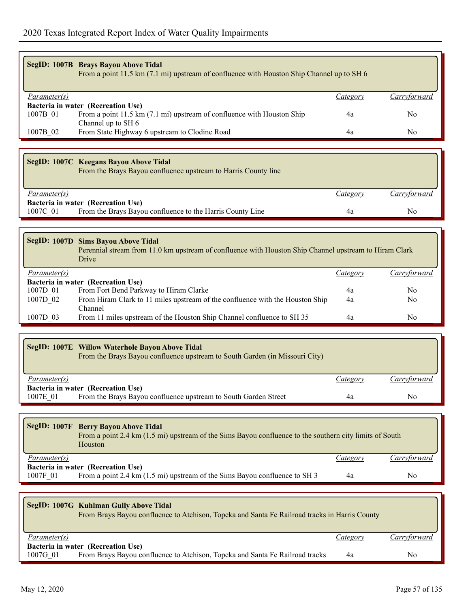|                                                                                                                                                                                        | SegID: 1007B Brays Bayou Above Tidal<br>From a point 11.5 km (7.1 mi) upstream of confluence with Houston Ship Channel up to SH 6                                                                           |                 |                                       |  |
|----------------------------------------------------------------------------------------------------------------------------------------------------------------------------------------|-------------------------------------------------------------------------------------------------------------------------------------------------------------------------------------------------------------|-----------------|---------------------------------------|--|
| <i>Parameter(s)</i>                                                                                                                                                                    |                                                                                                                                                                                                             | <i>Category</i> | Carryforward                          |  |
|                                                                                                                                                                                        | Bacteria in water (Recreation Use)                                                                                                                                                                          |                 |                                       |  |
| 1007B 01                                                                                                                                                                               | From a point 11.5 km (7.1 mi) upstream of confluence with Houston Ship<br>Channel up to SH 6                                                                                                                | 4a              | N <sub>0</sub>                        |  |
| 1007B 02                                                                                                                                                                               | From State Highway 6 upstream to Clodine Road                                                                                                                                                               | 4a              | N <sub>0</sub>                        |  |
| Parameter(s)<br>1007C 01                                                                                                                                                               | SegID: 1007C Keegans Bayou Above Tidal<br>From the Brays Bayou confluence upstream to Harris County line<br>Bacteria in water (Recreation Use)<br>From the Brays Bayou confluence to the Harris County Line | Category<br>4a  | <u>Carryforward</u><br>N <sub>0</sub> |  |
| SegID: 1007D Sims Bayou Above Tidal<br>Perennial stream from 11.0 km upstream of confluence with Houston Ship Channel upstream to Hiram Clark<br>Drive<br>Carryforward<br>Daramator(c) |                                                                                                                                                                                                             |                 |                                       |  |

| Parameter(s)                       |                                                                               | Category | Carryforward |
|------------------------------------|-------------------------------------------------------------------------------|----------|--------------|
| Bacteria in water (Recreation Use) |                                                                               |          |              |
| 1007D 01                           | From Fort Bend Parkway to Hiram Clarke                                        | 4a       | No           |
| 1007D 02                           | From Hiram Clark to 11 miles upstream of the confluence with the Houston Ship | 4a       | No           |
|                                    | Channel                                                                       |          |              |
| 1007D 03                           | From 11 miles upstream of the Houston Ship Channel confluence to SH 35        | 4a       | No           |

| SegID: 1007E Willow Waterhole Bayou Above Tidal<br>From the Brays Bayou confluence upstream to South Garden (in Missouri City) |          |              |
|--------------------------------------------------------------------------------------------------------------------------------|----------|--------------|
| <i>Parameter(s)</i>                                                                                                            | Category | Carryforward |
| Bacteria in water (Recreation Use)                                                                                             |          |              |
| From the Brays Bayou confluence upstream to South Garden Street<br>1007E 01                                                    | 4a       | No           |

|                                    | SegID: 1007F Berry Bayou Above Tidal<br>From a point 2.4 km (1.5 mi) upstream of the Sims Bayou confluence to the southern city limits of South<br>Houston |          |              |  |
|------------------------------------|------------------------------------------------------------------------------------------------------------------------------------------------------------|----------|--------------|--|
| Parameter(s)                       |                                                                                                                                                            | Category | Carryforward |  |
| Bacteria in water (Recreation Use) |                                                                                                                                                            |          |              |  |
| 1007F 01                           | From a point 2.4 km (1.5 mi) upstream of the Sims Bayou confluence to SH 3                                                                                 | 4a       | No.          |  |

|                                    | SegID: 1007G Kuhlman Gully Above Tidal<br>From Brays Bayou confluence to Atchison, Topeka and Santa Fe Railroad tracks in Harris County |          |              |  |
|------------------------------------|-----------------------------------------------------------------------------------------------------------------------------------------|----------|--------------|--|
| Parameter(s)                       |                                                                                                                                         | Category | Carryforward |  |
| Bacteria in water (Recreation Use) |                                                                                                                                         |          |              |  |
| 1007G 01                           | From Brays Bayou confluence to Atchison, Topeka and Santa Fe Railroad tracks                                                            | 4a       | No.          |  |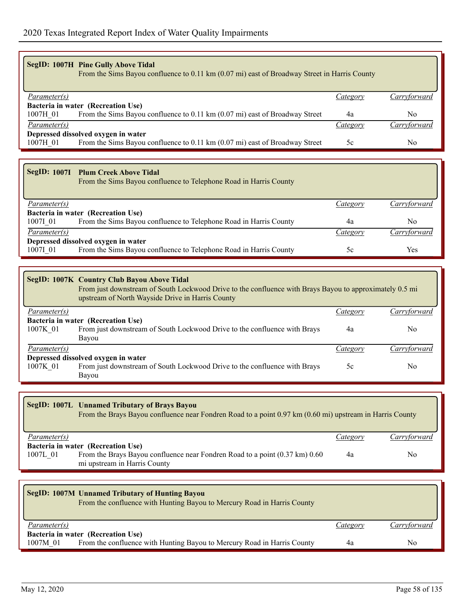| <b>SegID: 1007H Pine Gully Above Tidal</b><br>From the Sims Bayou confluence to 0.11 km (0.07 mi) east of Broadway Street in Harris County |                                                                             |          |              |  |
|--------------------------------------------------------------------------------------------------------------------------------------------|-----------------------------------------------------------------------------|----------|--------------|--|
| <i>Parameter(s)</i>                                                                                                                        |                                                                             | Category | Carryforward |  |
|                                                                                                                                            | Bacteria in water (Recreation Use)                                          |          |              |  |
| 1007H 01                                                                                                                                   | From the Sims Bayou confluence to 0.11 km (0.07 mi) east of Broadway Street | 4a       | No           |  |
| Parameter(s)                                                                                                                               |                                                                             | Category | Carryforward |  |
| Depressed dissolved oxygen in water                                                                                                        |                                                                             |          |              |  |
| 1007H 01                                                                                                                                   | From the Sims Bayou confluence to 0.11 km (0.07 mi) east of Broadway Street | 5c       | No           |  |

|                     | SegID: 1007I Plum Creek Above Tidal<br>From the Sims Bayou confluence to Telephone Road in Harris County |          |              |
|---------------------|----------------------------------------------------------------------------------------------------------|----------|--------------|
| <u>Parameter(s)</u> |                                                                                                          | Category | Carryforward |
|                     | Bacteria in water (Recreation Use)                                                                       |          |              |
| 1007I 01            | From the Sims Bayou confluence to Telephone Road in Harris County                                        | 4a       | No           |
| Parameter(s)        |                                                                                                          | Category | Carryforward |
|                     | Depressed dissolved oxygen in water                                                                      |          |              |
| 1007I 01            | From the Sims Bayou confluence to Telephone Road in Harris County                                        | 5c       | Yes          |

| SegID: 1007K Country Club Bayou Above Tidal<br>From just downstream of South Lockwood Drive to the confluence with Brays Bayou to approximately 0.5 mi<br>upstream of North Wayside Drive in Harris County |                                                                           |                 |              |  |
|------------------------------------------------------------------------------------------------------------------------------------------------------------------------------------------------------------|---------------------------------------------------------------------------|-----------------|--------------|--|
| Parameter(s)                                                                                                                                                                                               |                                                                           | Category        | Carryforward |  |
|                                                                                                                                                                                                            | Bacteria in water (Recreation Use)                                        |                 |              |  |
| 1007K 01                                                                                                                                                                                                   | From just downstream of South Lockwood Drive to the confluence with Brays | 4a              | No           |  |
|                                                                                                                                                                                                            | Bayou                                                                     |                 |              |  |
| Parameter(s)                                                                                                                                                                                               |                                                                           | <i>Category</i> | Carrytorward |  |
| Depressed dissolved oxygen in water                                                                                                                                                                        |                                                                           |                 |              |  |
| 1007K 01                                                                                                                                                                                                   | From just downstream of South Lockwood Drive to the confluence with Brays | 5c              | No.          |  |
|                                                                                                                                                                                                            | Bayou                                                                     |                 |              |  |

| <b>SegID: 1007L Unnamed Tributary of Brays Bayou</b><br>From the Brays Bayou confluence near Fondren Road to a point 0.97 km (0.60 mi) upstream in Harris County |          |              |  |  |
|------------------------------------------------------------------------------------------------------------------------------------------------------------------|----------|--------------|--|--|
| Parameter(s)                                                                                                                                                     | Category | Carryforward |  |  |
| Bacteria in water (Recreation Use)<br>From the Brays Bayou confluence near Fondren Road to a point (0.37 km) 0.60<br>1007L 01<br>mi upstream in Harris County    | 4a       | No           |  |  |

|                     | <b>SegID: 1007M Unnamed Tributary of Hunting Bayou</b><br>From the confluence with Hunting Bayou to Mercury Road in Harris County |          |              |  |  |
|---------------------|-----------------------------------------------------------------------------------------------------------------------------------|----------|--------------|--|--|
| <i>Parameter(s)</i> |                                                                                                                                   | Category | Carryforward |  |  |
|                     | Bacteria in water (Recreation Use)                                                                                                |          |              |  |  |
| 1007M 01            | From the confluence with Hunting Bayou to Mercury Road in Harris County                                                           | 4a       | No.          |  |  |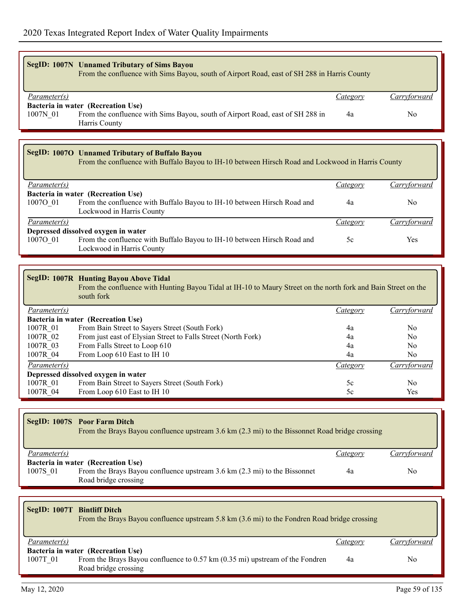| <b>SegID: 1007N Unnamed Tributary of Sims Bayou</b><br>From the confluence with Sims Bayou, south of Airport Road, east of SH 288 in Harris County |                                                                               |          |              |
|----------------------------------------------------------------------------------------------------------------------------------------------------|-------------------------------------------------------------------------------|----------|--------------|
| Parameter(s)                                                                                                                                       |                                                                               | Category | Carryforward |
|                                                                                                                                                    | Bacteria in water (Recreation Use)                                            |          |              |
| 1007N 01                                                                                                                                           | From the confluence with Sims Bayou, south of Airport Road, east of SH 288 in | 4a       | No.          |
|                                                                                                                                                    | Harris County                                                                 |          |              |
|                                                                                                                                                    |                                                                               |          |              |

## **SegID: 1007O Unnamed Tributary of Buffalo Bayou**

From the confluence with Buffalo Bayou to IH-10 between Hirsch Road and Lockwood in Harris County

| <i>Parameter(s)</i> |                                                                         | Category | Carryforward |
|---------------------|-------------------------------------------------------------------------|----------|--------------|
|                     | Bacteria in water (Recreation Use)                                      |          |              |
| 10070 01            | From the confluence with Buffalo Bayou to IH-10 between Hirsch Road and | 4a       | No           |
|                     | Lockwood in Harris County                                               |          |              |
| <i>Parameter(s)</i> |                                                                         | Category | Carryforward |
|                     | Depressed dissolved oxygen in water                                     |          |              |
| 10070 01            | From the confluence with Buffalo Bayou to IH-10 between Hirsch Road and | 5c       | Yes          |
|                     | Lockwood in Harris County                                               |          |              |

## **SegID: 1007R Hunting Bayou Above Tidal**

From the confluence with Hunting Bayou Tidal at IH-10 to Maury Street on the north fork and Bain Street on the south fork

| Parameter(s) |                                                               | Category | Carryforward |
|--------------|---------------------------------------------------------------|----------|--------------|
|              | Bacteria in water (Recreation Use)                            |          |              |
| 1007R 01     | From Bain Street to Sayers Street (South Fork)                | 4a       | No.          |
| 1007R 02     | From just east of Elysian Street to Falls Street (North Fork) | 4a       | No           |
| 1007R 03     | From Falls Street to Loop 610                                 | 4a       | No           |
| 1007R 04     | From Loop 610 East to IH 10                                   | 4a       | No           |
| Parameter(s) |                                                               | Category | Carryforward |
|              | Depressed dissolved oxygen in water                           |          |              |
| 1007R 01     | From Bain Street to Sayers Street (South Fork)                | 5c       | No           |
| 1007R 04     | From Loop 610 East to IH 10                                   | 5c       | Yes          |

## **SegID: 1007S Poor Farm Ditch** From the Brays Bayou confluence upstream 3.6 km (2.3 mi) to the Bissonnet Road bridge crossing *Parameter(s) Category Carryforward* **Bacteria in water (Recreation Use)** 1007S\_01 From the Brays Bayou confluence upstream 3.6 km (2.3 mi) to the Bissonnet 4a No Road bridge crossing

| SegID: 1007T Bintliff Ditch | From the Brays Bayou confluence upstream 5.8 km (3.6 mi) to the Fondren Road bridge crossing                                                                     |          |              |
|-----------------------------|------------------------------------------------------------------------------------------------------------------------------------------------------------------|----------|--------------|
| <i>Parameter(s)</i>         |                                                                                                                                                                  | Category | Carryforward |
| 1007T 01                    | Bacteria in water (Recreation Use)<br>From the Brays Bayou confluence to $0.57 \text{ km}$ ( $0.35 \text{ mi}$ ) upstream of the Fondren<br>Road bridge crossing | 4a       | No           |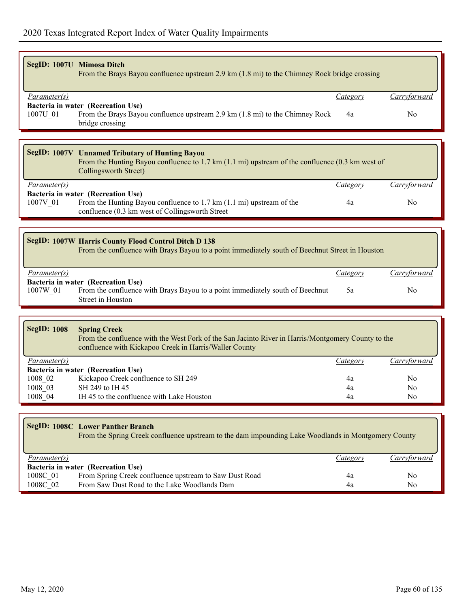|                                                | SegID: 1007U Mimosa Ditch                                                                                                                            |                 |              |
|------------------------------------------------|------------------------------------------------------------------------------------------------------------------------------------------------------|-----------------|--------------|
|                                                | From the Brays Bayou confluence upstream 2.9 km (1.8 mi) to the Chimney Rock bridge crossing                                                         |                 |              |
|                                                |                                                                                                                                                      |                 |              |
| Parameter(s)                                   |                                                                                                                                                      | <b>Category</b> | Carryforward |
|                                                | Bacteria in water (Recreation Use)                                                                                                                   |                 |              |
| 1007U_01                                       | From the Brays Bayou confluence upstream 2.9 km (1.8 mi) to the Chimney Rock                                                                         | 4a              | No           |
|                                                | bridge crossing                                                                                                                                      |                 |              |
|                                                |                                                                                                                                                      |                 |              |
|                                                |                                                                                                                                                      |                 |              |
|                                                | SegID: 1007V Unnamed Tributary of Hunting Bayou                                                                                                      |                 |              |
|                                                | From the Hunting Bayou confluence to 1.7 km $(1.1 \text{ mi})$ upstream of the confluence $(0.3 \text{ km west of})$<br><b>Collingsworth Street)</b> |                 |              |
|                                                |                                                                                                                                                      |                 |              |
| Parameter(s)                                   |                                                                                                                                                      | Category        | Carryforward |
|                                                | Bacteria in water (Recreation Use)<br>From the Hunting Bayou confluence to 1.7 km (1.1 mi) upstream of the                                           | 4a              | No.          |
| 1007V_01                                       | confluence (0.3 km west of Collingsworth Street                                                                                                      |                 |              |
|                                                |                                                                                                                                                      |                 |              |
|                                                |                                                                                                                                                      |                 |              |
|                                                | SegID: 1007W Harris County Flood Control Ditch D 138                                                                                                 |                 |              |
|                                                | From the confluence with Brays Bayou to a point immediately south of Beechnut Street in Houston                                                      |                 |              |
|                                                |                                                                                                                                                      |                 |              |
| Parameter(s)                                   |                                                                                                                                                      | <b>Category</b> | Carryforward |
|                                                | Bacteria in water (Recreation Use)                                                                                                                   |                 |              |
| 1007W_01                                       | From the confluence with Brays Bayou to a point immediately south of Beechnut                                                                        | 5a              | No           |
|                                                | Street in Houston                                                                                                                                    |                 |              |
|                                                |                                                                                                                                                      |                 |              |
| <b>SegID: 1008</b>                             | <b>Spring Creek</b>                                                                                                                                  |                 |              |
|                                                | From the confluence with the West Fork of the San Jacinto River in Harris/Montgomery County to the                                                   |                 |              |
|                                                | confluence with Kickapoo Creek in Harris/Waller County                                                                                               |                 |              |
| Parameter(s)                                   |                                                                                                                                                      | <i>Category</i> | Carryforward |
|                                                | Bacteria in water (Recreation Use)                                                                                                                   |                 |              |
| 1008 02                                        | Kickapoo Creek confluence to SH 249                                                                                                                  | 4a              | No           |
| 1008 03                                        | SH 249 to IH 45                                                                                                                                      | 4a              | No           |
| 1008 04                                        | IH 45 to the confluence with Lake Houston                                                                                                            | 4a              | No           |
|                                                |                                                                                                                                                      |                 |              |
|                                                | <b>SegID: 1008C Lower Panther Branch</b>                                                                                                             |                 |              |
|                                                | From the Spring Creek confluence upstream to the dam impounding Lake Woodlands in Montgomery County                                                  |                 |              |
|                                                |                                                                                                                                                      |                 |              |
|                                                |                                                                                                                                                      |                 |              |
| Parameter(s)                                   |                                                                                                                                                      | <b>Category</b> | Carryforward |
|                                                |                                                                                                                                                      |                 |              |
| Bacteria in water (Recreation Use)<br>1008C 01 | From Spring Creek confluence upstream to Saw Dust Road                                                                                               | 4a              | No           |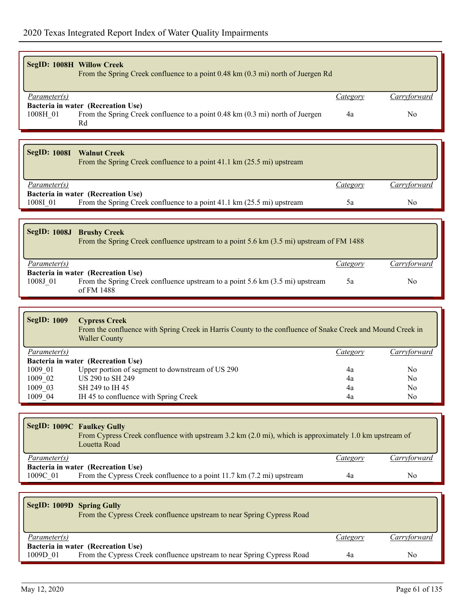|                           | <b>SegID: 1008H Willow Creek</b><br>From the Spring Creek confluence to a point 0.48 km (0.3 mi) north of Juergen Rd                                        |                 |                |
|---------------------------|-------------------------------------------------------------------------------------------------------------------------------------------------------------|-----------------|----------------|
| Parameter(s)              |                                                                                                                                                             | <i>Category</i> | Carryforward   |
|                           | Bacteria in water (Recreation Use)                                                                                                                          |                 |                |
| 1008H 01                  | From the Spring Creek confluence to a point 0.48 km (0.3 mi) north of Juergen                                                                               | 4a              | No             |
|                           | Rd                                                                                                                                                          |                 |                |
|                           |                                                                                                                                                             |                 |                |
| <b>SegID: 1008I</b>       | <b>Walnut Creek</b><br>From the Spring Creek confluence to a point 41.1 km (25.5 mi) upstream                                                               |                 |                |
| Parameter(s)              |                                                                                                                                                             | Category        | Carryforward   |
|                           | Bacteria in water (Recreation Use)                                                                                                                          |                 |                |
| 1008I 01                  | From the Spring Creek confluence to a point 41.1 km (25.5 mi) upstream                                                                                      | 5a              | N <sub>0</sub> |
|                           |                                                                                                                                                             |                 |                |
|                           |                                                                                                                                                             |                 |                |
| <b>SegID: 1008J</b>       | <b>Brushy Creek</b><br>From the Spring Creek confluence upstream to a point 5.6 km (3.5 mi) upstream of FM 1488                                             |                 |                |
| Parameter(s)              |                                                                                                                                                             | Category        | Carryforward   |
|                           | Bacteria in water (Recreation Use)                                                                                                                          |                 |                |
| 1008J_01                  | From the Spring Creek confluence upstream to a point 5.6 km (3.5 mi) upstream                                                                               | 5a              | N <sub>0</sub> |
|                           | of FM 1488                                                                                                                                                  |                 |                |
|                           |                                                                                                                                                             |                 |                |
| <b>SegID: 1009</b>        | <b>Cypress Creek</b><br>From the confluence with Spring Creek in Harris County to the confluence of Snake Creek and Mound Creek in<br><b>Waller County</b>  |                 |                |
| Parameter(s)              |                                                                                                                                                             | Category        | Carryforward   |
|                           | Bacteria in water (Recreation Use)                                                                                                                          |                 |                |
| 1009 01                   | Upper portion of segment to downstream of US 290                                                                                                            | 4a              | No             |
| 1009 02                   | US 290 to SH 249                                                                                                                                            | 4a              | No             |
| 1009 03                   | SH 249 to IH 45                                                                                                                                             | 4a              | N <sub>0</sub> |
| 1009 04                   | IH 45 to confluence with Spring Creek                                                                                                                       | 4a              | No             |
|                           |                                                                                                                                                             |                 |                |
|                           | <b>SegID: 1009C Faulkey Gully</b><br>From Cypress Creek confluence with upstream 3.2 km (2.0 mi), which is approximately 1.0 km upstream of<br>Louetta Road |                 |                |
| Parameter(s)              |                                                                                                                                                             | <b>Category</b> | Carryforward   |
|                           | Bacteria in water (Recreation Use)                                                                                                                          |                 |                |
| 1009C 01                  | From the Cypress Creek confluence to a point 11.7 km (7.2 mi) upstream                                                                                      | 4a              | No             |
|                           |                                                                                                                                                             |                 |                |
|                           |                                                                                                                                                             |                 |                |
| SegID: 1009D Spring Gully | From the Cypress Creek confluence upstream to near Spring Cypress Road                                                                                      |                 |                |

| Parameter(s) |                                                                        | Category | Carryforward   |
|--------------|------------------------------------------------------------------------|----------|----------------|
|              | Bacteria in water (Recreation Use)                                     |          |                |
| 1009D 01     | From the Cypress Creek confluence upstream to near Spring Cypress Road | 4а       | N <sub>0</sub> |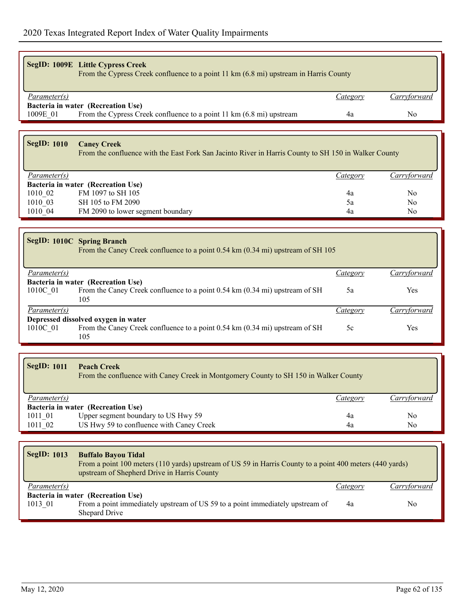|                     | <b>SegID: 1009E</b> Little Cypress Creek<br>From the Cypress Creek confluence to a point 11 km (6.8 mi) upstream in Harris County |          |              |
|---------------------|-----------------------------------------------------------------------------------------------------------------------------------|----------|--------------|
| <i>Parameter(s)</i> |                                                                                                                                   | Category | Carrvforward |
|                     | Bacteria in water (Recreation Use)                                                                                                |          |              |
| 1009E 01            | From the Cypress Creek confluence to a point 11 km (6.8 mi) upstream                                                              | 4a       | No           |
|                     |                                                                                                                                   |          |              |

## **SegID: 1010 Caney Creek**

From the confluence with the East Fork San Jacinto River in Harris County to SH 150 in Walker County

| <i>Parameter(s)</i> |                                    | Category | Carryforward |
|---------------------|------------------------------------|----------|--------------|
|                     | Bacteria in water (Recreation Use) |          |              |
| 1010 02             | FM 1097 to SH 105                  | 4a       | No           |
| 1010 03             | SH 105 to FM 2090                  | эa       | No           |
| 1010 04             | FM 2090 to lower segment boundary  | 4a       | No           |

|                                     | SegID: 1010C Spring Branch<br>From the Caney Creek confluence to a point 0.54 km (0.34 mi) upstream of SH 105 |          |               |  |
|-------------------------------------|---------------------------------------------------------------------------------------------------------------|----------|---------------|--|
| <i>Parameter(s)</i>                 |                                                                                                               | Category | Carryforward  |  |
|                                     | Bacteria in water (Recreation Use)                                                                            |          |               |  |
| 1010C 01                            | From the Caney Creek confluence to a point 0.54 km (0.34 mi) upstream of SH                                   | 5a       | Yes           |  |
|                                     | 105                                                                                                           |          |               |  |
| <i>Parameter(s)</i>                 |                                                                                                               | Category | L'arrytorwara |  |
| Depressed dissolved oxygen in water |                                                                                                               |          |               |  |
| 1010C 01                            | From the Caney Creek confluence to a point 0.54 km (0.34 mi) upstream of SH                                   | 5c       | Yes           |  |
|                                     | 105                                                                                                           |          |               |  |

| <b>SegID: 1011</b>  | <b>Peach Creek</b><br>From the confluence with Caney Creek in Montgomery County to SH 150 in Walker County |          |                     |
|---------------------|------------------------------------------------------------------------------------------------------------|----------|---------------------|
| <i>Parameter(s)</i> |                                                                                                            | Category | <u>Carryforward</u> |
|                     | Bacteria in water (Recreation Use)                                                                         |          |                     |
| 1011 01             | Upper segment boundary to US Hwy 59                                                                        | 4a       | No.                 |
| 1011 02             | US Hwy 59 to confluence with Caney Creek                                                                   | 4a       | No                  |

| <b>SegID: 1013</b> | <b>Buffalo Bayou Tidal</b><br>From a point 100 meters (110 yards) upstream of US 59 in Harris County to a point 400 meters (440 yards)<br>upstream of Shepherd Drive in Harris County |          |              |
|--------------------|---------------------------------------------------------------------------------------------------------------------------------------------------------------------------------------|----------|--------------|
| Parameter(s)       |                                                                                                                                                                                       | Category | Carryforward |
| 1013 01            | Bacteria in water (Recreation Use)<br>From a point immediately upstream of US 59 to a point immediately upstream of<br>Shepard Drive                                                  | 4a       | No           |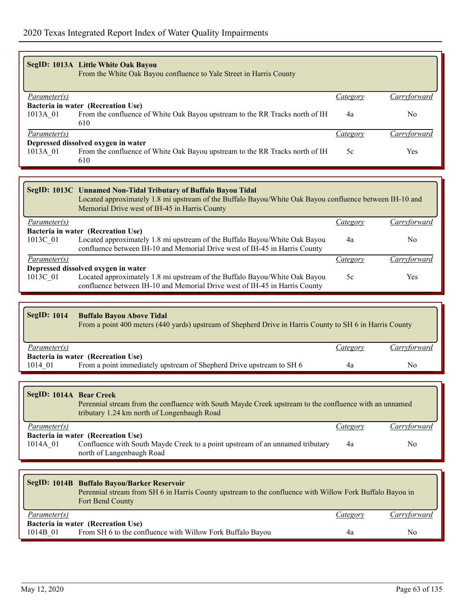|              | SegID: 1013A Little White Oak Bayou<br>From the White Oak Bayou confluence to Yale Street in Harris County |          |              |
|--------------|------------------------------------------------------------------------------------------------------------|----------|--------------|
| Parameter(s) |                                                                                                            | Category | Carryforward |
|              | Bacteria in water (Recreation Use)                                                                         |          |              |
| 1013A 01     | From the confluence of White Oak Bayou upstream to the RR Tracks north of IH<br>610                        | 4a       | No.          |
| Parameter(s) |                                                                                                            | Category | Carrytorward |
|              | Depressed dissolved oxygen in water                                                                        |          |              |
| 1013A 01     | From the confluence of White Oak Bayou upstream to the RR Tracks north of IH<br>610                        | 5c       | Yes          |

|                                    | SegID: 1013C Unnamed Non-Tidal Tributary of Buffalo Bayou Tidal<br>Located approximately 1.8 mi upstream of the Buffalo Bayou/White Oak Bayou confluence between IH-10 and<br>Memorial Drive west of IH-45 in Harris County |          |              |
|------------------------------------|-----------------------------------------------------------------------------------------------------------------------------------------------------------------------------------------------------------------------------|----------|--------------|
| <i>Parameter(s)</i>                |                                                                                                                                                                                                                             | Category | Carryforward |
| Bacteria in water (Recreation Use) |                                                                                                                                                                                                                             |          |              |
| 1013C 01                           | Located approximately 1.8 mi upstream of the Buffalo Bayou/White Oak Bayou<br>confluence between IH-10 and Memorial Drive west of IH-45 in Harris County                                                                    | 4a       | No           |
|                                    |                                                                                                                                                                                                                             |          |              |
| Parameter(s)                       |                                                                                                                                                                                                                             | Category | Arrytorwarc  |
|                                    | Depressed dissolved oxygen in water                                                                                                                                                                                         |          |              |
| 1013C 01                           | Located approximately 1.8 mi upstream of the Buffalo Bayou/White Oak Bayou<br>confluence between IH-10 and Memorial Drive west of IH-45 in Harris County                                                                    | 5c       | Yes          |

| <b>SegID: 1014</b>  | <b>Buffalo Bayou Above Tidal</b><br>From a point 400 meters (440 yards) upstream of Shepherd Drive in Harris County to SH 6 in Harris County |          |                     |  |  |
|---------------------|----------------------------------------------------------------------------------------------------------------------------------------------|----------|---------------------|--|--|
| <i>Parameter(s)</i> |                                                                                                                                              | Category | <u>Carryforward</u> |  |  |
|                     | Bacteria in water (Recreation Use)                                                                                                           |          |                     |  |  |
| 1014 01             | From a point immediately upstream of Shepherd Drive upstream to SH 6                                                                         | 4a       | No                  |  |  |

| SegID: 1014A Bear Creek<br>Perennial stream from the confluence with South Mayde Creek upstream to the confluence with an unnamed<br>tributary 1.24 km north of Longenbaugh Road |          |              |  |  |
|----------------------------------------------------------------------------------------------------------------------------------------------------------------------------------|----------|--------------|--|--|
| Parameter(s)                                                                                                                                                                     | Category | Carryforward |  |  |
| Bacteria in water (Recreation Use)<br>Confluence with South Mayde Creek to a point upstream of an unnamed tributary<br>1014A 01<br>north of Langenbaugh Road                     | 4a       | No.          |  |  |

|              | SegID: 1014B Buffalo Bayou/Barker Reservoir<br>Perennial stream from SH 6 in Harris County upstream to the confluence with Willow Fork Buffalo Bayou in<br>Fort Bend County |          |              |
|--------------|-----------------------------------------------------------------------------------------------------------------------------------------------------------------------------|----------|--------------|
| Parameter(s) |                                                                                                                                                                             | Category | Carryforward |
|              | Bacteria in water (Recreation Use)                                                                                                                                          |          |              |
| 1014B 01     | From SH 6 to the confluence with Willow Fork Buffalo Bayou                                                                                                                  | 4a       | No           |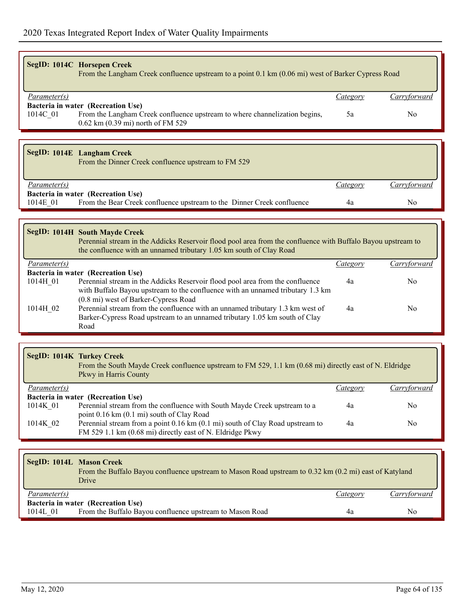|                     | SegID: 1014C Horsepen Creek<br>From the Langham Creek confluence upstream to a point 0.1 km (0.06 mi) west of Barker Cypress Road                                       |          |               |
|---------------------|-------------------------------------------------------------------------------------------------------------------------------------------------------------------------|----------|---------------|
| Parameter(s)        |                                                                                                                                                                         | Category | Carryforward  |
| 1014C 01            | Bacteria in water (Recreation Use)<br>From the Langham Creek confluence upstream to where channelization begins,<br>$0.62 \text{ km} (0.39 \text{ mi})$ north of FM 529 | 5a       | No            |
|                     |                                                                                                                                                                         |          |               |
|                     | SegID: 1014E Langham Creek<br>From the Dinner Creek confluence upstream to FM 529                                                                                       |          |               |
| Parameter(s)<br>- - |                                                                                                                                                                         | Category | 'Carryforward |

| Bacteria in water (Recreation Use) |                                                                        |  |    |  |  |
|------------------------------------|------------------------------------------------------------------------|--|----|--|--|
| 1014E 01                           | From the Bear Creek confluence upstream to the Dinner Creek confluence |  | N٥ |  |  |
|                                    |                                                                        |  |    |  |  |

| <b>SegID: 1014H South Mayde Creek</b><br>Perennial stream in the Addicks Reservoir flood pool area from the confluence with Buffalo Bayou upstream to<br>the confluence with an unnamed tributary 1.05 km south of Clay Road |                                                                                |          |              |  |  |
|------------------------------------------------------------------------------------------------------------------------------------------------------------------------------------------------------------------------------|--------------------------------------------------------------------------------|----------|--------------|--|--|
| Parameter(s)                                                                                                                                                                                                                 |                                                                                | Category | Carryforward |  |  |
|                                                                                                                                                                                                                              | Bacteria in water (Recreation Use)                                             |          |              |  |  |
| 1014H 01                                                                                                                                                                                                                     | Perennial stream in the Addicks Reservoir flood pool area from the confluence  | 4a       | No.          |  |  |
|                                                                                                                                                                                                                              | with Buffalo Bayou upstream to the confluence with an unnamed tributary 1.3 km |          |              |  |  |
|                                                                                                                                                                                                                              | (0.8 mi) west of Barker-Cypress Road                                           |          |              |  |  |
| 1014H 02                                                                                                                                                                                                                     | Perennial stream from the confluence with an unnamed tributary 1.3 km west of  | 4a       | No.          |  |  |
|                                                                                                                                                                                                                              | Barker-Cypress Road upstream to an unnamed tributary 1.05 km south of Clay     |          |              |  |  |
|                                                                                                                                                                                                                              | Road                                                                           |          |              |  |  |

|              | SegID: 1014K Turkey Creek<br>From the South Mayde Creek confluence upstream to FM 529, 1.1 km (0.68 mi) directly east of N. Eldridge<br>Pkwy in Harris County |          |              |
|--------------|---------------------------------------------------------------------------------------------------------------------------------------------------------------|----------|--------------|
| Parameter(s) |                                                                                                                                                               | Category | Carryforward |
|              | Bacteria in water (Recreation Use)                                                                                                                            |          |              |
| 1014K 01     | Perennial stream from the confluence with South Mayde Creek upstream to a                                                                                     | 4a       | No.          |
|              | point 0.16 km (0.1 mi) south of Clay Road                                                                                                                     |          |              |
| 1014K 02     | Perennial stream from a point 0.16 km (0.1 mi) south of Clay Road upstream to                                                                                 | 4a       | No.          |
|              | FM 529 1.1 km (0.68 mi) directly east of N. Eldridge Pkwy                                                                                                     |          |              |

|                     | SegID: 1014L Mason Creek<br>From the Buffalo Bayou confluence upstream to Mason Road upstream to 0.32 km (0.2 mi) east of Katyland<br>Drive |          |              |
|---------------------|---------------------------------------------------------------------------------------------------------------------------------------------|----------|--------------|
| <i>Parameter(s)</i> |                                                                                                                                             | Category | Carryforward |
|                     | Bacteria in water (Recreation Use)                                                                                                          |          |              |
| 1014L 01            | From the Buffalo Bayou confluence upstream to Mason Road                                                                                    | 4a       | No           |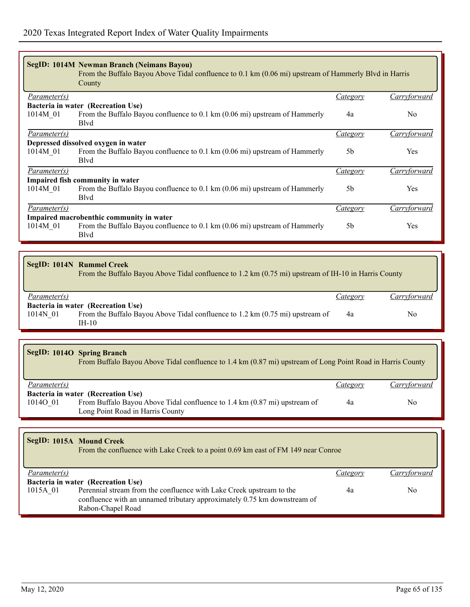|                     | SegID: 1014M Newman Branch (Neimans Bayou)<br>From the Buffalo Bayou Above Tidal confluence to 0.1 km (0.06 mi) upstream of Hammerly Blvd in Harris<br>County |                |                     |  |
|---------------------|---------------------------------------------------------------------------------------------------------------------------------------------------------------|----------------|---------------------|--|
| <i>Parameter(s)</i> |                                                                                                                                                               | Category       | <i>Carryforward</i> |  |
|                     | Bacteria in water (Recreation Use)                                                                                                                            |                |                     |  |
| 1014M 01            | From the Buffalo Bayou confluence to 0.1 km (0.06 mi) upstream of Hammerly<br>Blyd                                                                            | 4a             | N <sub>0</sub>      |  |
| <i>Parameter(s)</i> |                                                                                                                                                               | Category       | Carryforward        |  |
|                     | Depressed dissolved oxygen in water                                                                                                                           |                |                     |  |
| 1014M 01            | From the Buffalo Bayou confluence to 0.1 km (0.06 mi) upstream of Hammerly<br><b>B</b> lvd                                                                    | 5b             | Yes                 |  |
| <i>Parameter(s)</i> |                                                                                                                                                               | Category       | Carryforward        |  |
|                     | Impaired fish community in water                                                                                                                              |                |                     |  |
| 1014M 01            | From the Buffalo Bayou confluence to 0.1 km (0.06 mi) upstream of Hammerly<br><b>B</b> lvd                                                                    | 5 <sub>b</sub> | <b>Yes</b>          |  |
| <i>Parameter(s)</i> |                                                                                                                                                               | Category       | Carryforward        |  |
|                     | Impaired macrobenthic community in water                                                                                                                      |                |                     |  |
| 1014M 01            | From the Buffalo Bayou confluence to 0.1 km (0.06 mi) upstream of Hammerly<br><b>B</b> lvd                                                                    | 5 <sub>b</sub> | <b>Yes</b>          |  |

|                     | SegID: 1014N Rummel Creek<br>From the Buffalo Bayou Above Tidal confluence to 1.2 km (0.75 mi) upstream of IH-10 in Harris County       |          |                |
|---------------------|-----------------------------------------------------------------------------------------------------------------------------------------|----------|----------------|
| <i>Parameter(s)</i> |                                                                                                                                         | Category | Carryforward   |
| 1014N 01            | Bacteria in water (Recreation Use)<br>From the Buffalo Bayou Above Tidal confluence to 1.2 km $(0.75 \text{ mi})$ upstream of<br>IH-10- | 4a       | N <sub>0</sub> |

|              | SegID: 1014O Spring Branch<br>From Buffalo Bayou Above Tidal confluence to 1.4 km (0.87 mi) upstream of Long Point Road in Harris County            |          |              |
|--------------|-----------------------------------------------------------------------------------------------------------------------------------------------------|----------|--------------|
| Parameter(s) |                                                                                                                                                     | Category | Carryforward |
| 10140 01     | Bacteria in water (Recreation Use)<br>From Buffalo Bayou Above Tidal confluence to 1.4 km (0.87 mi) upstream of<br>Long Point Road in Harris County | 4a       | No           |

|              | SegID: 1015A Mound Creek<br>From the confluence with Lake Creek to a point 0.69 km east of FM 149 near Conroe                                                         |          |              |
|--------------|-----------------------------------------------------------------------------------------------------------------------------------------------------------------------|----------|--------------|
| Parameter(s) |                                                                                                                                                                       | Category | Carryforward |
|              | Bacteria in water (Recreation Use)                                                                                                                                    |          |              |
| 1015A 01     | Perennial stream from the confluence with Lake Creek upstream to the<br>confluence with an unnamed tributary approximately 0.75 km downstream of<br>Rabon-Chapel Road | 4a       | No           |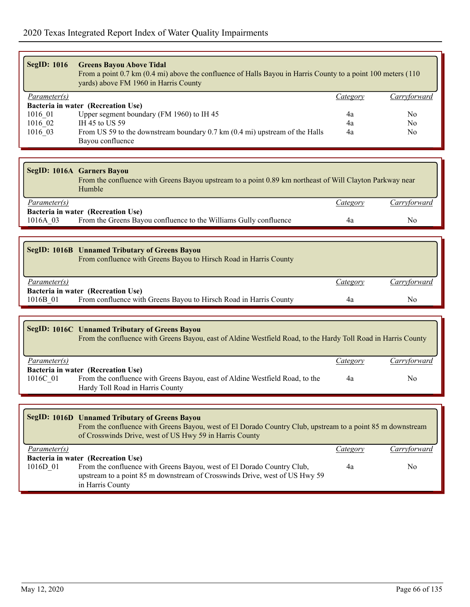| Parameter(s)<br><b>Category</b><br>Bacteria in water (Recreation Use)<br>Upper segment boundary (FM 1960) to IH 45<br>1016 01<br>4a<br>No<br>IH 45 to US 59<br>1016 02<br>4a<br>N <sub>0</sub><br>1016_03<br>From US 59 to the downstream boundary 0.7 km (0.4 mi) upstream of the Halls<br>N <sub>0</sub><br>4a<br>Bayou confluence<br>SegID: 1016A Garners Bayou<br>From the confluence with Greens Bayou upstream to a point 0.89 km northeast of Will Clayton Parkway near<br>Humble<br>Parameter(s)<br>Category<br>Bacteria in water (Recreation Use)<br>From the Greens Bayou confluence to the Williams Gully confluence<br>1016A 03<br>No<br>4a<br>SegID: 1016B Unnamed Tributary of Greens Bayou<br>From confluence with Greens Bayou to Hirsch Road in Harris County<br>Parameter(s)<br><i>Category</i><br>Bacteria in water (Recreation Use)<br>From confluence with Greens Bayou to Hirsch Road in Harris County<br>1016B 01<br>N <sub>0</sub><br>4a<br><b>SegID: 1016C</b> Unnamed Tributary of Greens Bayou<br>From the confluence with Greens Bayou, east of Aldine Westfield Road, to the Hardy Toll Road in Harris County<br>Parameter(s)<br><b>Category</b><br>Bacteria in water (Recreation Use)<br>From the confluence with Greens Bayou, east of Aldine Westfield Road, to the<br>1016C_01<br>N <sub>0</sub><br>4a<br>Hardy Toll Road in Harris County<br><b>SegID: 1016D Unnamed Tributary of Greens Bayou</b><br>From the confluence with Greens Bayou, west of El Dorado Country Club, upstream to a point 85 m downstream<br>of Crosswinds Drive, west of US Hwy 59 in Harris County<br>Parameter(s)<br><b>Category</b><br>Bacteria in water (Recreation Use)<br>1016D 01<br>From the confluence with Greens Bayou, west of El Dorado Country Club,<br>4a<br>N <sub>0</sub><br>upstream to a point 85 m downstream of Crosswinds Drive, west of US Hwy 59 | <b>SegID: 1016</b> | <b>Greens Bayou Above Tidal</b><br>From a point 0.7 km (0.4 mi) above the confluence of Halls Bayou in Harris County to a point 100 meters (110<br>yards) above FM 1960 in Harris County |  |              |  |
|------------------------------------------------------------------------------------------------------------------------------------------------------------------------------------------------------------------------------------------------------------------------------------------------------------------------------------------------------------------------------------------------------------------------------------------------------------------------------------------------------------------------------------------------------------------------------------------------------------------------------------------------------------------------------------------------------------------------------------------------------------------------------------------------------------------------------------------------------------------------------------------------------------------------------------------------------------------------------------------------------------------------------------------------------------------------------------------------------------------------------------------------------------------------------------------------------------------------------------------------------------------------------------------------------------------------------------------------------------------------------------------------------------------------------------------------------------------------------------------------------------------------------------------------------------------------------------------------------------------------------------------------------------------------------------------------------------------------------------------------------------------------------------------------------------------------------------------------------------------------------------|--------------------|------------------------------------------------------------------------------------------------------------------------------------------------------------------------------------------|--|--------------|--|
|                                                                                                                                                                                                                                                                                                                                                                                                                                                                                                                                                                                                                                                                                                                                                                                                                                                                                                                                                                                                                                                                                                                                                                                                                                                                                                                                                                                                                                                                                                                                                                                                                                                                                                                                                                                                                                                                                    |                    |                                                                                                                                                                                          |  | Carryforward |  |
|                                                                                                                                                                                                                                                                                                                                                                                                                                                                                                                                                                                                                                                                                                                                                                                                                                                                                                                                                                                                                                                                                                                                                                                                                                                                                                                                                                                                                                                                                                                                                                                                                                                                                                                                                                                                                                                                                    |                    |                                                                                                                                                                                          |  |              |  |
|                                                                                                                                                                                                                                                                                                                                                                                                                                                                                                                                                                                                                                                                                                                                                                                                                                                                                                                                                                                                                                                                                                                                                                                                                                                                                                                                                                                                                                                                                                                                                                                                                                                                                                                                                                                                                                                                                    |                    |                                                                                                                                                                                          |  |              |  |
|                                                                                                                                                                                                                                                                                                                                                                                                                                                                                                                                                                                                                                                                                                                                                                                                                                                                                                                                                                                                                                                                                                                                                                                                                                                                                                                                                                                                                                                                                                                                                                                                                                                                                                                                                                                                                                                                                    |                    |                                                                                                                                                                                          |  |              |  |
|                                                                                                                                                                                                                                                                                                                                                                                                                                                                                                                                                                                                                                                                                                                                                                                                                                                                                                                                                                                                                                                                                                                                                                                                                                                                                                                                                                                                                                                                                                                                                                                                                                                                                                                                                                                                                                                                                    |                    |                                                                                                                                                                                          |  |              |  |
|                                                                                                                                                                                                                                                                                                                                                                                                                                                                                                                                                                                                                                                                                                                                                                                                                                                                                                                                                                                                                                                                                                                                                                                                                                                                                                                                                                                                                                                                                                                                                                                                                                                                                                                                                                                                                                                                                    |                    |                                                                                                                                                                                          |  |              |  |
|                                                                                                                                                                                                                                                                                                                                                                                                                                                                                                                                                                                                                                                                                                                                                                                                                                                                                                                                                                                                                                                                                                                                                                                                                                                                                                                                                                                                                                                                                                                                                                                                                                                                                                                                                                                                                                                                                    |                    |                                                                                                                                                                                          |  | Carryforward |  |
|                                                                                                                                                                                                                                                                                                                                                                                                                                                                                                                                                                                                                                                                                                                                                                                                                                                                                                                                                                                                                                                                                                                                                                                                                                                                                                                                                                                                                                                                                                                                                                                                                                                                                                                                                                                                                                                                                    |                    |                                                                                                                                                                                          |  |              |  |
|                                                                                                                                                                                                                                                                                                                                                                                                                                                                                                                                                                                                                                                                                                                                                                                                                                                                                                                                                                                                                                                                                                                                                                                                                                                                                                                                                                                                                                                                                                                                                                                                                                                                                                                                                                                                                                                                                    |                    |                                                                                                                                                                                          |  |              |  |
|                                                                                                                                                                                                                                                                                                                                                                                                                                                                                                                                                                                                                                                                                                                                                                                                                                                                                                                                                                                                                                                                                                                                                                                                                                                                                                                                                                                                                                                                                                                                                                                                                                                                                                                                                                                                                                                                                    |                    |                                                                                                                                                                                          |  |              |  |
|                                                                                                                                                                                                                                                                                                                                                                                                                                                                                                                                                                                                                                                                                                                                                                                                                                                                                                                                                                                                                                                                                                                                                                                                                                                                                                                                                                                                                                                                                                                                                                                                                                                                                                                                                                                                                                                                                    |                    |                                                                                                                                                                                          |  | Carryforward |  |
|                                                                                                                                                                                                                                                                                                                                                                                                                                                                                                                                                                                                                                                                                                                                                                                                                                                                                                                                                                                                                                                                                                                                                                                                                                                                                                                                                                                                                                                                                                                                                                                                                                                                                                                                                                                                                                                                                    |                    |                                                                                                                                                                                          |  |              |  |
|                                                                                                                                                                                                                                                                                                                                                                                                                                                                                                                                                                                                                                                                                                                                                                                                                                                                                                                                                                                                                                                                                                                                                                                                                                                                                                                                                                                                                                                                                                                                                                                                                                                                                                                                                                                                                                                                                    |                    |                                                                                                                                                                                          |  |              |  |
|                                                                                                                                                                                                                                                                                                                                                                                                                                                                                                                                                                                                                                                                                                                                                                                                                                                                                                                                                                                                                                                                                                                                                                                                                                                                                                                                                                                                                                                                                                                                                                                                                                                                                                                                                                                                                                                                                    |                    |                                                                                                                                                                                          |  |              |  |
|                                                                                                                                                                                                                                                                                                                                                                                                                                                                                                                                                                                                                                                                                                                                                                                                                                                                                                                                                                                                                                                                                                                                                                                                                                                                                                                                                                                                                                                                                                                                                                                                                                                                                                                                                                                                                                                                                    |                    |                                                                                                                                                                                          |  | Carryforward |  |
|                                                                                                                                                                                                                                                                                                                                                                                                                                                                                                                                                                                                                                                                                                                                                                                                                                                                                                                                                                                                                                                                                                                                                                                                                                                                                                                                                                                                                                                                                                                                                                                                                                                                                                                                                                                                                                                                                    |                    |                                                                                                                                                                                          |  |              |  |
|                                                                                                                                                                                                                                                                                                                                                                                                                                                                                                                                                                                                                                                                                                                                                                                                                                                                                                                                                                                                                                                                                                                                                                                                                                                                                                                                                                                                                                                                                                                                                                                                                                                                                                                                                                                                                                                                                    |                    |                                                                                                                                                                                          |  |              |  |
|                                                                                                                                                                                                                                                                                                                                                                                                                                                                                                                                                                                                                                                                                                                                                                                                                                                                                                                                                                                                                                                                                                                                                                                                                                                                                                                                                                                                                                                                                                                                                                                                                                                                                                                                                                                                                                                                                    |                    |                                                                                                                                                                                          |  |              |  |
|                                                                                                                                                                                                                                                                                                                                                                                                                                                                                                                                                                                                                                                                                                                                                                                                                                                                                                                                                                                                                                                                                                                                                                                                                                                                                                                                                                                                                                                                                                                                                                                                                                                                                                                                                                                                                                                                                    |                    |                                                                                                                                                                                          |  | Carryforward |  |
| in Harris County                                                                                                                                                                                                                                                                                                                                                                                                                                                                                                                                                                                                                                                                                                                                                                                                                                                                                                                                                                                                                                                                                                                                                                                                                                                                                                                                                                                                                                                                                                                                                                                                                                                                                                                                                                                                                                                                   |                    |                                                                                                                                                                                          |  |              |  |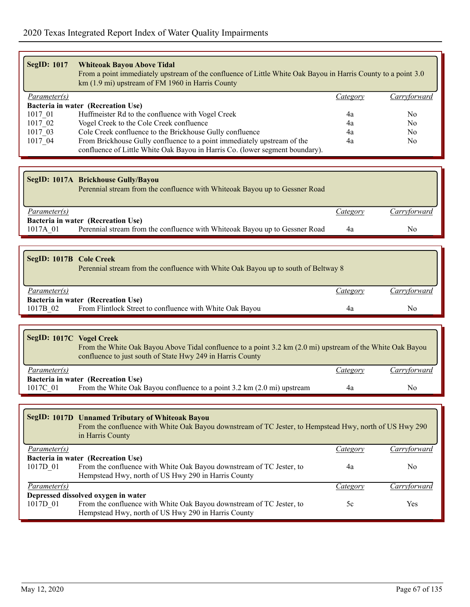| <b>SegID: 1017</b>  | <b>Whiteoak Bayou Above Tidal</b><br>From a point immediately upstream of the confluence of Little White Oak Bayou in Harris County to a point 3.0<br>km (1.9 mi) upstream of FM 1960 in Harris County |          |                |
|---------------------|--------------------------------------------------------------------------------------------------------------------------------------------------------------------------------------------------------|----------|----------------|
| <i>Parameter(s)</i> |                                                                                                                                                                                                        | Category | ' arrytorwara  |
|                     | Bacteria in water (Recreation Use)                                                                                                                                                                     |          |                |
| 1017 01             | Huffmeister Rd to the confluence with Vogel Creek                                                                                                                                                      | 4a       | No.            |
| 1017 02             | Vogel Creek to the Cole Creek confluence                                                                                                                                                               | 4a       | No.            |
| 1017 03             | Cole Creek confluence to the Brickhouse Gully confluence                                                                                                                                               | 4a       | N <sub>0</sub> |
| 1017 04             | From Brickhouse Gully confluence to a point immediately upstream of the                                                                                                                                | 4a       | No.            |
|                     | confluence of Little White Oak Bayou in Harris Co. (lower segment boundary).                                                                                                                           |          |                |

**SegID: 1017A Brickhouse Gully/Bayou** Perennial stream from the confluence with Whiteoak Bayou up to Gessner Road *Parameter(s) Category Carryforward* **Bacteria in water (Recreation Use)** 1017A\_01 Perennial stream from the confluence with Whiteoak Bayou up to Gessner Road 4a No

| SegID: 1017B Cole Creek | Perennial stream from the confluence with White Oak Bayou up to south of Beltway 8 |          |              |
|-------------------------|------------------------------------------------------------------------------------|----------|--------------|
| <i>Parameter(s)</i>     |                                                                                    | Category | Carryforward |
|                         | Bacteria in water (Recreation Use)                                                 |          |              |
| 1017B 02                | From Flintlock Street to confluence with White Oak Bayou                           | 4a       | No           |
|                         |                                                                                    |          |              |

|                                    | SegID: 1017C Vogel Creek<br>From the White Oak Bayou Above Tidal confluence to a point 3.2 km (2.0 mi) upstream of the White Oak Bayou<br>confluence to just south of State Hwy 249 in Harris County |          |              |  |  |
|------------------------------------|------------------------------------------------------------------------------------------------------------------------------------------------------------------------------------------------------|----------|--------------|--|--|
| Parameter(s)                       |                                                                                                                                                                                                      | Category | Carryforward |  |  |
| Bacteria in water (Recreation Use) |                                                                                                                                                                                                      |          |              |  |  |
| 1017C 01                           | From the White Oak Bayou confluence to a point $3.2 \text{ km} (2.0 \text{ mi})$ upstream                                                                                                            | 4a       | No           |  |  |

|                                     | SegID: 1017D Unnamed Tributary of Whiteoak Bayou<br>From the confluence with White Oak Bayou downstream of TC Jester, to Hempstead Hwy, north of US Hwy 290<br>in Harris County |          |              |  |
|-------------------------------------|---------------------------------------------------------------------------------------------------------------------------------------------------------------------------------|----------|--------------|--|
| Parameter(s)                        |                                                                                                                                                                                 | Category | Carryforward |  |
|                                     | Bacteria in water (Recreation Use)                                                                                                                                              |          |              |  |
| 1017D 01                            | From the confluence with White Oak Bayou downstream of TC Jester, to                                                                                                            | 4a       | No.          |  |
|                                     | Hempstead Hwy, north of US Hwy 290 in Harris County                                                                                                                             |          |              |  |
| Parameter(s)                        |                                                                                                                                                                                 | Category | Carryforward |  |
| Depressed dissolved oxygen in water |                                                                                                                                                                                 |          |              |  |
| 1017D 01                            | From the confluence with White Oak Bayou downstream of TC Jester, to                                                                                                            | 5c       | Yes          |  |
|                                     | Hempstead Hwy, north of US Hwy 290 in Harris County                                                                                                                             |          |              |  |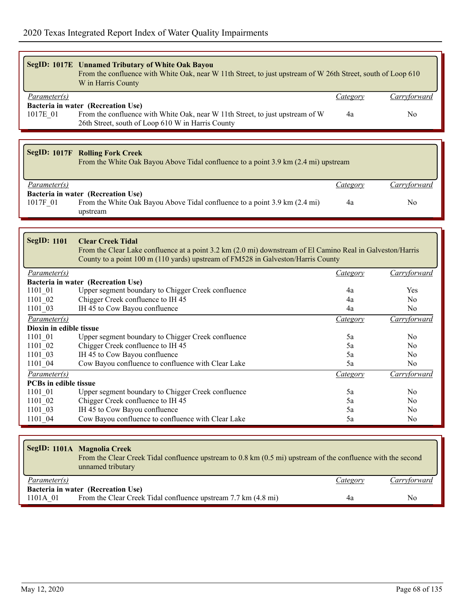|                     | SegID: 1017E Unnamed Tributary of White Oak Bayou<br>From the confluence with White Oak, near W 11th Street, to just upstream of W 26th Street, south of Loop 610 |          |                |
|---------------------|-------------------------------------------------------------------------------------------------------------------------------------------------------------------|----------|----------------|
|                     | W in Harris County                                                                                                                                                |          |                |
| <i>Parameter(s)</i> |                                                                                                                                                                   | Category | Carryforward   |
|                     | Bacteria in water (Recreation Use)                                                                                                                                |          |                |
| 1017E 01            | From the confluence with White Oak, near W 11th Street, to just upstream of W                                                                                     | 4a       | No.            |
|                     | 26th Street, south of Loop 610 W in Harris County                                                                                                                 |          |                |
|                     |                                                                                                                                                                   |          |                |
|                     |                                                                                                                                                                   |          |                |
|                     | <b>SegID: 1017F Rolling Fork Creek</b>                                                                                                                            |          |                |
|                     |                                                                                                                                                                   |          |                |
|                     | From the White Oak Bayou Above Tidal confluence to a point 3.9 km (2.4 mi) upstream                                                                               |          |                |
|                     |                                                                                                                                                                   |          |                |
|                     |                                                                                                                                                                   |          |                |
| <i>Parameter(s)</i> |                                                                                                                                                                   | Category | Carryforward   |
|                     | Bacteria in water (Recreation Use)                                                                                                                                |          |                |
| 1017F 01            | From the White Oak Bayou Above Tidal confluence to a point 3.9 km (2.4 mi)                                                                                        | 4a       | N <sub>0</sub> |

**SegID: 1101 Clear Creek Tidal** From the Clear Lake confluence at a point 3.2 km (2.0 mi) downstream of El Camino Real in Galveston/Harris County to a point 100 m (110 yards) upstream of FM528 in Galveston/Harris County

| <i>Parameter(s)</i>          |                                                    | Category        | Carryforward   |
|------------------------------|----------------------------------------------------|-----------------|----------------|
|                              | Bacteria in water (Recreation Use)                 |                 |                |
| 1101 01                      | Upper segment boundary to Chigger Creek confluence | 4a              | Yes            |
| 1101 02                      | Chigger Creek confluence to IH 45                  | 4a              | N <sub>0</sub> |
| $1101$ 03                    | IH 45 to Cow Bayou confluence                      | 4a              | N <sub>o</sub> |
| <i>Parameter(s)</i>          |                                                    | <i>Category</i> | Carryforward   |
| Dioxin in edible tissue      |                                                    |                 |                |
| 1101 01                      | Upper segment boundary to Chigger Creek confluence | 5a              | N <sub>0</sub> |
| 1101 02                      | Chigger Creek confluence to IH 45                  | 5a              | N <sub>o</sub> |
| 1101 03                      | IH 45 to Cow Bayou confluence                      | 5a              | N <sub>0</sub> |
| $1101_04$                    | Cow Bayou confluence to confluence with Clear Lake | 5a              | N <sub>o</sub> |
| <i>Parameter(s)</i>          |                                                    | <i>Category</i> | Carryforward   |
| <b>PCBs in edible tissue</b> |                                                    |                 |                |
| 1101 01                      | Upper segment boundary to Chigger Creek confluence | 5a              | N <sub>0</sub> |
| 1101 02                      | Chigger Creek confluence to IH 45                  | 5a              | N <sub>0</sub> |
| 1101 03                      | IH 45 to Cow Bayou confluence                      | 5a              | N <sub>0</sub> |
| 1101 04                      | Cow Bayou confluence to confluence with Clear Lake | 5a              | N <sub>0</sub> |

|                     | SegID: 1101A Magnolia Creek<br>From the Clear Creek Tidal confluence upstream to 0.8 km (0.5 mi) upstream of the confluence with the second<br>unnamed tributary |          |              |
|---------------------|------------------------------------------------------------------------------------------------------------------------------------------------------------------|----------|--------------|
| <i>Parameter(s)</i> |                                                                                                                                                                  | Category | Carryforward |
|                     | Bacteria in water (Recreation Use)                                                                                                                               |          |              |
| 1101A 01            | From the Clear Creek Tidal confluence upstream 7.7 km (4.8 mi)                                                                                                   | 4a       | No           |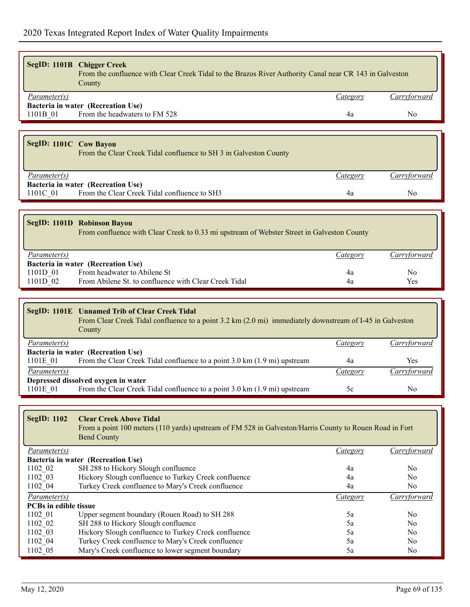|                        | SegID: 1101B Chigger Creek<br>From the confluence with Clear Creek Tidal to the Brazos River Authority Canal near CR 143 in Galveston<br>County |          |              |
|------------------------|-------------------------------------------------------------------------------------------------------------------------------------------------|----------|--------------|
| Parameter(s)           |                                                                                                                                                 | Category | Carryforward |
|                        | Bacteria in water (Recreation Use)                                                                                                              |          |              |
| 1101B 01               | From the headwaters to FM 528                                                                                                                   | 4a       | No.          |
|                        |                                                                                                                                                 |          |              |
| SegID: 1101C Cow Bayou | From the Clear Creek Tidal confluence to SH 3 in Galveston County                                                                               |          |              |
| <i>Parameter(s)</i>    |                                                                                                                                                 | Category | Carryforward |
|                        | Bacteria in water (Recreation Use)                                                                                                              |          |              |
| 1101C 01               | From the Clear Creek Tidal confluence to SH3                                                                                                    | 4a       | No.          |
|                        |                                                                                                                                                 |          |              |
|                        | SegID: 1101D Robinson Bayou<br>From confluence with Clear Creek to 0.33 mi upstream of Webster Street in Galveston County                       |          |              |

| <i>Parameter(s)</i>                |                                                       | $\angle$ ategory | Carryforward |
|------------------------------------|-------------------------------------------------------|------------------|--------------|
| Bacteria in water (Recreation Use) |                                                       |                  |              |
| 1101D 01                           | From headwater to Abilene St                          | 4a               | No           |
| $1101D$ 02                         | From Abilene St. to confluence with Clear Creek Tidal | 4а               | <b>Yes</b>   |

|                                     | SegID: 1101E Unnamed Trib of Clear Creek Tidal<br>From Clear Creek Tidal confluence to a point 3.2 km (2.0 mi) immediately downstream of I-45 in Galveston<br>County |          |              |  |
|-------------------------------------|----------------------------------------------------------------------------------------------------------------------------------------------------------------------|----------|--------------|--|
| <i>Parameter(s)</i>                 |                                                                                                                                                                      | Category | Carryforward |  |
|                                     | Bacteria in water (Recreation Use)                                                                                                                                   |          |              |  |
| 1101E 01                            | From the Clear Creek Tidal confluence to a point 3.0 km (1.9 mi) upstream                                                                                            | 4a       | Yes          |  |
| <i>Parameter(s)</i>                 |                                                                                                                                                                      | Category | Carryforward |  |
| Depressed dissolved oxygen in water |                                                                                                                                                                      |          |              |  |
| 1101E 01                            | From the Clear Creek Tidal confluence to a point 3.0 km (1.9 mi) upstream                                                                                            | 5c       | No           |  |

| SegID: 1102                  | <b>Clear Creek Above Tidal</b><br>From a point 100 meters (110 yards) upstream of FM 528 in Galveston/Harris County to Rouen Road in Fort<br><b>Bend County</b> |                 |                |  |
|------------------------------|-----------------------------------------------------------------------------------------------------------------------------------------------------------------|-----------------|----------------|--|
| <i>Parameter(s)</i>          |                                                                                                                                                                 | <b>Category</b> | Carryforward   |  |
|                              | Bacteria in water (Recreation Use)                                                                                                                              |                 |                |  |
| 1102 02                      | SH 288 to Hickory Slough confluence                                                                                                                             | 4a              | N <sub>0</sub> |  |
| 1102 03                      | Hickory Slough confluence to Turkey Creek confluence                                                                                                            | 4a              | N <sub>0</sub> |  |
| 1102_04                      | Turkey Creek confluence to Mary's Creek confluence                                                                                                              | 4a              | N <sub>0</sub> |  |
| Parameter(s)                 |                                                                                                                                                                 | Category        | Carryforward   |  |
| <b>PCBs</b> in edible tissue |                                                                                                                                                                 |                 |                |  |
| 1102 01                      | Upper segment boundary (Rouen Road) to SH 288                                                                                                                   | 5a              | N <sub>0</sub> |  |
| 1102 02                      | SH 288 to Hickory Slough confluence                                                                                                                             | 5a              | N <sub>0</sub> |  |
| 1102 03                      | Hickory Slough confluence to Turkey Creek confluence                                                                                                            | 5a              | N <sub>0</sub> |  |
| 1102 04                      | Turkey Creek confluence to Mary's Creek confluence                                                                                                              | 5a              | N <sub>0</sub> |  |
| 1102 05                      | Mary's Creek confluence to lower segment boundary                                                                                                               | 5a              | N <sub>0</sub> |  |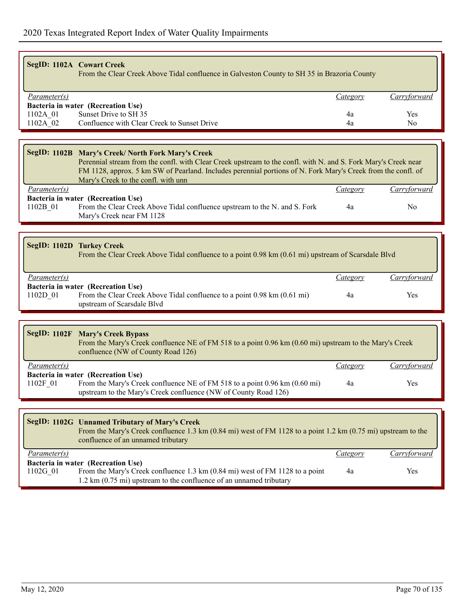|                     | <b>SegID: 1102A Cowart Creek</b><br>From the Clear Creek Above Tidal confluence in Galveston County to SH 35 in Brazoria County                                                                                                                                                                                             |          |                |
|---------------------|-----------------------------------------------------------------------------------------------------------------------------------------------------------------------------------------------------------------------------------------------------------------------------------------------------------------------------|----------|----------------|
| Parameter(s)        |                                                                                                                                                                                                                                                                                                                             | Category | Carryforward   |
|                     | Bacteria in water (Recreation Use)                                                                                                                                                                                                                                                                                          |          |                |
| 1102A 01            | Sunset Drive to SH 35                                                                                                                                                                                                                                                                                                       | 4a       | Yes            |
| 1102A 02            | Confluence with Clear Creek to Sunset Drive                                                                                                                                                                                                                                                                                 | 4a       | N <sub>0</sub> |
|                     |                                                                                                                                                                                                                                                                                                                             |          |                |
|                     |                                                                                                                                                                                                                                                                                                                             |          |                |
|                     | SegID: 1102B Mary's Creek/ North Fork Mary's Creek<br>Perennial stream from the confl. with Clear Creek upstream to the confl. with N. and S. Fork Mary's Creek near<br>FM 1128, approx. 5 km SW of Pearland. Includes perennial portions of N. Fork Mary's Creek from the confl. of<br>Mary's Creek to the confl. with unn |          |                |
| Parameter(s)        |                                                                                                                                                                                                                                                                                                                             | Category | Carryforward   |
| 1102B_01            | Bacteria in water (Recreation Use)<br>From the Clear Creek Above Tidal confluence upstream to the N. and S. Fork<br>Mary's Creek near FM 1128                                                                                                                                                                               | 4a       | N <sub>0</sub> |
|                     |                                                                                                                                                                                                                                                                                                                             |          |                |
|                     | SegID: 1102D Turkey Creek<br>From the Clear Creek Above Tidal confluence to a point 0.98 km (0.61 mi) upstream of Scarsdale Blvd                                                                                                                                                                                            |          |                |
| Parameter(s)        |                                                                                                                                                                                                                                                                                                                             | Category | Carryforward   |
|                     | Bacteria in water (Recreation Use)                                                                                                                                                                                                                                                                                          |          |                |
| 1102D <sub>01</sub> | From the Clear Creek Above Tidal confluence to a point 0.98 km (0.61 mi)<br>upstream of Scarsdale Blvd                                                                                                                                                                                                                      | 4a       | Yes            |
|                     |                                                                                                                                                                                                                                                                                                                             |          |                |
|                     | <b>SegID: 1102F Mary's Creek Bypass</b><br>From the Mary's Creek confluence NE of FM 518 to a point 0.96 km (0.60 mi) upstream to the Mary's Creek<br>confluence (NW of County Road 126)                                                                                                                                    |          |                |
| Parameter(s)        |                                                                                                                                                                                                                                                                                                                             | Category | Carryforward   |
| 1102F_01            | Bacteria in water (Recreation Use)<br>From the Mary's Creek confluence NE of FM 518 to a point 0.96 km (0.60 mi)<br>upstream to the Mary's Creek confluence (NW of County Road 126)                                                                                                                                         | 4a       | Yes            |
|                     |                                                                                                                                                                                                                                                                                                                             |          |                |
|                     |                                                                                                                                                                                                                                                                                                                             |          |                |

|                     | SegID: 1102G Unnamed Tributary of Mary's Creek<br>From the Mary's Creek confluence 1.3 km (0.84 mi) west of FM 1128 to a point 1.2 km (0.75 mi) upstream to the<br>confluence of an unnamed tributary |          |              |
|---------------------|-------------------------------------------------------------------------------------------------------------------------------------------------------------------------------------------------------|----------|--------------|
| <i>Parameter(s)</i> |                                                                                                                                                                                                       | Category | Carryforward |
|                     | Bacteria in water (Recreation Use)                                                                                                                                                                    |          |              |
| $1102G$ 01          | From the Mary's Creek confluence 1.3 km (0.84 mi) west of FM 1128 to a point                                                                                                                          | 4a       | Yes          |
|                     | 1.2 km (0.75 mi) upstream to the confluence of an unnamed tributary                                                                                                                                   |          |              |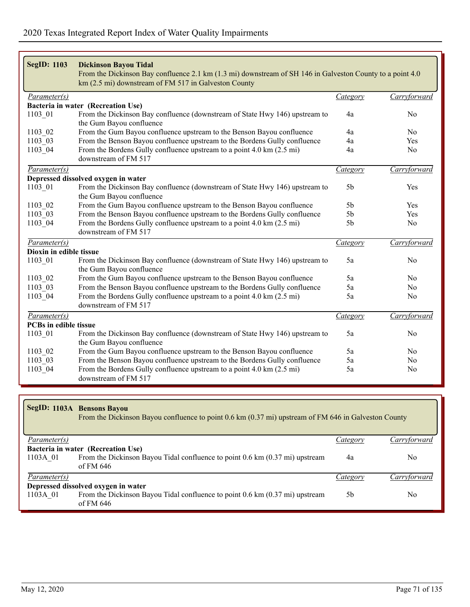| <b>SegID: 1103</b>        | <b>Dickinson Bayou Tidal</b><br>From the Dickinson Bay confluence 2.1 km (1.3 mi) downstream of SH 146 in Galveston County to a point 4.0<br>km (2.5 mi) downstream of FM 517 in Galveston County |                 |                |
|---------------------------|---------------------------------------------------------------------------------------------------------------------------------------------------------------------------------------------------|-----------------|----------------|
| Parameter(s)              |                                                                                                                                                                                                   | <i>Category</i> | Carryforward   |
|                           | Bacteria in water (Recreation Use)                                                                                                                                                                |                 |                |
| 1103 01                   | From the Dickinson Bay confluence (downstream of State Hwy 146) upstream to<br>the Gum Bayou confluence                                                                                           | 4a              | N <sub>0</sub> |
| 1103 02                   | From the Gum Bayou confluence upstream to the Benson Bayou confluence                                                                                                                             | 4a              | N <sub>0</sub> |
| 1103 03                   | From the Benson Bayou confluence upstream to the Bordens Gully confluence                                                                                                                         | 4a              | Yes            |
| 1103 04                   | From the Bordens Gully confluence upstream to a point 4.0 km (2.5 mi)<br>downstream of FM 517                                                                                                     | 4a              | No             |
| Parameter(s)              |                                                                                                                                                                                                   | <b>Category</b> | Carryforward   |
|                           | Depressed dissolved oxygen in water                                                                                                                                                               |                 |                |
| 1103 01                   | From the Dickinson Bay confluence (downstream of State Hwy 146) upstream to<br>the Gum Bayou confluence                                                                                           | 5 <sub>b</sub>  | Yes            |
| 1103 02                   | From the Gum Bayou confluence upstream to the Benson Bayou confluence                                                                                                                             | 5 <sub>b</sub>  | Yes            |
| 1103 03                   | From the Benson Bayou confluence upstream to the Bordens Gully confluence                                                                                                                         | 5 <sub>b</sub>  | Yes            |
| 1103 04                   | From the Bordens Gully confluence upstream to a point 4.0 km (2.5 mi)<br>downstream of FM 517                                                                                                     | 5 <sub>b</sub>  | No             |
| Parameter(s)              |                                                                                                                                                                                                   | Category        | Carryforward   |
| Dioxin in edible tissue   |                                                                                                                                                                                                   |                 |                |
| 1103_01                   | From the Dickinson Bay confluence (downstream of State Hwy 146) upstream to<br>the Gum Bayou confluence                                                                                           | 5a              | No             |
| 1103 02                   | From the Gum Bayou confluence upstream to the Benson Bayou confluence                                                                                                                             | 5a              | N <sub>0</sub> |
| 1103 03                   | From the Benson Bayou confluence upstream to the Bordens Gully confluence                                                                                                                         | 5a              | N <sub>0</sub> |
| 1103 04                   | From the Bordens Gully confluence upstream to a point 4.0 km (2.5 mi)<br>downstream of FM 517                                                                                                     | 5a              | N <sub>0</sub> |
| $\overline{Parameter(s)}$ |                                                                                                                                                                                                   | Category        | Carryforward   |
| PCBs in edible tissue     |                                                                                                                                                                                                   |                 |                |
| 1103 01                   | From the Dickinson Bay confluence (downstream of State Hwy 146) upstream to<br>the Gum Bayou confluence                                                                                           | 5a              | N <sub>0</sub> |
| 1103 02                   | From the Gum Bayou confluence upstream to the Benson Bayou confluence                                                                                                                             | 5a              | N <sub>0</sub> |
| 1103 03                   | From the Benson Bayou confluence upstream to the Bordens Gully confluence                                                                                                                         | 5a              | N <sub>0</sub> |
| 1103 04                   | From the Bordens Gully confluence upstream to a point 4.0 km (2.5 mi)<br>downstream of FM 517                                                                                                     | 5a              | N <sub>o</sub> |

|              | SegID: 1103A Bensons Bayou<br>From the Dickinson Bayou confluence to point 0.6 km (0.37 mi) upstream of FM 646 in Galveston County |          |                |
|--------------|------------------------------------------------------------------------------------------------------------------------------------|----------|----------------|
| Parameter(s) |                                                                                                                                    | Category | Carryforward   |
|              | Bacteria in water (Recreation Use)                                                                                                 |          |                |
| 1103A 01     | From the Dickinson Bayou Tidal confluence to point $0.6 \text{ km}$ $(0.37 \text{ mi})$ upstream<br>of FM $646$                    | 4a       | No.            |
| Parameter(s) |                                                                                                                                    | Category | Carryforward   |
|              | Depressed dissolved oxygen in water                                                                                                |          |                |
| 1103A 01     | From the Dickinson Bayou Tidal confluence to point $0.6 \text{ km}$ $(0.37 \text{ mi})$ upstream<br>of FM $646$                    | 5b       | N <sub>0</sub> |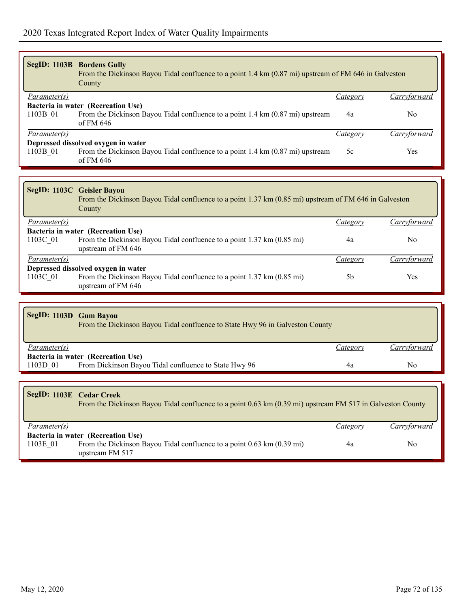|                                     | SegID: 1103B Bordens Gully<br>From the Dickinson Bayou Tidal confluence to a point 1.4 km (0.87 mi) upstream of FM 646 in Galveston<br><b>County</b> |          |              |  |  |
|-------------------------------------|------------------------------------------------------------------------------------------------------------------------------------------------------|----------|--------------|--|--|
| Parameter(s)                        |                                                                                                                                                      | Category | Carryforward |  |  |
| Bacteria in water (Recreation Use)  |                                                                                                                                                      |          |              |  |  |
| 1103B 01                            | From the Dickinson Bayou Tidal confluence to a point 1.4 km (0.87 mi) upstream<br>of FM $646$                                                        | 4a       | No           |  |  |
| <i>Parameter(s)</i>                 |                                                                                                                                                      | Category | Carrytorward |  |  |
| Depressed dissolved oxygen in water |                                                                                                                                                      |          |              |  |  |
| 1103B 01                            | From the Dickinson Bayou Tidal confluence to a point 1.4 km (0.87 mi) upstream<br>of FM $646$                                                        | 5c       | Yes          |  |  |

|                                     | SegID: 1103C Geisler Bayou<br>From the Dickinson Bayou Tidal confluence to a point 1.37 km (0.85 mi) upstream of FM 646 in Galveston<br>County |          |              |  |  |
|-------------------------------------|------------------------------------------------------------------------------------------------------------------------------------------------|----------|--------------|--|--|
| Parameter(s)                        |                                                                                                                                                | Category | Carryforward |  |  |
| Bacteria in water (Recreation Use)  |                                                                                                                                                |          |              |  |  |
| 1103C 01                            | From the Dickinson Bayou Tidal confluence to a point 1.37 km (0.85 mi)<br>upstream of FM 646                                                   | 4a       | No           |  |  |
| <i>Parameter(s)</i>                 |                                                                                                                                                | Category | Carryforward |  |  |
| Depressed dissolved oxygen in water |                                                                                                                                                |          |              |  |  |
| 1103C 01                            | From the Dickinson Bayou Tidal confluence to a point 1.37 km (0.85 mi)<br>upstream of FM 646                                                   | 5b       | Yes          |  |  |

| SegID: 1103D Gum Bayou<br>From the Dickinson Bayou Tidal confluence to State Hwy 96 in Galveston County |          |                     |  |  |  |
|---------------------------------------------------------------------------------------------------------|----------|---------------------|--|--|--|
| <i>Parameter(s)</i>                                                                                     | Category | <i>Carryforward</i> |  |  |  |
| Bacteria in water (Recreation Use)                                                                      |          |                     |  |  |  |
| From Dickinson Bayou Tidal confluence to State Hwy 96<br>1103D 01                                       | 4a       | No                  |  |  |  |

| <b>SegID: 1103E Cedar Creek</b> | From the Dickinson Bayou Tidal confluence to a point 0.63 km (0.39 mi) upstream FM 517 in Galveston County                             |          |                |
|---------------------------------|----------------------------------------------------------------------------------------------------------------------------------------|----------|----------------|
| <i>Parameter(s)</i>             |                                                                                                                                        | Category | Carryforward   |
| 1103E 01                        | <b>Bacteria in water (Recreation Use)</b><br>From the Dickinson Bayou Tidal confluence to a point 0.63 km (0.39 mi)<br>upstream FM 517 | 4a       | N <sub>0</sub> |

Г.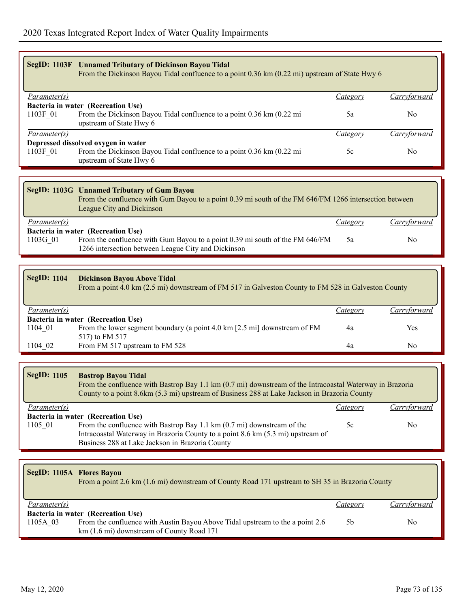|                     | SegID: 1103F Unnamed Tributary of Dickinson Bayou Tidal<br>From the Dickinson Bayou Tidal confluence to a point 0.36 km (0.22 mi) upstream of State Hwy 6                          |                 |                     |
|---------------------|------------------------------------------------------------------------------------------------------------------------------------------------------------------------------------|-----------------|---------------------|
| <i>Parameter(s)</i> |                                                                                                                                                                                    | Category        | <i>Carryforward</i> |
|                     | Bacteria in water (Recreation Use)                                                                                                                                                 |                 |                     |
| 1103F 01            | From the Dickinson Bayou Tidal confluence to a point $0.36 \text{ km}$ (0.22 mi<br>upstream of State Hwy 6                                                                         | 5a              | N <sub>0</sub>      |
| Parameter(s)        |                                                                                                                                                                                    | <b>Category</b> | Carryforward        |
|                     | Depressed dissolved oxygen in water                                                                                                                                                |                 |                     |
| 1103F 01            | From the Dickinson Bayou Tidal confluence to a point 0.36 km (0.22 mi<br>upstream of State Hwy 6                                                                                   | 5c              | N <sub>0</sub>      |
|                     |                                                                                                                                                                                    |                 |                     |
|                     | SegID: 1103G Unnamed Tributary of Gum Bayou<br>From the confluence with Gum Bayou to a point 0.39 mi south of the FM 646/FM 1266 intersection between<br>League City and Dickinson |                 |                     |
| <i>Parameter(s)</i> |                                                                                                                                                                                    | Category        | Carryforward        |
|                     | Bacteria in water (Recreation Use)                                                                                                                                                 |                 |                     |
| 1103G 01            | From the confluence with Gum Bayou to a point 0.39 mi south of the FM 646/FM<br>1266 intersection between League City and Dickinson                                                | 5a              | No.                 |

| <b>SegID: 1104</b> | <b>Dickinson Bayou Above Tidal</b><br>From a point 4.0 km (2.5 mi) downstream of FM 517 in Galveston County to FM 528 in Galveston County |          |              |  |  |
|--------------------|-------------------------------------------------------------------------------------------------------------------------------------------|----------|--------------|--|--|
| Parameter(s)       |                                                                                                                                           | Category | Carryforward |  |  |
|                    | Bacteria in water (Recreation Use)                                                                                                        |          |              |  |  |
| 1104 01            | From the lower segment boundary (a point 4.0 km [2.5 mi] downstream of FM                                                                 | 4a       | Yes          |  |  |
|                    | 517) to FM 517                                                                                                                            |          |              |  |  |
| 1104 02            | From FM 517 upstream to FM 528                                                                                                            | 4a       | No.          |  |  |

| <b>SegID: 1105</b>  | <b>Bastrop Bayou Tidal</b><br>From the confluence with Bastrop Bay 1.1 km (0.7 mi) downstream of the Intracoastal Waterway in Brazoria<br>County to a point 8.6km (5.3 mi) upstream of Business 288 at Lake Jackson in Brazoria County |          |              |
|---------------------|----------------------------------------------------------------------------------------------------------------------------------------------------------------------------------------------------------------------------------------|----------|--------------|
| <i>Parameter(s)</i> |                                                                                                                                                                                                                                        | Category | Carryforward |
|                     | Bacteria in water (Recreation Use)                                                                                                                                                                                                     |          |              |
| 1105 01             | From the confluence with Bastrop Bay 1.1 km (0.7 mi) downstream of the                                                                                                                                                                 | 5c       | No           |
|                     | Intracoastal Waterway in Brazoria County to a point 8.6 km (5.3 mi) upstream of                                                                                                                                                        |          |              |
|                     | Business 288 at Lake Jackson in Brazoria County                                                                                                                                                                                        |          |              |

|                     | SegID: 1105A Flores Bayou<br>From a point 2.6 km (1.6 mi) downstream of County Road 171 upstream to SH 35 in Brazoria County |          |              |
|---------------------|------------------------------------------------------------------------------------------------------------------------------|----------|--------------|
| <i>Parameter(s)</i> |                                                                                                                              | Category | Carryforward |
|                     | Bacteria in water (Recreation Use)                                                                                           |          |              |
| 1105A 03            | From the confluence with Austin Bayou Above Tidal upstream to the a point 2.6<br>km (1.6 mi) downstream of County Road 171   | 5b       | No           |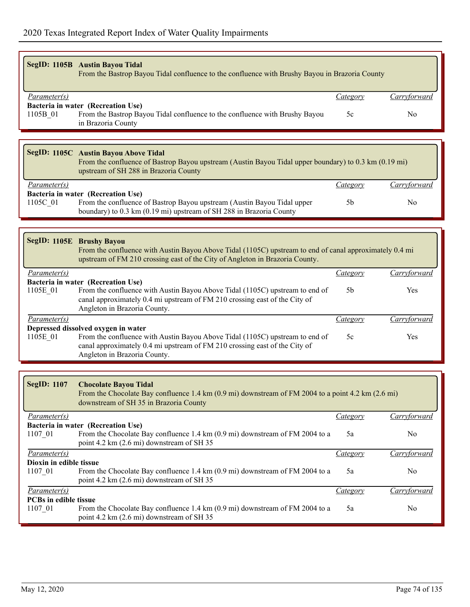| SegID: 1105B Austin Bayou Tidal<br>From the Bastrop Bayou Tidal confluence to the confluence with Brushy Bayou in Brazoria County<br>Carryforward<br><i>Parameter(s)</i><br>Category<br>Bacteria in water (Recreation Use)<br>From the Bastrop Bayou Tidal confluence to the confluence with Brushy Bayou<br>1105B_01<br>5c<br>No<br>in Brazoria County<br>SegID: 1105C Austin Bayou Above Tidal<br>From the confluence of Bastrop Bayou upstream (Austin Bayou Tidal upper boundary) to 0.3 km (0.19 mi)<br>upstream of SH 288 in Brazoria County<br>Parameter(s)<br>Carryforward<br><b>Category</b><br>Bacteria in water (Recreation Use)<br>1105C 01<br>From the confluence of Bastrop Bayou upstream (Austin Bayou Tidal upper<br>5 <sub>b</sub><br>No<br>boundary) to 0.3 km (0.19 mi) upstream of SH 288 in Brazoria County<br>SegID: 1105E Brushy Bayou<br>From the confluence with Austin Bayou Above Tidal (1105C) upstream to end of canal approximately 0.4 mi<br>upstream of FM 210 crossing east of the City of Angleton in Brazoria County.<br>Carryforward<br>Parameter(s)<br><b>Category</b><br>Bacteria in water (Recreation Use)<br>From the confluence with Austin Bayou Above Tidal (1105C) upstream to end of<br>1105E_01<br>5 <sub>b</sub><br>Yes<br>canal approximately 0.4 mi upstream of FM 210 crossing east of the City of<br>Angleton in Brazoria County.<br>Parameter(s)<br>Carryforward<br><b>Category</b><br>Depressed dissolved oxygen in water<br>From the confluence with Austin Bayou Above Tidal (1105C) upstream to end of<br>1105E_01<br>Yes<br>5c<br>canal approximately 0.4 mi upstream of FM 210 crossing east of the City of<br>Angleton in Brazoria County.<br><b>SegID: 1107</b><br><b>Chocolate Bayou Tidal</b><br>From the Chocolate Bay confluence 1.4 km (0.9 mi) downstream of FM 2004 to a point 4.2 km (2.6 mi)<br>downstream of SH 35 in Brazoria County<br>Parameter(s)<br>Carryforward<br>Category<br>Bacteria in water (Recreation Use)<br>From the Chocolate Bay confluence 1.4 km (0.9 mi) downstream of FM 2004 to a<br>1107_01<br>5a<br>No<br>point 4.2 km (2.6 mi) downstream of SH 35<br>Carryforward<br>$\overline{Parameter(s)}$<br><b>Category</b><br>Dioxin in edible tissue<br>From the Chocolate Bay confluence 1.4 km (0.9 mi) downstream of FM 2004 to a<br>1107_01<br>No<br>5a<br>point 4.2 km (2.6 mi) downstream of SH 35<br>Carryforward<br>Parameter(s)<br><b>Category</b><br>PCBs in edible tissue<br>From the Chocolate Bay confluence 1.4 km (0.9 mi) downstream of FM 2004 to a<br>1107_01<br>5a<br>No<br>point 4.2 km (2.6 mi) downstream of SH 35 |  |  |
|-----------------------------------------------------------------------------------------------------------------------------------------------------------------------------------------------------------------------------------------------------------------------------------------------------------------------------------------------------------------------------------------------------------------------------------------------------------------------------------------------------------------------------------------------------------------------------------------------------------------------------------------------------------------------------------------------------------------------------------------------------------------------------------------------------------------------------------------------------------------------------------------------------------------------------------------------------------------------------------------------------------------------------------------------------------------------------------------------------------------------------------------------------------------------------------------------------------------------------------------------------------------------------------------------------------------------------------------------------------------------------------------------------------------------------------------------------------------------------------------------------------------------------------------------------------------------------------------------------------------------------------------------------------------------------------------------------------------------------------------------------------------------------------------------------------------------------------------------------------------------------------------------------------------------------------------------------------------------------------------------------------------------------------------------------------------------------------------------------------------------------------------------------------------------------------------------------------------------------------------------------------------------------------------------------------------------------------------------------------------------------------------------------------------------------------------------------------------------------------------------------------------------------------------------------------------------------------------------------------------------------------|--|--|
|                                                                                                                                                                                                                                                                                                                                                                                                                                                                                                                                                                                                                                                                                                                                                                                                                                                                                                                                                                                                                                                                                                                                                                                                                                                                                                                                                                                                                                                                                                                                                                                                                                                                                                                                                                                                                                                                                                                                                                                                                                                                                                                                                                                                                                                                                                                                                                                                                                                                                                                                                                                                                                   |  |  |
|                                                                                                                                                                                                                                                                                                                                                                                                                                                                                                                                                                                                                                                                                                                                                                                                                                                                                                                                                                                                                                                                                                                                                                                                                                                                                                                                                                                                                                                                                                                                                                                                                                                                                                                                                                                                                                                                                                                                                                                                                                                                                                                                                                                                                                                                                                                                                                                                                                                                                                                                                                                                                                   |  |  |
|                                                                                                                                                                                                                                                                                                                                                                                                                                                                                                                                                                                                                                                                                                                                                                                                                                                                                                                                                                                                                                                                                                                                                                                                                                                                                                                                                                                                                                                                                                                                                                                                                                                                                                                                                                                                                                                                                                                                                                                                                                                                                                                                                                                                                                                                                                                                                                                                                                                                                                                                                                                                                                   |  |  |
|                                                                                                                                                                                                                                                                                                                                                                                                                                                                                                                                                                                                                                                                                                                                                                                                                                                                                                                                                                                                                                                                                                                                                                                                                                                                                                                                                                                                                                                                                                                                                                                                                                                                                                                                                                                                                                                                                                                                                                                                                                                                                                                                                                                                                                                                                                                                                                                                                                                                                                                                                                                                                                   |  |  |
|                                                                                                                                                                                                                                                                                                                                                                                                                                                                                                                                                                                                                                                                                                                                                                                                                                                                                                                                                                                                                                                                                                                                                                                                                                                                                                                                                                                                                                                                                                                                                                                                                                                                                                                                                                                                                                                                                                                                                                                                                                                                                                                                                                                                                                                                                                                                                                                                                                                                                                                                                                                                                                   |  |  |
|                                                                                                                                                                                                                                                                                                                                                                                                                                                                                                                                                                                                                                                                                                                                                                                                                                                                                                                                                                                                                                                                                                                                                                                                                                                                                                                                                                                                                                                                                                                                                                                                                                                                                                                                                                                                                                                                                                                                                                                                                                                                                                                                                                                                                                                                                                                                                                                                                                                                                                                                                                                                                                   |  |  |
|                                                                                                                                                                                                                                                                                                                                                                                                                                                                                                                                                                                                                                                                                                                                                                                                                                                                                                                                                                                                                                                                                                                                                                                                                                                                                                                                                                                                                                                                                                                                                                                                                                                                                                                                                                                                                                                                                                                                                                                                                                                                                                                                                                                                                                                                                                                                                                                                                                                                                                                                                                                                                                   |  |  |
|                                                                                                                                                                                                                                                                                                                                                                                                                                                                                                                                                                                                                                                                                                                                                                                                                                                                                                                                                                                                                                                                                                                                                                                                                                                                                                                                                                                                                                                                                                                                                                                                                                                                                                                                                                                                                                                                                                                                                                                                                                                                                                                                                                                                                                                                                                                                                                                                                                                                                                                                                                                                                                   |  |  |
|                                                                                                                                                                                                                                                                                                                                                                                                                                                                                                                                                                                                                                                                                                                                                                                                                                                                                                                                                                                                                                                                                                                                                                                                                                                                                                                                                                                                                                                                                                                                                                                                                                                                                                                                                                                                                                                                                                                                                                                                                                                                                                                                                                                                                                                                                                                                                                                                                                                                                                                                                                                                                                   |  |  |
|                                                                                                                                                                                                                                                                                                                                                                                                                                                                                                                                                                                                                                                                                                                                                                                                                                                                                                                                                                                                                                                                                                                                                                                                                                                                                                                                                                                                                                                                                                                                                                                                                                                                                                                                                                                                                                                                                                                                                                                                                                                                                                                                                                                                                                                                                                                                                                                                                                                                                                                                                                                                                                   |  |  |
|                                                                                                                                                                                                                                                                                                                                                                                                                                                                                                                                                                                                                                                                                                                                                                                                                                                                                                                                                                                                                                                                                                                                                                                                                                                                                                                                                                                                                                                                                                                                                                                                                                                                                                                                                                                                                                                                                                                                                                                                                                                                                                                                                                                                                                                                                                                                                                                                                                                                                                                                                                                                                                   |  |  |
|                                                                                                                                                                                                                                                                                                                                                                                                                                                                                                                                                                                                                                                                                                                                                                                                                                                                                                                                                                                                                                                                                                                                                                                                                                                                                                                                                                                                                                                                                                                                                                                                                                                                                                                                                                                                                                                                                                                                                                                                                                                                                                                                                                                                                                                                                                                                                                                                                                                                                                                                                                                                                                   |  |  |
|                                                                                                                                                                                                                                                                                                                                                                                                                                                                                                                                                                                                                                                                                                                                                                                                                                                                                                                                                                                                                                                                                                                                                                                                                                                                                                                                                                                                                                                                                                                                                                                                                                                                                                                                                                                                                                                                                                                                                                                                                                                                                                                                                                                                                                                                                                                                                                                                                                                                                                                                                                                                                                   |  |  |
|                                                                                                                                                                                                                                                                                                                                                                                                                                                                                                                                                                                                                                                                                                                                                                                                                                                                                                                                                                                                                                                                                                                                                                                                                                                                                                                                                                                                                                                                                                                                                                                                                                                                                                                                                                                                                                                                                                                                                                                                                                                                                                                                                                                                                                                                                                                                                                                                                                                                                                                                                                                                                                   |  |  |
|                                                                                                                                                                                                                                                                                                                                                                                                                                                                                                                                                                                                                                                                                                                                                                                                                                                                                                                                                                                                                                                                                                                                                                                                                                                                                                                                                                                                                                                                                                                                                                                                                                                                                                                                                                                                                                                                                                                                                                                                                                                                                                                                                                                                                                                                                                                                                                                                                                                                                                                                                                                                                                   |  |  |
|                                                                                                                                                                                                                                                                                                                                                                                                                                                                                                                                                                                                                                                                                                                                                                                                                                                                                                                                                                                                                                                                                                                                                                                                                                                                                                                                                                                                                                                                                                                                                                                                                                                                                                                                                                                                                                                                                                                                                                                                                                                                                                                                                                                                                                                                                                                                                                                                                                                                                                                                                                                                                                   |  |  |
|                                                                                                                                                                                                                                                                                                                                                                                                                                                                                                                                                                                                                                                                                                                                                                                                                                                                                                                                                                                                                                                                                                                                                                                                                                                                                                                                                                                                                                                                                                                                                                                                                                                                                                                                                                                                                                                                                                                                                                                                                                                                                                                                                                                                                                                                                                                                                                                                                                                                                                                                                                                                                                   |  |  |
|                                                                                                                                                                                                                                                                                                                                                                                                                                                                                                                                                                                                                                                                                                                                                                                                                                                                                                                                                                                                                                                                                                                                                                                                                                                                                                                                                                                                                                                                                                                                                                                                                                                                                                                                                                                                                                                                                                                                                                                                                                                                                                                                                                                                                                                                                                                                                                                                                                                                                                                                                                                                                                   |  |  |
|                                                                                                                                                                                                                                                                                                                                                                                                                                                                                                                                                                                                                                                                                                                                                                                                                                                                                                                                                                                                                                                                                                                                                                                                                                                                                                                                                                                                                                                                                                                                                                                                                                                                                                                                                                                                                                                                                                                                                                                                                                                                                                                                                                                                                                                                                                                                                                                                                                                                                                                                                                                                                                   |  |  |
|                                                                                                                                                                                                                                                                                                                                                                                                                                                                                                                                                                                                                                                                                                                                                                                                                                                                                                                                                                                                                                                                                                                                                                                                                                                                                                                                                                                                                                                                                                                                                                                                                                                                                                                                                                                                                                                                                                                                                                                                                                                                                                                                                                                                                                                                                                                                                                                                                                                                                                                                                                                                                                   |  |  |
|                                                                                                                                                                                                                                                                                                                                                                                                                                                                                                                                                                                                                                                                                                                                                                                                                                                                                                                                                                                                                                                                                                                                                                                                                                                                                                                                                                                                                                                                                                                                                                                                                                                                                                                                                                                                                                                                                                                                                                                                                                                                                                                                                                                                                                                                                                                                                                                                                                                                                                                                                                                                                                   |  |  |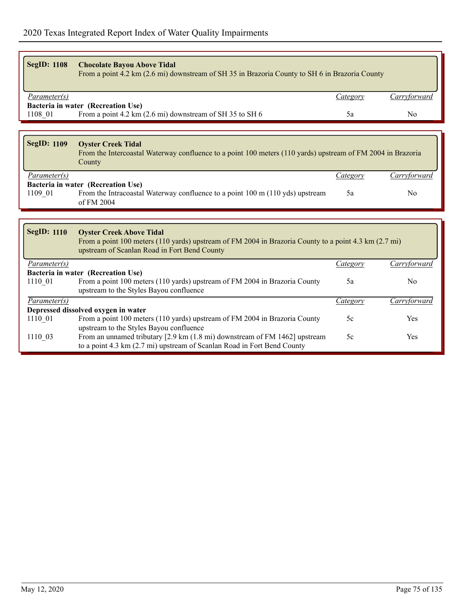| <b>SegID: 1108</b>        | <b>Chocolate Bayou Above Tidal</b><br>From a point 4.2 km (2.6 mi) downstream of SH 35 in Brazoria County to SH 6 in Brazoria County                                                     |          |                |
|---------------------------|------------------------------------------------------------------------------------------------------------------------------------------------------------------------------------------|----------|----------------|
| Parameter(s)              |                                                                                                                                                                                          | Category | Carryforward   |
| 1108 01                   | Bacteria in water (Recreation Use)<br>From a point 4.2 km (2.6 mi) downstream of SH 35 to SH 6                                                                                           | 5a       | N <sub>0</sub> |
|                           |                                                                                                                                                                                          |          |                |
| <b>SegID: 1109</b>        | <b>Oyster Creek Tidal</b><br>From the Intercoastal Waterway confluence to a point 100 meters (110 yards) upstream of FM 2004 in Brazoria<br>County                                       |          |                |
| Parameter(s)              |                                                                                                                                                                                          | Category | Carryforward   |
| 1109 01                   | Bacteria in water (Recreation Use)<br>From the Intracoastal Waterway confluence to a point 100 m (110 yds) upstream<br>of FM 2004                                                        | 5a       | N <sub>0</sub> |
|                           |                                                                                                                                                                                          |          |                |
| <b>SegID: 1110</b>        | <b>Oyster Creek Above Tidal</b><br>From a point 100 meters (110 yards) upstream of FM 2004 in Brazoria County to a point 4.3 km (2.7 mi)<br>upstream of Scanlan Road in Fort Bend County |          |                |
| Parameter(s)              |                                                                                                                                                                                          | Category | Carryforward   |
| 1110 01                   | Bacteria in water (Recreation Use)<br>From a point 100 meters (110 yards) upstream of FM 2004 in Brazoria County<br>upstream to the Styles Bayou confluence                              | 5a       | $\overline{N}$ |
| $\overline{Parameter(s)}$ |                                                                                                                                                                                          | Category | Carryforward   |
| 1110 01                   | Depressed dissolved oxygen in water<br>From a point 100 meters (110 yards) upstream of FM 2004 in Brazoria County<br>upstream to the Styles Bayou confluence                             | 5c       | Yes            |
| 1110_03                   | From an unnamed tributary [2.9 km (1.8 mi) downstream of FM 1462] upstream<br>to a point 4.3 km (2.7 mi) upstream of Scanlan Road in Fort Bend County                                    | 5c       | Yes            |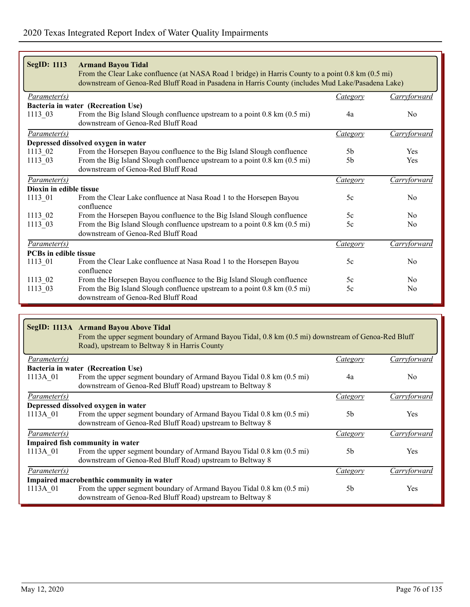| <b>SegID: 1113</b>           | <b>Armand Bayou Tidal</b><br>From the Clear Lake confluence (at NASA Road 1 bridge) in Harris County to a point 0.8 km (0.5 mi)<br>downstream of Genoa-Red Bluff Road in Pasadena in Harris County (includes Mud Lake/Pasadena Lake) |                 |                     |
|------------------------------|--------------------------------------------------------------------------------------------------------------------------------------------------------------------------------------------------------------------------------------|-----------------|---------------------|
| <i>Parameter(s)</i>          |                                                                                                                                                                                                                                      | Category        | <b>Carryforward</b> |
|                              | Bacteria in water (Recreation Use)                                                                                                                                                                                                   |                 |                     |
| 1113 03                      | From the Big Island Slough confluence upstream to a point $0.8 \text{ km} (0.5 \text{ mi})$<br>downstream of Genoa-Red Bluff Road                                                                                                    | 4a              | N <sub>0</sub>      |
| Parameter(s)                 |                                                                                                                                                                                                                                      | <b>Category</b> | Carryforward        |
|                              | Depressed dissolved oxygen in water                                                                                                                                                                                                  |                 |                     |
| 1113 02                      | From the Horsepen Bayou confluence to the Big Island Slough confluence                                                                                                                                                               | 5 <sub>b</sub>  | Yes                 |
| 1113 03                      | From the Big Island Slough confluence upstream to a point 0.8 km (0.5 mi)                                                                                                                                                            | 5 <sub>b</sub>  | Yes                 |
|                              | downstream of Genoa-Red Bluff Road                                                                                                                                                                                                   |                 |                     |
| Parameter(s)                 |                                                                                                                                                                                                                                      | <b>Category</b> | <b>Carryforward</b> |
| Dioxin in edible tissue      |                                                                                                                                                                                                                                      |                 |                     |
| 1113_01                      | From the Clear Lake confluence at Nasa Road 1 to the Horsepen Bayou<br>confluence                                                                                                                                                    | 5c              | N <sub>0</sub>      |
| 1113 02                      | From the Horsepen Bayou confluence to the Big Island Slough confluence                                                                                                                                                               | 5c              | N <sub>0</sub>      |
| 1113 03                      | From the Big Island Slough confluence upstream to a point 0.8 km (0.5 mi)<br>downstream of Genoa-Red Bluff Road                                                                                                                      | 5c              | No                  |
| Parameter(s)                 |                                                                                                                                                                                                                                      | Category        | Carryforward        |
| <b>PCBs in edible tissue</b> |                                                                                                                                                                                                                                      |                 |                     |
| 1113 01                      | From the Clear Lake confluence at Nasa Road 1 to the Horsepen Bayou<br>confluence                                                                                                                                                    | 5c              | N <sub>0</sub>      |
| 1113 02                      | From the Horsepen Bayou confluence to the Big Island Slough confluence                                                                                                                                                               | 5c              | N <sub>0</sub>      |
| 1113 03                      | From the Big Island Slough confluence upstream to a point 0.8 km (0.5 mi)<br>downstream of Genoa-Red Bluff Road                                                                                                                      | 5c              | No                  |

|              | SegID: 1113A Armand Bayou Above Tidal<br>From the upper segment boundary of Armand Bayou Tidal, 0.8 km (0.5 mi) downstream of Genoa-Red Bluff<br>Road), upstream to Beltway 8 in Harris County |                |                |
|--------------|------------------------------------------------------------------------------------------------------------------------------------------------------------------------------------------------|----------------|----------------|
| Parameter(s) |                                                                                                                                                                                                | Category       | Carryforward   |
|              | Bacteria in water (Recreation Use)                                                                                                                                                             |                |                |
| 1113A 01     | From the upper segment boundary of Armand Bayou Tidal 0.8 km (0.5 mi)<br>downstream of Genoa-Red Bluff Road) upstream to Beltway 8                                                             | 4a             | N <sub>0</sub> |
| Parameter(s) |                                                                                                                                                                                                | Category       | Carryforward   |
|              | Depressed dissolved oxygen in water                                                                                                                                                            |                |                |
| 1113A 01     | From the upper segment boundary of Armand Bayou Tidal 0.8 km (0.5 mi)<br>downstream of Genoa-Red Bluff Road) upstream to Beltway 8                                                             | 5 <sub>b</sub> | Yes            |
| Parameter(s) |                                                                                                                                                                                                | Category       | Carryforward   |
|              | Impaired fish community in water                                                                                                                                                               |                |                |
| 1113A 01     | From the upper segment boundary of Armand Bayou Tidal 0.8 km (0.5 mi)<br>downstream of Genoa-Red Bluff Road) upstream to Beltway 8                                                             | 5 <sub>b</sub> | Yes            |
| Parameter(s) |                                                                                                                                                                                                | Category       | Carryforward   |
|              | Impaired macrobenthic community in water                                                                                                                                                       |                |                |
| 1113A 01     | From the upper segment boundary of Armand Bayou Tidal 0.8 km (0.5 mi)<br>downstream of Genoa-Red Bluff Road) upstream to Beltway 8                                                             | 5 <sub>b</sub> | Yes            |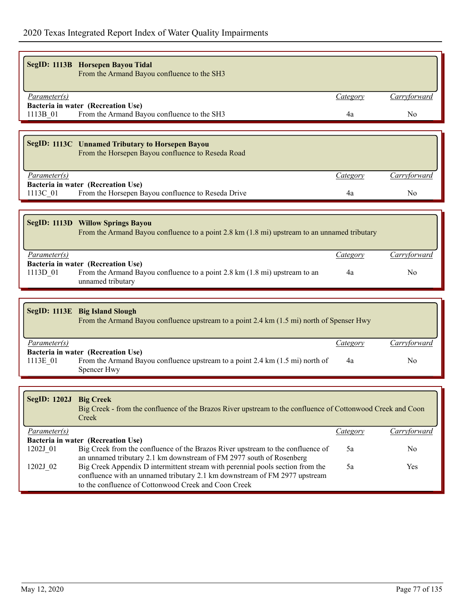|                                 | SegID: 1113B Horsepen Bayou Tidal<br>From the Armand Bayou confluence to the SH3                                                            |                 |                                |
|---------------------------------|---------------------------------------------------------------------------------------------------------------------------------------------|-----------------|--------------------------------|
| Parameter(s)                    |                                                                                                                                             | <i>Category</i> | Carryforward                   |
| 1113B 01                        | Bacteria in water (Recreation Use)<br>From the Armand Bayou confluence to the SH3                                                           | 4a              | N <sub>0</sub>                 |
|                                 |                                                                                                                                             |                 |                                |
|                                 | SegID: 1113C Unnamed Tributary to Horsepen Bayou<br>From the Horsepen Bayou confluence to Reseda Road                                       |                 |                                |
| Parameter(s)                    |                                                                                                                                             | Category        | Carryforward                   |
| 1113C 01                        | Bacteria in water (Recreation Use)<br>From the Horsepen Bayou confluence to Reseda Drive                                                    | 4a              | N <sub>0</sub>                 |
|                                 | SegID: 1113D Willow Springs Bayou<br>From the Armand Bayou confluence to a point 2.8 km $(1.8 \text{ mi})$ upstream to an unnamed tributary |                 |                                |
| <i>Parameter(s)</i><br>1113D 01 | Bacteria in water (Recreation Use)<br>From the Armand Bayou confluence to a point 2.8 km (1.8 mi) upstream to an<br>unnamed tributary       | Category<br>4a  | Carryforward<br>N <sub>0</sub> |
|                                 |                                                                                                                                             |                 |                                |

|              | SegID: 1113E Big Island Slough<br>From the Armand Bayou confluence upstream to a point 2.4 km (1.5 mi) north of Spenser Hwy |          |              |
|--------------|-----------------------------------------------------------------------------------------------------------------------------|----------|--------------|
| Parameter(s) |                                                                                                                             | Category | Carryforward |
|              | Bacteria in water (Recreation Use)                                                                                          |          |              |
| 1113E 01     | From the Armand Bayou confluence upstream to a point 2.4 km (1.5 mi) north of<br>Spencer Hwy                                | 4a       | No           |

| SegID: 1202J Big Creek | Big Creek - from the confluence of the Brazos River upstream to the confluence of Cottonwood Creek and Coon<br>Creek                                                                                                 |          |              |
|------------------------|----------------------------------------------------------------------------------------------------------------------------------------------------------------------------------------------------------------------|----------|--------------|
| <i>Parameter(s)</i>    |                                                                                                                                                                                                                      | Category | Carryforward |
|                        | Bacteria in water (Recreation Use)                                                                                                                                                                                   |          |              |
| 1202J 01               | Big Creek from the confluence of the Brazos River upstream to the confluence of<br>an unnamed tributary 2.1 km downstream of FM 2977 south of Rosenberg                                                              | 5a       | No.          |
| 1202J 02               | Big Creek Appendix D intermittent stream with perennial pools section from the<br>confluence with an unnamed tributary 2.1 km downstream of FM 2977 upstream<br>to the confluence of Cottonwood Creek and Coon Creek | 5a       | Yes          |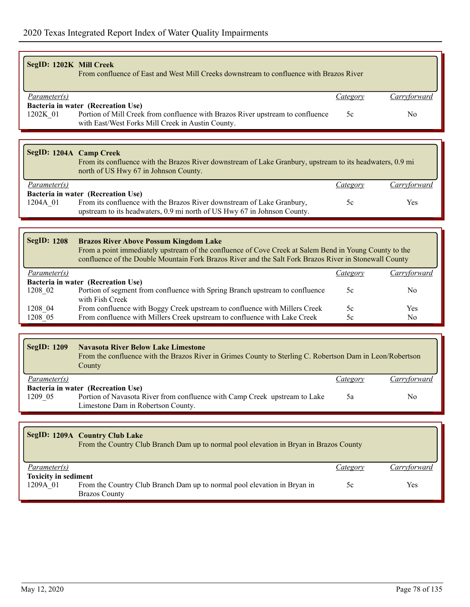| <b>SegID: 1202K Mill Creek</b> | From confluence of East and West Mill Creeks downstream to confluence with Brazos River |         |              |
|--------------------------------|-----------------------------------------------------------------------------------------|---------|--------------|
| Parameter(s)                   |                                                                                         | ategory | `arrvforward |
|                                | Bacteria in water (Recreation Use)                                                      |         |              |
| 1202K 01                       | Portion of Mill Creek from confluence with Brazos River upstream to confluence          | 5c      | No           |
|                                | with East/West Forks Mill Creek in Austin County.                                       |         |              |

## **SegID: 1204A Camp Creek**

From its confluence with the Brazos River downstream of Lake Granbury, upstream to its headwaters, 0.9 mi north of US Hwy 67 in Johnson County.

## *Parameter(s) Category Carryforward*

|          | <b>Bacteria in water (Recreation Use)</b>                                |     |
|----------|--------------------------------------------------------------------------|-----|
| 1204A 01 | From its confluence with the Brazos River downstream of Lake Granbury,   | Yes |
|          | upstream to its headwaters, 0.9 mi north of US Hwy 67 in Johnson County. |     |

## **SegID: 1208 Brazos River Above Possum Kingdom Lake**

From a point immediately upstream of the confluence of Cove Creek at Salem Bend in Young County to the confluence of the Double Mountain Fork Brazos River and the Salt Fork Brazos River in Stonewall County

| <i>Parameter(s)</i> |                                                                              | Category | Carryforward |
|---------------------|------------------------------------------------------------------------------|----------|--------------|
|                     | Bacteria in water (Recreation Use)                                           |          |              |
| 1208 02             | Portion of segment from confluence with Spring Branch upstream to confluence | 5c       | No           |
|                     | with Fish Creek                                                              |          |              |
| 1208 04             | From confluence with Boggy Creek upstream to confluence with Millers Creek   | 5c       | Yes          |
| 1208 05             | From confluence with Millers Creek upstream to confluence with Lake Creek    | 5c       | No           |

| <b>SegID: 1209</b> | <b>Navasota River Below Lake Limestone</b><br>From the confluence with the Brazos River in Grimes County to Sterling C. Robertson Dam in Leon/Robertson<br>County |          |              |
|--------------------|-------------------------------------------------------------------------------------------------------------------------------------------------------------------|----------|--------------|
| Parameter(s)       |                                                                                                                                                                   | Category | Carryforward |
| 1209 05            | Bacteria in water (Recreation Use)<br>Portion of Navasota River from confluence with Camp Creek upstream to Lake<br>Limestone Dam in Robertson County.            | 5a       | No           |

|                                         | SegID: 1209A Country Club Lake<br>From the Country Club Branch Dam up to normal pool elevation in Bryan in Brazos County |          |              |
|-----------------------------------------|--------------------------------------------------------------------------------------------------------------------------|----------|--------------|
| <i>Parameter(s)</i>                     |                                                                                                                          | Category | Carryforward |
| <b>Toxicity in sediment</b><br>1209A 01 | From the Country Club Branch Dam up to normal pool elevation in Bryan in<br><b>Brazos County</b>                         | 5c       | Yes.         |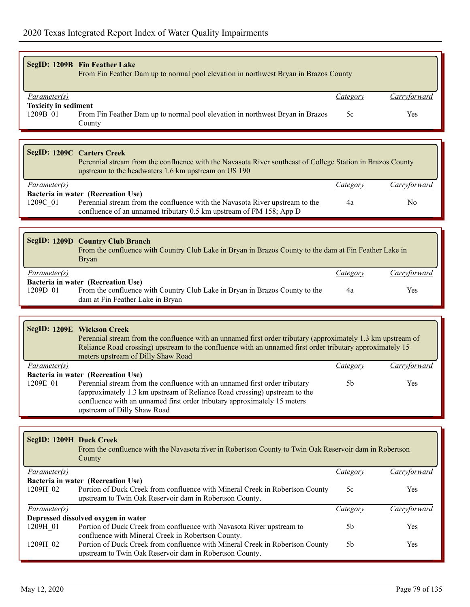|                                         | SegID: 1209B Fin Feather Lake<br>From Fin Feather Dam up to normal pool elevation in northwest Bryan in Brazos County                                                                                                                                                                                |                 |                |
|-----------------------------------------|------------------------------------------------------------------------------------------------------------------------------------------------------------------------------------------------------------------------------------------------------------------------------------------------------|-----------------|----------------|
| Parameter(s)                            |                                                                                                                                                                                                                                                                                                      | <b>Category</b> | Carryforward   |
| <b>Toxicity in sediment</b><br>1209B_01 | From Fin Feather Dam up to normal pool elevation in northwest Bryan in Brazos<br>County                                                                                                                                                                                                              | 5c              | Yes            |
|                                         |                                                                                                                                                                                                                                                                                                      |                 |                |
|                                         | <b>SegID: 1209C Carters Creek</b><br>Perennial stream from the confluence with the Navasota River southeast of College Station in Brazos County<br>upstream to the headwaters 1.6 km upstream on US 190                                                                                              |                 |                |
| Parameter(s)                            |                                                                                                                                                                                                                                                                                                      | <b>Category</b> | Carryforward   |
| 1209C_01                                | Bacteria in water (Recreation Use)<br>Perennial stream from the confluence with the Navasota River upstream to the<br>confluence of an unnamed tributary 0.5 km upstream of FM 158; App D                                                                                                            | 4a              | N <sub>0</sub> |
|                                         |                                                                                                                                                                                                                                                                                                      |                 |                |
|                                         |                                                                                                                                                                                                                                                                                                      |                 |                |
|                                         | <b>SegID: 1209D Country Club Branch</b><br>From the confluence with Country Club Lake in Bryan in Brazos County to the dam at Fin Feather Lake in<br><b>Bryan</b>                                                                                                                                    |                 |                |
| Parameter(s)                            |                                                                                                                                                                                                                                                                                                      | Category        | Carryforward   |
| 1209D <sub>01</sub>                     | Bacteria in water (Recreation Use)<br>From the confluence with Country Club Lake in Bryan in Brazos County to the<br>dam at Fin Feather Lake in Bryan                                                                                                                                                | 4a              | Yes            |
|                                         |                                                                                                                                                                                                                                                                                                      |                 |                |
|                                         | <b>SegID: 1209E Wickson Creek</b><br>Perennial stream from the confluence with an unnamed first order tributary (approximately 1.3 km upstream of<br>Reliance Road crossing) upstream to the confluence with an unnamed first order tributary approximately 15<br>meters upstream of Dilly Shaw Road |                 |                |
| Parameter(s)                            |                                                                                                                                                                                                                                                                                                      | <b>Category</b> | Carryforward   |
| 1209E 01                                | Bacteria in water (Recreation Use)<br>Perennial stream from the confluence with an unnamed first order tributary<br>(approximately 1.3 km upstream of Reliance Road crossing) upstream to the<br>confluence with an unnamed first order tributary approximately 15 meters                            | 5 <sub>b</sub>  | Yes            |
|                                         | upstream of Dilly Shaw Road                                                                                                                                                                                                                                                                          |                 |                |
|                                         |                                                                                                                                                                                                                                                                                                      |                 |                |
| <b>SegID: 1209H Duck Creek</b>          | From the confluence with the Navasota river in Robertson County to Twin Oak Reservoir dam in Robertson<br>County                                                                                                                                                                                     |                 |                |
| Parameter(s)                            |                                                                                                                                                                                                                                                                                                      | <i>Category</i> | Carryforward   |
| 1209H 02                                | Bacteria in water (Recreation Use)<br>Portion of Duck Creek from confluence with Mineral Creek in Robertson County<br>upstream to Twin Oak Reservoir dam in Robertson County.                                                                                                                        | 5c              | Yes            |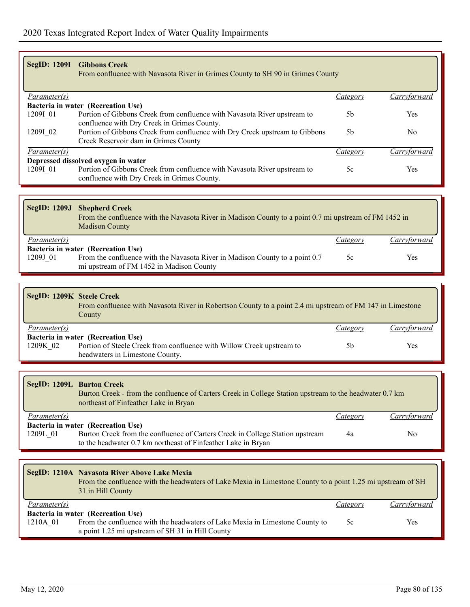| <b>SegID: 1209I</b> | <b>Gibbons Creek</b><br>From confluence with Navasota River in Grimes County to SH 90 in Grimes County                  |          |              |
|---------------------|-------------------------------------------------------------------------------------------------------------------------|----------|--------------|
| Parameter(s)        |                                                                                                                         | Category | Carryforward |
|                     | Bacteria in water (Recreation Use)                                                                                      |          |              |
| 12091 01            | Portion of Gibbons Creek from confluence with Navasota River upstream to                                                | .5b      | Yes.         |
|                     | confluence with Dry Creek in Grimes County.                                                                             |          |              |
| 12091 02            | Portion of Gibbons Creek from confluence with Dry Creek upstream to Gibbons                                             | .5b      | No.          |
|                     | Creek Reservoir dam in Grimes County                                                                                    |          |              |
| <i>Parameter(s)</i> |                                                                                                                         | Category | Carryforward |
|                     | Depressed dissolved oxygen in water                                                                                     |          |              |
| 12091 01            | Portion of Gibbons Creek from confluence with Navasota River upstream to<br>confluence with Dry Creek in Grimes County. | 5c       | Yes.         |

|              | SegID: 1209J Shepherd Creek<br>From the confluence with the Navasota River in Madison County to a point 0.7 mi upstream of FM 1452 in<br><b>Madison County</b> |          |              |
|--------------|----------------------------------------------------------------------------------------------------------------------------------------------------------------|----------|--------------|
| Parameter(s) |                                                                                                                                                                | Category | Carryforward |
|              | Bacteria in water (Recreation Use)                                                                                                                             |          |              |
| 1209J 01     | From the confluence with the Navasota River in Madison County to a point 0.7                                                                                   | 5c       | <b>Yes</b>   |
|              | mi upstream of FM 1452 in Madison County                                                                                                                       |          |              |

|                     | SegID: 1209K Steele Creek<br>From confluence with Navasota River in Robertson County to a point 2.4 mi upstream of FM 147 in Limestone<br>County |          |              |  |  |
|---------------------|--------------------------------------------------------------------------------------------------------------------------------------------------|----------|--------------|--|--|
| <i>Parameter(s)</i> |                                                                                                                                                  | Category | Carryforward |  |  |
|                     | Bacteria in water (Recreation Use)                                                                                                               |          |              |  |  |
| 1209K 02            | Portion of Steele Creek from confluence with Willow Creek upstream to<br>headwaters in Limestone County.                                         | .5b      | Yes          |  |  |

| SegID: 1209L Burton Creek<br>Burton Creek - from the confluence of Carters Creek in College Station upstream to the headwater 0.7 km<br>northeast of Finfeather Lake in Bryan                    |          |              |
|--------------------------------------------------------------------------------------------------------------------------------------------------------------------------------------------------|----------|--------------|
| <i>Parameter(s)</i>                                                                                                                                                                              | Category | Carryforward |
| Bacteria in water (Recreation Use)<br>Burton Creek from the confluence of Carters Creek in College Station upstream<br>1209L 01<br>to the headwater 0.7 km northeast of Finfeather Lake in Bryan | 4a       | No.          |

|              | SegID: 1210A Navasota River Above Lake Mexia<br>From the confluence with the headwaters of Lake Mexia in Limestone County to a point 1.25 mi upstream of SH<br>31 in Hill County |          |              |
|--------------|----------------------------------------------------------------------------------------------------------------------------------------------------------------------------------|----------|--------------|
| Parameter(s) |                                                                                                                                                                                  | Category | Carryforward |
|              | Bacteria in water (Recreation Use)                                                                                                                                               |          |              |
| 1210A 01     | From the confluence with the headwaters of Lake Mexia in Limestone County to<br>a point 1.25 mi upstream of SH 31 in Hill County                                                 | 5c       | Yes          |

 $\Box$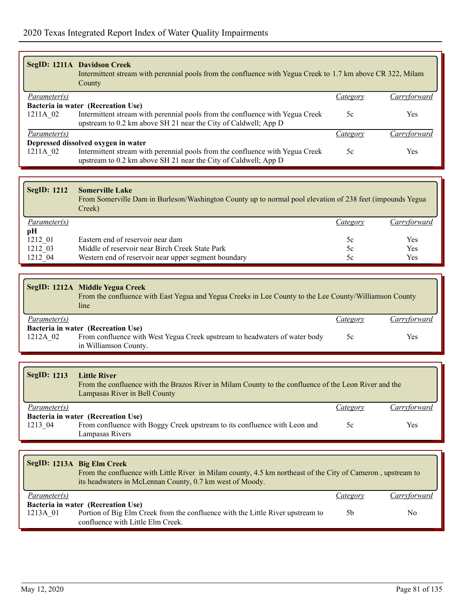|                                     | SegID: 1211A Davidson Creek<br>Intermittent stream with perennial pools from the confluence with Yegua Creek to 1.7 km above CR 322, Milam<br>County |          |              |  |
|-------------------------------------|------------------------------------------------------------------------------------------------------------------------------------------------------|----------|--------------|--|
| <i>Parameter(s)</i>                 |                                                                                                                                                      | Category | Carrytorward |  |
|                                     | Bacteria in water (Recreation Use)                                                                                                                   |          |              |  |
| 1211A 02                            | Intermittent stream with perennial pools from the confluence with Yegua Creek<br>upstream to 0.2 km above SH 21 near the City of Caldwell; App D     | 5c       | <b>Yes</b>   |  |
| Parameter(s)                        |                                                                                                                                                      | Category | arrytorward  |  |
| Depressed dissolved oxygen in water |                                                                                                                                                      |          |              |  |
| 1211A 02                            | Intermittent stream with perennial pools from the confluence with Yegua Creek<br>upstream to 0.2 km above SH 21 near the City of Caldwell; App D     | 5c       | Yes          |  |

| <b>SegID: 1212</b>  | <b>Somerville Lake</b><br>From Somerville Dam in Burleson/Washington County up to normal pool elevation of 238 feet (impounds Yegua<br>Creek) |          |                     |
|---------------------|-----------------------------------------------------------------------------------------------------------------------------------------------|----------|---------------------|
| <i>Parameter(s)</i> |                                                                                                                                               | Category | <i>Carryforward</i> |
| рH                  |                                                                                                                                               |          |                     |
| 1212 01             | Eastern end of reservoir near dam                                                                                                             | 5c       | Yes                 |
| 1212 03             | Middle of reservoir near Birch Creek State Park                                                                                               | 5c       | Yes                 |
| 1212 04             | Western end of reservoir near upper segment boundary                                                                                          | 5c       | Yes                 |

| SegID: 1212A Middle Yegua Creek<br>From the confluence with East Yegua and Yegua Creeks in Lee County to the Lee County/Williamson County<br>line |                                                                                                     |          |              |  |
|---------------------------------------------------------------------------------------------------------------------------------------------------|-----------------------------------------------------------------------------------------------------|----------|--------------|--|
| <i>Parameter(s)</i>                                                                                                                               |                                                                                                     | Category | Carryforward |  |
|                                                                                                                                                   | Bacteria in water (Recreation Use)                                                                  |          |              |  |
| 1212A 02                                                                                                                                          | From confluence with West Yegua Creek upstream to headwaters of water body<br>in Williamson County. | 5c       | Yes          |  |

| <b>SegID: 1213</b> | <b>Little River</b><br>From the confluence with the Brazos River in Milam County to the confluence of the Leon River and the<br>Lampasas River in Bell County |          |              |
|--------------------|---------------------------------------------------------------------------------------------------------------------------------------------------------------|----------|--------------|
| Parameter(s)       |                                                                                                                                                               | Category | Carryforward |
| 1213 04            | Bacteria in water (Recreation Use)<br>From confluence with Boggy Creek upstream to its confluence with Leon and<br>Lampasas Rivers                            | 5c       | Yes          |

|                     | SegID: 1213A Big Elm Creek<br>From the confluence with Little River in Milam county, 4.5 km northeast of the City of Cameron, upstream to<br>its headwaters in McLennan County, 0.7 km west of Moody. |          |              |
|---------------------|-------------------------------------------------------------------------------------------------------------------------------------------------------------------------------------------------------|----------|--------------|
| <i>Parameter(s)</i> |                                                                                                                                                                                                       | Category | Carryforward |
| 1213A 01            | Bacteria in water (Recreation Use)<br>Portion of Big Elm Creek from the confluence with the Little River upstream to<br>confluence with Little Elm Creek.                                             | .5b      | No.          |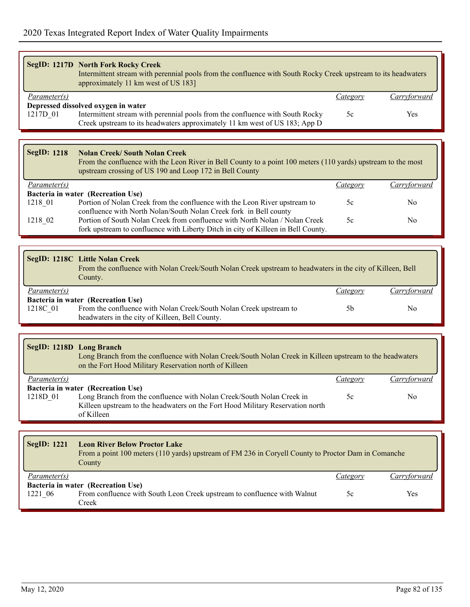|                     | SegID: 1217D North Fork Rocky Creek<br>Intermittent stream with perennial pools from the confluence with South Rocky Creek upstream to its headwaters<br>approximately 11 km west of US 183] |          |              |
|---------------------|----------------------------------------------------------------------------------------------------------------------------------------------------------------------------------------------|----------|--------------|
| <i>Parameter(s)</i> |                                                                                                                                                                                              | Category | Carryforward |
|                     | Depressed dissolved oxygen in water                                                                                                                                                          |          |              |
| 1217D 01            | Intermittent stream with perennial pools from the confluence with South Rocky                                                                                                                | 5c       | Yes          |
|                     | Creek upstream to its headwaters approximately 11 km west of US 183; App D                                                                                                                   |          |              |
|                     |                                                                                                                                                                                              |          |              |

| <b>SegID: 1218</b>  | <b>Nolan Creek/South Nolan Creek</b><br>From the confluence with the Leon River in Bell County to a point 100 meters (110 yards) upstream to the most<br>upstream crossing of US 190 and Loop 172 in Bell County |          |              |
|---------------------|------------------------------------------------------------------------------------------------------------------------------------------------------------------------------------------------------------------|----------|--------------|
| <i>Parameter(s)</i> |                                                                                                                                                                                                                  | Category | Carryforward |
|                     | Bacteria in water (Recreation Use)                                                                                                                                                                               |          |              |
| 1218 01             | Portion of Nolan Creek from the confluence with the Leon River upstream to                                                                                                                                       | 5c       | No           |
|                     | confluence with North Nolan/South Nolan Creek fork in Bell county                                                                                                                                                |          |              |
| 1218 02             | Portion of South Nolan Creek from confluence with North Nolan / Nolan Creek                                                                                                                                      | 5c       | No           |
|                     | fork upstream to confluence with Liberty Ditch in city of Killeen in Bell County.                                                                                                                                |          |              |

| SegID: 1218C Little Nolan Creek<br>From the confluence with Nolan Creek/South Nolan Creek upstream to headwaters in the city of Killeen, Bell<br>County. |                                                                                                                       |          |              |  |
|----------------------------------------------------------------------------------------------------------------------------------------------------------|-----------------------------------------------------------------------------------------------------------------------|----------|--------------|--|
| <i>Parameter(s)</i>                                                                                                                                      |                                                                                                                       | Category | Carryforward |  |
|                                                                                                                                                          | Bacteria in water (Recreation Use)                                                                                    |          |              |  |
| 1218C 01                                                                                                                                                 | From the confluence with Nolan Creek/South Nolan Creek upstream to<br>headwaters in the city of Killeen, Bell County. | .5b      | No           |  |

| SegID: 1218D Long Branch<br>Long Branch from the confluence with Nolan Creek/South Nolan Creek in Killeen upstream to the headwaters<br>on the Fort Hood Military Reservation north of Killeen |                                                                                |          |              |  |
|------------------------------------------------------------------------------------------------------------------------------------------------------------------------------------------------|--------------------------------------------------------------------------------|----------|--------------|--|
| Parameter(s)                                                                                                                                                                                   |                                                                                | Category | Carryforward |  |
|                                                                                                                                                                                                | Bacteria in water (Recreation Use)                                             |          |              |  |
| 1218D 01                                                                                                                                                                                       | Long Branch from the confluence with Nolan Creek/South Nolan Creek in          | 5c       | No           |  |
|                                                                                                                                                                                                | Killeen upstream to the headwaters on the Fort Hood Military Reservation north |          |              |  |
|                                                                                                                                                                                                | of Killeen                                                                     |          |              |  |

| <b>SegID: 1221</b>  | <b>Leon River Below Proctor Lake</b><br>From a point 100 meters (110 yards) upstream of FM 236 in Coryell County to Proctor Dam in Comanche<br>County |          |              |
|---------------------|-------------------------------------------------------------------------------------------------------------------------------------------------------|----------|--------------|
| <i>Parameter(s)</i> |                                                                                                                                                       | Category | Carryforward |
| 1221 06             | Bacteria in water (Recreation Use)<br>From confluence with South Leon Creek upstream to confluence with Walnut<br>Creek                               | 5c       | Yes          |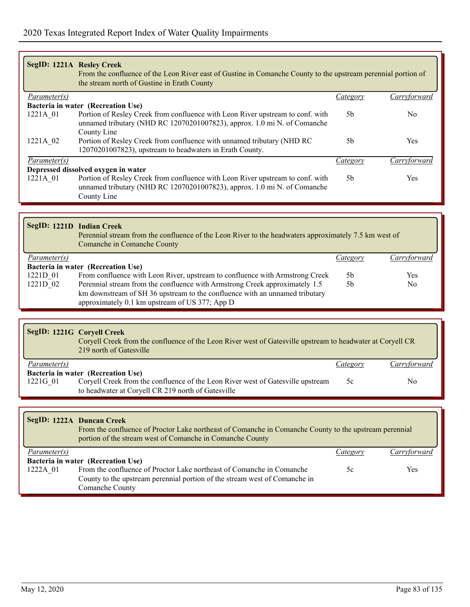| SegID: 1221A Resley Creek | From the confluence of the Leon River east of Gustine in Comanche County to the upstream perennial portion of<br>the stream north of Gustine in Erath County              |                |                |
|---------------------------|---------------------------------------------------------------------------------------------------------------------------------------------------------------------------|----------------|----------------|
| Parameter(s)              |                                                                                                                                                                           | Category       | Carryforward   |
|                           | Bacteria in water (Recreation Use)                                                                                                                                        |                |                |
| 1221A 01                  | Portion of Resley Creek from confluence with Leon River upstream to conf. with<br>unnamed tributary (NHD RC 12070201007823), approx. 1.0 mi N. of Comanche<br>County Line | 5 <sub>b</sub> | N <sub>0</sub> |
| 1221A 02                  | Portion of Resley Creek from confluence with unnamed tributary (NHD RC)<br>12070201007823), upstream to headwaters in Erath County.                                       | .5h            | <b>Yes</b>     |
| Parameter(s)              |                                                                                                                                                                           | Category       | Carryforward   |
|                           | Depressed dissolved oxygen in water                                                                                                                                       |                |                |
| 1221A 01                  | Portion of Resley Creek from confluence with Leon River upstream to conf. with<br>unnamed tributary (NHD RC 12070201007823), approx. 1.0 mi N. of Comanche<br>County Line | 5 <sub>b</sub> | <b>Yes</b>     |

|              | SegID: 1221D Indian Creek<br>Perennial stream from the confluence of the Leon River to the headwaters approximately 7.5 km west of<br>Comanche in Comanche County |                |              |
|--------------|-------------------------------------------------------------------------------------------------------------------------------------------------------------------|----------------|--------------|
| Parameter(s) |                                                                                                                                                                   | Category       | Carryforward |
|              | Bacteria in water (Recreation Use)                                                                                                                                |                |              |
| 1221D 01     | From confluence with Leon River, upstream to confluence with Armstrong Creek                                                                                      | 5 <sub>b</sub> | Yes          |
| 1221D 02     | Perennial stream from the confluence with Armstrong Creek approximately 1.5                                                                                       | 5b             | No           |
|              | km downstream of SH 36 upstream to the confluence with an unnamed tributary                                                                                       |                |              |
|              | approximately 0.1 km upstream of US 377; App D                                                                                                                    |                |              |

| SegID: 1221G Coryell Creek<br>Coryell Creek from the confluence of the Leon River west of Gatesville upstream to headwater at Coryell CR<br>219 north of Gatesville |                                                                                                                                       |          |              |  |
|---------------------------------------------------------------------------------------------------------------------------------------------------------------------|---------------------------------------------------------------------------------------------------------------------------------------|----------|--------------|--|
| Parameter(s)                                                                                                                                                        |                                                                                                                                       | Category | Carryforward |  |
|                                                                                                                                                                     | Bacteria in water (Recreation Use)                                                                                                    |          |              |  |
| 1221G 01                                                                                                                                                            | Coryell Creek from the confluence of the Leon River west of Gatesville upstream<br>to headwater at Coryell CR 219 north of Gatesville | 5c       | No           |  |

|              | <b>SegID: 1222A Duncan Creek</b><br>From the confluence of Proctor Lake northeast of Comanche in Comanche County to the upstream perennial<br>portion of the stream west of Comanche in Comanche County |          |              |
|--------------|---------------------------------------------------------------------------------------------------------------------------------------------------------------------------------------------------------|----------|--------------|
| Parameter(s) |                                                                                                                                                                                                         | Category | Carryforward |
|              | Bacteria in water (Recreation Use)                                                                                                                                                                      |          |              |
| 1222A 01     | From the confluence of Proctor Lake northeast of Comanche in Comanche                                                                                                                                   | 5c       | Yes          |
|              | County to the upstream perennial portion of the stream west of Comanche in                                                                                                                              |          |              |
|              | Comanche County                                                                                                                                                                                         |          |              |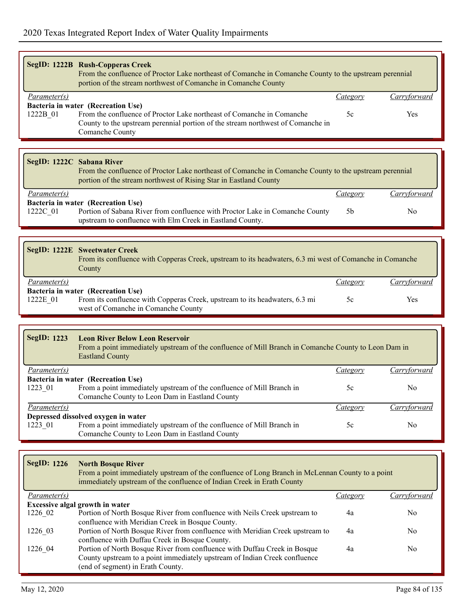|                           | SegID: 1222B Rush-Copperas Creek<br>From the confluence of Proctor Lake northeast of Comanche in Comanche County to the upstream perennial<br>portion of the stream northwest of Comanche in Comanche County      |                |                |
|---------------------------|-------------------------------------------------------------------------------------------------------------------------------------------------------------------------------------------------------------------|----------------|----------------|
| Parameter(s)              |                                                                                                                                                                                                                   | Category       | Carryforward   |
| 1222B 01                  | Bacteria in water (Recreation Use)<br>From the confluence of Proctor Lake northeast of Comanche in Comanche<br>County to the upstream perennial portion of the stream northwest of Comanche in<br>Comanche County | 5c             | <b>Yes</b>     |
|                           |                                                                                                                                                                                                                   |                |                |
| SegID: 1222C Sabana River | From the confluence of Proctor Lake northeast of Comanche in Comanche County to the upstream perennial<br>portion of the stream northwest of Rising Star in Eastland County                                       |                |                |
| Parameter(s)              |                                                                                                                                                                                                                   | Category       | Carryforward   |
| 1222C 01                  | Bacteria in water (Recreation Use)<br>Portion of Sabana River from confluence with Proctor Lake in Comanche County<br>upstream to confluence with Elm Creek in Eastland County.                                   | 5 <sub>b</sub> | No             |
|                           |                                                                                                                                                                                                                   |                |                |
|                           | SegID: 1222E Sweetwater Creek<br>From its confluence with Copperas Creek, upstream to its headwaters, 6.3 mi west of Comanche in Comanche<br>County                                                               |                |                |
| Parameter(s)              |                                                                                                                                                                                                                   | Category       | Carryforward   |
| 1222E_01                  | Bacteria in water (Recreation Use)<br>From its confluence with Copperas Creek, upstream to its headwaters, 6.3 mi<br>west of Comanche in Comanche County                                                          | 5c             | <b>Yes</b>     |
|                           |                                                                                                                                                                                                                   |                |                |
| <b>SegID: 1223</b>        | <b>Leon River Below Leon Reservoir</b><br>From a point immediately upstream of the confluence of Mill Branch in Comanche County to Leon Dam in<br><b>Eastland County</b>                                          |                |                |
| Parameter(s)              |                                                                                                                                                                                                                   | Category       | Carryforward   |
|                           | Bacteria in water (Recreation Use)                                                                                                                                                                                |                |                |
| 1223_01                   | From a point immediately upstream of the confluence of Mill Branch in                                                                                                                                             | 5c             | N <sub>0</sub> |

|                     | $\sim$ climately $\sim$ county; you have only hear the house county;  |          |                     |
|---------------------|-----------------------------------------------------------------------|----------|---------------------|
| <i>Parameter(s)</i> |                                                                       | Category | <i>Carryforward</i> |
|                     | Depressed dissolved oxygen in water                                   |          |                     |
| 1223 01             | From a point immediately upstream of the confluence of Mill Branch in | эc       | No                  |
|                     | Comanche County to Leon Dam in Eastland County                        |          |                     |

| SegID: $1226$       | <b>North Bosque River</b><br>From a point immediately upstream of the confluence of Long Branch in McLennan County to a point<br>immediately upstream of the confluence of Indian Creek in Erath County |          |              |
|---------------------|---------------------------------------------------------------------------------------------------------------------------------------------------------------------------------------------------------|----------|--------------|
| <i>Parameter(s)</i> |                                                                                                                                                                                                         | Category | Carryforward |
|                     | <b>Excessive algal growth in water</b>                                                                                                                                                                  |          |              |
| 1226 02             | Portion of North Bosque River from confluence with Neils Creek upstream to<br>confluence with Meridian Creek in Bosque County.                                                                          | 4a       | No.          |
| 1226 03             | Portion of North Bosque River from confluence with Meridian Creek upstream to<br>confluence with Duffau Creek in Bosque County.                                                                         | 4a       | No           |
| 1226 04             | Portion of North Bosque River from confluence with Duffau Creek in Bosque<br>County upstream to a point immediately upstream of Indian Creek confluence<br>(end of segment) in Erath County.            | 4a       | No           |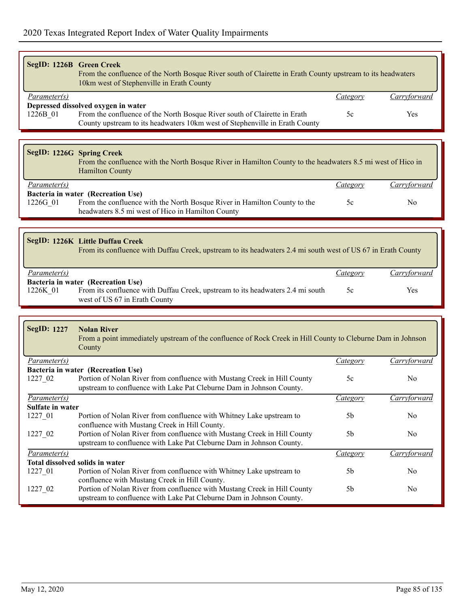| SegID: 1226B Green Creek         | From the confluence of the North Bosque River south of Clairette in Erath County upstream to its headwaters<br>10km west of Stephenville in Erath County                                        |                 |                |
|----------------------------------|-------------------------------------------------------------------------------------------------------------------------------------------------------------------------------------------------|-----------------|----------------|
| Parameter(s)                     |                                                                                                                                                                                                 | Category        | Carryforward   |
| 1226B_01                         | Depressed dissolved oxygen in water<br>From the confluence of the North Bosque River south of Clairette in Erath<br>County upstream to its headwaters 10km west of Stephenville in Erath County | 5c              | Yes            |
|                                  |                                                                                                                                                                                                 |                 |                |
| <b>SegID: 1226G Spring Creek</b> | From the confluence with the North Bosque River in Hamilton County to the headwaters 8.5 mi west of Hico in<br><b>Hamilton County</b>                                                           |                 |                |
| Parameter(s)                     |                                                                                                                                                                                                 | Category        | Carryforward   |
| 1226G 01                         | Bacteria in water (Recreation Use)<br>From the confluence with the North Bosque River in Hamilton County to the<br>headwaters 8.5 mi west of Hico in Hamilton County                            | 5c              | N <sub>0</sub> |
|                                  |                                                                                                                                                                                                 |                 |                |
|                                  | SegID: 1226K Little Duffau Creek<br>From its confluence with Duffau Creek, upstream to its headwaters 2.4 mi south west of US 67 in Erath County                                                |                 |                |
| Parameter(s)                     |                                                                                                                                                                                                 | Category        | Carryforward   |
| 1226K 01                         | Bacteria in water (Recreation Use)<br>From its confluence with Duffau Creek, upstream to its headwaters 2.4 mi south<br>west of US 67 in Erath County                                           | 5c              | Yes            |
|                                  |                                                                                                                                                                                                 |                 |                |
| <b>SegID: 1227</b>               | <b>Nolan River</b><br>From a point immediately upstream of the confluence of Rock Creek in Hill County to Cleburne Dam in Johnson<br>County                                                     |                 |                |
| Parameter(s)                     |                                                                                                                                                                                                 | Category        | Carryforward   |
| 1227_02                          | Bacteria in water (Recreation Use)<br>Portion of Nolan River from confluence with Mustang Creek in Hill County<br>upstream to confluence with Lake Pat Cleburne Dam in Johnson County.          | 5c              | N <sub>0</sub> |
| Parameter(s)                     |                                                                                                                                                                                                 | <i>Category</i> | Carryforward   |
| Sulfate in water                 |                                                                                                                                                                                                 |                 |                |
| 1227_01                          | Portion of Nolan River from confluence with Whitney Lake upstream to<br>confluence with Mustang Creek in Hill County.                                                                           | 5b              | No             |
| 1227_02                          | Portion of Nolan River from confluence with Mustang Creek in Hill County<br>upstream to confluence with Lake Pat Cleburne Dam in Johnson County.                                                | 5 <sub>b</sub>  | No             |
| Parameter(s)                     |                                                                                                                                                                                                 | <b>Category</b> | Carryforward   |
| 1227_01                          | Total dissolved solids in water<br>Portion of Nolan River from confluence with Whitney Lake upstream to                                                                                         | 5b              | No             |
|                                  | confluence with Mustang Creek in Hill County.                                                                                                                                                   |                 |                |
| 1227_02                          | Portion of Nolan River from confluence with Mustang Creek in Hill County<br>upstream to confluence with Lake Pat Cleburne Dam in Johnson County.                                                | 5 <sub>b</sub>  | No             |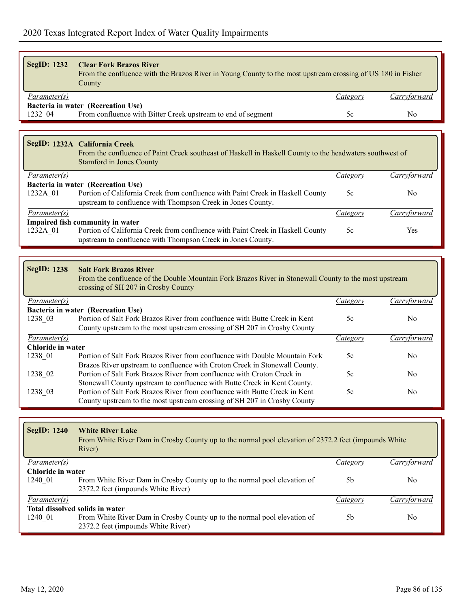| SegID: $1232$       | <b>Clear Fork Brazos River</b><br>From the confluence with the Brazos River in Young County to the most upstream crossing of US 180 in Fisher<br>County |          |              |
|---------------------|---------------------------------------------------------------------------------------------------------------------------------------------------------|----------|--------------|
| <i>Parameter(s)</i> |                                                                                                                                                         | Category | Carryforward |
|                     | Bacteria in water (Recreation Use)                                                                                                                      |          |              |
| 1232 04             | From confluence with Bitter Creek upstream to end of segment                                                                                            | 5c       | No           |
|                     |                                                                                                                                                         |          |              |

## **SegID: 1232A California Creek** From the confluence of Paint Creek southeast of Haskell in Haskell County to the headwaters southwest of Stamford in Jones County *Parameter(s) Category Carryforward* **Bacteria in water (Recreation Use)** 1232A\_01 Portion of California Creek from confluence with Paint Creek in Haskell County 5c No upstream to confluence with Thompson Creek in Jones County. *Parameter(s) Category Carryforward* **Impaired fish community in water**<br>1232A 01 Portion of California 1232 Portion of California Creek from confluence with Paint Creek in Haskell County 5c Yes upstream to confluence with Thompson Creek in Jones County.

| <b>SegID: 1238</b>  | <b>Salt Fork Brazos River</b><br>From the confluence of the Double Mountain Fork Brazos River in Stonewall County to the most upstream<br>crossing of SH 207 in Crosby County |                 |                     |
|---------------------|-------------------------------------------------------------------------------------------------------------------------------------------------------------------------------|-----------------|---------------------|
| <i>Parameter(s)</i> |                                                                                                                                                                               | <i>Category</i> | <u>Carryforward</u> |
|                     | Bacteria in water (Recreation Use)                                                                                                                                            |                 |                     |
| 1238 03             | Portion of Salt Fork Brazos River from confluence with Butte Creek in Kent                                                                                                    | 5c              | No.                 |
|                     | County upstream to the most upstream crossing of SH 207 in Crosby County                                                                                                      |                 |                     |
| Parameter(s)        |                                                                                                                                                                               | Category        | Carryforward        |
| Chloride in water   |                                                                                                                                                                               |                 |                     |
| 1238 01             | Portion of Salt Fork Brazos River from confluence with Double Mountain Fork                                                                                                   | 5c              | No.                 |
|                     | Brazos River upstream to confluence with Croton Creek in Stonewall County.                                                                                                    |                 |                     |
| 1238 02             | Portion of Salt Fork Brazos River from confluence with Croton Creek in                                                                                                        | 5c              | No.                 |
|                     | Stonewall County upstream to confluence with Butte Creek in Kent County.                                                                                                      |                 |                     |
| 1238 03             | Portion of Salt Fork Brazos River from confluence with Butte Creek in Kent                                                                                                    | 5c              | No                  |
|                     | County upstream to the most upstream crossing of SH 207 in Crosby County                                                                                                      |                 |                     |

| <b>SegID: 1240</b>              | <b>White River Lake</b><br>From White River Dam in Crosby County up to the normal pool elevation of 2372.2 feet (impounds White<br>River) |                 |              |  |
|---------------------------------|-------------------------------------------------------------------------------------------------------------------------------------------|-----------------|--------------|--|
| Parameter(s)                    |                                                                                                                                           | <i>Category</i> | Carryforward |  |
| Chloride in water               |                                                                                                                                           |                 |              |  |
| 1240 01                         | From White River Dam in Crosby County up to the normal pool elevation of<br>2372.2 feet (impounds White River)                            | 5b              | No.          |  |
| <i>Parameter(s)</i>             |                                                                                                                                           | Category        | Carrytorward |  |
| Total dissolved solids in water |                                                                                                                                           |                 |              |  |
| 1240 01                         | From White River Dam in Crosby County up to the normal pool elevation of<br>2372.2 feet (impounds White River)                            | .5b             | No           |  |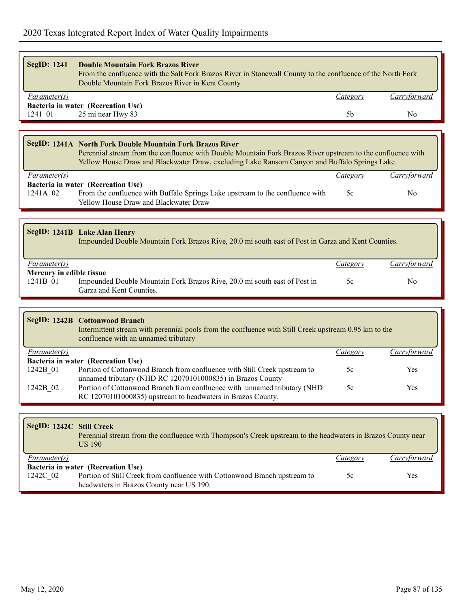| <b>SegID: 1241</b>       | <b>Double Mountain Fork Brazos River</b><br>From the confluence with the Salt Fork Brazos River in Stonewall County to the confluence of the North Fork<br>Double Mountain Fork Brazos River in Kent County                                                              |                |                |  |  |
|--------------------------|--------------------------------------------------------------------------------------------------------------------------------------------------------------------------------------------------------------------------------------------------------------------------|----------------|----------------|--|--|
| Parameter(s)             |                                                                                                                                                                                                                                                                          | Category       | Carryforward   |  |  |
|                          | Bacteria in water (Recreation Use)                                                                                                                                                                                                                                       |                |                |  |  |
| 1241 01                  | 25 mi near Hwy 83                                                                                                                                                                                                                                                        | 5 <sub>b</sub> | N <sub>0</sub> |  |  |
|                          |                                                                                                                                                                                                                                                                          |                |                |  |  |
|                          | SegID: 1241A North Fork Double Mountain Fork Brazos River<br>Perennial stream from the confluence with Double Mountain Fork Brazos River upstream to the confluence with<br>Yellow House Draw and Blackwater Draw, excluding Lake Ransom Canyon and Buffalo Springs Lake |                |                |  |  |
| Parameter(s)             |                                                                                                                                                                                                                                                                          | Category       | Carryforward   |  |  |
|                          | Bacteria in water (Recreation Use)                                                                                                                                                                                                                                       |                |                |  |  |
| 1241A 02                 | From the confluence with Buffalo Springs Lake upstream to the confluence with<br>Yellow House Draw and Blackwater Draw                                                                                                                                                   | 5c             | No             |  |  |
|                          |                                                                                                                                                                                                                                                                          |                |                |  |  |
|                          | SegID: 1241B Lake Alan Henry<br>Impounded Double Mountain Fork Brazos Rive, 20.0 mi south east of Post in Garza and Kent Counties.                                                                                                                                       |                |                |  |  |
| Parameter(s)             |                                                                                                                                                                                                                                                                          | Category       | Carryforward   |  |  |
| Mercury in edible tissue |                                                                                                                                                                                                                                                                          |                |                |  |  |
| 1241B 01                 | Impounded Double Mountain Fork Brazos Rive, 20.0 mi south east of Post in<br>Garza and Kent Counties.                                                                                                                                                                    | 5c             | N <sub>o</sub> |  |  |
|                          |                                                                                                                                                                                                                                                                          |                |                |  |  |
|                          | SegID: 1242B Cottonwood Branch<br>Intermittent stream with perennial pools from the confluence with Still Creek upstream 0.95 km to the<br>confluence with an unnamed tributary                                                                                          |                |                |  |  |

| <i>Parameter(s)</i> |                                                                           | Category | Carryforward |
|---------------------|---------------------------------------------------------------------------|----------|--------------|
|                     | Bacteria in water (Recreation Use)                                        |          |              |
| 1242B 01            | Portion of Cottonwood Branch from confluence with Still Creek upstream to | 5c       | Yes.         |
|                     | unnamed tributary (NHD RC 12070101000835) in Brazos County                |          |              |
| 1242B 02            | Portion of Cottonwood Branch from confluence with unnamed tributary (NHD  | 5c       | Yes          |
|                     | RC 12070101000835) upstream to headwaters in Brazos County.               |          |              |

| SegID: 1242C Still Creek | Perennial stream from the confluence with Thompson's Creek upstream to the headwaters in Brazos County near<br><b>US 190</b> |          |              |
|--------------------------|------------------------------------------------------------------------------------------------------------------------------|----------|--------------|
| <i>Parameter(s)</i>      |                                                                                                                              | Category | Carryforward |
|                          | Bacteria in water (Recreation Use)                                                                                           |          |              |
| 1242C 02                 | Portion of Still Creek from confluence with Cottonwood Branch upstream to                                                    | 5c       | Yes          |
|                          | headwaters in Brazos County near US 190.                                                                                     |          |              |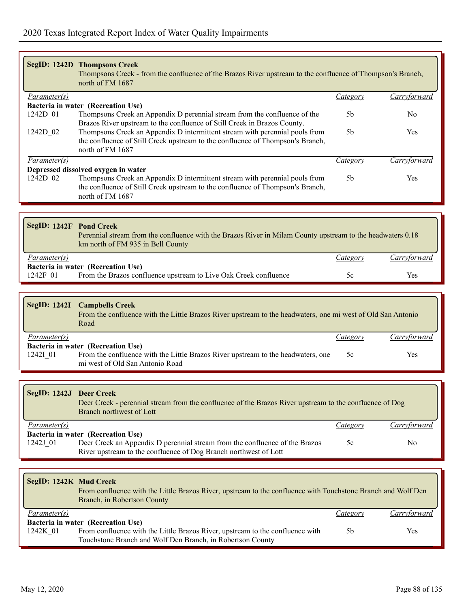|                         | <b>SegID: 1242D Thompsons Creek</b><br>Thompsons Creek - from the confluence of the Brazos River upstream to the confluence of Thompson's Branch,<br>north of FM 1687                                                    |                 |              |
|-------------------------|--------------------------------------------------------------------------------------------------------------------------------------------------------------------------------------------------------------------------|-----------------|--------------|
| Parameter(s)            |                                                                                                                                                                                                                          | Category        | Carryforward |
|                         | Bacteria in water (Recreation Use)                                                                                                                                                                                       |                 |              |
| 1242D 01                | Thompsons Creek an Appendix D perennial stream from the confluence of the<br>Brazos River upstream to the confluence of Still Creek in Brazos County.                                                                    | 5b              | No.          |
| 1242D <sub>02</sub>     | Thompsons Creek an Appendix D intermittent stream with perennial pools from<br>the confluence of Still Creek upstream to the confluence of Thompson's Branch,<br>north of FM 1687                                        | 5 <sub>b</sub>  | Yes          |
| Parameter(s)            |                                                                                                                                                                                                                          | <i>Category</i> | Carryforward |
| 1242D <sub>02</sub>     | Depressed dissolved oxygen in water<br>Thompsons Creek an Appendix D intermittent stream with perennial pools from<br>the confluence of Still Creek upstream to the confluence of Thompson's Branch,<br>north of FM 1687 | 5b              | Yes          |
|                         |                                                                                                                                                                                                                          |                 |              |
| SegID: 1242F Pond Creek | Perennial stream from the confluence with the Brazos River in Milam County upstream to the headwaters 0.18<br>km north of FM 935 in Bell County                                                                          |                 |              |
| Parameter(s)            |                                                                                                                                                                                                                          | <i>Category</i> | Carryforward |
|                         | Bacteria in water (Recreation Use)                                                                                                                                                                                       |                 |              |
| 1242F_01                | From the Brazos confluence upstream to Live Oak Creek confluence                                                                                                                                                         | 5c              | Yes          |
|                         |                                                                                                                                                                                                                          |                 |              |
| <b>SegID: 1242I</b>     | <b>Campbells Creek</b><br>From the confluence with the Little Brazos River upstream to the headwaters, one mi west of Old San Antonio<br>Road                                                                            |                 |              |
| <i>Parameter(s)</i>     | Bacteria in water (Recreation Use)                                                                                                                                                                                       | <i>Category</i> | Carryforward |
| 1242I_01                | From the confluence with the Little Brazos River upstream to the headwaters, one<br>mi west of Old San Antonio Road                                                                                                      | 5c              | Yes          |
|                         |                                                                                                                                                                                                                          |                 |              |
| SegID: 1242J Deer Creek | Deer Creek - perennial stream from the confluence of the Brazos River upstream to the confluence of Dog<br>Branch northwest of Lott                                                                                      |                 |              |
| <i>Parameter(s)</i>     |                                                                                                                                                                                                                          | Category        | Carryforward |
| 1242J 01                | Bacteria in water (Recreation Use)<br>Deer Creek an Appendix D perennial stream from the confluence of the Brazos<br>River upstream to the confluence of Dog Branch northwest of Lott                                    | 5c              | No           |
|                         |                                                                                                                                                                                                                          |                 |              |
| SegID: 1242K Mud Creek  |                                                                                                                                                                                                                          |                 |              |
|                         | From confluence with the Little Brazos River, upstream to the confluence with Touchstone Branch and Wolf Den<br>Branch, in Robertson County                                                                              |                 |              |
| <i>Parameter(s)</i>     |                                                                                                                                                                                                                          | <i>Category</i> | Carryforward |
| 1242K 01                | Bacteria in water (Recreation Use)<br>From confluence with the Little Brazos River, upstream to the confluence with                                                                                                      | 5b              | Yes          |

Touchstone Branch and Wolf Den Branch, in Robertson County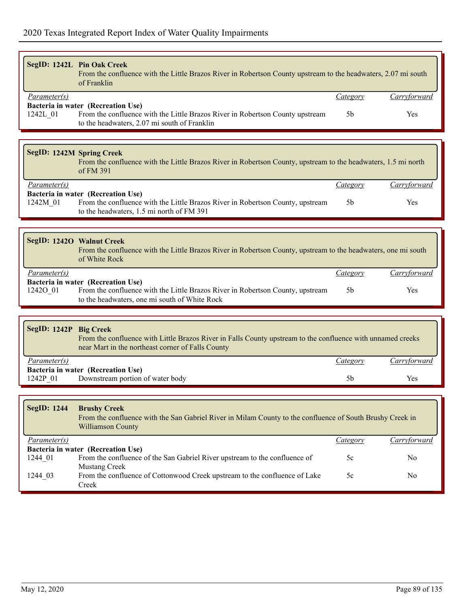|                        | SegID: 1242L Pin Oak Creek<br>From the confluence with the Little Brazos River in Robertson County upstream to the headwaters, 2.07 mi south<br>of Franklin           |                 |              |
|------------------------|-----------------------------------------------------------------------------------------------------------------------------------------------------------------------|-----------------|--------------|
| <i>Parameter(s)</i>    |                                                                                                                                                                       | Category        | Carryforward |
| 1242L 01               | Bacteria in water (Recreation Use)<br>From the confluence with the Little Brazos River in Robertson County upstream<br>to the headwaters, 2.07 mi south of Franklin   | 5 <sub>b</sub>  | Yes          |
|                        |                                                                                                                                                                       |                 |              |
|                        |                                                                                                                                                                       |                 |              |
|                        | SegID: 1242M Spring Creek<br>From the confluence with the Little Brazos River in Robertson County, upstream to the headwaters, 1.5 mi north<br>of FM 391              |                 |              |
| <i>Parameter(s)</i>    |                                                                                                                                                                       | <i>Category</i> | Carryforward |
| 1242M 01               | Bacteria in water (Recreation Use)<br>From the confluence with the Little Brazos River in Robertson County, upstream                                                  | 5 <sub>b</sub>  | Yes          |
|                        | to the headwaters, 1.5 mi north of FM 391                                                                                                                             |                 |              |
|                        |                                                                                                                                                                       |                 |              |
|                        |                                                                                                                                                                       |                 |              |
|                        | SegID: 1242O Walnut Creek<br>From the confluence with the Little Brazos River in Robertson County, upstream to the headwaters, one mi south<br>of White Rock          |                 |              |
| <i>Parameter(s)</i>    |                                                                                                                                                                       | Category        | Carryforward |
| 1242O_01               | Bacteria in water (Recreation Use)<br>From the confluence with the Little Brazos River in Robertson County, upstream<br>to the headwaters, one mi south of White Rock | 5 <sub>b</sub>  | Yes          |
|                        |                                                                                                                                                                       |                 |              |
| SegID: 1242P Big Creek | From the confluence with Little Brazos River in Falls County upstream to the confluence with unnamed creeks<br>near Mart in the northeast corner of Falls County      |                 |              |
| <i>Parameter(s)</i>    |                                                                                                                                                                       | Category        | Carryforward |
| 1242P 01               | Bacteria in water (Recreation Use)<br>Downstream portion of water body                                                                                                | 5 <sub>b</sub>  | Yes          |
|                        |                                                                                                                                                                       |                 |              |
|                        |                                                                                                                                                                       |                 |              |
| <b>SegID: 1244</b>     | <b>Brushy Creek</b><br>From the confluence with the San Gabriel River in Milam County to the confluence of South Brushy Creek in<br>Williamson County                 |                 |              |
| Parameter(s)           |                                                                                                                                                                       | Category        | Carryforward |
| 1244 01                | Bacteria in water (Recreation Use)<br>From the confluence of the San Gabriel River upstream to the confluence of                                                      | 5c              | No           |
| 1244 03                | <b>Mustang Creek</b><br>From the confluence of Cottonwood Creek upstream to the confluence of Lake<br>Creek                                                           | 5c              | No           |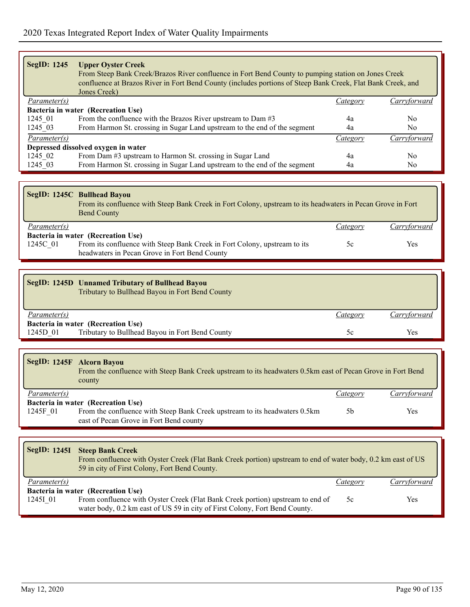| SegID: 1245                         | <b>Upper Oyster Creek</b><br>From Steep Bank Creek/Brazos River confluence in Fort Bend County to pumping station on Jones Creek<br>confluence at Brazos River in Fort Bend County (includes portions of Steep Bank Creek, Flat Bank Creek, and<br>Jones Creek) |                 |              |  |  |
|-------------------------------------|-----------------------------------------------------------------------------------------------------------------------------------------------------------------------------------------------------------------------------------------------------------------|-----------------|--------------|--|--|
| <i>Parameter(s)</i>                 |                                                                                                                                                                                                                                                                 | Category        | Carryforward |  |  |
|                                     | Bacteria in water (Recreation Use)                                                                                                                                                                                                                              |                 |              |  |  |
| 1245 01                             | From the confluence with the Brazos River upstream to Dam $#3$                                                                                                                                                                                                  | 4a              | No.          |  |  |
| 1245 03                             | From Harmon St. crossing in Sugar Land upstream to the end of the segment                                                                                                                                                                                       | 4a              | No.          |  |  |
| Parameter(s)                        |                                                                                                                                                                                                                                                                 | <i>Category</i> | Carryforward |  |  |
| Depressed dissolved oxygen in water |                                                                                                                                                                                                                                                                 |                 |              |  |  |
| 1245 02                             | From Dam #3 upstream to Harmon St. crossing in Sugar Land                                                                                                                                                                                                       | 4a              | No.          |  |  |
| 1245 03                             | From Harmon St. crossing in Sugar Land upstream to the end of the segment                                                                                                                                                                                       | 4a              | No.          |  |  |

| SegID: 1245C Bullhead Bayou<br>From its confluence with Steep Bank Creek in Fort Colony, upstream to its headwaters in Pecan Grove in Fort<br><b>Bend County</b> |                                                                           |          |              |  |  |
|------------------------------------------------------------------------------------------------------------------------------------------------------------------|---------------------------------------------------------------------------|----------|--------------|--|--|
| <i>Parameter(s)</i>                                                                                                                                              |                                                                           | Category | Carryforward |  |  |
|                                                                                                                                                                  | Bacteria in water (Recreation Use)                                        |          |              |  |  |
| 1245C 01                                                                                                                                                         | From its confluence with Steep Bank Creek in Fort Colony, upstream to its | 5c       | Yes          |  |  |
|                                                                                                                                                                  | headwaters in Pecan Grove in Fort Bend County                             |          |              |  |  |

|                     | SegID: 1245D Unnamed Tributary of Bullhead Bayou<br>Tributary to Bullhead Bayou in Fort Bend County |          |              |
|---------------------|-----------------------------------------------------------------------------------------------------|----------|--------------|
| <i>Parameter(s)</i> |                                                                                                     | Category | Carryforward |
|                     | Bacteria in water (Recreation Use)                                                                  |          |              |
| 1245D 01            | Tributary to Bullhead Bayou in Fort Bend County                                                     | 5c       | Yes          |

|                     | SegID: 1245F Alcorn Bayou<br>From the confluence with Steep Bank Creek upstream to its headwaters 0.5km east of Pecan Grove in Fort Bend<br>county          |          |              |
|---------------------|-------------------------------------------------------------------------------------------------------------------------------------------------------------|----------|--------------|
| <i>Parameter(s)</i> |                                                                                                                                                             | Category | Carryforward |
| 1245F 01            | Bacteria in water (Recreation Use)<br>From the confluence with Steep Bank Creek upstream to its headwaters 0.5km<br>east of Pecan Grove in Fort Bend county | .5h      | Yes          |

|              | SegID: 1245I Steep Bank Creek<br>From confluence with Oyster Creek (Flat Bank Creek portion) upstream to end of water body, 0.2 km east of US<br>59 in city of First Colony, Fort Bend County.      |          |              |
|--------------|-----------------------------------------------------------------------------------------------------------------------------------------------------------------------------------------------------|----------|--------------|
| Parameter(s) |                                                                                                                                                                                                     | Category | Carryforward |
| 1245I 01     | Bacteria in water (Recreation Use)<br>From confluence with Oyster Creek (Flat Bank Creek portion) upstream to end of<br>water body, 0.2 km east of US 59 in city of First Colony, Fort Bend County. | 5c       | Yes.         |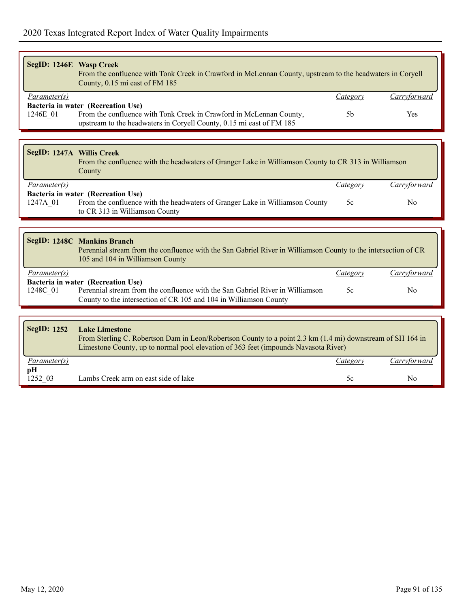| SegID: 1246E Wasp Creek<br>From the confluence with Tonk Creek in Crawford in McLennan County, upstream to the headwaters in Coryell<br>County, 0.15 mi east of FM 185 |                                                                                                                                                                                                                            |                            |                     |  |
|------------------------------------------------------------------------------------------------------------------------------------------------------------------------|----------------------------------------------------------------------------------------------------------------------------------------------------------------------------------------------------------------------------|----------------------------|---------------------|--|
| Parameter(s)<br>1246E 01                                                                                                                                               | Bacteria in water (Recreation Use)<br>From the confluence with Tonk Creek in Crawford in McLennan County,<br>upstream to the headwaters in Coryell County, 0.15 mi east of FM 185                                          | Category<br>5 <sub>b</sub> | Carryforward<br>Yes |  |
|                                                                                                                                                                        |                                                                                                                                                                                                                            |                            |                     |  |
| SegID: 1247A Willis Creek                                                                                                                                              | From the confluence with the headwaters of Granger Lake in Williamson County to CR 313 in Williamson<br>County                                                                                                             |                            |                     |  |
| Parameter(s)                                                                                                                                                           |                                                                                                                                                                                                                            | Category                   | Carryforward        |  |
| 1247A 01                                                                                                                                                               | Bacteria in water (Recreation Use)<br>From the confluence with the headwaters of Granger Lake in Williamson County<br>to CR 313 in Williamson County                                                                       | 5c                         | N <sub>0</sub>      |  |
|                                                                                                                                                                        |                                                                                                                                                                                                                            |                            |                     |  |
|                                                                                                                                                                        | <b>SegID: 1248C Mankins Branch</b><br>Perennial stream from the confluence with the San Gabriel River in Williamson County to the intersection of CR                                                                       |                            |                     |  |
|                                                                                                                                                                        | 105 and 104 in Williamson County                                                                                                                                                                                           |                            |                     |  |
| Parameter(s)                                                                                                                                                           |                                                                                                                                                                                                                            | Category                   | Carryforward        |  |
| 1248C 01                                                                                                                                                               | Bacteria in water (Recreation Use)<br>Perennial stream from the confluence with the San Gabriel River in Williamson<br>County to the intersection of CR 105 and 104 in Williamson County                                   | 5c                         | No                  |  |
|                                                                                                                                                                        |                                                                                                                                                                                                                            |                            |                     |  |
| <b>SegID: 1252</b>                                                                                                                                                     | <b>Lake Limestone</b><br>From Sterling C. Robertson Dam in Leon/Robertson County to a point 2.3 km (1.4 mi) downstream of SH 164 in<br>Limestone County, up to normal pool elevation of 363 feet (impounds Navasota River) |                            |                     |  |
| Parameter(s)<br>pН                                                                                                                                                     |                                                                                                                                                                                                                            | Category                   | Carryforward        |  |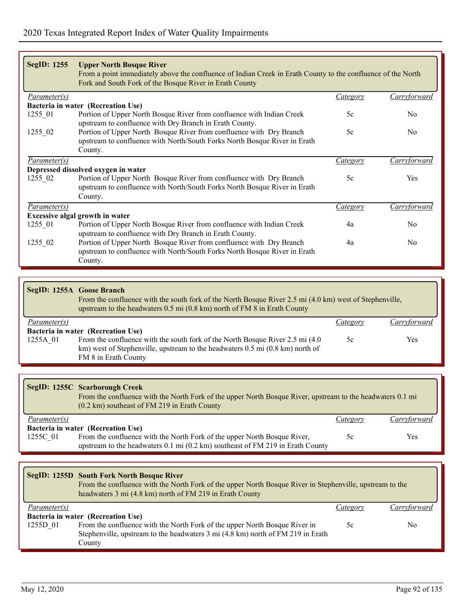| SegID: 1255         | <b>Upper North Bosque River</b><br>From a point immediately above the confluence of Indian Creek in Erath County to the confluence of the North<br>Fork and South Fork of the Bosque River in Erath County |                 |                |
|---------------------|------------------------------------------------------------------------------------------------------------------------------------------------------------------------------------------------------------|-----------------|----------------|
| <i>Parameter(s)</i> |                                                                                                                                                                                                            | <i>Category</i> | Carryforward   |
|                     | Bacteria in water (Recreation Use)                                                                                                                                                                         |                 |                |
| 1255 01             | Portion of Upper North Bosque River from confluence with Indian Creek<br>upstream to confluence with Dry Branch in Erath County.                                                                           | 5c              | N <sub>o</sub> |
| 1255 02             | Portion of Upper North Bosque River from confluence with Dry Branch<br>upstream to confluence with North/South Forks North Bosque River in Erath<br>County.                                                | 5c              | N <sub>0</sub> |
| Parameter(s)        |                                                                                                                                                                                                            | Category        | Carryforward   |
|                     | Depressed dissolved oxygen in water                                                                                                                                                                        |                 |                |
| 1255 02             | Portion of Upper North Bosque River from confluence with Dry Branch<br>upstream to confluence with North/South Forks North Bosque River in Erath<br>County.                                                | 5c              | Yes            |
| Parameter(s)        |                                                                                                                                                                                                            | <u>Category</u> | Carryforward   |
|                     | <b>Excessive algal growth in water</b>                                                                                                                                                                     |                 |                |
| 1255 01             | Portion of Upper North Bosque River from confluence with Indian Creek<br>upstream to confluence with Dry Branch in Erath County.                                                                           | 4a              | N <sub>0</sub> |
| 1255 02             | Portion of Upper North Bosque River from confluence with Dry Branch<br>upstream to confluence with North/South Forks North Bosque River in Erath<br>County.                                                | 4a              | N <sub>0</sub> |

| SegID: 1255A Goose Branch<br>From the confluence with the south fork of the North Bosque River 2.5 mi (4.0 km) west of Stephenville,<br>upstream to the headwaters $0.5$ mi $(0.8 \text{ km})$ north of FM $8$ in Erath County |                                                                                                       |          |              |  |
|--------------------------------------------------------------------------------------------------------------------------------------------------------------------------------------------------------------------------------|-------------------------------------------------------------------------------------------------------|----------|--------------|--|
| Parameter(s)                                                                                                                                                                                                                   |                                                                                                       | Category | Carryforward |  |
|                                                                                                                                                                                                                                | Bacteria in water (Recreation Use)                                                                    |          |              |  |
| 1255A 01                                                                                                                                                                                                                       | From the confluence with the south fork of the North Bosque River 2.5 mi (4.0)                        | 5c       | Yes          |  |
|                                                                                                                                                                                                                                | km) west of Stephenville, upstream to the headwaters 0.5 mi (0.8 km) north of<br>FM 8 in Erath County |          |              |  |

| SegID: 1255C Scarborough Creek<br>From the confluence with the North Fork of the upper North Bosque River, upstream to the headwaters 0.1 mi<br>$(0.2 \text{ km})$ southeast of FM 219 in Erath County |                                                                                |          |              |  |  |
|--------------------------------------------------------------------------------------------------------------------------------------------------------------------------------------------------------|--------------------------------------------------------------------------------|----------|--------------|--|--|
| <i>Parameter(s)</i>                                                                                                                                                                                    |                                                                                | Category | Carryforward |  |  |
|                                                                                                                                                                                                        | Bacteria in water (Recreation Use)                                             |          |              |  |  |
| 1255C 01                                                                                                                                                                                               | From the confluence with the North Fork of the upper North Bosque River,       | 5c       | Yes          |  |  |
|                                                                                                                                                                                                        | upstream to the headwaters 0.1 mi (0.2 km) southeast of FM 219 in Erath County |          |              |  |  |

| SegID: 1255D South Fork North Bosque River<br>From the confluence with the North Fork of the upper North Bosque River in Stephenville, upstream to the<br>headwaters 3 mi (4.8 km) north of FM 219 in Erath County |                                                                                 |          |              |  |
|--------------------------------------------------------------------------------------------------------------------------------------------------------------------------------------------------------------------|---------------------------------------------------------------------------------|----------|--------------|--|
| <i>Parameter(s)</i>                                                                                                                                                                                                |                                                                                 | Category | Carryforward |  |
|                                                                                                                                                                                                                    | Bacteria in water (Recreation Use)                                              |          |              |  |
| 1255D 01                                                                                                                                                                                                           | From the confluence with the North Fork of the upper North Bosque River in      | 5c       | No.          |  |
|                                                                                                                                                                                                                    | Stephenville, upstream to the headwaters 3 mi (4.8 km) north of FM 219 in Erath |          |              |  |
|                                                                                                                                                                                                                    | County                                                                          |          |              |  |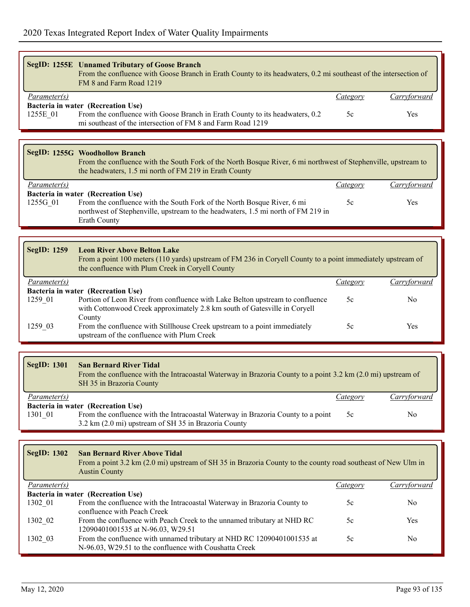|              | <b>SegID: 1255E Unnamed Tributary of Goose Branch</b><br>From the confluence with Goose Branch in Erath County to its headwaters, 0.2 mi southeast of the intersection of<br>FM 8 and Farm Road 1219       |                 |              |  |
|--------------|------------------------------------------------------------------------------------------------------------------------------------------------------------------------------------------------------------|-----------------|--------------|--|
| Parameter(s) |                                                                                                                                                                                                            | <i>Category</i> | Carryforward |  |
| 1255E 01     | Bacteria in water (Recreation Use)<br>From the confluence with Goose Branch in Erath County to its headwaters, 0.2<br>mi southeast of the intersection of FM 8 and Farm Road 1219                          | 5c              | Yes          |  |
|              |                                                                                                                                                                                                            |                 |              |  |
|              | SegID: 1255G Woodhollow Branch<br>From the confluence with the South Fork of the North Bosque River, 6 mi northwest of Stephenville, upstream to<br>the headwaters, 1.5 mi north of FM 219 in Erath County |                 |              |  |
| Parameter(s) |                                                                                                                                                                                                            | Category        | Carryforward |  |
|              | Bacteria in water (Recreation Use)                                                                                                                                                                         |                 |              |  |
| 1255G 01     | From the confluence with the South Fork of the North Bosque River, 6 mi<br>northwest of Stephenville, upstream to the headwaters, 1.5 mi north of FM 219 in<br>Erath County                                | 5c              | Yes          |  |
|              |                                                                                                                                                                                                            |                 |              |  |
| SegID: 1259  | <b>Leon River Above Belton Lake</b><br>From a point 100 meters (110 yards) upstream of FM 236 in Coryell County to a point immediately upstream of<br>the confluence with Plum Creek in Coryell County     |                 |              |  |
| Parameter(s) |                                                                                                                                                                                                            | <i>Category</i> | Carryforward |  |
|              | Bacteria in water (Recreation Use)                                                                                                                                                                         |                 |              |  |
| 1259 01      | Portion of Leon River from confluence with Lake Belton upstream to confluence<br>with Cottonwood Creek approximately 2.8 km south of Gatesville in Coryell<br>County                                       | 5c              | No           |  |
|              |                                                                                                                                                                                                            |                 |              |  |

| <b>SegID: 1301</b> | <b>San Bernard River Tidal</b><br>From the confluence with the Intracoastal Waterway in Brazoria County to a point 3.2 km (2.0 mi) upstream of<br>SH 35 in Brazoria County |          |              |
|--------------------|----------------------------------------------------------------------------------------------------------------------------------------------------------------------------|----------|--------------|
| Parameter(s)       |                                                                                                                                                                            | Category | Carryforward |
|                    | Bacteria in water (Recreation Use)                                                                                                                                         |          |              |
| 1301 01            | From the confluence with the Intracoastal Waterway in Brazoria County to a point                                                                                           | 5c       | No           |
|                    | 3.2 km (2.0 mi) upstream of SH 35 in Brazoria County                                                                                                                       |          |              |

| <b>SegID: 1302</b>  | <b>San Bernard River Above Tidal</b><br>From a point 3.2 km (2.0 mi) upstream of SH 35 in Brazoria County to the county road southeast of New Ulm in<br><b>Austin County</b> |          |              |  |  |
|---------------------|------------------------------------------------------------------------------------------------------------------------------------------------------------------------------|----------|--------------|--|--|
| <i>Parameter(s)</i> |                                                                                                                                                                              | Category | Carryforward |  |  |
|                     | Bacteria in water (Recreation Use)                                                                                                                                           |          |              |  |  |
| 1302 01             | From the confluence with the Intracoastal Waterway in Brazoria County to<br>confluence with Peach Creek                                                                      | 5c       | No           |  |  |
| 1302 02             | From the confluence with Peach Creek to the unnamed tributary at NHD RC<br>12090401001535 at N-96.03, W29.51                                                                 | 5c       | Yes          |  |  |
| 1302 03             | From the confluence with unnamed tributary at NHD RC 12090401001535 at<br>N-96.03, W29.51 to the confluence with Coushatta Creek                                             | 5c       | No           |  |  |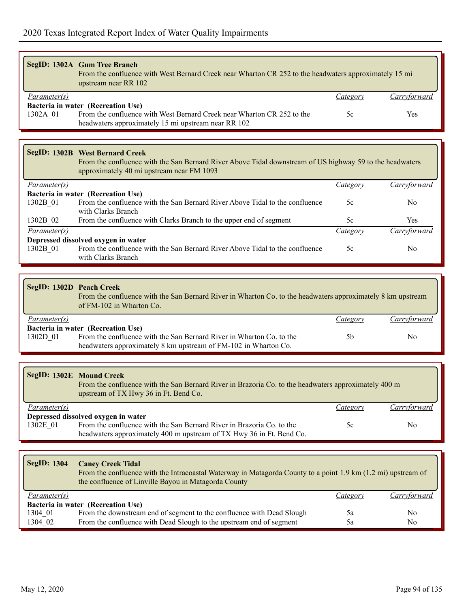|                                                                                                                                                                           | SegID: 1302A Gum Tree Branch<br>From the confluence with West Bernard Creek near Wharton CR 252 to the headwaters approximately 15 mi<br>upstream near RR 102                                     |                 |              |  |
|---------------------------------------------------------------------------------------------------------------------------------------------------------------------------|---------------------------------------------------------------------------------------------------------------------------------------------------------------------------------------------------|-----------------|--------------|--|
| Parameter(s)                                                                                                                                                              |                                                                                                                                                                                                   | <i>Category</i> | Carryforward |  |
| 1302A 01                                                                                                                                                                  | Bacteria in water (Recreation Use)<br>From the confluence with West Bernard Creek near Wharton CR 252 to the<br>headwaters approximately 15 mi upstream near RR 102                               | 5c              | Yes          |  |
|                                                                                                                                                                           |                                                                                                                                                                                                   |                 |              |  |
|                                                                                                                                                                           | <b>SegID: 1302B West Bernard Creek</b><br>From the confluence with the San Bernard River Above Tidal downstream of US highway 59 to the headwaters<br>approximately 40 mi upstream near FM 1093   |                 |              |  |
| Parameter(s)                                                                                                                                                              |                                                                                                                                                                                                   | Category        | Carryforward |  |
| 1302B 01                                                                                                                                                                  | Bacteria in water (Recreation Use)<br>From the confluence with the San Bernard River Above Tidal to the confluence<br>with Clarks Branch                                                          | 5c              | No           |  |
| 1302B 02                                                                                                                                                                  | From the confluence with Clarks Branch to the upper end of segment                                                                                                                                | 5c              | Yes          |  |
| Parameter(s)                                                                                                                                                              |                                                                                                                                                                                                   | Category        | Carryforward |  |
| 1302B <sub>01</sub>                                                                                                                                                       | Depressed dissolved oxygen in water<br>From the confluence with the San Bernard River Above Tidal to the confluence<br>with Clarks Branch                                                         | 5c              | No           |  |
|                                                                                                                                                                           |                                                                                                                                                                                                   |                 |              |  |
| SegID: 1302D Peach Creek                                                                                                                                                  | From the confluence with the San Bernard River in Wharton Co. to the headwaters approximately 8 km upstream<br>of FM-102 in Wharton Co.                                                           |                 |              |  |
| Parameter(s)                                                                                                                                                              |                                                                                                                                                                                                   | Category        | Carryforward |  |
| 1302D 01                                                                                                                                                                  | Bacteria in water (Recreation Use)<br>From the confluence with the San Bernard River in Wharton Co. to the<br>headwaters approximately 8 km upstream of FM-102 in Wharton Co.                     | 5 <sub>b</sub>  | No           |  |
|                                                                                                                                                                           |                                                                                                                                                                                                   |                 |              |  |
| SegID: 1302E Mound Creek<br>From the confluence with the San Bernard River in Brazoria Co. to the headwaters approximately 400 m<br>upstream of TX Hwy 36 in Ft. Bend Co. |                                                                                                                                                                                                   |                 |              |  |
| Parameter(s)                                                                                                                                                              |                                                                                                                                                                                                   | Category        | Carryforward |  |
| 1302E_01                                                                                                                                                                  | Depressed dissolved oxygen in water<br>From the confluence with the San Bernard River in Brazoria Co. to the<br>headwaters approximately 400 m upstream of TX Hwy 36 in Ft. Bend Co.              | 5c              | No           |  |
|                                                                                                                                                                           |                                                                                                                                                                                                   |                 |              |  |
| <b>SegID: 1304</b>                                                                                                                                                        | <b>Caney Creek Tidal</b><br>From the confluence with the Intracoastal Waterway in Matagorda County to a point 1.9 km (1.2 mi) upstream of<br>the confluence of Linville Bayou in Matagorda County |                 |              |  |
|                                                                                                                                                                           |                                                                                                                                                                                                   |                 |              |  |

1304 01 From the downstream end of segment to the confluence with Dead Slough 5a No 1304\_02 From the confluence with Dead Slough to the upstream end of segment 5a No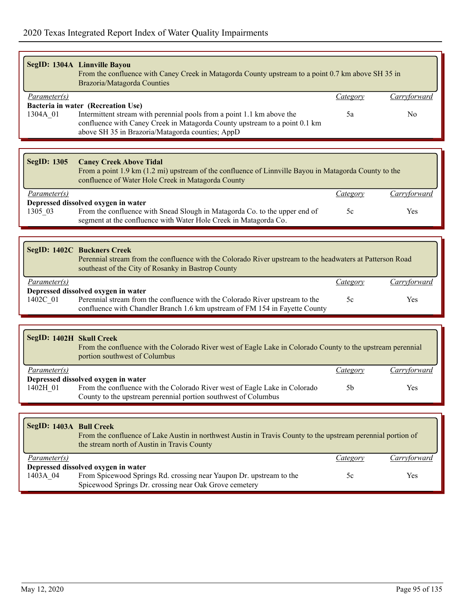|                          | SegID: 1304A Linnville Bayou<br>From the confluence with Caney Creek in Matagorda County upstream to a point 0.7 km above SH 35 in<br>Brazoria/Matagorda Counties                                        |                 |                |
|--------------------------|----------------------------------------------------------------------------------------------------------------------------------------------------------------------------------------------------------|-----------------|----------------|
| Parameter(s)             |                                                                                                                                                                                                          | <b>Category</b> | Carryforward   |
|                          | Bacteria in water (Recreation Use)                                                                                                                                                                       |                 |                |
| 1304A 01                 | Intermittent stream with perennial pools from a point 1.1 km above the<br>confluence with Caney Creek in Matagorda County upstream to a point 0.1 km<br>above SH 35 in Brazoria/Matagorda counties; AppD | 5a              | N <sub>0</sub> |
|                          |                                                                                                                                                                                                          |                 |                |
| <b>SegID: 1305</b>       | <b>Caney Creek Above Tidal</b><br>From a point 1.9 km (1.2 mi) upstream of the confluence of Linnville Bayou in Matagorda County to the<br>confluence of Water Hole Creek in Matagorda County            |                 |                |
| Parameter(s)             |                                                                                                                                                                                                          | <b>Category</b> | Carryforward   |
|                          | Depressed dissolved oxygen in water                                                                                                                                                                      |                 |                |
| 1305_03                  | From the confluence with Snead Slough in Matagorda Co. to the upper end of<br>segment at the confluence with Water Hole Creek in Matagorda Co.                                                           | 5c              | Yes            |
|                          |                                                                                                                                                                                                          |                 |                |
|                          | <b>SegID: 1402C Buckners Creek</b><br>Perennial stream from the confluence with the Colorado River upstream to the headwaters at Patterson Road<br>southeast of the City of Rosanky in Bastrop County    |                 |                |
| Parameter(s)             |                                                                                                                                                                                                          | <i>Category</i> | Carryforward   |
| 1402C_01                 | Depressed dissolved oxygen in water<br>Perennial stream from the confluence with the Colorado River upstream to the<br>confluence with Chandler Branch 1.6 km upstream of FM 154 in Fayette County       | 5c              | Yes            |
|                          |                                                                                                                                                                                                          |                 |                |
| SegID: 1402H Skull Creek | From the confluence with the Colorado River west of Eagle Lake in Colorado County to the upstream perennial<br>portion southwest of Columbus                                                             |                 |                |
| Parameter(s)             |                                                                                                                                                                                                          | <i>Category</i> | Carryforward   |
| 1402H_01                 | Depressed dissolved oxygen in water<br>From the confluence with the Colorado River west of Eagle Lake in Colorado<br>County to the upstream perennial portion southwest of Columbus                      | 5 <sub>b</sub>  | Yes            |
|                          |                                                                                                                                                                                                          |                 |                |
| SegID: 1403A Bull Creek  | From the confluence of Lake Austin in northwest Austin in Travis County to the upstream perennial portion of<br>the stream north of Austin in Travis County                                              |                 |                |
| Parameter(s)             |                                                                                                                                                                                                          | <b>Category</b> | Carryforward   |
| 1403A 04                 | Depressed dissolved oxygen in water<br>From Spicewood Springs Rd. crossing near Yaupon Dr. upstream to the<br>Spicewood Springs Dr. crossing near Oak Grove cemetery                                     | 5c              | Yes            |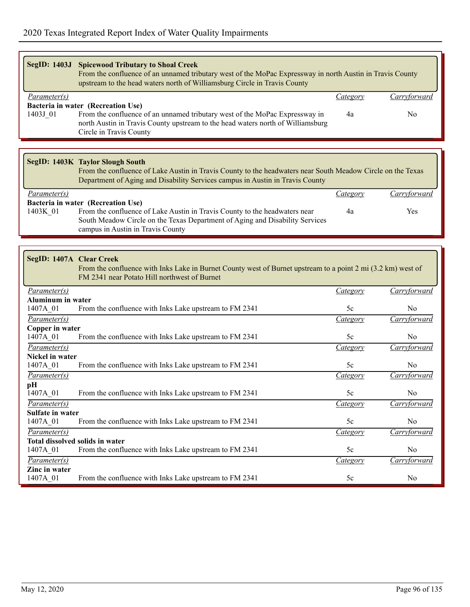| SegID: 1403J                         | <b>Spicewood Tributary to Shoal Creek</b><br>From the confluence of an unnamed tributary west of the MoPac Expressway in north Austin in Travis County<br>upstream to the head waters north of Williamsburg Circle in Travis County |                 |                     |
|--------------------------------------|-------------------------------------------------------------------------------------------------------------------------------------------------------------------------------------------------------------------------------------|-----------------|---------------------|
| <i>Parameter(s)</i>                  |                                                                                                                                                                                                                                     | <i>Category</i> | Carryforward        |
| 1403J_01                             | Bacteria in water (Recreation Use)<br>From the confluence of an unnamed tributary west of the MoPac Expressway in<br>north Austin in Travis County upstream to the head waters north of Williamsburg<br>Circle in Travis County     | 4a              | No                  |
|                                      |                                                                                                                                                                                                                                     |                 |                     |
|                                      |                                                                                                                                                                                                                                     |                 |                     |
|                                      | SegID: 1403K Taylor Slough South<br>From the confluence of Lake Austin in Travis County to the headwaters near South Meadow Circle on the Texas<br>Department of Aging and Disability Services campus in Austin in Travis County    |                 |                     |
| Parameter(s)                         |                                                                                                                                                                                                                                     | <i>Category</i> | Carryforward        |
|                                      | Bacteria in water (Recreation Use)                                                                                                                                                                                                  |                 |                     |
| 1403K 01                             | From the confluence of Lake Austin in Travis County to the headwaters near<br>South Meadow Circle on the Texas Department of Aging and Disability Services<br>campus in Austin in Travis County                                     | 4a              | Yes                 |
|                                      |                                                                                                                                                                                                                                     |                 |                     |
| SegID: 1407A Clear Creek             | From the confluence with Inks Lake in Burnet County west of Burnet upstream to a point 2 mi (3.2 km) west of<br>FM 2341 near Potato Hill northwest of Burnet                                                                        |                 |                     |
| Parameter(s)                         |                                                                                                                                                                                                                                     | <i>Category</i> | Carryforward        |
| <b>Aluminum in water</b><br>1407A_01 | From the confluence with Inks Lake upstream to FM 2341                                                                                                                                                                              | 5c              | No                  |
| $\overline{Parameter(s)}$            |                                                                                                                                                                                                                                     | Category        | Carryforward        |
| Copper in water                      |                                                                                                                                                                                                                                     |                 |                     |
| 1407A_01                             | From the confluence with Inks Lake upstream to FM 2341                                                                                                                                                                              | 5c              | N <sub>0</sub>      |
| $\overline{Parameter(s)}$            |                                                                                                                                                                                                                                     | Category        | Carryforward        |
| Nickel in water                      |                                                                                                                                                                                                                                     |                 |                     |
| 1407A_01                             | From the confluence with Inks Lake upstream to FM 2341                                                                                                                                                                              | 5c              | No                  |
| $\overline{Parameter(s)}$<br>pH      |                                                                                                                                                                                                                                     | Category        | Carryforward        |
| 1407A_01                             | From the confluence with Inks Lake upstream to FM 2341                                                                                                                                                                              | 5c              | No                  |
| Parameter(s)                         |                                                                                                                                                                                                                                     | <b>Category</b> | <b>Carryforward</b> |
| <b>Sulfate in water</b>              |                                                                                                                                                                                                                                     |                 |                     |
| 1407A_01                             | From the confluence with Inks Lake upstream to FM 2341                                                                                                                                                                              | 5c              | No                  |
| Parameter(s)                         |                                                                                                                                                                                                                                     | Category        | Carryforward        |
|                                      | Total dissolved solids in water<br>From the confluence with Inks Lake upstream to FM 2341                                                                                                                                           | 5c              | No                  |
| 1407A_01<br>Parameter(s)             |                                                                                                                                                                                                                                     |                 | Carryforward        |
| Zinc in water                        |                                                                                                                                                                                                                                     | Category        |                     |
| 1407A_01                             | From the confluence with Inks Lake upstream to FM 2341                                                                                                                                                                              | 5c              | No                  |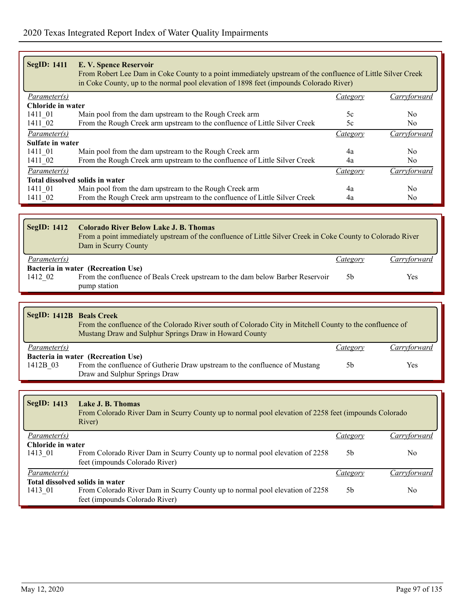| <b>SegID: 1411</b>                                                                                                                                        | E. V. Spence Reservoir<br>From Robert Lee Dam in Coke County to a point immediately upstream of the confluence of Little Silver Creek<br>in Coke County, up to the normal pool elevation of 1898 feet (impounds Colorado River) |                 |                     |  |
|-----------------------------------------------------------------------------------------------------------------------------------------------------------|---------------------------------------------------------------------------------------------------------------------------------------------------------------------------------------------------------------------------------|-----------------|---------------------|--|
| Parameter(s)                                                                                                                                              |                                                                                                                                                                                                                                 | Category        | Carryforward        |  |
| <b>Chloride in water</b>                                                                                                                                  |                                                                                                                                                                                                                                 |                 |                     |  |
| 1411 01                                                                                                                                                   | Main pool from the dam upstream to the Rough Creek arm                                                                                                                                                                          | 5c              | No.                 |  |
| 1411_02                                                                                                                                                   | From the Rough Creek arm upstream to the confluence of Little Silver Creek                                                                                                                                                      | 5c              | No                  |  |
| Parameter(s)                                                                                                                                              |                                                                                                                                                                                                                                 | <i>Category</i> | Carryforward        |  |
| <b>Sulfate in water</b><br>1411 01                                                                                                                        | Main pool from the dam upstream to the Rough Creek arm                                                                                                                                                                          | 4a              | No                  |  |
| 1411 02                                                                                                                                                   | From the Rough Creek arm upstream to the confluence of Little Silver Creek                                                                                                                                                      | 4a              | No                  |  |
| $\overline{Parameter(s)}$                                                                                                                                 |                                                                                                                                                                                                                                 | <i>Category</i> | Carryforward        |  |
|                                                                                                                                                           | Total dissolved solids in water                                                                                                                                                                                                 |                 |                     |  |
| 1411 01                                                                                                                                                   | Main pool from the dam upstream to the Rough Creek arm                                                                                                                                                                          | 4a              | N <sub>0</sub>      |  |
| 1411_02                                                                                                                                                   | From the Rough Creek arm upstream to the confluence of Little Silver Creek                                                                                                                                                      | 4a              | N <sub>0</sub>      |  |
|                                                                                                                                                           |                                                                                                                                                                                                                                 |                 |                     |  |
|                                                                                                                                                           |                                                                                                                                                                                                                                 |                 |                     |  |
| <b>SegID: 1412</b>                                                                                                                                        | <b>Colorado River Below Lake J. B. Thomas</b><br>From a point immediately upstream of the confluence of Little Silver Creek in Coke County to Colorado River<br>Dam in Scurry County                                            |                 |                     |  |
| Parameter(s)                                                                                                                                              |                                                                                                                                                                                                                                 | <b>Category</b> | Carryforward        |  |
| 1412_02                                                                                                                                                   | Bacteria in water (Recreation Use)<br>From the confluence of Beals Creek upstream to the dam below Barber Reservoir<br>pump station                                                                                             | 5b              | <b>Yes</b>          |  |
|                                                                                                                                                           |                                                                                                                                                                                                                                 |                 |                     |  |
| <b>SegID: 1412B Beals Creek</b>                                                                                                                           | From the confluence of the Colorado River south of Colorado City in Mitchell County to the confluence of<br>Mustang Draw and Sulphur Springs Draw in Howard County                                                              |                 |                     |  |
| Parameter(s)                                                                                                                                              |                                                                                                                                                                                                                                 | Category        | Carryforward        |  |
|                                                                                                                                                           | Bacteria in water (Recreation Use)                                                                                                                                                                                              |                 |                     |  |
| 1412B <sub>03</sub>                                                                                                                                       | From the confluence of Gutherie Draw upstream to the confluence of Mustang<br>Draw and Sulphur Springs Draw                                                                                                                     | 5 <sub>b</sub>  | Yes                 |  |
|                                                                                                                                                           |                                                                                                                                                                                                                                 |                 |                     |  |
| <b>SegID: 1413</b><br>Lake J. B. Thomas<br>From Colorado River Dam in Scurry County up to normal pool elevation of 2258 feet (impounds Colorado<br>River) |                                                                                                                                                                                                                                 |                 |                     |  |
| Parameter(s)                                                                                                                                              |                                                                                                                                                                                                                                 | <i>Category</i> | Carryforward        |  |
| Chloride in water<br>1413_01                                                                                                                              | From Colorado River Dam in Scurry County up to normal pool elevation of 2258<br>feet (impounds Colorado River)                                                                                                                  | 5 <sub>b</sub>  | No                  |  |
| Parameter(s)                                                                                                                                              |                                                                                                                                                                                                                                 | <i>Category</i> | <b>Carryforward</b> |  |
| 1413_01                                                                                                                                                   | Total dissolved solids in water<br>From Colorado River Dam in Scurry County up to normal pool elevation of 2258<br>feet (impounds Colorado River)                                                                               | 5b              | No                  |  |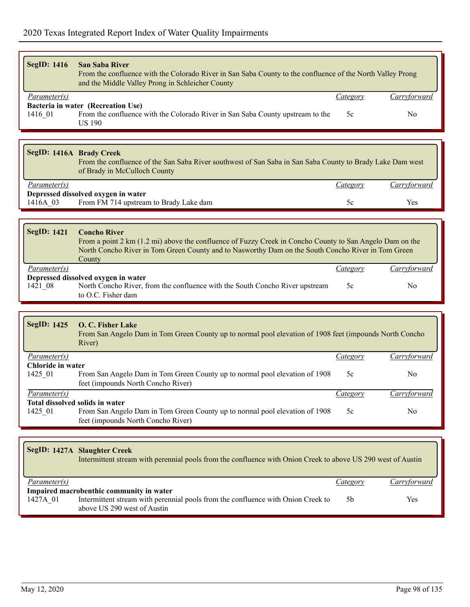| <b>SegID: 1416</b>           | <b>San Saba River</b><br>From the confluence with the Colorado River in San Saba County to the confluence of the North Valley Prong<br>and the Middle Valley Prong in Schleicher County                                                         |                 |                     |  |
|------------------------------|-------------------------------------------------------------------------------------------------------------------------------------------------------------------------------------------------------------------------------------------------|-----------------|---------------------|--|
| Parameter(s)                 |                                                                                                                                                                                                                                                 | Category        | Carryforward        |  |
| 1416 01                      | Bacteria in water (Recreation Use)<br>From the confluence with the Colorado River in San Saba County upstream to the<br><b>US 190</b>                                                                                                           | 5c              | N <sub>0</sub>      |  |
|                              |                                                                                                                                                                                                                                                 |                 |                     |  |
| SegID: 1416A Brady Creek     | From the confluence of the San Saba River southwest of San Saba in San Saba County to Brady Lake Dam west<br>of Brady in McCulloch County                                                                                                       |                 |                     |  |
| Parameter(s)                 |                                                                                                                                                                                                                                                 | <i>Category</i> | Carryforward        |  |
| 1416A 03                     | Depressed dissolved oxygen in water<br>From FM 714 upstream to Brady Lake dam                                                                                                                                                                   | 5c              | Yes                 |  |
|                              |                                                                                                                                                                                                                                                 |                 |                     |  |
|                              |                                                                                                                                                                                                                                                 |                 |                     |  |
| <b>SegID: 1421</b>           | <b>Concho River</b><br>From a point 2 km (1.2 mi) above the confluence of Fuzzy Creek in Concho County to San Angelo Dam on the<br>North Concho River in Tom Green County and to Nasworthy Dam on the South Concho River in Tom Green<br>County |                 |                     |  |
| Parameter(s)                 |                                                                                                                                                                                                                                                 | Category        | Carryforward        |  |
| 1421_08                      | Depressed dissolved oxygen in water<br>North Concho River, from the confluence with the South Concho River upstream<br>to O.C. Fisher dam                                                                                                       | 5c              | N <sub>0</sub>      |  |
|                              |                                                                                                                                                                                                                                                 |                 |                     |  |
| <b>SegID: 1425</b>           | O. C. Fisher Lake<br>From San Angelo Dam in Tom Green County up to normal pool elevation of 1908 feet (impounds North Concho<br>River)                                                                                                          |                 |                     |  |
| Parameter(s)                 |                                                                                                                                                                                                                                                 | <i>Category</i> | Carryforward        |  |
| Chloride in water<br>1425_01 | From San Angelo Dam in Tom Green County up to normal pool elevation of 1908<br>feet (impounds North Concho River)                                                                                                                               | 5c              | N <sub>0</sub>      |  |
| Parameter(s)                 |                                                                                                                                                                                                                                                 | <b>Category</b> | <b>Carryforward</b> |  |
|                              | Total dissolved solids in water                                                                                                                                                                                                                 |                 |                     |  |
| 1425_01                      | From San Angelo Dam in Tom Green County up to normal pool elevation of 1908<br>feet (impounds North Concho River)                                                                                                                               | 5c              | No                  |  |
|                              |                                                                                                                                                                                                                                                 |                 |                     |  |
|                              | SegID: 1427A Slaughter Creek<br>Intermittent stream with perennial pools from the confluence with Onion Creek to above US 290 west of Austin                                                                                                    |                 |                     |  |
| Parameter(s)                 |                                                                                                                                                                                                                                                 | Category        | Carryforward        |  |

| $1$ <i>u<sub>i</sub> u<sub>i</sub> u</i> <sub><i>u</i></sub> <i>u</i> <sub><i>i</i></sub> <i>u</i> <sub><i>i</i></sub> |                                                                                  | Cancz | $\alpha$ , $\beta$ , $\beta$ , $\alpha$ , $\alpha$ |
|------------------------------------------------------------------------------------------------------------------------|----------------------------------------------------------------------------------|-------|----------------------------------------------------|
|                                                                                                                        | Impaired macrobenthic community in water                                         |       |                                                    |
| 1427A 01                                                                                                               | Intermittent stream with perennial pools from the confluence with Onion Creek to |       | Yes                                                |
|                                                                                                                        | above US 290 west of Austin                                                      |       |                                                    |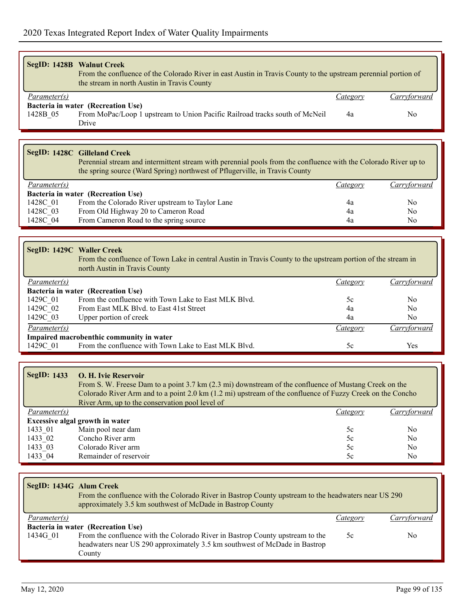From Cameron Road to the spring source

|                                    | SegID: 1428B Walnut Creek<br>From the confluence of the Colorado River in east Austin in Travis County to the upstream perennial portion of<br>the stream in north Austin in Travis County |          |              |
|------------------------------------|--------------------------------------------------------------------------------------------------------------------------------------------------------------------------------------------|----------|--------------|
| <i>Parameter(s)</i>                |                                                                                                                                                                                            | Category | Carryforward |
| Bacteria in water (Recreation Use) |                                                                                                                                                                                            |          |              |
| 1428B 05                           | From MoPac/Loop 1 upstream to Union Pacific Railroad tracks south of McNeil                                                                                                                | 4a       | No.          |
|                                    | Drive                                                                                                                                                                                      |          |              |
|                                    |                                                                                                                                                                                            |          |              |

|                     | SegID: 1428C Gilleland Creek<br>Perennial stream and intermittent stream with perennial pools from the confluence with the Colorado River up to<br>the spring source (Ward Spring) northwest of Pflugerville, in Travis County |          |                |
|---------------------|--------------------------------------------------------------------------------------------------------------------------------------------------------------------------------------------------------------------------------|----------|----------------|
| <i>Parameter(s)</i> |                                                                                                                                                                                                                                | Category | Carryforward   |
|                     | Bacteria in water (Recreation Use)                                                                                                                                                                                             |          |                |
| 1428C 01            | From the Colorado River upstream to Taylor Lane                                                                                                                                                                                | 4a       | N <sub>0</sub> |
| 1428C 03            | From Old Highway 20 to Cameron Road                                                                                                                                                                                            | 4a       | N <sub>0</sub> |
| 1428C 04            | From Cameron Road to the spring source                                                                                                                                                                                         | 4a       | No             |

|                                          | SegID: 1429C Waller Creek<br>From the confluence of Town Lake in central Austin in Travis County to the upstream portion of the stream in<br>north Austin in Travis County |          |                |  |
|------------------------------------------|----------------------------------------------------------------------------------------------------------------------------------------------------------------------------|----------|----------------|--|
| Parameter(s)                             |                                                                                                                                                                            | Category | Carryforward   |  |
|                                          | Bacteria in water (Recreation Use)                                                                                                                                         |          |                |  |
| 1429C 01                                 | From the confluence with Town Lake to East MLK Blvd.                                                                                                                       | 5c       | N <sub>0</sub> |  |
| 1429C 02                                 | From East MLK Blvd. to East 41st Street                                                                                                                                    | 4a       | No             |  |
| 1429C 03                                 | Upper portion of creek                                                                                                                                                     | 4a       | N <sub>0</sub> |  |
| Parameter(s)                             |                                                                                                                                                                            | Category | Carryforward   |  |
| Impaired macrobenthic community in water |                                                                                                                                                                            |          |                |  |
| 1429C 01                                 | From the confluence with Town Lake to East MLK Blvd.                                                                                                                       | 5c       | Yes            |  |

| SegID: 1433         | <b>O. H. Ivie Reservoir</b><br>From S. W. Freese Dam to a point 3.7 km (2.3 mi) downstream of the confluence of Mustang Creek on the<br>Colorado River Arm and to a point 2.0 km (1.2 mi) upstream of the confluence of Fuzzy Creek on the Concho<br>River Arm, up to the conservation pool level of |          |              |  |
|---------------------|------------------------------------------------------------------------------------------------------------------------------------------------------------------------------------------------------------------------------------------------------------------------------------------------------|----------|--------------|--|
| <i>Parameter(s)</i> |                                                                                                                                                                                                                                                                                                      | Category | Carryforward |  |
|                     | <b>Excessive algal growth in water</b>                                                                                                                                                                                                                                                               |          |              |  |
| 1433 01             | Main pool near dam                                                                                                                                                                                                                                                                                   | 5c       | No.          |  |
| 1433 02             | Concho River arm                                                                                                                                                                                                                                                                                     | 5c       | No.          |  |
| 1433 03             | Colorado River arm                                                                                                                                                                                                                                                                                   | 5c       | No.          |  |
| 1433 04             | Remainder of reservoir                                                                                                                                                                                                                                                                               | 5c       | No           |  |

| SegID: 1434G Alum Creek | From the confluence with the Colorado River in Bastrop County upstream to the headwaters near US 290<br>approximately 3.5 km southwest of McDade in Bastrop County |          |              |
|-------------------------|--------------------------------------------------------------------------------------------------------------------------------------------------------------------|----------|--------------|
| Parameter(s)            |                                                                                                                                                                    | Category | Carryforward |
|                         | Bacteria in water (Recreation Use)                                                                                                                                 |          |              |
| 1434G 01                | From the confluence with the Colorado River in Bastrop County upstream to the                                                                                      | 5c       | No.          |
|                         | headwaters near US 290 approximately 3.5 km southwest of McDade in Bastrop                                                                                         |          |              |
|                         | County                                                                                                                                                             |          |              |

г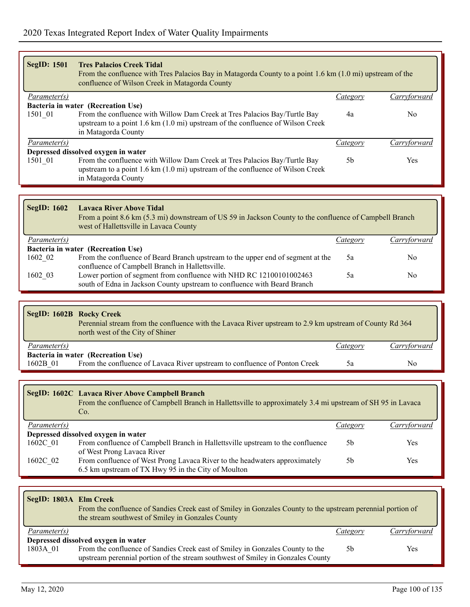| <b>SegID: 1501</b>  | <b>Tres Palacios Creek Tidal</b><br>From the confluence with Tres Palacios Bay in Matagorda County to a point 1.6 km (1.0 mi) upstream of the<br>confluence of Wilson Creek in Matagorda County |          |              |
|---------------------|-------------------------------------------------------------------------------------------------------------------------------------------------------------------------------------------------|----------|--------------|
| Parameter(s)        |                                                                                                                                                                                                 | Category | Carryforward |
|                     | Bacteria in water (Recreation Use)                                                                                                                                                              |          |              |
| 1501 01             | From the confluence with Willow Dam Creek at Tres Palacios Bay/Turtle Bay<br>upstream to a point 1.6 km (1.0 mi) upstream of the confluence of Wilson Creek<br>in Matagorda County              | 4a       | No.          |
| <i>Parameter(s)</i> |                                                                                                                                                                                                 | Category | Carryforward |
|                     | Depressed dissolved oxygen in water                                                                                                                                                             |          |              |
| 1501 01             | From the confluence with Willow Dam Creek at Tres Palacios Bay/Turtle Bay<br>upstream to a point 1.6 km (1.0 mi) upstream of the confluence of Wilson Creek<br>in Matagorda County              | .5b      | Yes          |

| <b>SegID: 1602</b>  | <b>Lavaca River Above Tidal</b><br>From a point 8.6 km (5.3 mi) downstream of US 59 in Jackson County to the confluence of Campbell Branch<br>west of Hallettsville in Lavaca County |          |                     |
|---------------------|--------------------------------------------------------------------------------------------------------------------------------------------------------------------------------------|----------|---------------------|
| <i>Parameter(s)</i> |                                                                                                                                                                                      | Category | <i>Carryforward</i> |
|                     | Bacteria in water (Recreation Use)                                                                                                                                                   |          |                     |
| 1602 02             | From the confluence of Beard Branch upstream to the upper end of segment at the<br>confluence of Campbell Branch in Hallettsville.                                                   | 5a       | No.                 |
| 1602 03             | Lower portion of segment from confluence with NHD RC 12100101002463<br>south of Edna in Jackson County upstream to confluence with Beard Branch                                      | 5a       | No                  |

| SegID: 1602B Rocky Creek           | Perennial stream from the confluence with the Lavaca River upstream to 2.9 km upstream of County Rd 364<br>north west of the City of Shiner |          |              |  |
|------------------------------------|---------------------------------------------------------------------------------------------------------------------------------------------|----------|--------------|--|
| <i>Parameter(s)</i>                |                                                                                                                                             | Category | Carryforward |  |
| Bacteria in water (Recreation Use) |                                                                                                                                             |          |              |  |
| 1602B 01                           | From the confluence of Lavaca River upstream to confluence of Ponton Creek                                                                  | 5a       | No           |  |

| SegID: 1602C Lavaca River Above Campbell Branch<br>From the confluence of Campbell Branch in Hallettsville to approximately 3.4 mi upstream of SH 95 in Lavaca<br>Co. |                                                                                |                |              |
|-----------------------------------------------------------------------------------------------------------------------------------------------------------------------|--------------------------------------------------------------------------------|----------------|--------------|
| <i>Parameter(s)</i>                                                                                                                                                   |                                                                                | Category       | Carryforward |
|                                                                                                                                                                       | Depressed dissolved oxygen in water                                            |                |              |
| 1602C 01                                                                                                                                                              | From confluence of Campbell Branch in Hallettsville upstream to the confluence | 5b             | Yes          |
|                                                                                                                                                                       | of West Prong Lavaca River                                                     |                |              |
| 1602C 02                                                                                                                                                              | From confluence of West Prong Lavaca River to the headwaters approximately     | 5 <sub>b</sub> | Yes          |
|                                                                                                                                                                       | 6.5 km upstream of TX Hwy 95 in the City of Moulton                            |                |              |

| SegID: 1803A Elm Creek | From the confluence of Sandies Creek east of Smiley in Gonzales County to the upstream perennial portion of<br>the stream southwest of Smiley in Gonzales County |          |              |
|------------------------|------------------------------------------------------------------------------------------------------------------------------------------------------------------|----------|--------------|
| <i>Parameter(s)</i>    |                                                                                                                                                                  | Category | Carryforward |
|                        | Depressed dissolved oxygen in water                                                                                                                              |          |              |
| 1803A 01               | From the confluence of Sandies Creek east of Smiley in Gonzales County to the<br>upstream perennial portion of the stream southwest of Smiley in Gonzales County | .5b      | Yes          |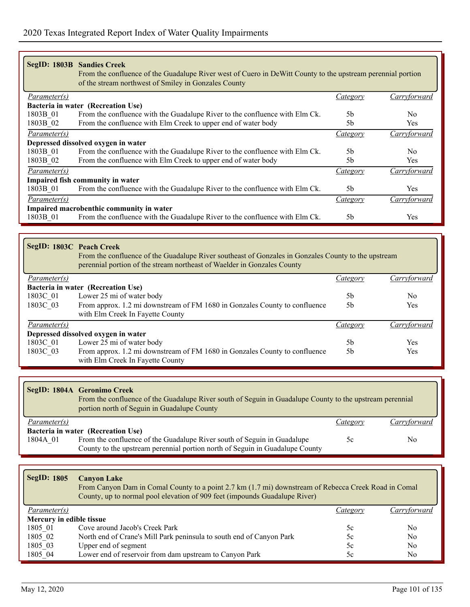|                     | <b>SegID: 1803B Sandies Creek</b><br>From the confluence of the Guadalupe River west of Cuero in DeWitt County to the upstream perennial portion<br>of the stream northwest of Smiley in Gonzales County |                 |                |  |  |
|---------------------|----------------------------------------------------------------------------------------------------------------------------------------------------------------------------------------------------------|-----------------|----------------|--|--|
| Parameter(s)        |                                                                                                                                                                                                          | Category        | Carryforward   |  |  |
|                     | Bacteria in water (Recreation Use)                                                                                                                                                                       |                 |                |  |  |
| 1803B 01            | From the confluence with the Guadalupe River to the confluence with Elm Ck.                                                                                                                              | 5 <sub>b</sub>  | No.            |  |  |
| 1803B 02            | From the confluence with Elm Creek to upper end of water body                                                                                                                                            | 5b              | Yes            |  |  |
| Parameter(s)        |                                                                                                                                                                                                          | <b>Category</b> | Carryforward   |  |  |
|                     | Depressed dissolved oxygen in water                                                                                                                                                                      |                 |                |  |  |
| 1803B 01            | From the confluence with the Guadalupe River to the confluence with Elm Ck.                                                                                                                              | 5 <sub>b</sub>  | N <sub>0</sub> |  |  |
| 1803B 02            | From the confluence with Elm Creek to upper end of water body                                                                                                                                            | 5 <sub>b</sub>  | <b>Yes</b>     |  |  |
| Parameter(s)        |                                                                                                                                                                                                          | Category        | Carryforward   |  |  |
|                     | Impaired fish community in water                                                                                                                                                                         |                 |                |  |  |
| 1803B 01            | From the confluence with the Guadalupe River to the confluence with Elm Ck.                                                                                                                              | 5 <sub>b</sub>  | <b>Yes</b>     |  |  |
| <i>Parameter(s)</i> |                                                                                                                                                                                                          | Category        | Carryforward   |  |  |
| 1803B 01            | Impaired macrobenthic community in water<br>From the confluence with the Guadalupe River to the confluence with Elm Ck.<br><b>Yes</b><br>5 <sub>b</sub>                                                  |                 |                |  |  |

| SegID: 1803C Peach Creek<br>From the confluence of the Guadalupe River southeast of Gonzales in Gonzales County to the upstream<br>perennial portion of the stream northeast of Waelder in Gonzales County |                |              |
|------------------------------------------------------------------------------------------------------------------------------------------------------------------------------------------------------------|----------------|--------------|
|                                                                                                                                                                                                            | Category       | Carryforward |
| Bacteria in water (Recreation Use)                                                                                                                                                                         |                |              |
| Lower 25 mi of water body                                                                                                                                                                                  | .5b            | No.          |
| From approx. 1.2 mi downstream of FM 1680 in Gonzales County to confluence                                                                                                                                 | 5 <sub>b</sub> | Yes          |
| with Elm Creek In Fayette County                                                                                                                                                                           |                |              |
|                                                                                                                                                                                                            | Category       | Carryforward |
| Depressed dissolved oxygen in water                                                                                                                                                                        |                |              |
| Lower 25 mi of water body                                                                                                                                                                                  | .5b            | Yes          |
| From approx. 1.2 mi downstream of FM 1680 in Gonzales County to confluence<br>with Elm Creek In Fayette County                                                                                             | 5 <sub>b</sub> | Yes          |
|                                                                                                                                                                                                            |                |              |

|                     | SegID: 1804A Geronimo Creek<br>From the confluence of the Guadalupe River south of Seguin in Guadalupe County to the upstream perennial<br>portion north of Seguin in Guadalupe County |          |              |
|---------------------|----------------------------------------------------------------------------------------------------------------------------------------------------------------------------------------|----------|--------------|
| <i>Parameter(s)</i> |                                                                                                                                                                                        | Category | Carryforward |
|                     | Bacteria in water (Recreation Use)                                                                                                                                                     |          |              |
| 1804A 01            | From the confluence of the Guadalupe River south of Seguin in Guadalupe                                                                                                                | 5c       | No           |
|                     | County to the upstream perennial portion north of Seguin in Guadalupe County                                                                                                           |          |              |

| SegID: 1805<br><b>Canyon Lake</b><br>From Canyon Dam in Comal County to a point 2.7 km (1.7 mi) downstream of Rebecca Creek Road in Comal<br>County, up to normal pool elevation of 909 feet (impounds Guadalupe River) |                                                                      |          |                |
|-------------------------------------------------------------------------------------------------------------------------------------------------------------------------------------------------------------------------|----------------------------------------------------------------------|----------|----------------|
| <i>Parameter(s)</i>                                                                                                                                                                                                     |                                                                      | Category | Carryforward   |
| Mercury in edible tissue                                                                                                                                                                                                |                                                                      |          |                |
| 1805 01                                                                                                                                                                                                                 | Cove around Jacob's Creek Park                                       | 5c       | No             |
| 1805 02                                                                                                                                                                                                                 | North end of Crane's Mill Park peninsula to south end of Canyon Park | 5c       | No             |
| 1805 03                                                                                                                                                                                                                 | Upper end of segment                                                 | 5c       | No             |
| 1805 04                                                                                                                                                                                                                 | Lower end of reservoir from dam upstream to Canyon Park              | 5c       | N <sub>0</sub> |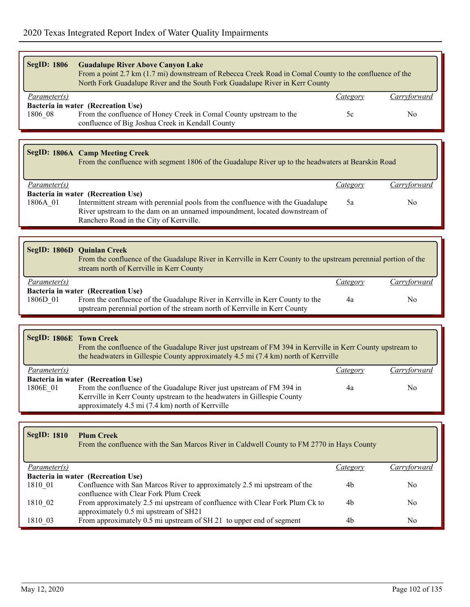| <b>SegID: 1806</b> | <b>Guadalupe River Above Canyon Lake</b><br>From a point 2.7 km (1.7 mi) downstream of Rebecca Creek Road in Comal County to the confluence of the<br>North Fork Guadalupe River and the South Fork Guadalupe River in Kerr County |          |              |
|--------------------|------------------------------------------------------------------------------------------------------------------------------------------------------------------------------------------------------------------------------------|----------|--------------|
| Parameter(s)       |                                                                                                                                                                                                                                    | Category | Carryforward |
|                    | Bacteria in water (Recreation Use)                                                                                                                                                                                                 |          |              |
| 1806 08            | From the confluence of Honey Creek in Comal County upstream to the<br>confluence of Big Joshua Creek in Kendall County                                                                                                             | 5c       | No.          |

| <b>SegID: 1806A Camp Meeting Creek</b><br>From the confluence with segment 1806 of the Guadalupe River up to the headwaters at Bearskin Road |                                                                                 |          |              |  |
|----------------------------------------------------------------------------------------------------------------------------------------------|---------------------------------------------------------------------------------|----------|--------------|--|
| <i>Parameter(s)</i>                                                                                                                          |                                                                                 | Category | Carryforward |  |
|                                                                                                                                              | Bacteria in water (Recreation Use)                                              |          |              |  |
| 1806A 01                                                                                                                                     | Intermittent stream with perennial pools from the confluence with the Guadalupe | 5a       | No           |  |
|                                                                                                                                              | River upstream to the dam on an unnamed impoundment, located downstream of      |          |              |  |
|                                                                                                                                              | Ranchero Road in the City of Kerrville.                                         |          |              |  |

|                     | SegID: 1806D Quinlan Creek<br>From the confluence of the Guadalupe River in Kerrville in Kerr County to the upstream perennial portion of the<br>stream north of Kerrville in Kerr County |          |              |
|---------------------|-------------------------------------------------------------------------------------------------------------------------------------------------------------------------------------------|----------|--------------|
| <i>Parameter(s)</i> |                                                                                                                                                                                           | Category | Carryforward |
|                     | Bacteria in water (Recreation Use)                                                                                                                                                        |          |              |
| 1806D 01            | From the confluence of the Guadalupe River in Kerryille in Kerr County to the                                                                                                             | 4a       | No.          |
|                     | upstream perennial portion of the stream north of Kerrville in Kerr County                                                                                                                |          |              |

| SegID: 1806E Town Creek | From the confluence of the Guadalupe River just upstream of FM 394 in Kerrville in Kerr County upstream to<br>the headwaters in Gillespie County approximately 4.5 mi (7.4 km) north of Kerryille |          |              |
|-------------------------|---------------------------------------------------------------------------------------------------------------------------------------------------------------------------------------------------|----------|--------------|
| <i>Parameter(s)</i>     |                                                                                                                                                                                                   | Category | Carryforward |
|                         | Bacteria in water (Recreation Use)                                                                                                                                                                |          |              |
| 1806E 01                | From the confluence of the Guadalupe River just upstream of FM 394 in                                                                                                                             | 4a       | No           |
|                         | Kerrville in Kerr County upstream to the headwaters in Gillespie County<br>approximately 4.5 mi (7.4 km) north of Kerrville                                                                       |          |              |

| <b>SegID: 1810</b>  | <b>Plum Creek</b><br>From the confluence with the San Marcos River in Caldwell County to FM 2770 in Hays County |          |              |
|---------------------|-----------------------------------------------------------------------------------------------------------------|----------|--------------|
| <i>Parameter(s)</i> |                                                                                                                 | Category | Carryforward |
|                     | Bacteria in water (Recreation Use)                                                                              |          |              |
| 1810 01             | Confluence with San Marcos River to approximately 2.5 mi upstream of the                                        | 4b       | No.          |
|                     | confluence with Clear Fork Plum Creek                                                                           |          |              |
| 1810 02             | From approximately 2.5 mi upstream of confluence with Clear Fork Plum Ck to                                     | 4b       | No.          |
|                     | approximately 0.5 mi upstream of SH21                                                                           |          |              |
| 1810 03             | From approximately 0.5 mi upstream of SH 21 to upper end of segment                                             | 4b       | No.          |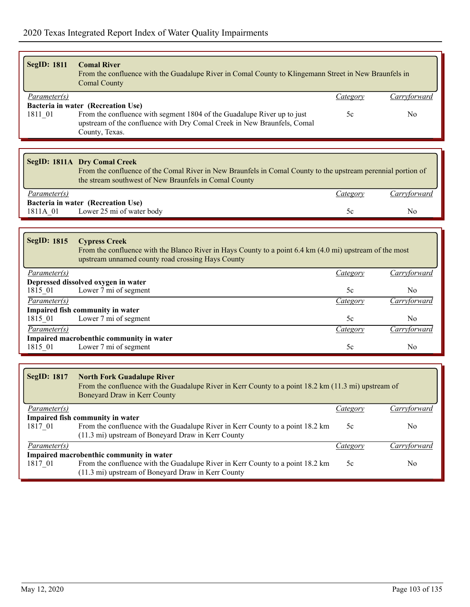| <b>SegID: 1811</b>        | <b>Comal River</b><br>From the confluence with the Guadalupe River in Comal County to Klingemann Street in New Braunfels in<br><b>Comal County</b>                                                         |                 |              |
|---------------------------|------------------------------------------------------------------------------------------------------------------------------------------------------------------------------------------------------------|-----------------|--------------|
| Parameter(s)              |                                                                                                                                                                                                            | <b>Category</b> | Carryforward |
| 1811 01                   | Bacteria in water (Recreation Use)<br>From the confluence with segment 1804 of the Guadalupe River up to just<br>upstream of the confluence with Dry Comal Creek in New Braunfels, Comal<br>County, Texas. | 5c              | No           |
|                           |                                                                                                                                                                                                            |                 |              |
|                           | SegID: 1811A Dry Comal Creek<br>From the confluence of the Comal River in New Braunfels in Comal County to the upstream perennial portion of<br>the stream southwest of New Braunfels in Comal County      |                 |              |
| Parameter(s)              |                                                                                                                                                                                                            | <b>Category</b> | Carryforward |
| 1811A_01                  | Bacteria in water (Recreation Use)<br>Lower 25 mi of water body                                                                                                                                            | 5c              | No           |
|                           |                                                                                                                                                                                                            |                 |              |
| <b>SegID: 1815</b>        | <b>Cypress Creek</b><br>From the confluence with the Blanco River in Hays County to a point 6.4 km (4.0 mi) upstream of the most<br>upstream unnamed county road crossing Hays County                      |                 |              |
| Parameter(s)              |                                                                                                                                                                                                            | Category        | Carryforward |
| 1815_01                   | Depressed dissolved oxygen in water<br>Lower 7 mi of segment                                                                                                                                               | 5c              | No           |
| $\overline{Parameter(s)}$ |                                                                                                                                                                                                            | <i>Category</i> | Carryforward |
|                           | Impaired fish community in water                                                                                                                                                                           |                 |              |
| 1815_01                   | Lower 7 mi of segment                                                                                                                                                                                      | 5c              | No           |
| Parameter(s)              | Impaired macrobenthic community in water                                                                                                                                                                   | Category        | Carryforward |
| 1815_01                   | Lower 7 mi of segment                                                                                                                                                                                      | 5c              | No           |
|                           |                                                                                                                                                                                                            |                 |              |
| <b>SegID: 1817</b>        | <b>North Fork Guadalupe River</b><br>From the confluence with the Guadalupe River in Kerr County to a point 18.2 km (11.3 mi) upstream of<br>Boneyard Draw in Kerr County                                  |                 |              |
| Parameter(s)              |                                                                                                                                                                                                            | Category        | Carryforward |
| 1817 01                   | Impaired fish community in water<br>From the confluence with the Guadalupe River in Kerr County to a point 18.2 km<br>(11.3 mi) upstream of Boneyard Draw in Kerr County                                   | 5c              | No           |
| $\overline{Parameter(s)}$ |                                                                                                                                                                                                            | <b>Category</b> | Carryforward |
| 1817_01                   | Impaired macrobenthic community in water<br>From the confluence with the Guadalupe River in Kerr County to a point 18.2 km<br>(11.3 mi) upstream of Boneyard Draw in Kerr County                           | 5c              | No           |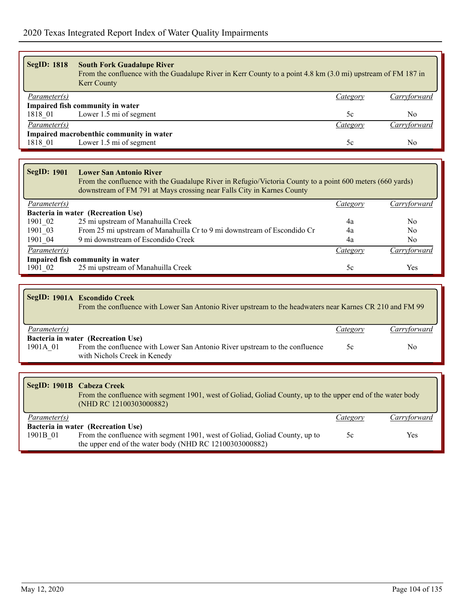| <b>SegID: 1818</b> | <b>South Fork Guadalupe River</b><br>From the confluence with the Guadalupe River in Kerr County to a point 4.8 km (3.0 mi) upstream of FM 187 in<br><b>Kerr County</b> |          |                     |
|--------------------|-------------------------------------------------------------------------------------------------------------------------------------------------------------------------|----------|---------------------|
| Parameter(s)       |                                                                                                                                                                         | Category | Carryforward        |
|                    | Impaired fish community in water                                                                                                                                        |          |                     |
| 1818 01            | Lower 1.5 mi of segment                                                                                                                                                 | 5c       | No                  |
| Parameter(s)       |                                                                                                                                                                         | Category | <i>Carryforward</i> |
|                    | Impaired macrobenthic community in water                                                                                                                                |          |                     |
| 1818 01            | Lower 1.5 mi of segment                                                                                                                                                 | 5c       | No                  |

| <b>SegID: 1901</b> | <b>Lower San Antonio River</b><br>From the confluence with the Guadalupe River in Refugio/Victoria County to a point 600 meters (660 yards)<br>downstream of FM 791 at Mays crossing near Falls City in Karnes County |          |               |
|--------------------|-----------------------------------------------------------------------------------------------------------------------------------------------------------------------------------------------------------------------|----------|---------------|
| Parameter(s)       |                                                                                                                                                                                                                       | Category | Carryforward  |
|                    | Bacteria in water (Recreation Use)                                                                                                                                                                                    |          |               |
| 1901 02            | 25 mi upstream of Manahuilla Creek                                                                                                                                                                                    | 4a       | No            |
| 1901 03            | From 25 mi upstream of Manahuilla Cr to 9 mi downstream of Escondido Cr                                                                                                                                               | 4a       | No            |
| 1901 04            | 9 mi downstream of Escondido Creek                                                                                                                                                                                    | 4a       | No            |
| Parameter(s)       |                                                                                                                                                                                                                       | Category | L'arrvtorward |
|                    | Impaired fish community in water                                                                                                                                                                                      |          |               |
| 1901 02            | 25 mi upstream of Manahuilla Creek                                                                                                                                                                                    | 5c       | <b>Yes</b>    |

| Parameter(s)<br>Carryforward<br>Category<br>Bacteria in water (Recreation Use)<br>From the confluence with Lower San Antonio River upstream to the confluence<br>1901A 01<br>No.<br>5c | SegID: 1901A Escondido Creek<br>From the confluence with Lower San Antonio River upstream to the headwaters near Karnes CR 210 and FM 99 |  |
|----------------------------------------------------------------------------------------------------------------------------------------------------------------------------------------|------------------------------------------------------------------------------------------------------------------------------------------|--|
|                                                                                                                                                                                        |                                                                                                                                          |  |
|                                                                                                                                                                                        | with Nichols Creek in Kenedy                                                                                                             |  |

|                     | SegID: 1901B Cabeza Creek<br>From the confluence with segment 1901, west of Goliad, Goliad County, up to the upper end of the water body<br>(NHD RC 12100303000882) |          |              |
|---------------------|---------------------------------------------------------------------------------------------------------------------------------------------------------------------|----------|--------------|
| <i>Parameter(s)</i> |                                                                                                                                                                     | Category | Carryforward |
|                     | Bacteria in water (Recreation Use)                                                                                                                                  |          |              |
| 1901B 01            | From the confluence with segment 1901, west of Goliad, Goliad County, up to<br>the upper end of the water body (NHD RC 12100303000882)                              | 5c       | Yes          |

 $\Box$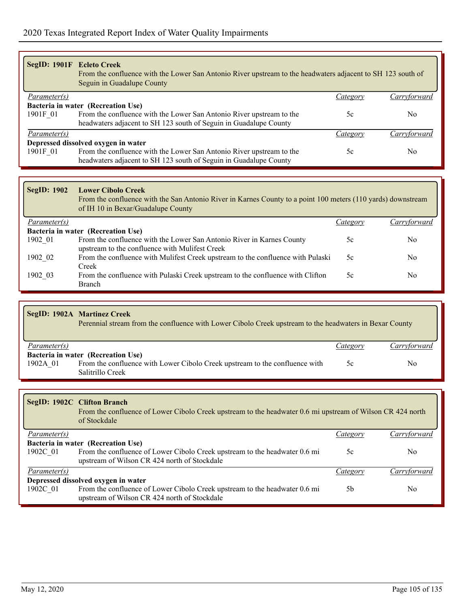| SegID: 1901F Ecleto Creek | From the confluence with the Lower San Antonio River upstream to the headwaters adjacent to SH 123 south of<br>Seguin in Guadalupe County |          |              |
|---------------------------|-------------------------------------------------------------------------------------------------------------------------------------------|----------|--------------|
| <i>Parameter(s)</i>       |                                                                                                                                           | Category | Carryforward |
|                           | Bacteria in water (Recreation Use)                                                                                                        |          |              |
| 1901F 01                  | From the confluence with the Lower San Antonio River upstream to the                                                                      | 5c       | No.          |
|                           | headwaters adjacent to SH 123 south of Seguin in Guadalupe County                                                                         |          |              |
| <i>Parameter(s)</i>       |                                                                                                                                           | Category | Carryforward |
|                           | Depressed dissolved oxygen in water                                                                                                       |          |              |
| 1901F 01                  | From the confluence with the Lower San Antonio River upstream to the                                                                      | 5c       | No           |
|                           | headwaters adjacent to SH 123 south of Seguin in Guadalupe County                                                                         |          |              |

| <b>SegID: 1902</b>  | <b>Lower Cibolo Creek</b><br>From the confluence with the San Antonio River in Karnes County to a point 100 meters (110 yards) downstream<br>of IH 10 in Bexar/Guadalupe County |          |              |
|---------------------|---------------------------------------------------------------------------------------------------------------------------------------------------------------------------------|----------|--------------|
| <i>Parameter(s)</i> |                                                                                                                                                                                 | Category | Carryforward |
|                     | Bacteria in water (Recreation Use)                                                                                                                                              |          |              |
| 1902 01             | From the confluence with the Lower San Antonio River in Karnes County<br>upstream to the confluence with Mulifest Creek                                                         | 5c       | No           |
| 1902 02             | From the confluence with Mulifest Creek upstream to the confluence with Pulaski<br>Creek                                                                                        | 5c       | No           |
| 1902 03             | From the confluence with Pulaski Creek upstream to the confluence with Clifton<br><b>Branch</b>                                                                                 | 5c       | No           |

|              | SegID: 1902A Martinez Creek<br>Perennial stream from the confluence with Lower Cibolo Creek upstream to the headwaters in Bexar County |          |              |
|--------------|----------------------------------------------------------------------------------------------------------------------------------------|----------|--------------|
| Parameter(s) |                                                                                                                                        | Category | Carryforward |
|              | Bacteria in water (Recreation Use)                                                                                                     |          |              |
| 1902A 01     | From the confluence with Lower Cibolo Creek upstream to the confluence with<br>Salitrillo Creek                                        | 5c       | No.          |

|                     | SegID: 1902C Clifton Branch<br>From the confluence of Lower Cibolo Creek upstream to the headwater 0.6 mi upstream of Wilson CR 424 north<br>of Stockdale |          |              |
|---------------------|-----------------------------------------------------------------------------------------------------------------------------------------------------------|----------|--------------|
| Parameter(s)        |                                                                                                                                                           | Category | Carryforward |
|                     | Bacteria in water (Recreation Use)                                                                                                                        |          |              |
| 1902C 01            | From the confluence of Lower Cibolo Creek upstream to the headwater 0.6 mi<br>upstream of Wilson CR 424 north of Stockdale                                | 5c       | No           |
| <i>Parameter(s)</i> |                                                                                                                                                           | Category | Carryforward |
|                     | Depressed dissolved oxygen in water                                                                                                                       |          |              |
| 1902C 01            | From the confluence of Lower Cibolo Creek upstream to the headwater 0.6 mi<br>upstream of Wilson CR 424 north of Stockdale                                | .5b      | No           |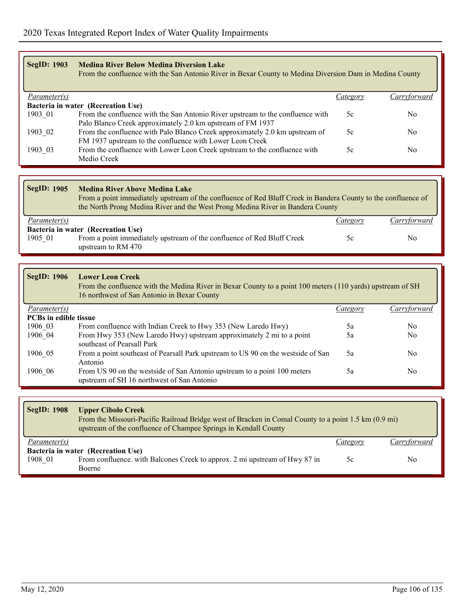| <b>SegID: 1903</b>                 | <b>Medina River Below Medina Diversion Lake</b><br>From the confluence with the San Antonio River in Bexar County to Medina Diversion Dam in Medina County                                                                               |                 |              |
|------------------------------------|------------------------------------------------------------------------------------------------------------------------------------------------------------------------------------------------------------------------------------------|-----------------|--------------|
| Parameter(s)                       |                                                                                                                                                                                                                                          | <b>Category</b> | Carryforward |
|                                    | Bacteria in water (Recreation Use)                                                                                                                                                                                                       |                 |              |
| 1903 01                            | From the confluence with the San Antonio River upstream to the confluence with<br>Palo Blanco Creek approximately 2.0 km upstream of FM 1937                                                                                             | 5c              | No           |
| 1903 02                            | From the confluence with Palo Blanco Creek approximately 2.0 km upstream of<br>FM 1937 upstream to the confluence with Lower Leon Creek                                                                                                  | 5c              | No           |
| 1903_03                            | From the confluence with Lower Leon Creek upstream to the confluence with<br>Medio Creek                                                                                                                                                 | 5c              | No           |
|                                    |                                                                                                                                                                                                                                          |                 |              |
| <b>SegID: 1905</b>                 | <b>Medina River Above Medina Lake</b><br>From a point immediately upstream of the confluence of Red Bluff Creek in Bandera County to the confluence of<br>the North Prong Medina River and the West Prong Medina River in Bandera County |                 |              |
| Parameter(s)                       |                                                                                                                                                                                                                                          | <i>Category</i> | Carryforward |
| 1905_01                            | Bacteria in water (Recreation Use)<br>From a point immediately upstream of the confluence of Red Bluff Creek<br>upstream to RM 470                                                                                                       | 5c              | No           |
|                                    |                                                                                                                                                                                                                                          |                 |              |
|                                    |                                                                                                                                                                                                                                          |                 |              |
| <b>SegID: 1906</b>                 | <b>Lower Leon Creek</b><br>From the confluence with the Medina River in Bexar County to a point 100 meters (110 yards) upstream of SH<br>16 northwest of San Antonio in Bexar County                                                     |                 |              |
| Parameter(s)                       |                                                                                                                                                                                                                                          | Category        | Carryforward |
| PCBs in edible tissue              |                                                                                                                                                                                                                                          |                 |              |
| 1906 03                            | From confluence with Indian Creek to Hwy 353 (New Laredo Hwy)                                                                                                                                                                            | 5a              | No           |
| 1906 04                            | From Hwy 353 (New Laredo Hwy) upstream approximately 2 mi to a point                                                                                                                                                                     | 5a              | No           |
| 1906 05                            | southeast of Pearsall Park<br>From a point southeast of Pearsall Park upstream to US 90 on the westside of San                                                                                                                           | 5a              | No           |
| 1906_06                            | Antonio<br>From US 90 on the westside of San Antonio upstream to a point 100 meters<br>upstream of SH 16 northwest of San Antonio                                                                                                        | 5a              | No           |
|                                    |                                                                                                                                                                                                                                          |                 |              |
| <b>SegID: 1908</b><br>Parameter(s) | <b>Upper Cibolo Creek</b><br>From the Missouri-Pacific Railroad Bridge west of Bracken in Comal County to a point 1.5 km (0.9 mi)<br>upstream of the confluence of Champee Springs in Kendall County                                     | Category        | Carryforward |

1908\_01 From confluence. with Balcones Creek to approx. 2 mi upstream of Hwy 87 in 5c No

Boerne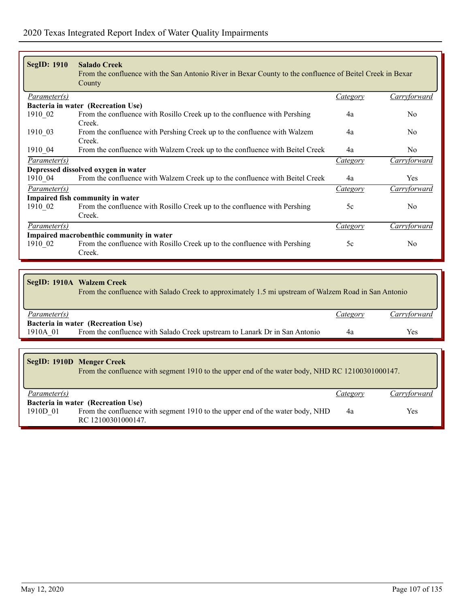| <b>SegID: 1910</b>                       | <b>Salado Creek</b><br>From the confluence with the San Antonio River in Bexar County to the confluence of Beitel Creek in Bexar<br>County |                 |                     |  |  |
|------------------------------------------|--------------------------------------------------------------------------------------------------------------------------------------------|-----------------|---------------------|--|--|
| <i>Parameter(s)</i>                      |                                                                                                                                            | Category        | <u>Carryforward</u> |  |  |
|                                          | Bacteria in water (Recreation Use)                                                                                                         |                 |                     |  |  |
| 1910 02                                  | From the confluence with Rosillo Creek up to the confluence with Pershing                                                                  | 4a              | N <sub>0</sub>      |  |  |
|                                          | Creek.                                                                                                                                     |                 |                     |  |  |
| 1910 03                                  | From the confluence with Pershing Creek up to the confluence with Walzem                                                                   | 4a              | N <sub>0</sub>      |  |  |
|                                          | Creek.                                                                                                                                     |                 |                     |  |  |
| 1910_04                                  | From the confluence with Walzem Creek up to the confluence with Beitel Creek                                                               | 4a              | N <sub>o</sub>      |  |  |
| <i>Parameter(s)</i>                      |                                                                                                                                            | <i>Category</i> | Carryforward        |  |  |
|                                          | Depressed dissolved oxygen in water                                                                                                        |                 |                     |  |  |
| 1910 04                                  | From the confluence with Walzem Creek up to the confluence with Beitel Creek                                                               | 4a              | <b>Yes</b>          |  |  |
| <i>Parameter(s)</i>                      |                                                                                                                                            | Category        | Carryforward        |  |  |
|                                          | Impaired fish community in water                                                                                                           |                 |                     |  |  |
| 1910 02                                  | From the confluence with Rosillo Creek up to the confluence with Pershing                                                                  | 5c              | N <sub>0</sub>      |  |  |
|                                          | Creek.                                                                                                                                     |                 |                     |  |  |
| Parameter(s)                             |                                                                                                                                            | <i>Category</i> | Carryforward        |  |  |
| Impaired macrobenthic community in water |                                                                                                                                            |                 |                     |  |  |
| 1910 02                                  | From the confluence with Rosillo Creek up to the confluence with Pershing                                                                  | 5c              | N <sub>0</sub>      |  |  |
|                                          | Creek.                                                                                                                                     |                 |                     |  |  |

|                                    | SegID: 1910A Walzem Creek<br>From the confluence with Salado Creek to approximately 1.5 mi upstream of Walzem Road in San Antonio |          |              |  |
|------------------------------------|-----------------------------------------------------------------------------------------------------------------------------------|----------|--------------|--|
| <i>Parameter(s)</i>                |                                                                                                                                   | Category | Carryforward |  |
| Bacteria in water (Recreation Use) |                                                                                                                                   |          |              |  |
| 1910A 01                           | From the confluence with Salado Creek upstream to Lanark Dr in San Antonio                                                        | 4a       | Yes          |  |
|                                    |                                                                                                                                   |          |              |  |

|              | SegID: 1910D Menger Creek<br>From the confluence with segment 1910 to the upper end of the water body, NHD RC 12100301000147. |          |              |
|--------------|-------------------------------------------------------------------------------------------------------------------------------|----------|--------------|
| Parameter(s) |                                                                                                                               | Category | Carryforward |
| 1910D 01     | Bacteria in water (Recreation Use)<br>From the confluence with segment 1910 to the upper end of the water body, NHD           | 4a       | Yes          |
|              | RC 12100301000147.                                                                                                            |          |              |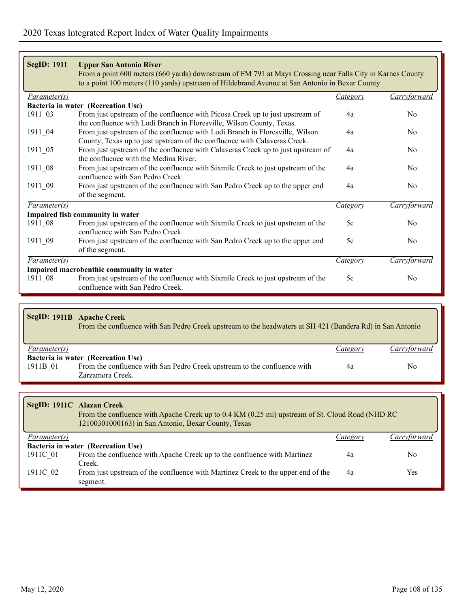| <b>SegID: 1911</b>        | <b>Upper San Antonio River</b><br>From a point 600 meters (660 yards) downstream of FM 791 at Mays Crossing near Falls City in Karnes County<br>to a point 100 meters (110 yards) upstream of Hildebrand Avenue at San Antonio in Bexar County |                 |                |
|---------------------------|------------------------------------------------------------------------------------------------------------------------------------------------------------------------------------------------------------------------------------------------|-----------------|----------------|
| Parameter(s)              |                                                                                                                                                                                                                                                | <i>Category</i> | Carryforward   |
|                           | Bacteria in water (Recreation Use)                                                                                                                                                                                                             |                 |                |
| 1911 03                   | From just upstream of the confluence with Picosa Creek up to just upstream of<br>the confluence with Lodi Branch in Floresville, Wilson County, Texas.                                                                                         | 4a              | N <sub>0</sub> |
| 1911 04                   | From just upstream of the confluence with Lodi Branch in Floresville, Wilson<br>County, Texas up to just upstream of the confluence with Calaveras Creek.                                                                                      | 4a              | N <sub>0</sub> |
| 1911 05                   | From just upstream of the confluence with Calaveras Creek up to just upstream of<br>the confluence with the Medina River.                                                                                                                      | 4a              | N <sub>0</sub> |
| 1911_08                   | From just upstream of the confluence with Sixmile Creek to just upstream of the<br>confluence with San Pedro Creek.                                                                                                                            | 4a              | N <sub>0</sub> |
| 1911 09                   | From just upstream of the confluence with San Pedro Creek up to the upper end<br>of the segment.                                                                                                                                               | 4a              | N <sub>0</sub> |
| $\overline{Parameter(s)}$ |                                                                                                                                                                                                                                                | Category        | Carryforward   |
|                           | Impaired fish community in water                                                                                                                                                                                                               |                 |                |
| 1911_08                   | From just upstream of the confluence with Sixmile Creek to just upstream of the<br>confluence with San Pedro Creek.                                                                                                                            | 5c              | N <sub>0</sub> |
| 1911 09                   | From just upstream of the confluence with San Pedro Creek up to the upper end<br>of the segment.                                                                                                                                               | 5c              | No             |
| <i>Parameter(s)</i>       |                                                                                                                                                                                                                                                | Category        | Carryforward   |
|                           | Impaired macrobenthic community in water                                                                                                                                                                                                       |                 |                |
| 1911 08                   | From just upstream of the confluence with Sixmile Creek to just upstream of the<br>confluence with San Pedro Creek.                                                                                                                            | 5c              | N <sub>0</sub> |

|                                    | SegID: 1911B Apache Creek<br>From the confluence with San Pedro Creek upstream to the headwaters at SH 421 (Bandera Rd) in San Antonio |          |              |  |
|------------------------------------|----------------------------------------------------------------------------------------------------------------------------------------|----------|--------------|--|
| <i>Parameter(s)</i>                |                                                                                                                                        | Category | Carryforward |  |
| Bacteria in water (Recreation Use) |                                                                                                                                        |          |              |  |
| 1911B 01                           | From the confluence with San Pedro Creek upstream to the confluence with                                                               | 4a       | No.          |  |
|                                    | Zarzamora Creek.                                                                                                                       |          |              |  |

|                                    | SegID: 1911C Alazan Creek<br>From the confluence with Apache Creek up to 0.4 KM (0.25 mi) upstream of St. Cloud Road (NHD RC<br>12100301000163) in San Antonio, Bexar County, Texas |          |              |  |
|------------------------------------|-------------------------------------------------------------------------------------------------------------------------------------------------------------------------------------|----------|--------------|--|
| <i>Parameter(s)</i>                |                                                                                                                                                                                     | Category | Carryforward |  |
| Bacteria in water (Recreation Use) |                                                                                                                                                                                     |          |              |  |
| 1911C 01                           | From the confluence with Apache Creek up to the confluence with Martinez                                                                                                            | 4a       | No.          |  |
|                                    | Creek.                                                                                                                                                                              |          |              |  |
| 1911C 02                           | From just upstream of the confluence with Martinez Creek to the upper end of the                                                                                                    | 4a       | Yes.         |  |
|                                    | segment.                                                                                                                                                                            |          |              |  |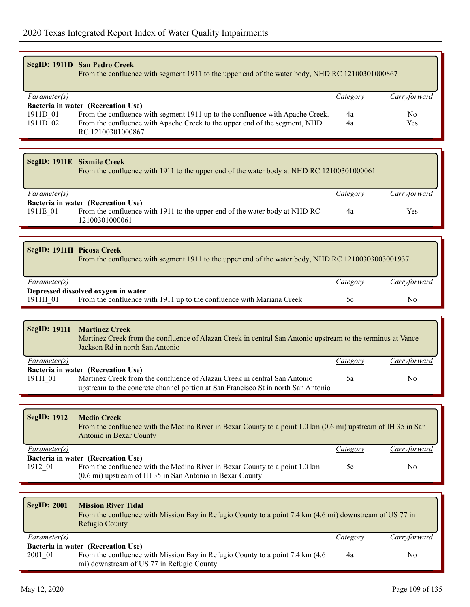|                                      | SegID: 1911D San Pedro Creek<br>From the confluence with segment 1911 to the upper end of the water body, NHD RC 12100301000867                                                                                        |                             |                           |
|--------------------------------------|------------------------------------------------------------------------------------------------------------------------------------------------------------------------------------------------------------------------|-----------------------------|---------------------------|
| Parameter(s)<br>1911D 01<br>1911D 02 | Bacteria in water (Recreation Use)<br>From the confluence with segment 1911 up to the confluence with Apache Creek.<br>From the confluence with Apache Creek to the upper end of the segment, NHD<br>RC 12100301000867 | <b>Category</b><br>4a<br>4a | Carryforward<br>No<br>Yes |
|                                      |                                                                                                                                                                                                                        |                             |                           |
|                                      | SegID: 1911E Sixmile Creek<br>From the confluence with 1911 to the upper end of the water body at NHD RC 12100301000061                                                                                                |                             |                           |
| Parameter(s)                         |                                                                                                                                                                                                                        | Category                    | Carryforward              |
| 1911E 01                             | Bacteria in water (Recreation Use)<br>From the confluence with 1911 to the upper end of the water body at NHD RC<br>12100301000061                                                                                     | 4a                          | Yes                       |
|                                      |                                                                                                                                                                                                                        |                             |                           |
| <b>SegID: 1911H Picosa Creek</b>     | From the confluence with segment 1911 to the upper end of the water body, NHD RC 12100303003001937                                                                                                                     |                             |                           |
| Parameter(s)                         |                                                                                                                                                                                                                        | Category                    | Carryforward              |
| 1911H 01                             | Depressed dissolved oxygen in water<br>From the confluence with 1911 up to the confluence with Mariana Creek                                                                                                           | 5c                          | N <sub>0</sub>            |
|                                      |                                                                                                                                                                                                                        |                             |                           |
| <b>SegID: 1911I</b>                  | <b>Martinez Creek</b><br>Martinez Creek from the confluence of Alazan Creek in central San Antonio upstream to the terminus at Vance<br>Jackson Rd in north San Antonio                                                |                             |                           |
| Parameter(s)                         |                                                                                                                                                                                                                        | Category                    | Carryforward              |
| 1911I 01                             | Bacteria in water (Recreation Use)<br>Martinez Creek from the confluence of Alazan Creek in central San Antonio<br>upstream to the concrete channel portion at San Francisco St in north San Antonio                   | 5a                          | N <sub>0</sub>            |
|                                      |                                                                                                                                                                                                                        |                             |                           |
|                                      |                                                                                                                                                                                                                        |                             |                           |
| <b>SegID: 1912</b>                   | <b>Medio Creek</b><br>From the confluence with the Medina River in Bexar County to a point 1.0 km (0.6 mi) upstream of IH 35 in San<br>Antonio in Bexar County                                                         |                             |                           |
| <i>Parameter(s)</i>                  |                                                                                                                                                                                                                        | Category                    | Carryforward              |
| 1912_01                              | Bacteria in water (Recreation Use)<br>From the confluence with the Medina River in Bexar County to a point 1.0 km<br>(0.6 mi) upstream of IH 35 in San Antonio in Bexar County                                         | 5c                          | N <sub>o</sub>            |
|                                      |                                                                                                                                                                                                                        |                             |                           |
| <b>SegID: 2001</b>                   | <b>Mission River Tidal</b><br>From the confluence with Mission Bay in Refugio County to a point 7.4 km (4.6 mi) downstream of US 77 in<br>Refugio County                                                               |                             |                           |
| Parameter(s)                         | Bacteria in water (Recreation Use)                                                                                                                                                                                     | <i>Category</i>             | Carryforward              |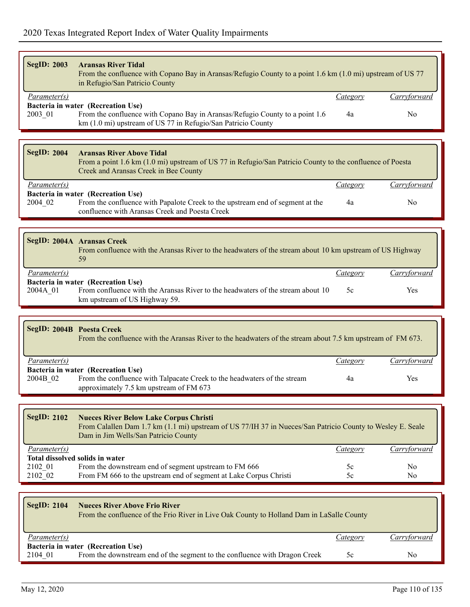| <b>SegID: 2003</b>  | <b>Aransas River Tidal</b><br>From the confluence with Copano Bay in Aransas/Refugio County to a point 1.6 km (1.0 mi) upstream of US 77<br>in Refugio/San Patricio County                          |                 |                                  |
|---------------------|-----------------------------------------------------------------------------------------------------------------------------------------------------------------------------------------------------|-----------------|----------------------------------|
| <i>Parameter(s)</i> |                                                                                                                                                                                                     | Category        | Carryforward                     |
| 2003_01             | Bacteria in water (Recreation Use)<br>From the confluence with Copano Bay in Aransas/Refugio County to a point 1.6<br>km (1.0 mi) upstream of US 77 in Refugio/San Patricio County                  | 4a              | N <sub>0</sub>                   |
|                     |                                                                                                                                                                                                     |                 |                                  |
| <b>SegID: 2004</b>  | <b>Aransas River Above Tidal</b><br>From a point 1.6 km (1.0 mi) upstream of US 77 in Refugio/San Patricio County to the confluence of Poesta<br>Creek and Aransas Creek in Bee County              |                 |                                  |
| Parameter(s)        |                                                                                                                                                                                                     | <b>Category</b> | Carryforward                     |
| 2004_02             | Bacteria in water (Recreation Use)<br>From the confluence with Papalote Creek to the upstream end of segment at the<br>confluence with Aransas Creek and Poesta Creek                               | 4a              | No.                              |
|                     |                                                                                                                                                                                                     |                 |                                  |
|                     |                                                                                                                                                                                                     |                 |                                  |
|                     | <b>SegID: 2004A Aransas Creek</b><br>From confluence with the Aransas River to the headwaters of the stream about 10 km upstream of US Highway<br>59                                                |                 |                                  |
| Parameter(s)        |                                                                                                                                                                                                     | Category        | Carryforward                     |
|                     | Bacteria in water (Recreation Use)<br>From confluence with the Aransas River to the headwaters of the stream about 10                                                                               | 5c              | Yes                              |
| 2004A_01            | km upstream of US Highway 59.                                                                                                                                                                       |                 |                                  |
|                     |                                                                                                                                                                                                     |                 |                                  |
|                     |                                                                                                                                                                                                     |                 |                                  |
|                     | SegID: 2004B Poesta Creek                                                                                                                                                                           |                 |                                  |
|                     | From the confluence with the Aransas River to the headwaters of the stream about 7.5 km upstream of FM 673.                                                                                         |                 |                                  |
|                     |                                                                                                                                                                                                     | Category        | Carryforward                     |
| Parameter(s)        | Bacteria in water (Recreation Use)                                                                                                                                                                  |                 |                                  |
| 2004B 02            | From the confluence with Talpacate Creek to the headwaters of the stream<br>approximately 7.5 km upstream of FM 673                                                                                 | 4a              | Yes                              |
|                     |                                                                                                                                                                                                     |                 |                                  |
|                     |                                                                                                                                                                                                     |                 |                                  |
| <b>SegID: 2102</b>  | <b>Nueces River Below Lake Corpus Christi</b><br>From Calallen Dam 1.7 km (1.1 mi) upstream of US 77/IH 37 in Nueces/San Patricio County to Wesley E. Seale<br>Dam in Jim Wells/San Patricio County |                 |                                  |
| Parameter(s)        |                                                                                                                                                                                                     | Category        | Carryforward                     |
|                     | Total dissolved solids in water                                                                                                                                                                     |                 |                                  |
| 2102 01<br>2102 02  | From the downstream end of segment upstream to FM 666<br>From FM 666 to the upstream end of segment at Lake Corpus Christi                                                                          | 5c<br>5c        | N <sub>o</sub><br>N <sub>o</sub> |
|                     |                                                                                                                                                                                                     |                 |                                  |
|                     |                                                                                                                                                                                                     |                 |                                  |
| <b>SegID: 2104</b>  | <b>Nueces River Above Frio River</b>                                                                                                                                                                |                 |                                  |
|                     | From the confluence of the Frio River in Live Oak County to Holland Dam in LaSalle County                                                                                                           |                 |                                  |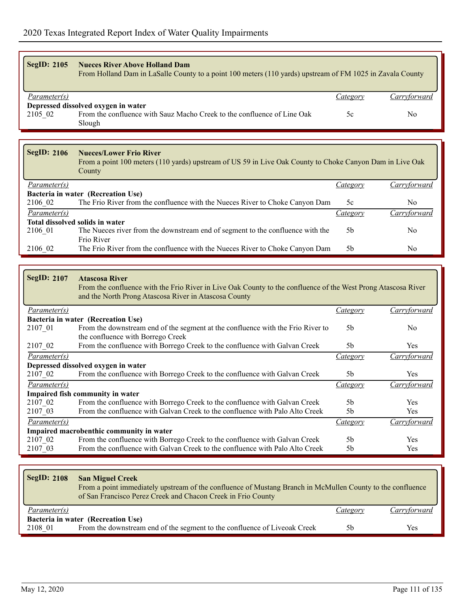| <b>SegID: 2105</b>        | <b>Nueces River Above Holland Dam</b><br>From Holland Dam in LaSalle County to a point 100 meters (110 yards) upstream of FM 1025 in Zavala County                                              |                 |                |
|---------------------------|-------------------------------------------------------------------------------------------------------------------------------------------------------------------------------------------------|-----------------|----------------|
| Parameter(s)              |                                                                                                                                                                                                 | <i>Category</i> | Carryforward   |
| 2105_02                   | Depressed dissolved oxygen in water<br>From the confluence with Sauz Macho Creek to the confluence of Line Oak<br>Slough                                                                        | 5c              | N <sub>0</sub> |
|                           |                                                                                                                                                                                                 |                 |                |
| <b>SegID: 2106</b>        | <b>Nueces/Lower Frio River</b><br>From a point 100 meters (110 yards) upstream of US 59 in Live Oak County to Choke Canyon Dam in Live Oak<br>County                                            |                 |                |
| Parameter(s)              |                                                                                                                                                                                                 | Category        | Carryforward   |
|                           | Bacteria in water (Recreation Use)                                                                                                                                                              |                 |                |
| 2106_02                   | The Frio River from the confluence with the Nueces River to Choke Canyon Dam                                                                                                                    | 5c              | No             |
| $\overline{Parameter(s)}$ |                                                                                                                                                                                                 | Category        | Carryforward   |
|                           | Total dissolved solids in water                                                                                                                                                                 |                 |                |
| 2106_01                   | The Nueces river from the downstream end of segment to the confluence with the<br>Frio River                                                                                                    | 5 <sub>b</sub>  | No             |
| 2106_02                   | The Frio River from the confluence with the Nueces River to Choke Canyon Dam                                                                                                                    | 5 <sub>b</sub>  | No             |
|                           |                                                                                                                                                                                                 |                 |                |
| <b>SegID: 2107</b>        | <b>Atascosa River</b><br>From the confluence with the Frio River in Live Oak County to the confluence of the West Prong Atascosa River<br>and the North Prong Atascosa River in Atascosa County |                 |                |
| Parameter(s)              |                                                                                                                                                                                                 | Category        | Carryforward   |
|                           | Bacteria in water (Recreation Use)                                                                                                                                                              |                 |                |
| 2107_01                   | From the downstream end of the segment at the confluence with the Frio River to<br>the confluence with Borrego Creek                                                                            | 5 <sub>b</sub>  | N <sub>0</sub> |
| 2107_02                   | From the confluence with Borrego Creek to the confluence with Galvan Creek                                                                                                                      | 5 <sub>b</sub>  | Yes            |
| $\overline{Parameter(s)}$ |                                                                                                                                                                                                 | Category        | Carryforward   |
|                           | Depressed dissolved oxygen in water                                                                                                                                                             |                 |                |
| 2107_02                   | From the confluence with Borrego Creek to the confluence with Galvan Creek                                                                                                                      | 5 <sub>b</sub>  | Yes            |
| $\overline{Parameter(s)}$ |                                                                                                                                                                                                 | Category        | Carryforward   |
|                           | Impaired fish community in water                                                                                                                                                                |                 |                |

| 2107 02             | From the confluence with Borrego Creek to the confluence with Galvan Creek   | 5b       | Yes          |
|---------------------|------------------------------------------------------------------------------|----------|--------------|
| 2107 03             | From the confluence with Galvan Creek to the confluence with Palo Alto Creek | 5b       | Yes          |
| <i>Parameter(s)</i> |                                                                              | Category | Carryforward |
|                     | Impaired macrobenthic community in water                                     |          |              |
| 2107 02             | From the confluence with Borrego Creek to the confluence with Galvan Creek   | 5b       | Yes          |
| 2107 03             | From the confluence with Galvan Creek to the confluence with Palo Alto Creek | 5b       | Yes          |

| <b>SegID: 2108</b>                 | <b>San Miguel Creek</b><br>From a point immediately upstream of the confluence of Mustang Branch in McMullen County to the confluence<br>of San Francisco Perez Creek and Chacon Creek in Frio County |                |              |  |
|------------------------------------|-------------------------------------------------------------------------------------------------------------------------------------------------------------------------------------------------------|----------------|--------------|--|
| Parameter(s)                       |                                                                                                                                                                                                       | Category       | Carryforward |  |
| Bacteria in water (Recreation Use) |                                                                                                                                                                                                       |                |              |  |
| 2108 01                            | From the downstream end of the segment to the confluence of Liveoak Creek                                                                                                                             | 5 <sub>b</sub> | Yes          |  |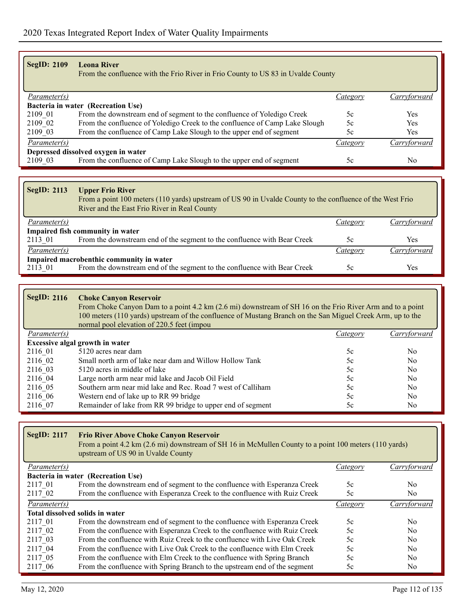| <b>SegID: 2109</b>                  | <b>Leona River</b><br>From the confluence with the Frio River in Frio County to US 83 in Uvalde County |          |                |  |
|-------------------------------------|--------------------------------------------------------------------------------------------------------|----------|----------------|--|
| <i>Parameter(s)</i>                 |                                                                                                        | Category | Carryforward   |  |
|                                     | Bacteria in water (Recreation Use)                                                                     |          |                |  |
| 2109 01                             | From the downstream end of segment to the confluence of Yoledigo Creek                                 | 5c       | Yes            |  |
| 2109 02                             | From the confluence of Yoledigo Creek to the confluence of Camp Lake Slough                            | 5c       | <b>Yes</b>     |  |
| 2109 03                             | From the confluence of Camp Lake Slough to the upper end of segment                                    | 5c       | Yes            |  |
| <i>Parameter(s)</i>                 |                                                                                                        | Category | Carryforward   |  |
| Depressed dissolved oxygen in water |                                                                                                        |          |                |  |
| 2109 03                             | From the confluence of Camp Lake Slough to the upper end of segment                                    | 5c       | N <sub>0</sub> |  |

| SegID: 2113         | <b>Upper Frio River</b><br>From a point 100 meters (110 yards) upstream of US 90 in Uvalde County to the confluence of the West Frio<br>River and the East Frio River in Real County |          |              |  |  |
|---------------------|--------------------------------------------------------------------------------------------------------------------------------------------------------------------------------------|----------|--------------|--|--|
| <i>Parameter(s)</i> |                                                                                                                                                                                      | Category | Carryforward |  |  |
|                     | Impaired fish community in water                                                                                                                                                     |          |              |  |  |
| 2113 01             | From the downstream end of the segment to the confluence with Bear Creek                                                                                                             | 5c       | Yes          |  |  |
| <i>Parameter(s)</i> |                                                                                                                                                                                      | Category | Carryforward |  |  |
|                     | Impaired macrobenthic community in water                                                                                                                                             |          |              |  |  |
| 2113 01             | From the downstream end of the segment to the confluence with Bear Creek                                                                                                             | 5c       | Yes          |  |  |

| <b>SegID: 2116</b>  | <b>Choke Canyon Reservoir</b><br>From Choke Canyon Dam to a point 4.2 km (2.6 mi) downstream of SH 16 on the Frio River Arm and to a point<br>100 meters (110 yards) upstream of the confluence of Mustang Branch on the San Miguel Creek Arm, up to the<br>normal pool elevation of 220.5 feet (impou |          |                |
|---------------------|--------------------------------------------------------------------------------------------------------------------------------------------------------------------------------------------------------------------------------------------------------------------------------------------------------|----------|----------------|
| <i>Parameter(s)</i> |                                                                                                                                                                                                                                                                                                        | Category | Carryforward   |
|                     | <b>Excessive algal growth in water</b>                                                                                                                                                                                                                                                                 |          |                |
| 2116 01             | 5120 acres near dam                                                                                                                                                                                                                                                                                    | 5c       | No             |
| 2116 02             | Small north arm of lake near dam and Willow Hollow Tank                                                                                                                                                                                                                                                | 5c       | No             |
| 2116 03             | 5120 acres in middle of lake                                                                                                                                                                                                                                                                           | 5c       | No             |
| 2116 04             | Large north arm near mid lake and Jacob Oil Field                                                                                                                                                                                                                                                      | 5c       | No             |
| 2116 05             | Southern arm near mid lake and Rec. Road 7 west of Calliham                                                                                                                                                                                                                                            | 5c       | N <sub>0</sub> |
| 2116 06             | Western end of lake up to RR 99 bridge                                                                                                                                                                                                                                                                 | 5c       | N <sub>0</sub> |
| 2116 07             | Remainder of lake from RR 99 bridge to upper end of segment                                                                                                                                                                                                                                            | 5c       | No             |

| <b>SegID: 2117</b> | <b>Frio River Above Choke Canyon Reservoir</b><br>From a point 4.2 km (2.6 mi) downstream of SH 16 in McMullen County to a point 100 meters (110 yards)<br>upstream of US 90 in Uvalde County |          |                |
|--------------------|-----------------------------------------------------------------------------------------------------------------------------------------------------------------------------------------------|----------|----------------|
| Parameter(s)       |                                                                                                                                                                                               | Category | Carryforward   |
|                    | Bacteria in water (Recreation Use)                                                                                                                                                            |          |                |
| 2117 01            | From the downstream end of segment to the confluence with Esperanza Creek                                                                                                                     | 5c       | N <sub>0</sub> |
| 2117 02            | From the confluence with Esperanza Creek to the confluence with Ruiz Creek                                                                                                                    | 5c       | N <sub>0</sub> |
| Parameter(s)       |                                                                                                                                                                                               | Category | Carryforward   |
|                    | Total dissolved solids in water                                                                                                                                                               |          |                |
| 2117 01            | From the downstream end of segment to the confluence with Esperanza Creek                                                                                                                     | 5c       | N <sub>0</sub> |
| 2117 02            | From the confluence with Esperanza Creek to the confluence with Ruiz Creek                                                                                                                    | 5c       | N <sub>0</sub> |
| 2117 03            | From the confluence with Ruiz Creek to the confluence with Live Oak Creek                                                                                                                     | 5c       | N <sub>0</sub> |
| 2117 04            | From the confluence with Live Oak Creek to the confluence with Elm Creek                                                                                                                      | 5c       | N <sub>0</sub> |
| 2117 05            | From the confluence with Elm Creek to the confluence with Spring Branch                                                                                                                       | 5c       | N <sub>0</sub> |
| 2117 06            | From the confluence with Spring Branch to the upstream end of the segment                                                                                                                     | 5c       | N <sub>0</sub> |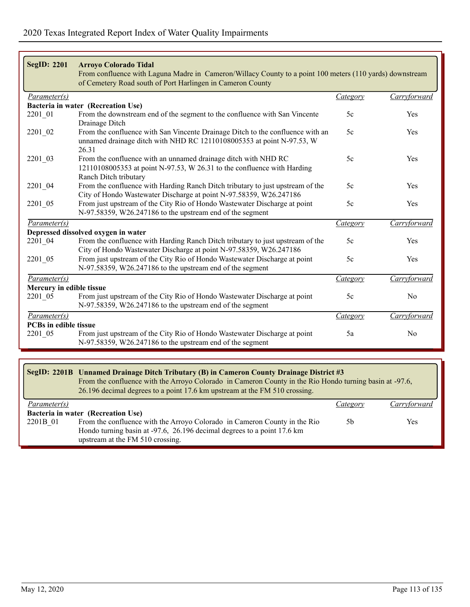| <b>SegID: 2201</b>           | <b>Arroyo Colorado Tidal</b><br>From confluence with Laguna Madre in Cameron/Willacy County to a point 100 meters (110 yards) downstream<br>of Cemetery Road south of Port Harlingen in Cameron County |                 |                |
|------------------------------|--------------------------------------------------------------------------------------------------------------------------------------------------------------------------------------------------------|-----------------|----------------|
| Parameter(s)                 |                                                                                                                                                                                                        | <i>Category</i> | Carryforward   |
|                              | Bacteria in water (Recreation Use)                                                                                                                                                                     |                 |                |
| 2201_01                      | From the downstream end of the segment to the confluence with San Vincente<br>Drainage Ditch                                                                                                           | 5c              | Yes            |
| 2201_02                      | From the confluence with San Vincente Drainage Ditch to the confluence with an<br>unnamed drainage ditch with NHD RC 12110108005353 at point N-97.53, W<br>26.31                                       | 5c              | Yes            |
| 2201 03                      | From the confluence with an unnamed drainage ditch with NHD RC<br>12110108005353 at point N-97.53, W 26.31 to the confluence with Harding<br>Ranch Ditch tributary                                     | 5c              | Yes            |
| 2201_04                      | From the confluence with Harding Ranch Ditch tributary to just upstream of the<br>City of Hondo Wastewater Discharge at point N-97.58359, W26.247186                                                   | 5c              | Yes            |
| 2201 05                      | From just upstream of the City Rio of Hondo Wastewater Discharge at point<br>N-97.58359, W26.247186 to the upstream end of the segment                                                                 | 5c              | Yes            |
| $\overline{Parameter(s)}$    |                                                                                                                                                                                                        | Category        | Carryforward   |
|                              | Depressed dissolved oxygen in water                                                                                                                                                                    |                 |                |
| 2201 04                      | From the confluence with Harding Ranch Ditch tributary to just upstream of the<br>City of Hondo Wastewater Discharge at point N-97.58359, W26.247186                                                   | 5c              | Yes            |
| 2201 05                      | From just upstream of the City Rio of Hondo Wastewater Discharge at point<br>N-97.58359, W26.247186 to the upstream end of the segment                                                                 | 5c              | Yes            |
| $\overline{Parameter(s)}$    |                                                                                                                                                                                                        | Category        | Carryforward   |
| Mercury in edible tissue     |                                                                                                                                                                                                        |                 |                |
| 2201_05                      | From just upstream of the City Rio of Hondo Wastewater Discharge at point<br>N-97.58359, W26.247186 to the upstream end of the segment                                                                 | 5c              | N <sub>0</sub> |
| Parameter(s)                 |                                                                                                                                                                                                        | <b>Category</b> | Carryforward   |
| <b>PCBs in edible tissue</b> |                                                                                                                                                                                                        |                 |                |
| 2201 05                      | From just upstream of the City Rio of Hondo Wastewater Discharge at point<br>N-97.58359, W26.247186 to the upstream end of the segment                                                                 | 5a              | No             |

| SegID: 2201B Unnamed Drainage Ditch Tributary (B) in Cameron County Drainage District #3<br>From the confluence with the Arroyo Colorado in Cameron County in the Rio Hondo turning basin at -97.6,<br>26.196 decimal degrees to a point 17.6 km upstream at the FM 510 crossing. |                                                                           |          |              |
|-----------------------------------------------------------------------------------------------------------------------------------------------------------------------------------------------------------------------------------------------------------------------------------|---------------------------------------------------------------------------|----------|--------------|
| <i>Parameter(s)</i>                                                                                                                                                                                                                                                               |                                                                           | Category | Carryforward |
|                                                                                                                                                                                                                                                                                   | Bacteria in water (Recreation Use)                                        |          |              |
| 2201B 01                                                                                                                                                                                                                                                                          | From the confluence with the Arroyo Colorado in Cameron County in the Rio | .5b      | Yes.         |
|                                                                                                                                                                                                                                                                                   | Hondo turning basin at -97.6, 26.196 decimal degrees to a point 17.6 km   |          |              |
|                                                                                                                                                                                                                                                                                   | upstream at the FM 510 crossing.                                          |          |              |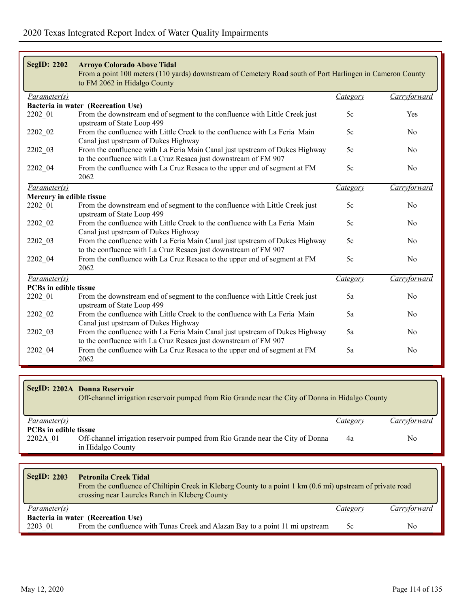| <b>SegID: 2202</b>           | <b>Arroyo Colorado Above Tidal</b><br>From a point 100 meters (110 yards) downstream of Cemetery Road south of Port Harlingen in Cameron County<br>to FM 2062 in Hidalgo County |                 |                |
|------------------------------|---------------------------------------------------------------------------------------------------------------------------------------------------------------------------------|-----------------|----------------|
| Parameter(s)                 |                                                                                                                                                                                 | <i>Category</i> | Carryforward   |
|                              | Bacteria in water (Recreation Use)                                                                                                                                              |                 |                |
| 2202 01                      | From the downstream end of segment to the confluence with Little Creek just<br>upstream of State Loop 499                                                                       | 5c              | Yes            |
| 2202_02                      | From the confluence with Little Creek to the confluence with La Feria Main<br>Canal just upstream of Dukes Highway                                                              | 5c              | N <sub>0</sub> |
| 2202_03                      | From the confluence with La Feria Main Canal just upstream of Dukes Highway<br>to the confluence with La Cruz Resaca just downstream of FM 907                                  | 5c              | No             |
| 2202 04                      | From the confluence with La Cruz Resaca to the upper end of segment at FM<br>2062                                                                                               | 5c              | No             |
| Parameter(s)                 |                                                                                                                                                                                 | <i>Category</i> | Carryforward   |
| Mercury in edible tissue     |                                                                                                                                                                                 |                 |                |
| 2202_01                      | From the downstream end of segment to the confluence with Little Creek just<br>upstream of State Loop 499                                                                       | 5c              | No             |
| 2202 02                      | From the confluence with Little Creek to the confluence with La Feria Main<br>Canal just upstream of Dukes Highway                                                              | 5c              | N <sub>0</sub> |
| 2202_03                      | From the confluence with La Feria Main Canal just upstream of Dukes Highway<br>to the confluence with La Cruz Resaca just downstream of FM 907                                  | 5c              | N <sub>0</sub> |
| 2202_04                      | From the confluence with La Cruz Resaca to the upper end of segment at FM<br>2062                                                                                               | 5c              | N <sub>0</sub> |
| $\overline{Parameter(s)}$    |                                                                                                                                                                                 | Category        | Carryforward   |
| <b>PCBs</b> in edible tissue |                                                                                                                                                                                 |                 |                |
| 2202_01                      | From the downstream end of segment to the confluence with Little Creek just<br>upstream of State Loop 499                                                                       | 5a              | No             |
| 2202 02                      | From the confluence with Little Creek to the confluence with La Feria Main<br>Canal just upstream of Dukes Highway                                                              | 5a              | N <sub>0</sub> |
| 2202 03                      | From the confluence with La Feria Main Canal just upstream of Dukes Highway<br>to the confluence with La Cruz Resaca just downstream of FM 907                                  | 5a              | N <sub>0</sub> |
| 2202_04                      | From the confluence with La Cruz Resaca to the upper end of segment at FM<br>2062                                                                                               | 5a              | N <sub>0</sub> |

|                              | SegID: 2202A Donna Reservoir<br>Off-channel irrigation reservoir pumped from Rio Grande near the City of Donna in Hidalgo County |          |              |
|------------------------------|----------------------------------------------------------------------------------------------------------------------------------|----------|--------------|
| <i>Parameter(s)</i>          |                                                                                                                                  | Category | Carryforward |
| <b>PCBs in edible tissue</b> |                                                                                                                                  |          |              |
| 2202A 01                     | Off-channel irrigation reservoir pumped from Rio Grande near the City of Donna<br>in Hidalgo County                              | 4a       | No.          |

| <b>SegID: 2203</b> | <b>Petronila Creek Tidal</b><br>From the confluence of Chiltipin Creek in Kleberg County to a point 1 km (0.6 mi) upstream of private road<br>crossing near Laureles Ranch in Kleberg County |          |              |  |  |
|--------------------|----------------------------------------------------------------------------------------------------------------------------------------------------------------------------------------------|----------|--------------|--|--|
| Parameter(s)       |                                                                                                                                                                                              | Category | Carryforward |  |  |
|                    | Bacteria in water (Recreation Use)                                                                                                                                                           |          |              |  |  |
| 2203 01            | From the confluence with Tunas Creek and Alazan Bay to a point 11 mi upstream                                                                                                                | 5c       | No.          |  |  |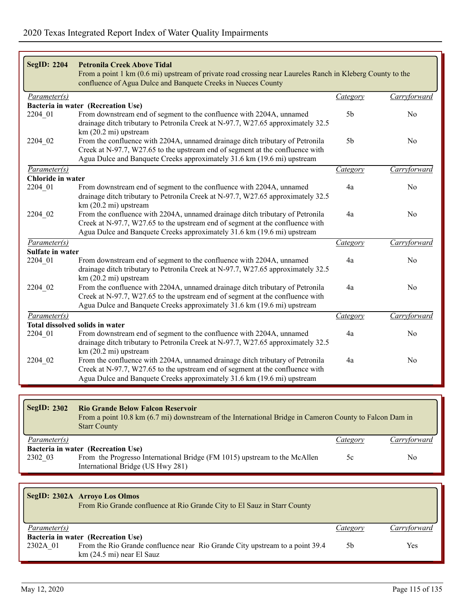| <b>SegID: 2204</b>        | <b>Petronila Creek Above Tidal</b><br>From a point 1 km (0.6 mi) upstream of private road crossing near Laureles Ranch in Kleberg County to the<br>confluence of Agua Dulce and Banquete Creeks in Nueces County                          |                 |                |
|---------------------------|-------------------------------------------------------------------------------------------------------------------------------------------------------------------------------------------------------------------------------------------|-----------------|----------------|
| Parameter(s)              |                                                                                                                                                                                                                                           | Category        | Carryforward   |
|                           | Bacteria in water (Recreation Use)                                                                                                                                                                                                        |                 |                |
| 2204 01                   | From downstream end of segment to the confluence with 2204A, unnamed<br>drainage ditch tributary to Petronila Creek at N-97.7, W27.65 approximately 32.5<br>$km(20.2 mi)$ upstream                                                        | 5 <sub>b</sub>  | N <sub>0</sub> |
| 2204 02                   | From the confluence with 2204A, unnamed drainage ditch tributary of Petronila                                                                                                                                                             | 5 <sub>b</sub>  | N <sub>0</sub> |
|                           | Creek at N-97.7, W27.65 to the upstream end of segment at the confluence with<br>Agua Dulce and Banquete Creeks approximately 31.6 km (19.6 mi) upstream                                                                                  |                 |                |
| $\overline{Parameter(s)}$ |                                                                                                                                                                                                                                           | <b>Category</b> | Carryforward   |
| <b>Chloride in water</b>  |                                                                                                                                                                                                                                           |                 |                |
| 2204_01                   | From downstream end of segment to the confluence with 2204A, unnamed                                                                                                                                                                      | 4a              | No             |
|                           | drainage ditch tributary to Petronila Creek at N-97.7, W27.65 approximately 32.5<br>$km(20.2 mi)$ upstream                                                                                                                                |                 |                |
| 2204 02                   | From the confluence with 2204A, unnamed drainage ditch tributary of Petronila                                                                                                                                                             | 4a              | No             |
|                           | Creek at N-97.7, W27.65 to the upstream end of segment at the confluence with<br>Agua Dulce and Banquete Creeks approximately 31.6 km (19.6 mi) upstream                                                                                  |                 |                |
| $\overline{Parameter(s)}$ |                                                                                                                                                                                                                                           | <i>Category</i> | Carryforward   |
| Sulfate in water          |                                                                                                                                                                                                                                           |                 |                |
| 2204_01                   | From downstream end of segment to the confluence with 2204A, unnamed<br>drainage ditch tributary to Petronila Creek at N-97.7, W27.65 approximately 32.5<br>km (20.2 mi) upstream                                                         | 4a              | No             |
| 2204 02                   | From the confluence with 2204A, unnamed drainage ditch tributary of Petronila                                                                                                                                                             | 4a              | No             |
|                           | Creek at N-97.7, W27.65 to the upstream end of segment at the confluence with                                                                                                                                                             |                 |                |
|                           | Agua Dulce and Banquete Creeks approximately 31.6 km (19.6 mi) upstream                                                                                                                                                                   |                 |                |
| $\overline{Parameter(s)}$ |                                                                                                                                                                                                                                           | Category        | Carryforward   |
|                           | Total dissolved solids in water                                                                                                                                                                                                           |                 |                |
| 2204 01                   | From downstream end of segment to the confluence with 2204A, unnamed<br>drainage ditch tributary to Petronila Creek at N-97.7, W27.65 approximately 32.5                                                                                  | 4a              | No             |
|                           | km (20.2 mi) upstream                                                                                                                                                                                                                     |                 |                |
| 2204 02                   | From the confluence with 2204A, unnamed drainage ditch tributary of Petronila<br>Creek at N-97.7, W27.65 to the upstream end of segment at the confluence with<br>Agua Dulce and Banquete Creeks approximately 31.6 km (19.6 mi) upstream | 4a              | No             |

| SegID: $2302$       | <b>Rio Grande Below Falcon Reservoir</b><br>From a point 10.8 km (6.7 mi) downstream of the International Bridge in Cameron County to Falcon Dam in<br><b>Starr County</b> |          |              |
|---------------------|----------------------------------------------------------------------------------------------------------------------------------------------------------------------------|----------|--------------|
| <i>Parameter(s)</i> |                                                                                                                                                                            | Category | Carryforward |
|                     | Bacteria in water (Recreation Use)                                                                                                                                         |          |              |
| 2302 03             | From the Progresso International Bridge (FM 1015) upstream to the McAllen                                                                                                  | 5c       | No.          |
|                     | International Bridge (US Hwy 281)                                                                                                                                          |          |              |

|                     | SegID: 2302A Arroyo Los Olmos<br>From Rio Grande confluence at Rio Grande City to El Sauz in Starr County                                        |          |              |
|---------------------|--------------------------------------------------------------------------------------------------------------------------------------------------|----------|--------------|
| <i>Parameter(s)</i> |                                                                                                                                                  | Category | Carryforward |
| 2302A 01            | Bacteria in water (Recreation Use)<br>From the Rio Grande confluence near Rio Grande City upstream to a point 39.4<br>$km(24.5 mi)$ near El Sauz | .5b      | Yes          |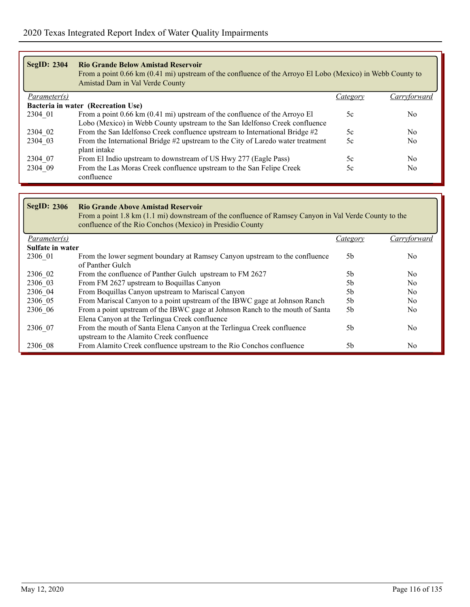| <b>SegID: 2304</b> | <b>Rio Grande Below Amistad Reservoir</b><br>From a point 0.66 km (0.41 mi) upstream of the confluence of the Arroyo El Lobo (Mexico) in Webb County to<br>Amistad Dam in Val Verde County |          |                |
|--------------------|--------------------------------------------------------------------------------------------------------------------------------------------------------------------------------------------|----------|----------------|
| Parameter(s)       |                                                                                                                                                                                            | Category | Carryforward   |
|                    | Bacteria in water (Recreation Use)                                                                                                                                                         |          |                |
| 2304 01            | From a point 0.66 km (0.41 mi) upstream of the confluence of the Arroyo El                                                                                                                 | 5c       | N <sub>0</sub> |
|                    | Lobo (Mexico) in Webb County upstream to the San Idelfonso Creek confluence                                                                                                                |          |                |
| 2304 02            | From the San Idelfonso Creek confluence upstream to International Bridge #2                                                                                                                | 5c       | No             |
| 2304 03            | From the International Bridge #2 upstream to the City of Laredo water treatment                                                                                                            | 5c       | No.            |
|                    | plant intake                                                                                                                                                                               |          |                |
| 2304 07            | From El Indio upstream to downstream of US Hwy 277 (Eagle Pass)                                                                                                                            | 5c       | No             |
| 2304 09            | From the Las Moras Creek confluence upstream to the San Felipe Creek<br>confluence                                                                                                         | 5c       | No             |

| <b>SegID: 2306</b> | <b>Rio Grande Above Amistad Reservoir</b><br>From a point 1.8 km (1.1 mi) downstream of the confluence of Ramsey Canyon in Val Verde County to the<br>confluence of the Rio Conchos (Mexico) in Presidio County |                |                |
|--------------------|-----------------------------------------------------------------------------------------------------------------------------------------------------------------------------------------------------------------|----------------|----------------|
| Parameter(s)       |                                                                                                                                                                                                                 | Category       | Carryforward   |
| Sulfate in water   |                                                                                                                                                                                                                 |                |                |
| 2306 01            | From the lower segment boundary at Ramsey Canyon upstream to the confluence<br>of Panther Gulch                                                                                                                 | 5 <sub>b</sub> | No.            |
| 2306 02            | From the confluence of Panther Gulch upstream to FM 2627                                                                                                                                                        | 5h             | N <sub>0</sub> |
| 2306 03            | From FM 2627 upstream to Boquillas Canyon                                                                                                                                                                       | 5b             | N <sub>0</sub> |
| 2306 04            | From Boquillas Canyon upstream to Mariscal Canyon                                                                                                                                                               | 5b             | N <sub>0</sub> |
| 2306 05            | From Mariscal Canyon to a point upstream of the IBWC gage at Johnson Ranch                                                                                                                                      | 5b             | N <sub>0</sub> |
| 2306 06            | From a point upstream of the IBWC gage at Johnson Ranch to the mouth of Santa<br>Elena Canyon at the Terlingua Creek confluence                                                                                 | 5 <sub>b</sub> | N <sub>0</sub> |
| 2306 07            | From the mouth of Santa Elena Canyon at the Terlingua Creek confluence<br>upstream to the Alamito Creek confluence                                                                                              | 5b             | N <sub>0</sub> |
| 2306 08            | From Alamito Creek confluence upstream to the Rio Conchos confluence                                                                                                                                            | 5 <sub>b</sub> | N <sub>0</sub> |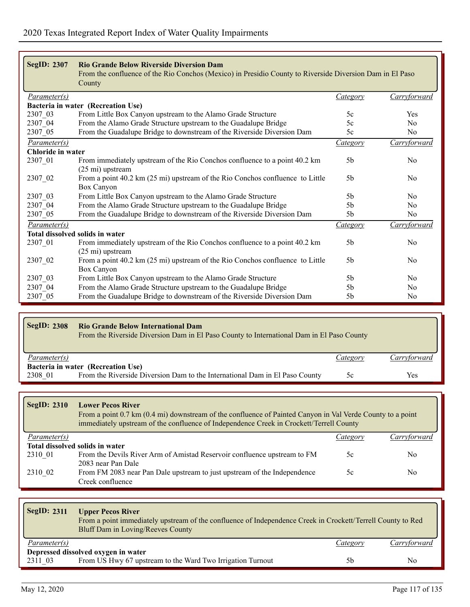| <b>SegID: 2307</b>        | <b>Rio Grande Below Riverside Diversion Dam</b>                                                          |                 |                |
|---------------------------|----------------------------------------------------------------------------------------------------------|-----------------|----------------|
|                           | From the confluence of the Rio Conchos (Mexico) in Presidio County to Riverside Diversion Dam in El Paso |                 |                |
|                           | County                                                                                                   |                 |                |
| Parameter(s)              |                                                                                                          | Category        | Carryforward   |
|                           | Bacteria in water (Recreation Use)                                                                       |                 |                |
| 2307 03                   | From Little Box Canyon upstream to the Alamo Grade Structure                                             | 5c              | Yes            |
| 2307 04                   | From the Alamo Grade Structure upstream to the Guadalupe Bridge                                          | 5c              | N <sub>0</sub> |
| 2307_05                   | From the Guadalupe Bridge to downstream of the Riverside Diversion Dam                                   | 5c              | N <sub>0</sub> |
| Parameter(s)              |                                                                                                          | <i>Category</i> | Carryforward   |
| Chloride in water         |                                                                                                          |                 |                |
| 2307 01                   | From immediately upstream of the Rio Conchos confluence to a point 40.2 km                               | 5 <sub>b</sub>  | N <sub>0</sub> |
|                           | (25 mi) upstream                                                                                         |                 |                |
| 2307_02                   | From a point 40.2 km (25 mi) upstream of the Rio Conchos confluence to Little                            | 5 <sub>b</sub>  | No             |
|                           | Box Canyon                                                                                               |                 |                |
| 2307 03                   | From Little Box Canyon upstream to the Alamo Grade Structure                                             | 5 <sub>b</sub>  | N <sub>0</sub> |
| 2307 04                   | From the Alamo Grade Structure upstream to the Guadalupe Bridge                                          | 5 <sub>b</sub>  | No             |
| 2307 05                   | From the Guadalupe Bridge to downstream of the Riverside Diversion Dam                                   | 5 <sub>b</sub>  | No             |
| $\overline{Parameter(s)}$ |                                                                                                          | <i>Category</i> | Carryforward   |
|                           | Total dissolved solids in water                                                                          |                 |                |
| 2307_01                   | From immediately upstream of the Rio Conchos confluence to a point 40.2 km                               | 5 <sub>b</sub>  | N <sub>0</sub> |
|                           | $(25 \text{ mi})$ upstream                                                                               |                 |                |
| 2307_02                   | From a point 40.2 km (25 mi) upstream of the Rio Conchos confluence to Little                            | 5 <sub>b</sub>  | No             |
|                           | Box Canyon                                                                                               |                 |                |
| 2307 03                   | From Little Box Canyon upstream to the Alamo Grade Structure                                             | 5 <sub>b</sub>  | No             |
| 2307 04                   | From the Alamo Grade Structure upstream to the Guadalupe Bridge                                          | 5 <sub>b</sub>  | N <sub>0</sub> |
| 2307_05                   | From the Guadalupe Bridge to downstream of the Riverside Diversion Dam                                   | 5 <sub>b</sub>  | N <sub>0</sub> |

| <b>SegID: 2308</b> | <b>Rio Grande Below International Dam</b><br>From the Riverside Diversion Dam in El Paso County to International Dam in El Paso County |          |              |
|--------------------|----------------------------------------------------------------------------------------------------------------------------------------|----------|--------------|
| Parameter(s)       |                                                                                                                                        | Category | Carryforward |
|                    | Bacteria in water (Recreation Use)                                                                                                     |          |              |
| 2308 01            | From the Riverside Diversion Dam to the International Dam in El Paso County                                                            | 5c       | Yes          |
|                    |                                                                                                                                        |          |              |

| <b>SegID: 2310</b> | <b>Lower Pecos River</b><br>From a point 0.7 km (0.4 mi) downstream of the confluence of Painted Canyon in Val Verde County to a point<br>immediately upstream of the confluence of Independence Creek in Crockett/Terrell County |          |              |
|--------------------|-----------------------------------------------------------------------------------------------------------------------------------------------------------------------------------------------------------------------------------|----------|--------------|
| Parameter(s)       |                                                                                                                                                                                                                                   | Category | Carryforward |
|                    | Total dissolved solids in water                                                                                                                                                                                                   |          |              |
| 2310 01            | From the Devils River Arm of Amistad Reservoir confluence upstream to FM                                                                                                                                                          | 5c       | No.          |
|                    | 2083 near Pan Dale                                                                                                                                                                                                                |          |              |
| 2310 02            | From FM 2083 near Pan Dale upstream to just upstream of the Independence                                                                                                                                                          | 5c       | No.          |
|                    | Creek confluence                                                                                                                                                                                                                  |          |              |

| <b>SegID: 2311</b>                  | <b>Upper Pecos River</b><br>From a point immediately upstream of the confluence of Independence Creek in Crockett/Terrell County to Red<br>Bluff Dam in Loving/Reeves County |          |              |  |
|-------------------------------------|------------------------------------------------------------------------------------------------------------------------------------------------------------------------------|----------|--------------|--|
| Parameter(s)                        |                                                                                                                                                                              | Category | Carryforward |  |
| Depressed dissolved oxygen in water |                                                                                                                                                                              |          |              |  |
| 2311 03                             | From US Hwy 67 upstream to the Ward Two Irrigation Turnout                                                                                                                   | 5b       | Nο           |  |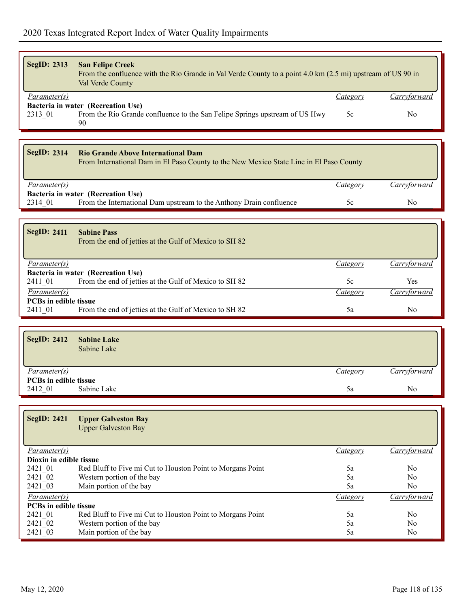| <b>SegID: 2313</b><br><b>San Felipe Creek</b><br>From the confluence with the Rio Grande in Val Verde County to a point 4.0 km (2.5 mi) upstream of US 90 in<br>Val Verde County |                                                                                                                                      |                 |                      |
|----------------------------------------------------------------------------------------------------------------------------------------------------------------------------------|--------------------------------------------------------------------------------------------------------------------------------------|-----------------|----------------------|
| Parameter(s)                                                                                                                                                                     |                                                                                                                                      | <b>Category</b> | Carryforward         |
| 2313_01                                                                                                                                                                          | Bacteria in water (Recreation Use)<br>From the Rio Grande confluence to the San Felipe Springs upstream of US Hwy<br>90              | 5c              | N <sub>0</sub>       |
|                                                                                                                                                                                  |                                                                                                                                      |                 |                      |
| <b>SegID: 2314</b>                                                                                                                                                               | <b>Rio Grande Above International Dam</b><br>From International Dam in El Paso County to the New Mexico State Line in El Paso County |                 |                      |
| Parameter(s)                                                                                                                                                                     |                                                                                                                                      | <b>Category</b> | Carryforward         |
| 2314 01                                                                                                                                                                          | Bacteria in water (Recreation Use)<br>From the International Dam upstream to the Anthony Drain confluence                            | 5c              | No                   |
|                                                                                                                                                                                  |                                                                                                                                      |                 |                      |
| <b>SegID: 2411</b>                                                                                                                                                               | <b>Sabine Pass</b><br>From the end of jetties at the Gulf of Mexico to SH 82                                                         |                 |                      |
| $Parameter(s)$                                                                                                                                                                   |                                                                                                                                      | Category        | Carryforward         |
|                                                                                                                                                                                  | Bacteria in water (Recreation Use)<br>From the end of jetties at the Gulf of Mexico to SH 82                                         | 5c              | Yes                  |
| 2411_01<br>Parameter(s)                                                                                                                                                          |                                                                                                                                      | <i>Category</i> | Carryforward         |
| PCBs in edible tissue                                                                                                                                                            |                                                                                                                                      |                 |                      |
| 2411_01                                                                                                                                                                          | From the end of jetties at the Gulf of Mexico to SH 82                                                                               | 5a              | No                   |
|                                                                                                                                                                                  |                                                                                                                                      |                 |                      |
| <b>SegID: 2412</b>                                                                                                                                                               | <b>Sabine Lake</b><br>Sabine Lake                                                                                                    |                 |                      |
| Parameter(s)                                                                                                                                                                     |                                                                                                                                      | Category        | Carryforward         |
| <b>PCBs</b> in edible tissue<br>2412 01                                                                                                                                          | Sabine Lake                                                                                                                          | 5a              | No                   |
|                                                                                                                                                                                  |                                                                                                                                      |                 |                      |
| <b>SegID: 2421</b>                                                                                                                                                               | <b>Upper Galveston Bay</b><br><b>Upper Galveston Bay</b>                                                                             |                 |                      |
| Parameter(s)                                                                                                                                                                     |                                                                                                                                      | <b>Category</b> | Carryforward         |
| Dioxin in edible tissue<br>2421 01                                                                                                                                               | Red Bluff to Five mi Cut to Houston Point to Morgans Point                                                                           | 5a              | N <sub>0</sub>       |
| 2421 02                                                                                                                                                                          | Western portion of the bay                                                                                                           | 5a              | No                   |
| 2421 03                                                                                                                                                                          | Main portion of the bay                                                                                                              | 5a              | No                   |
| Parameter(s)                                                                                                                                                                     |                                                                                                                                      | <b>Category</b> | Carryforward         |
| <b>PCBs</b> in edible tissue                                                                                                                                                     |                                                                                                                                      |                 |                      |
| 2421 01<br>2421 02                                                                                                                                                               | Red Bluff to Five mi Cut to Houston Point to Morgans Point<br>Western portion of the bay                                             | 5a<br>5a        | No<br>N <sub>0</sub> |
| 2421 03                                                                                                                                                                          | Main portion of the bay                                                                                                              | 5a              | N <sub>0</sub>       |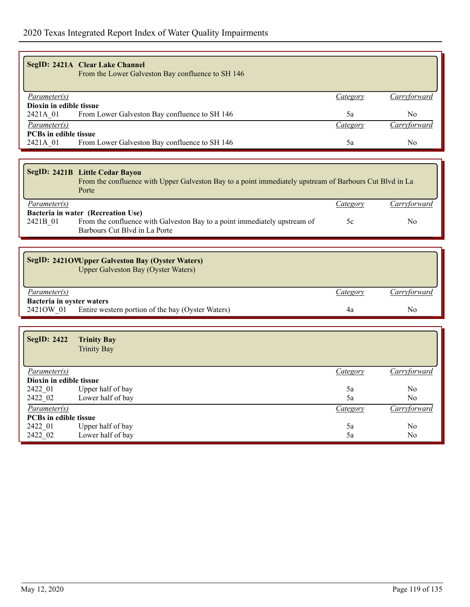|                              | SegID: 2421A Clear Lake Channel<br>From the Lower Galveston Bay confluence to SH 146 |          |              |
|------------------------------|--------------------------------------------------------------------------------------|----------|--------------|
| <i>Parameter(s)</i>          |                                                                                      | Category | Carryforward |
| Dioxin in edible tissue      |                                                                                      |          |              |
| 2421A 01                     | From Lower Galveston Bay confluence to SH 146                                        | 5a       | No           |
| Parameter(s)                 |                                                                                      | Category | Carryforward |
| <b>PCBs in edible tissue</b> |                                                                                      |          |              |
| 2421A 01                     | From Lower Galveston Bay confluence to SH 146                                        | 5a       | No           |

#### **SegID: 2421B Little Cedar Bayou** From the confluence with Upper Galveston Bay to a point immediately upstream of Barbours Cut Blvd in La Porte *Parameter(s) Category Carryforward* **Bacteria in water (Recreation Use)**<br>2421B\_01 From the confluence From the confluence with Galveston Bay to a point immediately upstream of 5c 5c No Barbours Cut Blvd in La Porte

| <b>SegID: 2421OVUpper Galveston Bay (Oyster Waters)</b><br>Upper Galveston Bay (Oyster Waters) |          |              |
|------------------------------------------------------------------------------------------------|----------|--------------|
| Parameter(s)                                                                                   | Category | Carryforward |
| Bacteria in oyster waters                                                                      |          |              |
| 24210W 01 Entire western portion of the bay (Oyster Waters)                                    | 4a       | No           |

| SegID: 2422                  | <b>Trinity Bay</b><br><b>Trinity Bay</b> |                 |                |
|------------------------------|------------------------------------------|-----------------|----------------|
| <i>Parameter(s)</i>          |                                          | Category        | Carryforward   |
| Dioxin in edible tissue      |                                          |                 |                |
| 2422 01                      | Upper half of bay                        | 5a              | N <sub>o</sub> |
| 2422 02                      | Lower half of bay                        | 5a              | N <sub>0</sub> |
| Parameter(s)                 |                                          | <b>Category</b> | Carryforward   |
| <b>PCBs</b> in edible tissue |                                          |                 |                |
| 2422 01                      | Upper half of bay                        | 5a              | No             |
| 2422 02                      | Lower half of bay                        | 5a              | N <sub>0</sub> |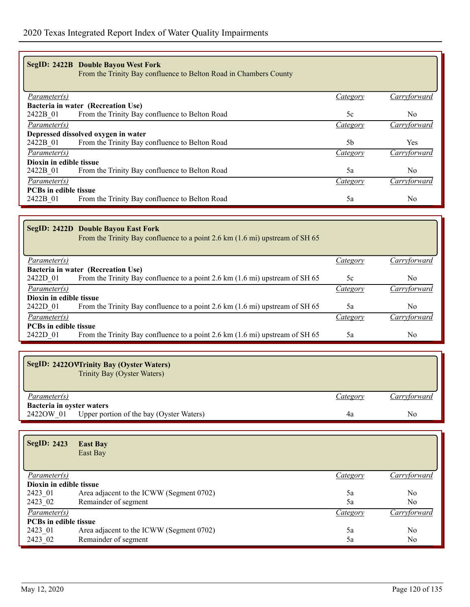|                              | SegID: 2422B Double Bayou West Fork<br>From the Trinity Bay confluence to Belton Road in Chambers County |          |                |
|------------------------------|----------------------------------------------------------------------------------------------------------|----------|----------------|
| <i>Parameter(s)</i>          |                                                                                                          | Category | Carryforward   |
|                              | Bacteria in water (Recreation Use)                                                                       |          |                |
| 2422B 01                     | From the Trinity Bay confluence to Belton Road                                                           | 5c       | N <sub>0</sub> |
| Parameter(s)                 |                                                                                                          | Category | Carryforward   |
|                              | Depressed dissolved oxygen in water                                                                      |          |                |
| 2422B 01                     | From the Trinity Bay confluence to Belton Road                                                           | 5b       | Yes            |
| Parameter(s)                 |                                                                                                          | Category | Carryforward   |
| Dioxin in edible tissue      |                                                                                                          |          |                |
| 2422B 01                     | From the Trinity Bay confluence to Belton Road                                                           | 5a       | N <sub>0</sub> |
| Parameter(s)                 |                                                                                                          | Category | Carryforward   |
| <b>PCBs</b> in edible tissue |                                                                                                          |          |                |
| 2422B 01                     | From the Trinity Bay confluence to Belton Road                                                           | 5a       | N <sub>0</sub> |

|                              | SegID: 2422D Double Bayou East Fork                                          |                 |              |
|------------------------------|------------------------------------------------------------------------------|-----------------|--------------|
|                              | From the Trinity Bay confluence to a point 2.6 km (1.6 mi) upstream of SH 65 |                 |              |
|                              |                                                                              |                 |              |
| Parameter(s)                 |                                                                              | Category        | Carryforward |
|                              | Bacteria in water (Recreation Use)                                           |                 |              |
| 2422D 01                     | From the Trinity Bay confluence to a point 2.6 km (1.6 mi) upstream of SH 65 | 5c              | No.          |
| <i>Parameter(s)</i>          |                                                                              | <i>Category</i> | Carryforward |
| Dioxin in edible tissue      |                                                                              |                 |              |
| 2422D 01                     | From the Trinity Bay confluence to a point 2.6 km (1.6 mi) upstream of SH 65 | 5a              | No.          |
| <i>Parameter(s)</i>          |                                                                              | Category        | Carryforward |
| <b>PCBs in edible tissue</b> |                                                                              |                 |              |
| 2422D 01                     | From the Trinity Bay confluence to a point 2.6 km (1.6 mi) upstream of SH 65 | 5a              | No.          |

| SegID: 2422OVTrinity Bay (Oyster Waters)<br>Trinity Bay (Oyster Waters)            |          |              |
|------------------------------------------------------------------------------------|----------|--------------|
| Parameter(s)                                                                       | Category | Carryforward |
| Bacteria in oyster waters<br>Upper portion of the bay (Oyster Waters)<br>2422OW 01 | 4a       | No           |

| <b>SegID: 2423</b>           | <b>East Bay</b><br>East Bay              |                 |                |
|------------------------------|------------------------------------------|-----------------|----------------|
| <i>Parameter(s)</i>          |                                          | <i>Category</i> | Carryforward   |
| Dioxin in edible tissue      |                                          |                 |                |
| 2423 01                      | Area adjacent to the ICWW (Segment 0702) | 5a              | N <sub>0</sub> |
| 2423 02                      | Remainder of segment                     | 5a              | N <sub>o</sub> |
| Parameter(s)                 |                                          | Category        | Carryforward   |
| <b>PCBs in edible tissue</b> |                                          |                 |                |
| 2423 01                      | Area adjacent to the ICWW (Segment 0702) | 5a              | N <sub>0</sub> |
| 2423 02                      | Remainder of segment                     | 5a              | N <sub>0</sub> |

 $\epsilon$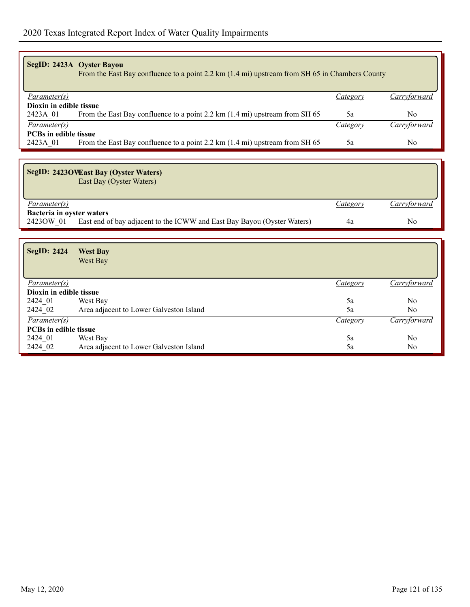### **SegID: 2423A Oyster Bayou** From the East Bay confluence to a point 2.2 km (1.4 mi) upstream from SH 65 in Chambers County *Parameter(s) Category Carryforward* **Dioxin in edible tissue**<br>2423A 01 From the From the East Bay confluence to a point 2.2 km (1.4 mi) upstream from SH 65 5a No *Parameter(s) Category Carryforward* **PCBs in edible tissue** 2423A\_01 From the East Bay confluence to a point 2.2 km (1.4 mi) upstream from SH 65 5a No

| <b>SegID: 2423OVEast Bay (Oyster Waters)</b><br>East Bay (Oyster Waters)             |          |              |
|--------------------------------------------------------------------------------------|----------|--------------|
| <i>Parameter(s)</i>                                                                  | Category | Carryforward |
| Bacteria in oyster waters                                                            |          |              |
| East end of bay adjacent to the ICWW and East Bay Bayou (Oyster Waters)<br>24230W 01 | 4a       | No           |

| <b>SegID: 2424</b>           | <b>West Bay</b><br>West Bay             |                 |                |
|------------------------------|-----------------------------------------|-----------------|----------------|
| Parameter(s)                 |                                         | <i>Category</i> | Carryforward   |
| Dioxin in edible tissue      |                                         |                 |                |
| 2424 01                      | West Bay                                | 5a              | N <sub>o</sub> |
| 2424 02                      | Area adjacent to Lower Galveston Island | 5a              | No.            |
| Parameter(s)                 |                                         | <i>Category</i> | Carryforward   |
| <b>PCBs in edible tissue</b> |                                         |                 |                |
| 2424 01                      | West Bay                                | 5a              | N <sub>o</sub> |
| 2424 02                      | Area adjacent to Lower Galveston Island | 5a              | N <sub>0</sub> |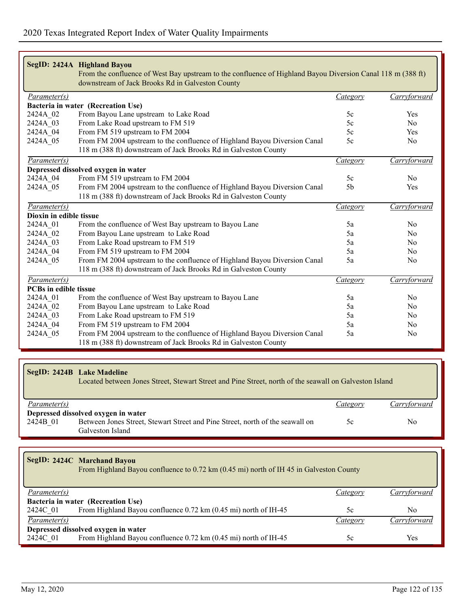|                           | SegID: 2424A Highland Bayou<br>From the confluence of West Bay upstream to the confluence of Highland Bayou Diversion Canal 118 m (388 ft)<br>downstream of Jack Brooks Rd in Galveston County |                 |                |
|---------------------------|------------------------------------------------------------------------------------------------------------------------------------------------------------------------------------------------|-----------------|----------------|
| Parameter(s)              |                                                                                                                                                                                                | <b>Category</b> | Carryforward   |
|                           | Bacteria in water (Recreation Use)                                                                                                                                                             |                 |                |
| 2424A 02                  | From Bayou Lane upstream to Lake Road                                                                                                                                                          | 5c              | Yes            |
| 2424A 03                  | From Lake Road upstream to FM 519                                                                                                                                                              | 5c              | No             |
| 2424A 04                  | From FM 519 upstream to FM 2004                                                                                                                                                                | 5c              | Yes            |
| 2424A 05                  | From FM 2004 upstream to the confluence of Highland Bayou Diversion Canal                                                                                                                      | 5c              | N <sub>0</sub> |
|                           | 118 m (388 ft) downstream of Jack Brooks Rd in Galveston County                                                                                                                                |                 |                |
| Parameter(s)              |                                                                                                                                                                                                | <i>Category</i> | Carryforward   |
|                           | Depressed dissolved oxygen in water                                                                                                                                                            |                 |                |
| 2424A 04                  | From FM 519 upstream to FM 2004                                                                                                                                                                | 5c              | No             |
| 2424A 05                  | From FM 2004 upstream to the confluence of Highland Bayou Diversion Canal                                                                                                                      | 5 <sub>b</sub>  | Yes            |
|                           | 118 m (388 ft) downstream of Jack Brooks Rd in Galveston County                                                                                                                                |                 |                |
| $\overline{Parameter(s)}$ |                                                                                                                                                                                                | <i>Category</i> | Carryforward   |
| Dioxin in edible tissue   |                                                                                                                                                                                                |                 |                |
| 2424A 01                  | From the confluence of West Bay upstream to Bayou Lane                                                                                                                                         | 5a              | No             |
| 2424A 02                  | From Bayou Lane upstream to Lake Road                                                                                                                                                          | 5a              | N <sub>0</sub> |
| 2424A 03                  | From Lake Road upstream to FM 519                                                                                                                                                              | 5a              | N <sub>0</sub> |
| 2424A 04                  | From FM 519 upstream to FM 2004                                                                                                                                                                | 5a              | No             |
| 2424A 05                  | From FM 2004 upstream to the confluence of Highland Bayou Diversion Canal                                                                                                                      | 5a              | N <sub>0</sub> |
|                           | 118 m (388 ft) downstream of Jack Brooks Rd in Galveston County                                                                                                                                |                 |                |
| $\overline{Parameter(s)}$ |                                                                                                                                                                                                | Category        | Carryforward   |
| PCBs in edible tissue     |                                                                                                                                                                                                |                 |                |
| 2424A 01                  | From the confluence of West Bay upstream to Bayou Lane                                                                                                                                         | 5a              | No             |
| 2424A 02                  | From Bayou Lane upstream to Lake Road                                                                                                                                                          | 5a              | No             |
| 2424A 03                  | From Lake Road upstream to FM 519                                                                                                                                                              | 5a              | N <sub>0</sub> |
| 2424A 04                  | From FM 519 upstream to FM 2004                                                                                                                                                                | 5a              | N <sub>0</sub> |
| 2424A 05                  | From FM 2004 upstream to the confluence of Highland Bayou Diversion Canal                                                                                                                      | 5a              | No             |
|                           | 118 m (388 ft) downstream of Jack Brooks Rd in Galveston County                                                                                                                                |                 |                |

# **SegID: 2424B Lake Madeline** Located between Jones Street, Stewart Street and Pine Street, north of the seawall on Galveston Island *Parameter(s) Category Carryforward* **Depressed dissolved oxygen in water**

| 2424B 01 | Between Jones Street, Stewart Street and Pine Street, north of the seawall on | N6 |
|----------|-------------------------------------------------------------------------------|----|
|          | cialveston Island                                                             |    |

|                     | SegID: 2424C Marchand Bayou<br>From Highland Bayou confluence to 0.72 km (0.45 mi) north of IH 45 in Galveston County |          |              |
|---------------------|-----------------------------------------------------------------------------------------------------------------------|----------|--------------|
| <i>Parameter(s)</i> |                                                                                                                       | Category | Carryforward |
|                     | Bacteria in water (Recreation Use)                                                                                    |          |              |
| 2424C 01            | From Highland Bayou confluence 0.72 km (0.45 mi) north of IH-45                                                       | 5c       | No           |
| Parameter(s)        |                                                                                                                       | Category | Carryforward |
|                     | Depressed dissolved oxygen in water                                                                                   |          |              |
| 2424C 01            | From Highland Bayou confluence 0.72 km (0.45 mi) north of IH-45                                                       | 5c       | Yes          |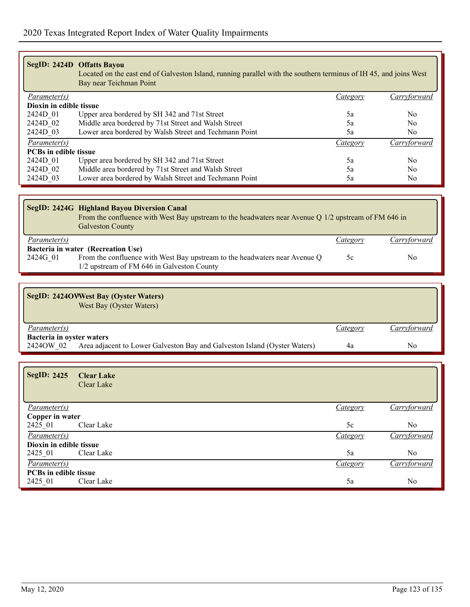|                              | SegID: 2424D Offatts Bayou<br>Located on the east end of Galveston Island, running parallel with the southern terminus of IH 45, and joins West<br>Bay near Teichman Point |          |                |  |
|------------------------------|----------------------------------------------------------------------------------------------------------------------------------------------------------------------------|----------|----------------|--|
| Parameter(s)                 |                                                                                                                                                                            | Category | Carryforward   |  |
| Dioxin in edible tissue      |                                                                                                                                                                            |          |                |  |
| 2424D 01                     | Upper area bordered by SH 342 and 71st Street                                                                                                                              | 5a       | N <sub>0</sub> |  |
| 2424D 02                     | Middle area bordered by 71st Street and Walsh Street                                                                                                                       | 5a       | N <sub>0</sub> |  |
| 2424D 03                     | Lower area bordered by Walsh Street and Techmann Point                                                                                                                     | 5a       | No.            |  |
| Parameter(s)                 |                                                                                                                                                                            | Category | Carryforward   |  |
| <b>PCBs in edible tissue</b> |                                                                                                                                                                            |          |                |  |
| 2424D 01                     | Upper area bordered by SH 342 and 71st Street                                                                                                                              | 5a       | No             |  |
| 2424D 02                     | Middle area bordered by 71st Street and Walsh Street                                                                                                                       | 5a       | No.            |  |
| 2424D 03                     | Lower area bordered by Walsh Street and Techmann Point                                                                                                                     | 5a       | No             |  |

| <b>SegID: 2424G Highland Bayou Diversion Canal</b><br>From the confluence with West Bay upstream to the headwaters near Avenue Q 1/2 upstream of FM 646 in<br><b>Galveston County</b> |                                                                            |          |              |  |
|---------------------------------------------------------------------------------------------------------------------------------------------------------------------------------------|----------------------------------------------------------------------------|----------|--------------|--|
| Parameter(s)                                                                                                                                                                          |                                                                            | Category | Carryforward |  |
|                                                                                                                                                                                       | Bacteria in water (Recreation Use)                                         |          |              |  |
| 2424G 01                                                                                                                                                                              | From the confluence with West Bay upstream to the headwaters near Avenue Q | 5c       | No           |  |
|                                                                                                                                                                                       | 1/2 upstream of FM 646 in Galveston County                                 |          |              |  |

| SegID: 2424OWWest Bay (Oyster Waters)<br>West Bay (Oyster Waters)                      |          |              |
|----------------------------------------------------------------------------------------|----------|--------------|
| <i>Parameter(s)</i>                                                                    | Category | Carryforward |
| Bacteria in oyster waters                                                              |          |              |
| Area adjacent to Lower Galveston Bay and Galveston Island (Oyster Waters)<br>24240W 02 | 4a       | No           |

| SegID: 2425                  | <b>Clear Lake</b><br>Clear Lake |                 |                |
|------------------------------|---------------------------------|-----------------|----------------|
| <i>Parameter(s)</i>          |                                 | <b>Category</b> | Carryforward   |
| Copper in water              |                                 |                 |                |
| 2425 01                      | Clear Lake                      | 5c              | N <sub>o</sub> |
| $\overline{Parameter(s)}$    |                                 | <i>Category</i> | Carryforward   |
| Dioxin in edible tissue      |                                 |                 |                |
| 2425 01                      | Clear Lake                      | 5a              | No.            |
| Parameter(s)                 |                                 | <b>Category</b> | Carryforward   |
| <b>PCBs in edible tissue</b> |                                 |                 |                |
| 2425 01                      | Clear Lake                      | 5a              | No             |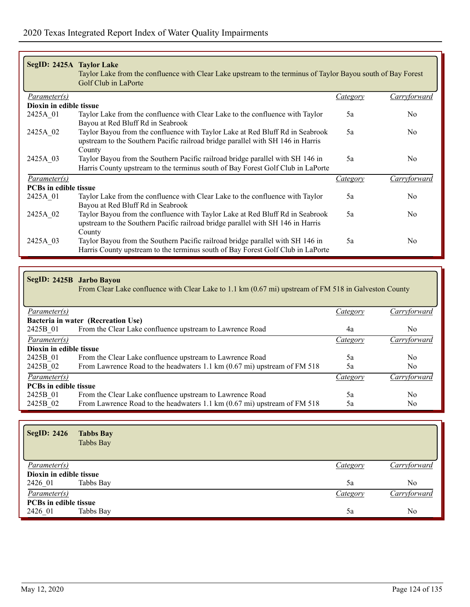| SegID: 2425A Taylor Lake     | Taylor Lake from the confluence with Clear Lake upstream to the terminus of Taylor Bayou south of Bay Forest<br>Golf Club in LaPorte                                       |                 |                |
|------------------------------|----------------------------------------------------------------------------------------------------------------------------------------------------------------------------|-----------------|----------------|
| <i>Parameter(s)</i>          |                                                                                                                                                                            | Category        | Carryforward   |
| Dioxin in edible tissue      |                                                                                                                                                                            |                 |                |
| 2425A 01                     | Taylor Lake from the confluence with Clear Lake to the confluence with Taylor<br>Bayou at Red Bluff Rd in Seabrook                                                         | 5a              | N <sub>0</sub> |
| 2425A 02                     | Taylor Bayou from the confluence with Taylor Lake at Red Bluff Rd in Seabrook<br>upstream to the Southern Pacific railroad bridge parallel with SH 146 in Harris<br>County | 5a              | N <sub>0</sub> |
| 2425A 03                     | Taylor Bayou from the Southern Pacific railroad bridge parallel with SH 146 in<br>Harris County upstream to the terminus south of Bay Forest Golf Club in LaPorte          | 5a              | N <sub>0</sub> |
| <i>Parameter(s)</i>          |                                                                                                                                                                            | <i>Category</i> | Carryforward   |
| <b>PCBs</b> in edible tissue |                                                                                                                                                                            |                 |                |
| 2425A 01                     | Taylor Lake from the confluence with Clear Lake to the confluence with Taylor<br>Bayou at Red Bluff Rd in Seabrook                                                         | 5a              | N <sub>0</sub> |
| 2425A 02                     | Taylor Bayou from the confluence with Taylor Lake at Red Bluff Rd in Seabrook<br>upstream to the Southern Pacific railroad bridge parallel with SH 146 in Harris<br>County | 5a              | N <sub>0</sub> |
| 2425A 03                     | Taylor Bayou from the Southern Pacific railroad bridge parallel with SH 146 in<br>Harris County upstream to the terminus south of Bay Forest Golf Club in LaPorte          | 5a              | N <sub>0</sub> |

| SegID: 2425B Jarbo Bayou     | From Clear Lake confluence with Clear Lake to 1.1 km (0.67 mi) upstream of FM 518 in Galveston County |                 |                |
|------------------------------|-------------------------------------------------------------------------------------------------------|-----------------|----------------|
| Parameter(s)                 |                                                                                                       | <i>Category</i> | Carryforward   |
|                              | Bacteria in water (Recreation Use)                                                                    |                 |                |
| 2425B 01                     | From the Clear Lake confluence upstream to Lawrence Road                                              | 4a              | N <sub>0</sub> |
| Parameter(s)                 |                                                                                                       | <i>Category</i> | Carryforward   |
| Dioxin in edible tissue      |                                                                                                       |                 |                |
| 2425B 01                     | From the Clear Lake confluence upstream to Lawrence Road                                              | 5a              | N <sub>0</sub> |
| 2425B 02                     | From Lawrence Road to the headwaters 1.1 km (0.67 mi) upstream of FM 518                              | 5a              | N <sub>0</sub> |
| Parameter(s)                 |                                                                                                       | <i>Category</i> | Carryforward   |
| <b>PCBs</b> in edible tissue |                                                                                                       |                 |                |
| 2425B 01                     | From the Clear Lake confluence upstream to Lawrence Road                                              | 5a              | N <sub>0</sub> |
| 2425B 02                     | From Lawrence Road to the headwaters 1.1 km (0.67 mi) upstream of FM 518                              | 5a              | N <sub>0</sub> |

| <b>SegID: 2426</b>           | <b>Tabbs Bay</b><br>Tabbs Bay |          |              |
|------------------------------|-------------------------------|----------|--------------|
| Parameter(s)                 |                               | Category | Carryforward |
| Dioxin in edible tissue      |                               |          |              |
| 2426 01                      | Tabbs Bay                     | 5a       | No           |
| Parameter(s)                 |                               | Category | Carryforward |
| <b>PCBs</b> in edible tissue |                               |          |              |
| 2426 01                      | Tabbs Bay                     | 5a       | No           |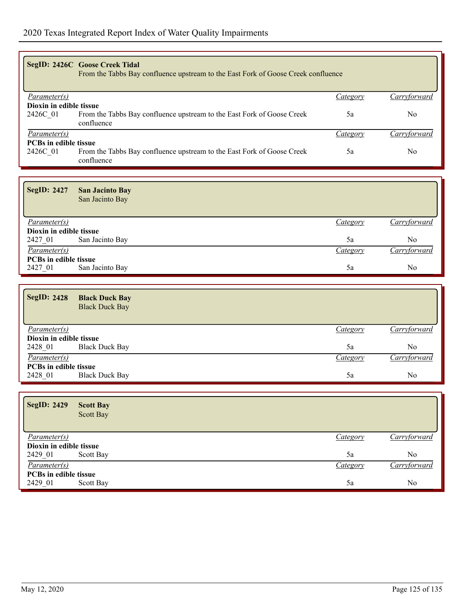|                              | SegID: 2426C Goose Creek Tidal                                                    |                 |                |
|------------------------------|-----------------------------------------------------------------------------------|-----------------|----------------|
|                              | From the Tabbs Bay confluence upstream to the East Fork of Goose Creek confluence |                 |                |
|                              |                                                                                   |                 |                |
|                              |                                                                                   |                 |                |
| Parameter(s)                 |                                                                                   | Category        | Carryforward   |
| Dioxin in edible tissue      |                                                                                   |                 |                |
| 2426C 01                     | From the Tabbs Bay confluence upstream to the East Fork of Goose Creek            | 5a              | N <sub>0</sub> |
|                              | confluence                                                                        |                 |                |
| Parameter(s)                 |                                                                                   | <i>Category</i> | Carryforward   |
| <b>PCBs in edible tissue</b> |                                                                                   |                 |                |
| 2426C 01                     | From the Tabbs Bay confluence upstream to the East Fork of Goose Creek            | 5a              | No.            |
|                              | confluence                                                                        |                 |                |
|                              |                                                                                   |                 |                |
|                              |                                                                                   |                 |                |
|                              |                                                                                   |                 |                |
| <b>SegID: 2427</b>           | <b>San Jacinto Bay</b>                                                            |                 |                |
|                              | San Jacinto Bay                                                                   |                 |                |
|                              |                                                                                   |                 |                |
|                              |                                                                                   |                 |                |
| Parameter(s)                 |                                                                                   | Category        | Carryforward   |

| Dioxin in edible tissue      |                 |              |
|------------------------------|-----------------|--------------|
| San Jacinto Bay<br>2427 01   | эa              | No           |
| <i>Parameter(s)</i>          | <u>Category</u> | Carryforward |
| <b>PCBs in edible tissue</b> |                 |              |
| San Jacinto Bay<br>2427 01   | эa              | No           |

| <b>SegID: 2428</b>           | <b>Black Duck Bay</b><br><b>Black Duck Bay</b> |                 |              |
|------------------------------|------------------------------------------------|-----------------|--------------|
| <i>Parameter(s)</i>          |                                                | Category        | Carryforward |
| Dioxin in edible tissue      |                                                |                 |              |
| 2428 01                      | <b>Black Duck Bay</b>                          | 5a              | No           |
| Parameter(s)                 |                                                | <b>Category</b> | Carryforward |
| <b>PCBs in edible tissue</b> |                                                |                 |              |
| 2428 01                      | <b>Black Duck Bay</b>                          | 5a              | No           |

| <b>SegID: 2429</b>           | <b>Scott Bay</b><br>Scott Bay |                 |                |
|------------------------------|-------------------------------|-----------------|----------------|
| <i>Parameter(s)</i>          |                               | <b>Category</b> | Carryforward   |
| Dioxin in edible tissue      |                               |                 |                |
| 2429 01                      | Scott Bay                     | 5a              | N <sub>0</sub> |
| Parameter(s)                 |                               | Category        | Carryforward   |
| <b>PCBs</b> in edible tissue |                               |                 |                |
| 2429 01                      | Scott Bay                     | 5a              | No             |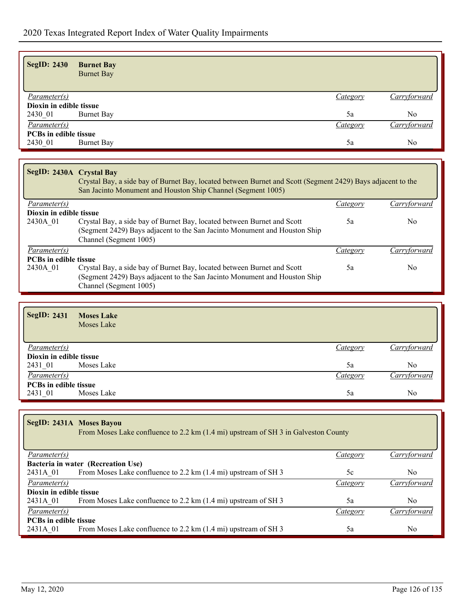| <b>SegID: 2430</b>           | <b>Burnet Bay</b><br><b>Burnet Bay</b> |          |                     |
|------------------------------|----------------------------------------|----------|---------------------|
| Parameter(s)                 |                                        | Category | <b>Carryforward</b> |
| Dioxin in edible tissue      |                                        |          |                     |
| 2430 01                      | <b>Burnet Bay</b>                      | 5a       | No                  |
| $\overline{Parameter(s)}$    |                                        | Category | Carryforward        |
| <b>PCBs in edible tissue</b> |                                        |          |                     |
| 2430 01                      | Burnet Bay                             | 5a       | No                  |

|                              | SegID: 2430A Crystal Bay<br>Crystal Bay, a side bay of Burnet Bay, located between Burnet and Scott (Segment 2429) Bays adjacent to the<br>San Jacinto Monument and Houston Ship Channel (Segment 1005) |          |              |
|------------------------------|---------------------------------------------------------------------------------------------------------------------------------------------------------------------------------------------------------|----------|--------------|
| Parameter(s)                 |                                                                                                                                                                                                         | Category | Carryforward |
| Dioxin in edible tissue      |                                                                                                                                                                                                         |          |              |
| 2430A 01                     | Crystal Bay, a side bay of Burnet Bay, located between Burnet and Scott                                                                                                                                 | 5a       | No.          |
|                              | (Segment 2429) Bays adjacent to the San Jacinto Monument and Houston Ship<br>Channel (Segment 1005)                                                                                                     |          |              |
| <i>Parameter(s)</i>          |                                                                                                                                                                                                         | Category | Carryforward |
| <b>PCBs in edible tissue</b> |                                                                                                                                                                                                         |          |              |
| 2430A 01                     | Crystal Bay, a side bay of Burnet Bay, located between Burnet and Scott                                                                                                                                 | 5a       | No.          |
|                              | (Segment 2429) Bays adjacent to the San Jacinto Monument and Houston Ship                                                                                                                               |          |              |
|                              | Channel (Segment 1005)                                                                                                                                                                                  |          |              |

| <b>SegID: 2431</b>           | <b>Moses Lake</b><br>Moses Lake |          |                |
|------------------------------|---------------------------------|----------|----------------|
| <i>Parameter(s)</i>          |                                 | Category | Carryforward   |
| Dioxin in edible tissue      |                                 |          |                |
| 2431 01                      | Moses Lake                      | 5a       | N <sub>0</sub> |
| $\overline{Parameter(s)}$    |                                 | Category | Carryforward   |
| <b>PCBs in edible tissue</b> |                                 |          |                |
| 2431 01                      | Moses Lake                      | 5a       | N <sub>0</sub> |

**SegID: 2431A Moses Bayou**

From Moses Lake confluence to 2.2 km (1.4 mi) upstream of SH 3 in Galveston County

| <i>Parameter(s)</i>          |                                                                | <i>Category</i> | Carryforward |
|------------------------------|----------------------------------------------------------------|-----------------|--------------|
|                              | Bacteria in water (Recreation Use)                             |                 |              |
| 2431A 01                     | From Moses Lake confluence to 2.2 km (1.4 mi) upstream of SH 3 | 5c              | No           |
| Parameter(s)                 |                                                                | Category        | Carryforward |
| Dioxin in edible tissue      |                                                                |                 |              |
| 2431A 01                     | From Moses Lake confluence to 2.2 km (1.4 mi) upstream of SH 3 | 5a              | No           |
| Parameter(s)                 |                                                                | Category        | Carryforward |
| <b>PCBs in edible tissue</b> |                                                                |                 |              |
| 2431A 01                     | From Moses Lake confluence to 2.2 km (1.4 mi) upstream of SH 3 | 5a              | No.          |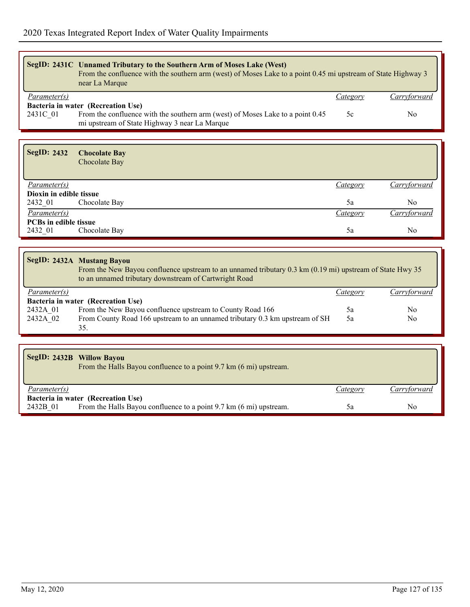|                                                           | SegID: 2431C Unnamed Tributary to the Southern Arm of Moses Lake (West)<br>From the confluence with the southern arm (west) of Moses Lake to a point 0.45 mi upstream of State Highway 3<br>near La Marque |                 |                                  |
|-----------------------------------------------------------|------------------------------------------------------------------------------------------------------------------------------------------------------------------------------------------------------------|-----------------|----------------------------------|
| Parameter(s)                                              |                                                                                                                                                                                                            | <i>Category</i> | Carryforward                     |
| 2431C 01                                                  | Bacteria in water (Recreation Use)<br>From the confluence with the southern arm (west) of Moses Lake to a point 0.45<br>mi upstream of State Highway 3 near La Marque                                      | 5c              | No                               |
|                                                           |                                                                                                                                                                                                            |                 |                                  |
| SegID: 2432                                               | <b>Chocolate Bay</b><br>Chocolate Bay                                                                                                                                                                      |                 |                                  |
| Parameter(s)                                              |                                                                                                                                                                                                            | <i>Category</i> | Carryforward                     |
| Dioxin in edible tissue                                   |                                                                                                                                                                                                            |                 |                                  |
| 2432 01                                                   | Chocolate Bay                                                                                                                                                                                              | 5a              | N <sub>0</sub>                   |
| $\overline{Parameter(s)}$<br><b>PCBs in edible tissue</b> |                                                                                                                                                                                                            | Category        | Carryforward                     |
| 2432 01                                                   | Chocolate Bay                                                                                                                                                                                              | 5a              | N <sub>0</sub>                   |
|                                                           |                                                                                                                                                                                                            |                 |                                  |
|                                                           | SegID: 2432A Mustang Bayou<br>From the New Bayou confluence upstream to an unnamed tributary 0.3 km (0.19 mi) upstream of State Hwy 35<br>to an unnamed tributary downstream of Cartwright Road            |                 |                                  |
| Parameter(s)                                              |                                                                                                                                                                                                            | <i>Category</i> | Carryforward                     |
|                                                           | Bacteria in water (Recreation Use)                                                                                                                                                                         |                 |                                  |
| 2432A 01<br>2432A 02                                      | From the New Bayou confluence upstream to County Road 166<br>From County Road 166 upstream to an unnamed tributary 0.3 km upstream of SH                                                                   | 5a<br>5a        | N <sub>0</sub><br>N <sub>0</sub> |
|                                                           | 35.                                                                                                                                                                                                        |                 |                                  |
|                                                           |                                                                                                                                                                                                            |                 |                                  |
| SegID: 2432B Willow Bayou                                 | From the Halls Bayou confluence to a point 9.7 km (6 mi) upstream.                                                                                                                                         |                 |                                  |

| <i>Parameter(s)</i> |                                                                    | <u>Category</u> | <u>Carryforward</u> |
|---------------------|--------------------------------------------------------------------|-----------------|---------------------|
|                     | Bacteria in water (Recreation Use)                                 |                 |                     |
| 2432B 01            | From the Halls Bayou confluence to a point 9.7 km (6 mi) upstream. | эa              | No.                 |
|                     |                                                                    |                 |                     |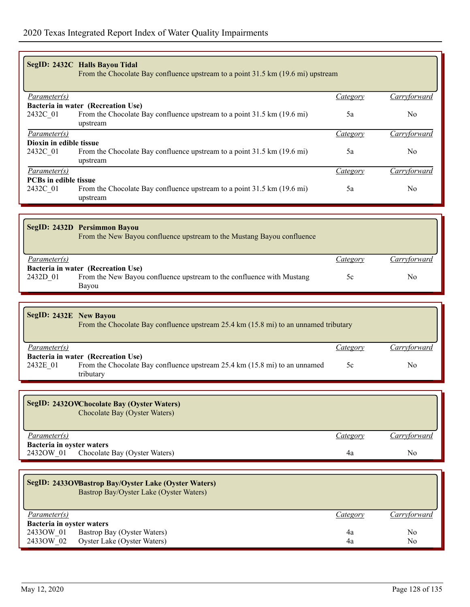|                              | SegID: 2432C Halls Bayou Tidal<br>From the Chocolate Bay confluence upstream to a point 31.5 km (19.6 mi) upstream |                 |                     |
|------------------------------|--------------------------------------------------------------------------------------------------------------------|-----------------|---------------------|
| <i>Parameter(s)</i>          |                                                                                                                    | <b>Category</b> | Carryforward        |
|                              | Bacteria in water (Recreation Use)                                                                                 |                 |                     |
| 2432C 01                     | From the Chocolate Bay confluence upstream to a point 31.5 km (19.6 mi)<br>upstream                                | 5a              | N <sub>0</sub>      |
| Parameter(s)                 |                                                                                                                    | <i>Category</i> | Carryforward        |
| Dioxin in edible tissue      |                                                                                                                    |                 |                     |
| 2432C 01                     | From the Chocolate Bay confluence upstream to a point 31.5 km (19.6 mi)                                            | 5a              | N <sub>0</sub>      |
|                              | upstream                                                                                                           |                 |                     |
| Parameter(s)                 |                                                                                                                    | Category        | Carryforward        |
| <b>PCBs in edible tissue</b> |                                                                                                                    |                 |                     |
| 2432C 01                     | From the Chocolate Bay confluence upstream to a point 31.5 km (19.6 mi)<br>upstream                                | 5a              | N <sub>0</sub>      |
|                              |                                                                                                                    |                 |                     |
|                              | SegID: 2432D Persimmon Bayou<br>From the New Bayou confluence upstream to the Mustang Bayou confluence             |                 |                     |
| Parameter(s)                 |                                                                                                                    | <i>Category</i> | <i>Carryforward</i> |
|                              | Bacteria in water (Recreation Use)                                                                                 |                 |                     |
| 2432D 01                     | From the New Bayou confluence upstream to the confluence with Mustang<br>Bayou                                     | 5c              | N <sub>0</sub>      |

| SegID: 2432E New Bayou | From the Chocolate Bay confluence upstream 25.4 km (15.8 mi) to an unnamed tributary                                          |          |              |
|------------------------|-------------------------------------------------------------------------------------------------------------------------------|----------|--------------|
| <i>Parameter(s)</i>    |                                                                                                                               | Category | Carryforward |
| 2432E 01               | Bacteria in water (Recreation Use)<br>From the Chocolate Bay confluence upstream 25.4 km (15.8 mi) to an unnamed<br>tributary | 5c       | No.          |

| SegID: 2432OVChocolate Bay (Oyster Waters)<br>Chocolate Bay (Oyster Waters) |          |              |
|-----------------------------------------------------------------------------|----------|--------------|
| Parameter(s)                                                                | Category | Carryforward |
| Bacteria in oyster waters                                                   |          |              |
| Chocolate Bay (Oyster Waters)<br>24320W 01                                  | 4a       | No           |

# **SegID: 2433OWBastrop Bay/Oyster Lake (Oyster Waters)**

Bastrop Bay/Oyster Lake (Oyster Waters)

| <i>Parameter(s)</i>       |                                       | Category | Carryforward |
|---------------------------|---------------------------------------|----------|--------------|
| Bacteria in oyster waters |                                       |          |              |
|                           | 24330W 01 Bastrop Bay (Oyster Waters) | 4a       | No           |
|                           | 24330W 02 Oyster Lake (Oyster Waters) | 4a       | No           |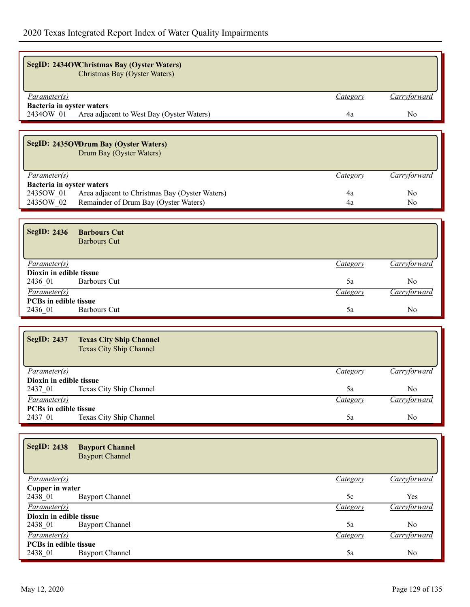| SegID: 2434OVChristmas Bay (Oyster Waters)<br>Christmas Bay (Oyster Waters)              |                 |                |
|------------------------------------------------------------------------------------------|-----------------|----------------|
|                                                                                          |                 |                |
| Parameter(s)                                                                             | Category        | Carryforward   |
| Bacteria in oyster waters                                                                |                 |                |
| 2434OW 01<br>Area adjacent to West Bay (Oyster Waters)                                   | 4a              | N <sub>0</sub> |
|                                                                                          |                 |                |
| SegID: 2435OVDrum Bay (Oyster Waters)                                                    |                 |                |
| Drum Bay (Oyster Waters)                                                                 |                 |                |
|                                                                                          |                 |                |
| Parameter(s)                                                                             | Category        | Carryforward   |
| Bacteria in oyster waters<br>2435OW_01<br>Area adjacent to Christmas Bay (Oyster Waters) | 4a              | N <sub>0</sub> |
| 2435OW 02<br>Remainder of Drum Bay (Oyster Waters)                                       | 4a              | No             |
|                                                                                          |                 |                |
|                                                                                          |                 |                |
| <b>SegID: 2436</b><br><b>Barbours Cut</b>                                                |                 |                |
| <b>Barbours Cut</b>                                                                      |                 |                |
| Parameter(s)                                                                             |                 | Carryforward   |
| Dioxin in edible tissue                                                                  | Category        |                |
| <b>Barbours Cut</b><br>2436 01                                                           | 5a              | No             |
| Parameter(s)                                                                             | Category        | Carryforward   |
| PCBs in edible tissue                                                                    |                 |                |
| <b>Barbours Cut</b><br>2436_01                                                           | 5a              | No             |
|                                                                                          |                 |                |
| SegID: 2437<br><b>Texas City Ship Channel</b>                                            |                 |                |
| Texas City Ship Channel                                                                  |                 |                |
|                                                                                          |                 |                |
| Parameter(s)<br>Dioxin in edible tissue                                                  | <b>Category</b> | Carryforward   |
| 2437 01<br>Texas City Ship Channel                                                       | 5a              | N <sub>0</sub> |
| Parameter(s)                                                                             | Category        | Carryforward   |
| <b>PCBs</b> in edible tissue                                                             |                 |                |
| 2437 01<br>Texas City Ship Channel                                                       | 5a              | No             |
|                                                                                          |                 |                |
| <b>SegID: 2438</b><br><b>Bayport Channel</b>                                             |                 |                |
| <b>Bayport Channel</b>                                                                   |                 |                |
|                                                                                          |                 |                |
| Parameter(s)                                                                             | Category        | Carryforward   |
| Copper in water                                                                          |                 |                |
| 2438_01<br><b>Bayport Channel</b>                                                        | 5c              | Yes            |
| $\overline{Parameter(s)}$<br>Dioxin in edible tissue                                     | Category        | Carryforward   |
| 2438_01<br><b>Bayport Channel</b>                                                        | 5a              | N <sub>o</sub> |
| $\overline{Parameter(s)}$                                                                | Category        | Carryforward   |
| PCBs in edible tissue                                                                    |                 |                |
| 2438_01<br><b>Bayport Channel</b>                                                        | 5a              | N <sub>o</sub> |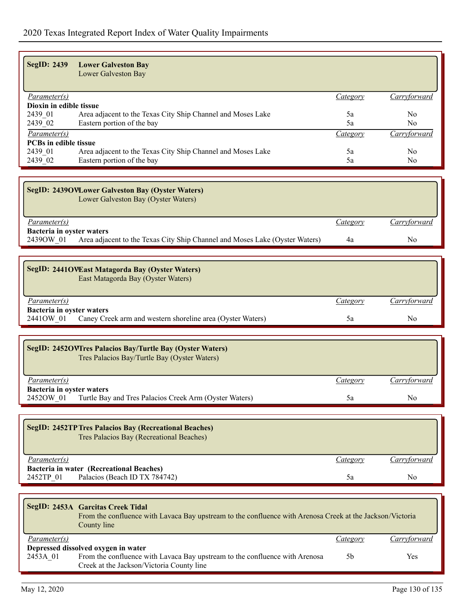| <b>SegID: 2439</b>                                                                                        | <b>Lower Galveston Bay</b>                                                              |                 |                |
|-----------------------------------------------------------------------------------------------------------|-----------------------------------------------------------------------------------------|-----------------|----------------|
|                                                                                                           | Lower Galveston Bay                                                                     |                 |                |
|                                                                                                           |                                                                                         |                 |                |
| Parameter(s)                                                                                              |                                                                                         | <i>Category</i> | Carryforward   |
| Dioxin in edible tissue                                                                                   |                                                                                         |                 |                |
| 2439 01                                                                                                   | Area adjacent to the Texas City Ship Channel and Moses Lake                             | 5a              | N <sub>0</sub> |
| 2439_02                                                                                                   | Eastern portion of the bay                                                              | 5a              | N <sub>o</sub> |
| Parameter(s)<br><b>PCBs</b> in edible tissue                                                              |                                                                                         | Category        | Carryforward   |
| 2439 01                                                                                                   | Area adjacent to the Texas City Ship Channel and Moses Lake                             | 5a              | N <sub>o</sub> |
| 2439 02                                                                                                   | Eastern portion of the bay                                                              | 5a              | No             |
|                                                                                                           |                                                                                         |                 |                |
|                                                                                                           |                                                                                         |                 |                |
|                                                                                                           | SegID: 2439OVLower Galveston Bay (Oyster Waters)<br>Lower Galveston Bay (Oyster Waters) |                 |                |
|                                                                                                           |                                                                                         |                 |                |
| Parameter(s)                                                                                              |                                                                                         |                 | Carryforward   |
| Bacteria in oyster waters                                                                                 |                                                                                         | Category        |                |
| 2439OW 01                                                                                                 | Area adjacent to the Texas City Ship Channel and Moses Lake (Oyster Waters)             | 4a              | N <sub>o</sub> |
|                                                                                                           |                                                                                         |                 |                |
|                                                                                                           |                                                                                         |                 |                |
|                                                                                                           | SegID: 2441OVEast Matagorda Bay (Oyster Waters)                                         |                 |                |
|                                                                                                           | East Matagorda Bay (Oyster Waters)                                                      |                 |                |
|                                                                                                           |                                                                                         |                 |                |
| Parameter(s)<br><b>Bacteria in oyster waters</b>                                                          |                                                                                         | <i>Category</i> | Carryforward   |
| 2441OW 01                                                                                                 | Caney Creek arm and western shoreline area (Oyster Waters)                              | 5a              | N <sub>0</sub> |
|                                                                                                           |                                                                                         |                 |                |
|                                                                                                           |                                                                                         |                 |                |
|                                                                                                           | SegID: 2452OVTres Palacios Bay/Turtle Bay (Oyster Waters)                               |                 |                |
|                                                                                                           | Tres Palacios Bay/Turtle Bay (Oyster Waters)                                            |                 |                |
|                                                                                                           |                                                                                         |                 |                |
| Parameter(s)                                                                                              |                                                                                         | Category        | Carryforward   |
| <b>Bacteria in oyster waters</b><br>2452OW 01                                                             | Turtle Bay and Tres Palacios Creek Arm (Oyster Waters)                                  | 5a              | No             |
|                                                                                                           |                                                                                         |                 |                |
|                                                                                                           |                                                                                         |                 |                |
|                                                                                                           | <b>SegID: 2452TP Tres Palacios Bay (Recreational Beaches)</b>                           |                 |                |
|                                                                                                           | Tres Palacios Bay (Recreational Beaches)                                                |                 |                |
|                                                                                                           |                                                                                         |                 |                |
| Parameter(s)                                                                                              |                                                                                         | Category        | Carryforward   |
|                                                                                                           | <b>Bacteria in water (Recreational Beaches)</b><br>Palacios (Beach ID TX 784742)        |                 |                |
| 2452TP 01                                                                                                 |                                                                                         | 5a              | No             |
|                                                                                                           |                                                                                         |                 |                |
|                                                                                                           | <b>SegID: 2453A Garcitas Creek Tidal</b>                                                |                 |                |
| From the confluence with Lavaca Bay upstream to the confluence with Arenosa Creek at the Jackson/Victoria |                                                                                         |                 |                |
|                                                                                                           | County line                                                                             |                 |                |
| Parameter(s)                                                                                              |                                                                                         | Category        | Carryforward   |

#### **Depressed dissolved oxygen in water**

2453A 01 From the confluence with Lavaca Bay upstream to the confluence with Arenosa 5b Yes Creek at the Jackson/Victoria County line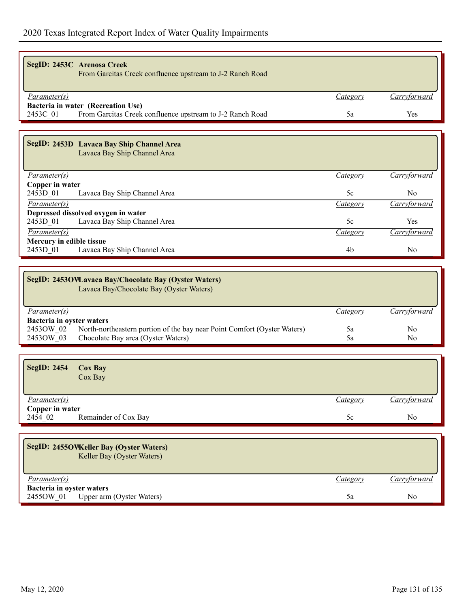| Parameter(s)<br>Carryforward<br><i>Category</i>                                                                                                      |  |
|------------------------------------------------------------------------------------------------------------------------------------------------------|--|
| Bacteria in water (Recreation Use)                                                                                                                   |  |
| From Garcitas Creek confluence upstream to J-2 Ranch Road<br>2453C 01<br>5a<br>Yes                                                                   |  |
|                                                                                                                                                      |  |
| SegID: 2453D Lavaca Bay Ship Channel Area<br>Lavaca Bay Ship Channel Area                                                                            |  |
| Parameter(s)<br>Carryforward<br><b>Category</b>                                                                                                      |  |
| Copper in water                                                                                                                                      |  |
| 2453D_01<br>5c<br>Lavaca Bay Ship Channel Area<br>No<br>Parameter(s)<br>Category<br>Carryforward                                                     |  |
| Depressed dissolved oxygen in water                                                                                                                  |  |
| Lavaca Bay Ship Channel Area<br>5c<br>2453D <sub>01</sub><br><b>Yes</b>                                                                              |  |
| Carryforward<br>$\overline{Parameter(s)}$<br>Category                                                                                                |  |
| Mercury in edible tissue<br>Lavaca Bay Ship Channel Area<br>2453D 01<br>4b<br>No                                                                     |  |
|                                                                                                                                                      |  |
| SegID: 24530VLavaca Bay/Chocolate Bay (Oyster Waters)<br>Lavaca Bay/Chocolate Bay (Oyster Waters)                                                    |  |
| Parameter(s)<br>Carryforward<br><i>Category</i>                                                                                                      |  |
| Bacteria in oyster waters<br>5a<br>No                                                                                                                |  |
| 2453OW 02<br>North-northeastern portion of the bay near Point Comfort (Oyster Waters)<br>2453OW 03<br>Chocolate Bay area (Oyster Waters)<br>5a<br>No |  |
|                                                                                                                                                      |  |
| <b>SegID: 2454</b><br><b>Cox Bay</b><br>Cox Bay                                                                                                      |  |
| Parameter(s)<br>Carryforward<br><b>Category</b>                                                                                                      |  |
| Copper in water<br>2454 02<br>Remainder of Cox Bay<br>$5c$<br>No                                                                                     |  |
|                                                                                                                                                      |  |
| SegID: 2455OVKeller Bay (Oyster Waters)<br>Keller Bay (Oyster Waters)                                                                                |  |
| Parameter(s)<br>Carryforward<br><b>Category</b>                                                                                                      |  |
| Bacteria in oyster waters<br>5a<br>2455OW 01<br>Upper arm (Oyster Waters)<br>No                                                                      |  |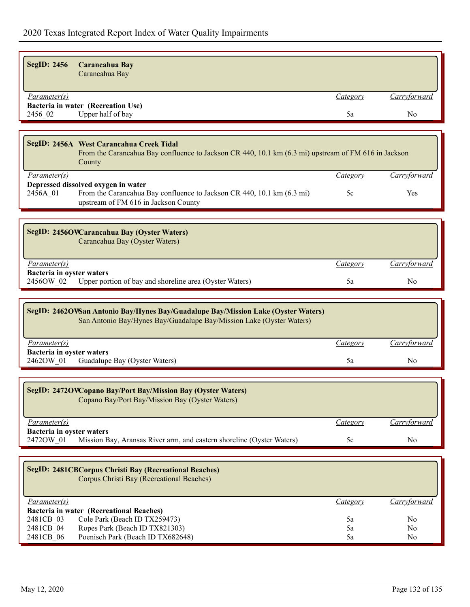| <b>SegID: 2456</b>                     |                                                                                                                                                            |                 |                |
|----------------------------------------|------------------------------------------------------------------------------------------------------------------------------------------------------------|-----------------|----------------|
|                                        | Carancahua Bay<br>Carancahua Bay                                                                                                                           |                 |                |
| Parameter(s)                           |                                                                                                                                                            | <b>Category</b> | Carryforward   |
| 2456_02                                | Bacteria in water (Recreation Use)<br>Upper half of bay                                                                                                    | 5a              | N <sub>o</sub> |
|                                        |                                                                                                                                                            |                 |                |
|                                        |                                                                                                                                                            |                 |                |
|                                        | SegID: 2456A West Carancahua Creek Tidal<br>From the Carancahua Bay confluence to Jackson CR 440, 10.1 km (6.3 mi) upstream of FM 616 in Jackson<br>County |                 |                |
| Parameter(s)                           |                                                                                                                                                            | Category        | Carryforward   |
| 2456A 01                               | Depressed dissolved oxygen in water<br>From the Carancahua Bay confluence to Jackson CR 440, 10.1 km (6.3 mi)<br>upstream of FM 616 in Jackson County      | 5c              | Yes            |
|                                        |                                                                                                                                                            |                 |                |
|                                        | SegID: 2456OVCarancahua Bay (Oyster Waters)<br>Carancahua Bay (Oyster Waters)                                                                              |                 |                |
| Parameter(s)                           |                                                                                                                                                            | Category        | Carryforward   |
| Bacteria in oyster waters<br>2456OW 02 | Upper portion of bay and shoreline area (Oyster Waters)                                                                                                    | 5a              | No             |
|                                        |                                                                                                                                                            |                 |                |
|                                        |                                                                                                                                                            |                 |                |
|                                        | SegID: 2462OVSan Antonio Bay/Hynes Bay/Guadalupe Bay/Mission Lake (Oyster Waters)                                                                          |                 |                |
|                                        | San Antonio Bay/Hynes Bay/Guadalupe Bay/Mission Lake (Oyster Waters)                                                                                       |                 |                |
| Parameter(s)                           |                                                                                                                                                            | <i>Category</i> | Carryforward   |
| Bacteria in oyster waters              |                                                                                                                                                            | 5a              | No             |
| 2462OW 01                              | Guadalupe Bay (Oyster Waters)                                                                                                                              |                 |                |
|                                        | SegID: 2472OVCopano Bay/Port Bay/Mission Bay (Oyster Waters)<br>Copano Bay/Port Bay/Mission Bay (Oyster Waters)                                            |                 |                |
| Parameter(s)                           |                                                                                                                                                            | Category        | Carryforward   |
| Bacteria in oyster waters<br>2472OW 01 | Mission Bay, Aransas River arm, and eastern shoreline (Oyster Waters)                                                                                      | 5c              | No             |
|                                        |                                                                                                                                                            |                 |                |
|                                        | <b>SegID: 2481CBCorpus Christi Bay (Recreational Beaches)</b><br>Corpus Christi Bay (Recreational Beaches)                                                 |                 |                |
| Parameter(s)                           |                                                                                                                                                            | Category        | Carryforward   |
|                                        | Bacteria in water (Recreational Beaches)                                                                                                                   |                 |                |
| 2481CB 03<br>2481CB 04                 | Cole Park (Beach ID TX259473)<br>Ropes Park (Beach ID TX821303)<br>Poenisch Park (Beach ID TX682648)                                                       | 5a<br>5a        | No<br>No       |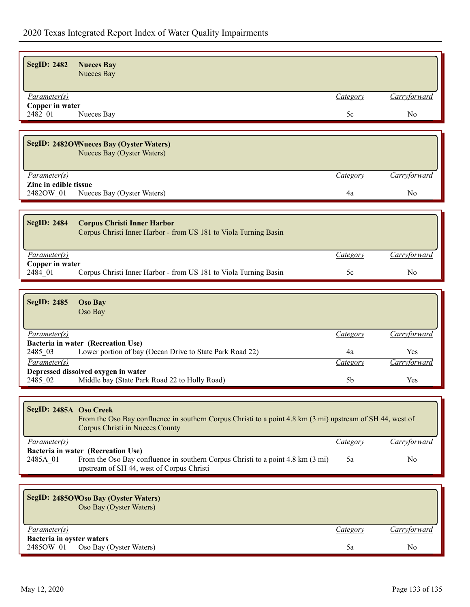| <b>SegID: 2482</b><br><b>Nueces Bay</b><br>Nueces Bay |                 |                |
|-------------------------------------------------------|-----------------|----------------|
| <i>Parameter(s)</i>                                   | <i>Category</i> | Carryforward   |
| Copper in water                                       |                 |                |
| 2482 01<br>Nueces Bay                                 | 5c              | N <sub>o</sub> |
|                                                       |                 |                |
| SegID: 2482OVNueces Bay (Oyster Waters)               |                 |                |
| Nueces Bay (Oyster Waters)                            |                 |                |
| Parameter(s)                                          | Category        | Carryforward   |
| Zinc in edible tissue                                 |                 |                |
| 2482OW 01<br>Nueces Bay (Oyster Waters)               |                 |                |

| $\beta$ SegID: 2484 | <b>Corpus Christi Inner Harbor</b><br>Corpus Christi Inner Harbor - from US 181 to Viola Turning Basin |          |              |  |
|---------------------|--------------------------------------------------------------------------------------------------------|----------|--------------|--|
| Parameter(s)        |                                                                                                        | Category | Carryforward |  |
| Copper in water     |                                                                                                        |          |              |  |
| 2484 01             | Corpus Christi Inner Harbor - from US 181 to Viola Turning Basin                                       | 5c       | No           |  |

| SegID: 2485                         | <b>Oso Bay</b><br>Oso Bay                                |          |                     |  |
|-------------------------------------|----------------------------------------------------------|----------|---------------------|--|
| <i>Parameter(s)</i>                 |                                                          | Category | <i>Carryforward</i> |  |
|                                     | Bacteria in water (Recreation Use)                       |          |                     |  |
| 2485 03                             | Lower portion of bay (Ocean Drive to State Park Road 22) | 4a       | Yes                 |  |
| Parameter(s)                        |                                                          | Category | Carryforward        |  |
| Depressed dissolved oxygen in water |                                                          |          |                     |  |
| 2485 02                             | Middle bay (State Park Road 22 to Holly Road)            | 5b       | Yes                 |  |

| SegID: 2485A Oso Creek<br>From the Oso Bay confluence in southern Corpus Christi to a point 4.8 km (3 mi) upstream of SH 44, west of<br>Corpus Christi in Nueces County        |          |                      |  |  |
|--------------------------------------------------------------------------------------------------------------------------------------------------------------------------------|----------|----------------------|--|--|
| Parameter(s)                                                                                                                                                                   | Category | <u>'arryforw</u> ard |  |  |
| Bacteria in water (Recreation Use)<br>From the Oso Bay confluence in southern Corpus Christi to a point 4.8 km (3 mi)<br>2485A 01<br>upstream of SH 44, west of Corpus Christi | 5a       | No                   |  |  |

| SegID: 2485OVOso Bay (Oyster Waters)<br>Oso Bay (Oyster Waters) |          |              |
|-----------------------------------------------------------------|----------|--------------|
| Parameter(s)                                                    | Category | Carryforward |
| Bacteria in oyster waters                                       |          |              |
| Oso Bay (Oyster Waters)<br>2485OW 01                            | 5a       | No           |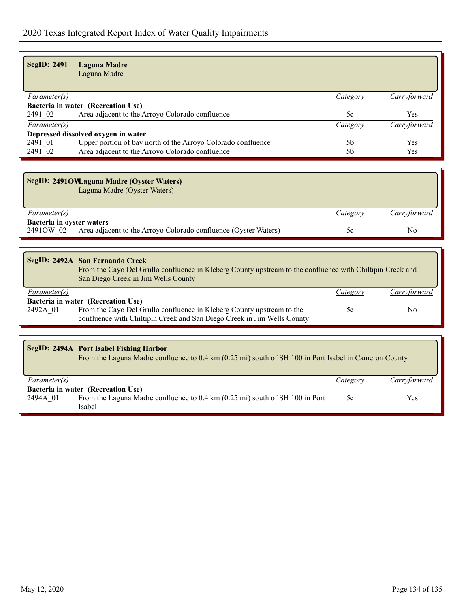| <b>SegID: 2491</b><br><b>Laguna Madre</b><br>Laguna Madre               |                |                     |
|-------------------------------------------------------------------------|----------------|---------------------|
| <i>Parameter(s)</i>                                                     | Category       | <u>Carryforward</u> |
| Bacteria in water (Recreation Use)                                      |                |                     |
| Area adjacent to the Arroyo Colorado confluence<br>2491 02              | 5c             | Yes                 |
| Parameter(s)                                                            | Category       | Carryforward        |
| Depressed dissolved oxygen in water                                     |                |                     |
| Upper portion of bay north of the Arroyo Colorado confluence<br>2491 01 | 5b             | Yes                 |
| Area adjacent to the Arroyo Colorado confluence<br>2491 02              | 5 <sub>b</sub> | Yes                 |

| SegID: 24910VLaguna Madre (Oyster Waters)<br>Laguna Madre (Oyster Waters)    |          |              |
|------------------------------------------------------------------------------|----------|--------------|
| Parameter(s)                                                                 | Category | Carryforward |
| Bacteria in oyster waters                                                    |          |              |
| Area adjacent to the Arroyo Colorado confluence (Oyster Waters)<br>24910W 02 | эc       | No           |

| SegID: 2492A San Fernando Creek<br>From the Cayo Del Grullo confluence in Kleberg County upstream to the confluence with Chiltipin Creek and<br>San Diego Creek in Jim Wells County |                                                                                                                                                  |          |              |  |  |
|-------------------------------------------------------------------------------------------------------------------------------------------------------------------------------------|--------------------------------------------------------------------------------------------------------------------------------------------------|----------|--------------|--|--|
| <i>Parameter(s)</i>                                                                                                                                                                 |                                                                                                                                                  | Category | Carryforward |  |  |
|                                                                                                                                                                                     | Bacteria in water (Recreation Use)                                                                                                               |          |              |  |  |
| 2492A 01                                                                                                                                                                            | From the Cayo Del Grullo confluence in Kleberg County upstream to the<br>confluence with Chiltipin Creek and San Diego Creek in Jim Wells County | 5c       | No           |  |  |

| SegID: 2494A Port Isabel Fishing Harbor<br>From the Laguna Madre confluence to 0.4 km (0.25 mi) south of SH 100 in Port Isabel in Cameron County |                                                                                                                              |          |              |  |
|--------------------------------------------------------------------------------------------------------------------------------------------------|------------------------------------------------------------------------------------------------------------------------------|----------|--------------|--|
| <i>Parameter(s)</i>                                                                                                                              |                                                                                                                              | Category | Carryforward |  |
| 2494A 01                                                                                                                                         | Bacteria in water (Recreation Use)<br>From the Laguna Madre confluence to 0.4 km (0.25 mi) south of SH 100 in Port<br>Isabel | 5c       | Yes          |  |